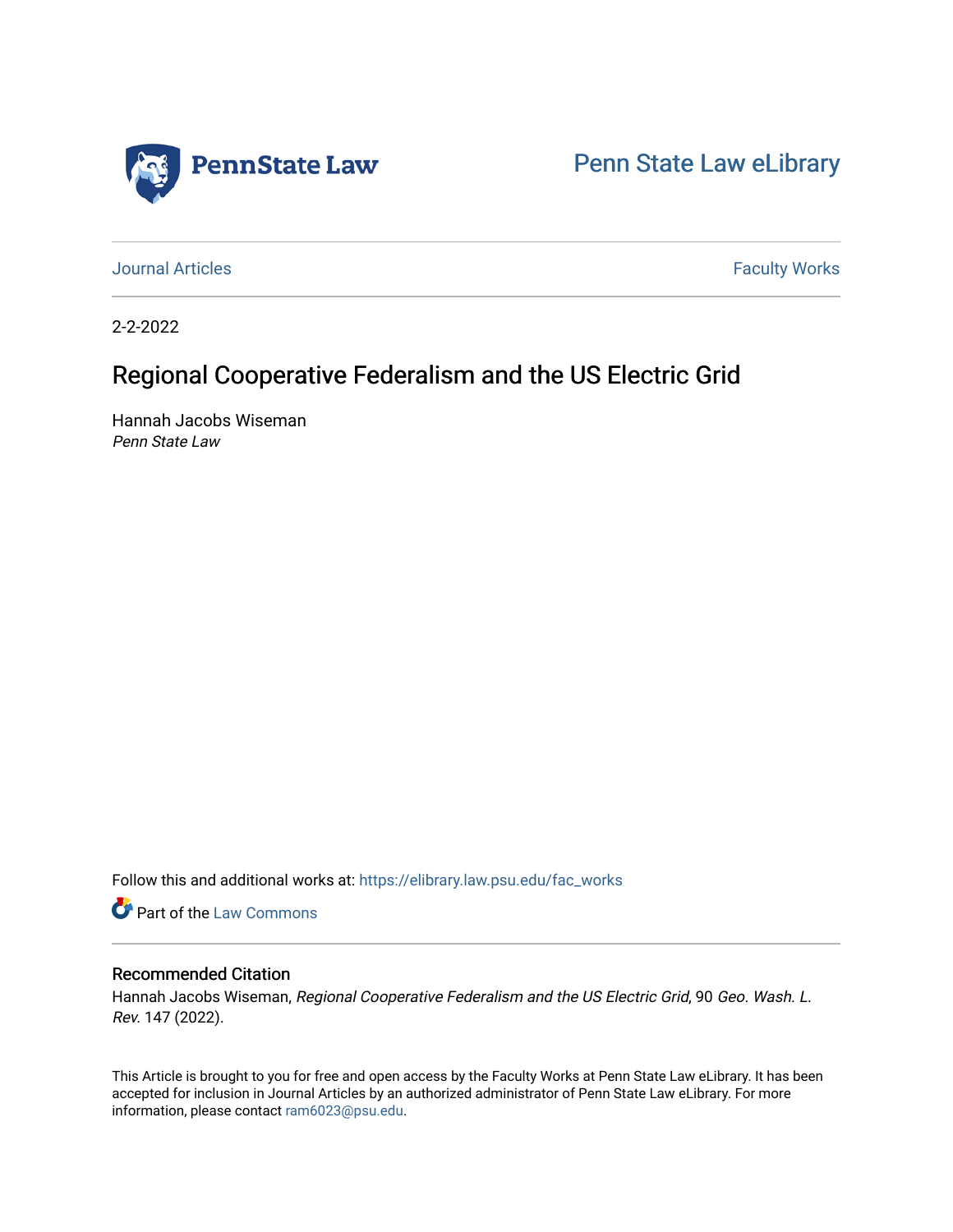

[Penn State Law eLibrary](https://elibrary.law.psu.edu/) 

[Journal Articles](https://elibrary.law.psu.edu/fac_works) **Faculty Works Journal Articles** 

2-2-2022

# Regional Cooperative Federalism and the US Electric Grid

Hannah Jacobs Wiseman Penn State Law

Follow this and additional works at: [https://elibrary.law.psu.edu/fac\\_works](https://elibrary.law.psu.edu/fac_works?utm_source=elibrary.law.psu.edu%2Ffac_works%2F446&utm_medium=PDF&utm_campaign=PDFCoverPages)

Part of the [Law Commons](https://network.bepress.com/hgg/discipline/578?utm_source=elibrary.law.psu.edu%2Ffac_works%2F446&utm_medium=PDF&utm_campaign=PDFCoverPages)

## Recommended Citation

Hannah Jacobs Wiseman, Regional Cooperative Federalism and the US Electric Grid, 90 Geo. Wash. L. Rev. 147 (2022).

This Article is brought to you for free and open access by the Faculty Works at Penn State Law eLibrary. It has been accepted for inclusion in Journal Articles by an authorized administrator of Penn State Law eLibrary. For more information, please contact [ram6023@psu.edu](mailto:ram6023@psu.edu).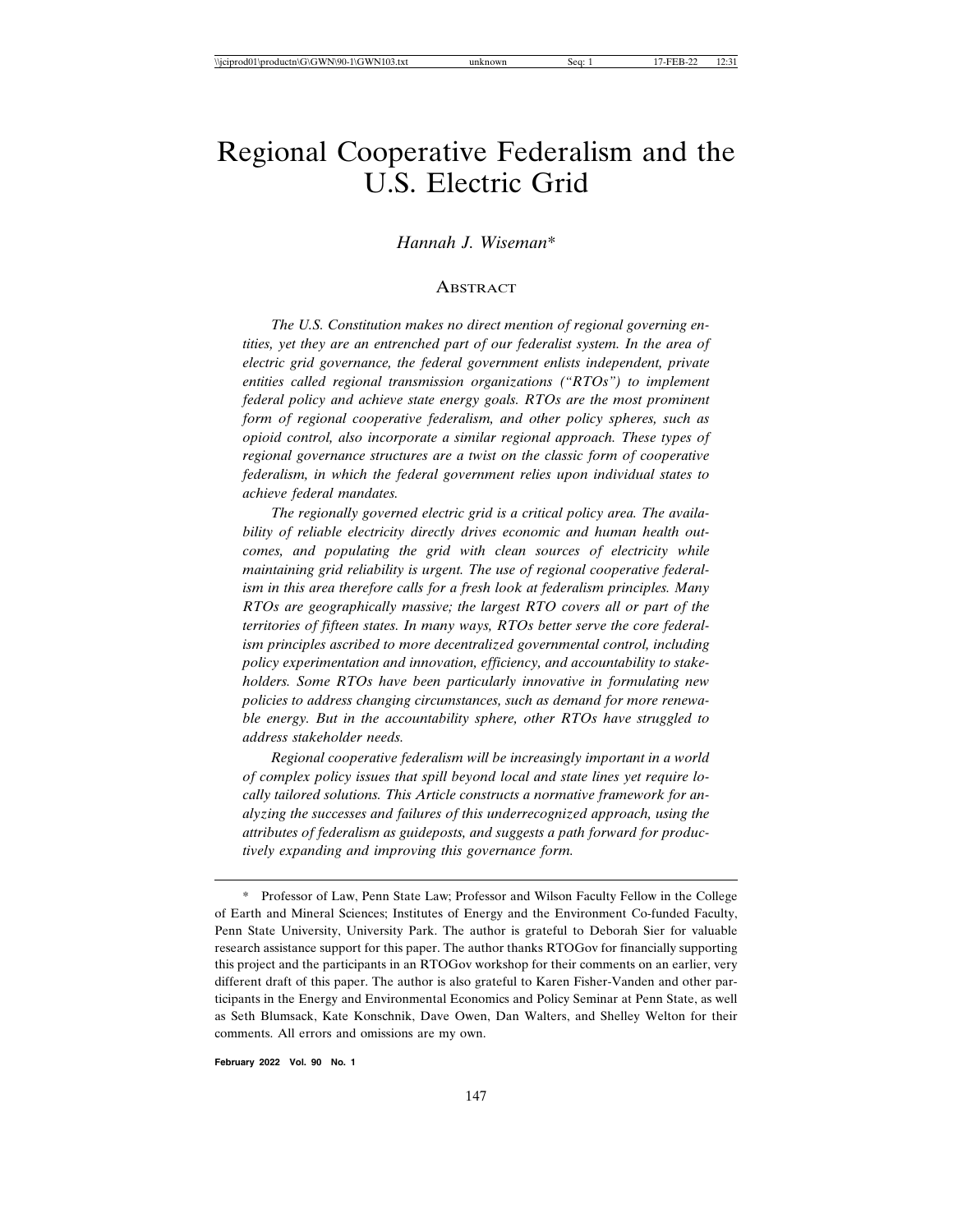# Regional Cooperative Federalism and the U.S. Electric Grid

#### *Hannah J. Wiseman*\*

#### **ABSTRACT**

*The U.S. Constitution makes no direct mention of regional governing entities, yet they are an entrenched part of our federalist system. In the area of electric grid governance, the federal government enlists independent, private entities called regional transmission organizations ("RTOs") to implement federal policy and achieve state energy goals. RTOs are the most prominent form of regional cooperative federalism, and other policy spheres, such as opioid control, also incorporate a similar regional approach. These types of regional governance structures are a twist on the classic form of cooperative federalism, in which the federal government relies upon individual states to achieve federal mandates.*

*The regionally governed electric grid is a critical policy area. The availability of reliable electricity directly drives economic and human health outcomes, and populating the grid with clean sources of electricity while maintaining grid reliability is urgent. The use of regional cooperative federalism in this area therefore calls for a fresh look at federalism principles. Many RTOs are geographically massive; the largest RTO covers all or part of the territories of fifteen states. In many ways, RTOs better serve the core federalism principles ascribed to more decentralized governmental control, including policy experimentation and innovation, efficiency, and accountability to stakeholders. Some RTOs have been particularly innovative in formulating new policies to address changing circumstances, such as demand for more renewable energy. But in the accountability sphere, other RTOs have struggled to address stakeholder needs.*

*Regional cooperative federalism will be increasingly important in a world of complex policy issues that spill beyond local and state lines yet require locally tailored solutions. This Article constructs a normative framework for analyzing the successes and failures of this underrecognized approach, using the attributes of federalism as guideposts, and suggests a path forward for productively expanding and improving this governance form.*

**February 2022 Vol. 90 No. 1**

<sup>\*</sup> Professor of Law, Penn State Law; Professor and Wilson Faculty Fellow in the College of Earth and Mineral Sciences; Institutes of Energy and the Environment Co-funded Faculty, Penn State University, University Park. The author is grateful to Deborah Sier for valuable research assistance support for this paper. The author thanks RTOGov for financially supporting this project and the participants in an RTOGov workshop for their comments on an earlier, very different draft of this paper. The author is also grateful to Karen Fisher-Vanden and other participants in the Energy and Environmental Economics and Policy Seminar at Penn State, as well as Seth Blumsack, Kate Konschnik, Dave Owen, Dan Walters, and Shelley Welton for their comments. All errors and omissions are my own.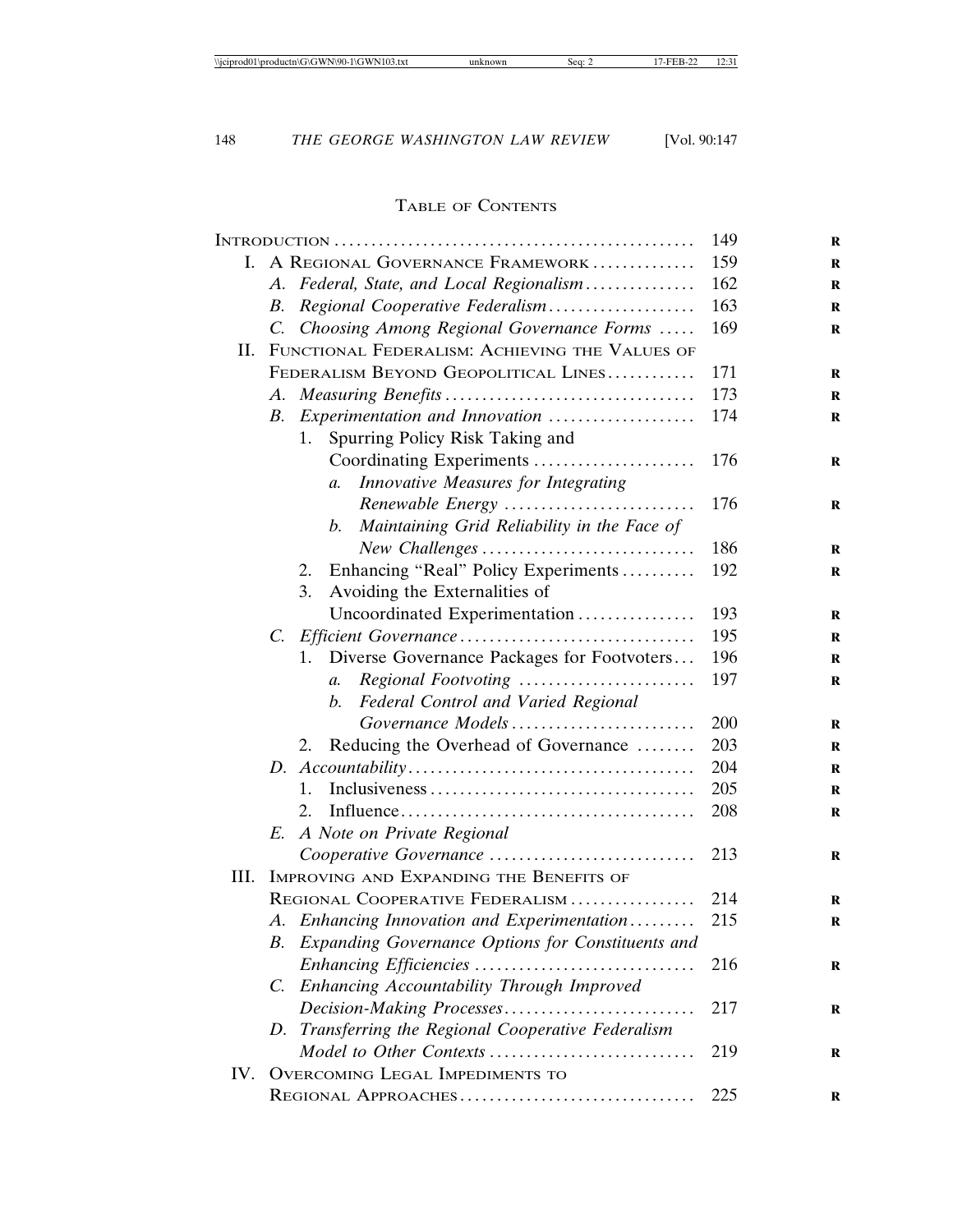## TABLE OF CONTENTS

|      |                                                                                | 149 |
|------|--------------------------------------------------------------------------------|-----|
| L.   | A REGIONAL GOVERNANCE FRAMEWORK                                                | 159 |
|      | A. Federal, State, and Local Regionalism                                       | 162 |
|      | Regional Cooperative Federalism<br>В.                                          | 163 |
|      | Choosing Among Regional Governance Forms<br>$\mathcal{C}$ .                    | 169 |
| II.  | FUNCTIONAL FEDERALISM: ACHIEVING THE VALUES OF                                 |     |
|      | FEDERALISM BEYOND GEOPOLITICAL LINES                                           | 171 |
|      |                                                                                | 173 |
|      | Experimentation and Innovation<br>В.                                           | 174 |
|      | Spurring Policy Risk Taking and<br>1.                                          |     |
|      | Coordinating Experiments                                                       | 176 |
|      | Innovative Measures for Integrating<br>a.                                      |     |
|      | Renewable Energy                                                               | 176 |
|      | Maintaining Grid Reliability in the Face of<br>b.                              |     |
|      |                                                                                | 186 |
|      | Enhancing "Real" Policy Experiments<br>2.                                      | 192 |
|      | Avoiding the Externalities of<br>3.                                            |     |
|      | Uncoordinated Experimentation                                                  | 193 |
|      | $C_{\cdot}$                                                                    | 195 |
|      | Diverse Governance Packages for Footvoters<br>1.                               | 196 |
|      | Regional Footvoting<br>$\mathfrak{a}.$                                         | 197 |
|      | Federal Control and Varied Regional<br>b.                                      |     |
|      | Governance Models                                                              | 200 |
|      | Reducing the Overhead of Governance<br>2.                                      | 203 |
|      |                                                                                | 204 |
|      | 1.                                                                             | 205 |
|      | 2.                                                                             | 208 |
|      | A Note on Private Regional<br>E.                                               |     |
|      | Cooperative Governance                                                         | 213 |
| III. | IMPROVING AND EXPANDING THE BENEFITS OF                                        |     |
|      | REGIONAL COOPERATIVE FEDERALISM                                                | 214 |
|      | A. Enhancing Innovation and Experimentation                                    | 215 |
|      | <b>Expanding Governance Options for Constituents and</b><br>В.                 |     |
|      |                                                                                | 216 |
|      | Enhancing Accountability Through Improved<br>$\mathcal{C}$ .                   |     |
|      | Decision-Making Processes                                                      | 217 |
|      | D. Transferring the Regional Cooperative Federalism<br>Model to Other Contexts |     |
| IV.  | <b>OVERCOMING LEGAL IMPEDIMENTS TO</b>                                         | 219 |
|      |                                                                                | 225 |
|      | REGIONAL APPROACHES                                                            |     |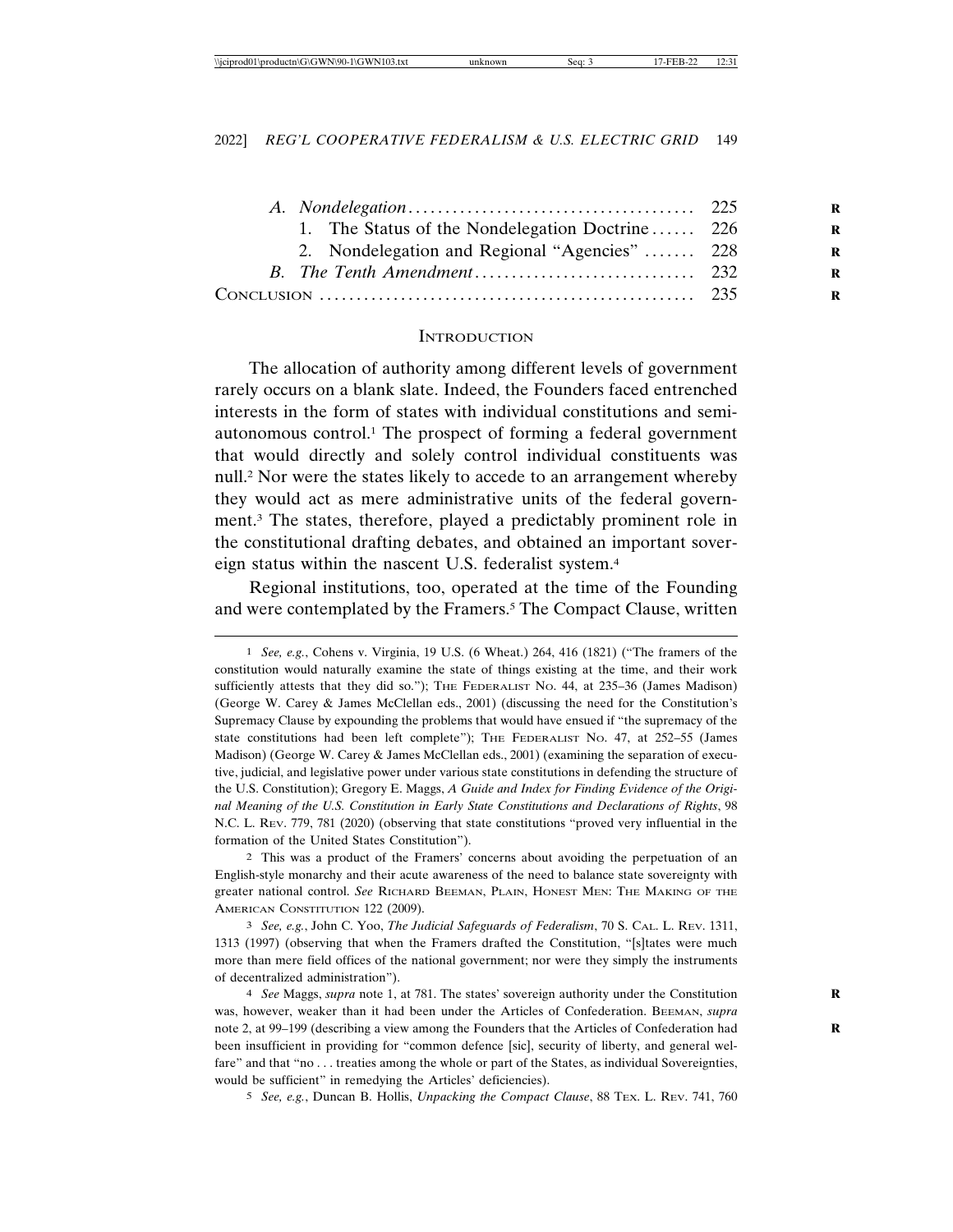| 1. The Status of the Nondelegation Doctrine 226 |
|-------------------------------------------------|
| 2. Nondelegation and Regional "Agencies"  228   |
|                                                 |
|                                                 |
|                                                 |

#### **INTRODUCTION**

The allocation of authority among different levels of government rarely occurs on a blank slate. Indeed, the Founders faced entrenched interests in the form of states with individual constitutions and semiautonomous control.<sup>1</sup> The prospect of forming a federal government that would directly and solely control individual constituents was null.2 Nor were the states likely to accede to an arrangement whereby they would act as mere administrative units of the federal government.3 The states, therefore, played a predictably prominent role in the constitutional drafting debates, and obtained an important sovereign status within the nascent U.S. federalist system.4

Regional institutions, too, operated at the time of the Founding and were contemplated by the Framers.<sup>5</sup> The Compact Clause, written

2 This was a product of the Framers' concerns about avoiding the perpetuation of an English-style monarchy and their acute awareness of the need to balance state sovereignty with greater national control. *See* RICHARD BEEMAN, PLAIN, HONEST MEN: THE MAKING OF THE AMERICAN CONSTITUTION 122 (2009).

3 *See, e.g.*, John C. Yoo, *The Judicial Safeguards of Federalism*, 70 S. CAL. L. REV. 1311, 1313 (1997) (observing that when the Framers drafted the Constitution, "[s]tates were much more than mere field offices of the national government; nor were they simply the instruments of decentralized administration").

4 *See* Maggs, *supra* note 1, at 781. The states' sovereign authority under the Constitution **R** was, however, weaker than it had been under the Articles of Confederation. BEEMAN, *supra* note 2, at 99–199 (describing a view among the Founders that the Articles of Confederation had **R** been insufficient in providing for "common defence [sic], security of liberty, and general welfare" and that "no . . . treaties among the whole or part of the States, as individual Sovereignties, would be sufficient" in remedying the Articles' deficiencies).

5 *See, e.g.*, Duncan B. Hollis, *Unpacking the Compact Clause*, 88 TEX. L. REV. 741, 760

<sup>1</sup> *See, e.g.*, Cohens v. Virginia, 19 U.S. (6 Wheat.) 264, 416 (1821) ("The framers of the constitution would naturally examine the state of things existing at the time, and their work sufficiently attests that they did so."); THE FEDERALIST NO. 44, at 235–36 (James Madison) (George W. Carey & James McClellan eds., 2001) (discussing the need for the Constitution's Supremacy Clause by expounding the problems that would have ensued if "the supremacy of the state constitutions had been left complete"); THE FEDERALIST NO. 47, at 252–55 (James Madison) (George W. Carey & James McClellan eds., 2001) (examining the separation of executive, judicial, and legislative power under various state constitutions in defending the structure of the U.S. Constitution); Gregory E. Maggs, *A Guide and Index for Finding Evidence of the Original Meaning of the U.S. Constitution in Early State Constitutions and Declarations of Rights*, 98 N.C. L. REV. 779, 781 (2020) (observing that state constitutions "proved very influential in the formation of the United States Constitution").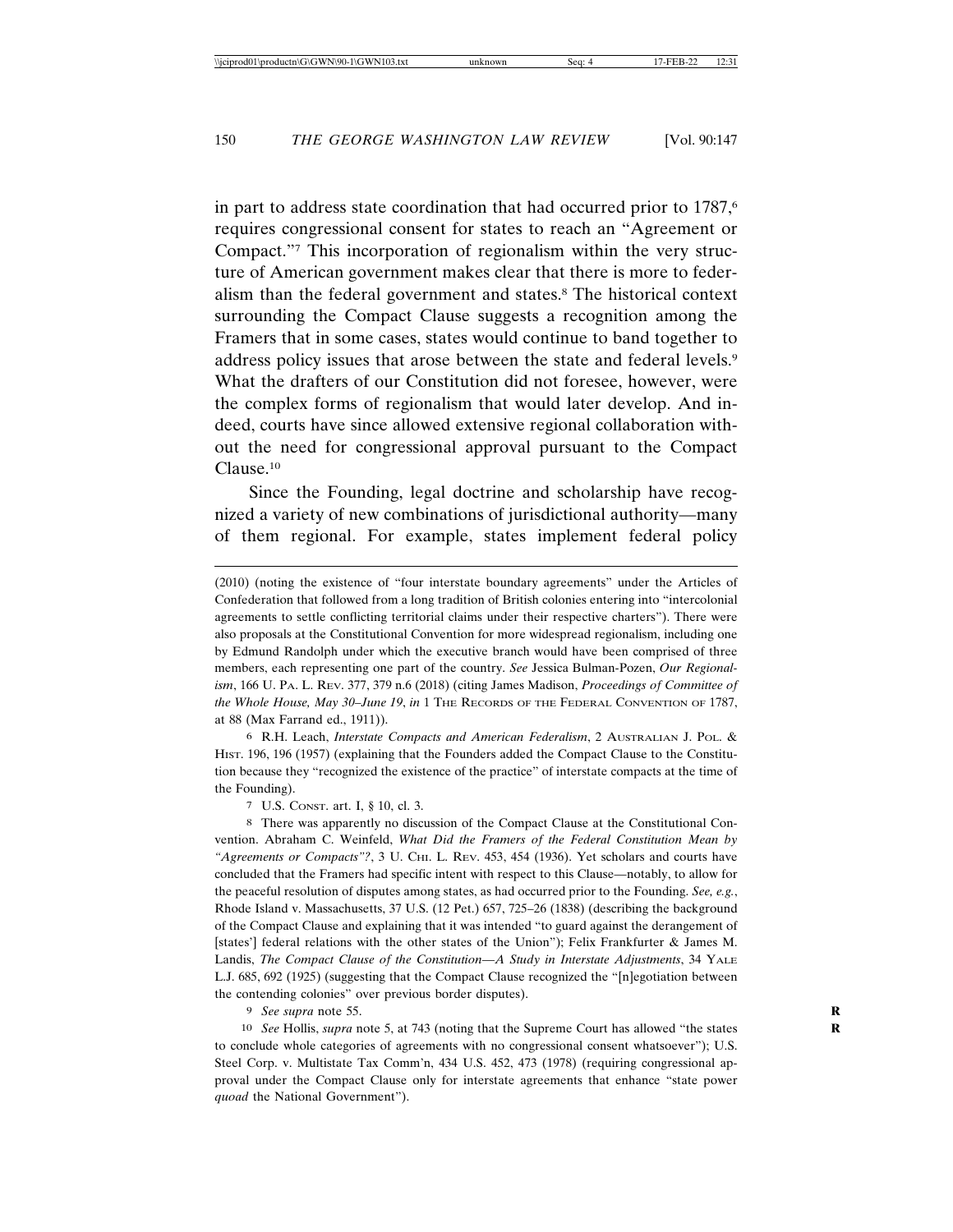in part to address state coordination that had occurred prior to 1787,<sup>6</sup> requires congressional consent for states to reach an "Agreement or Compact."7 This incorporation of regionalism within the very structure of American government makes clear that there is more to federalism than the federal government and states.8 The historical context surrounding the Compact Clause suggests a recognition among the Framers that in some cases, states would continue to band together to address policy issues that arose between the state and federal levels.<sup>9</sup> What the drafters of our Constitution did not foresee, however, were the complex forms of regionalism that would later develop. And indeed, courts have since allowed extensive regional collaboration without the need for congressional approval pursuant to the Compact Clause.10

Since the Founding, legal doctrine and scholarship have recognized a variety of new combinations of jurisdictional authority—many of them regional. For example, states implement federal policy

6 R.H. Leach, *Interstate Compacts and American Federalism*, 2 AUSTRALIAN J. POL. & HIST. 196, 196 (1957) (explaining that the Founders added the Compact Clause to the Constitution because they "recognized the existence of the practice" of interstate compacts at the time of the Founding).

7 U.S. CONST. art. I, § 10, cl. 3.

8 There was apparently no discussion of the Compact Clause at the Constitutional Convention. Abraham C. Weinfeld, *What Did the Framers of the Federal Constitution Mean by "Agreements or Compacts"?*, 3 U. CHI. L. REV. 453, 454 (1936). Yet scholars and courts have concluded that the Framers had specific intent with respect to this Clause—notably, to allow for the peaceful resolution of disputes among states, as had occurred prior to the Founding. *See, e.g.*, Rhode Island v. Massachusetts, 37 U.S. (12 Pet.) 657, 725–26 (1838) (describing the background of the Compact Clause and explaining that it was intended "to guard against the derangement of [states'] federal relations with the other states of the Union"); Felix Frankfurter & James M. Landis, *The Compact Clause of the Constitution—A Study in Interstate Adjustments*, 34 YALE L.J. 685, 692 (1925) (suggesting that the Compact Clause recognized the "[n]egotiation between the contending colonies" over previous border disputes).

9 *See supra* note 55. **R**

10 *See* Hollis, *supra* note 5, at 743 (noting that the Supreme Court has allowed "the states **R** to conclude whole categories of agreements with no congressional consent whatsoever"); U.S. Steel Corp. v. Multistate Tax Comm'n, 434 U.S. 452, 473 (1978) (requiring congressional approval under the Compact Clause only for interstate agreements that enhance "state power *quoad* the National Government").

<sup>(2010) (</sup>noting the existence of "four interstate boundary agreements" under the Articles of Confederation that followed from a long tradition of British colonies entering into "intercolonial agreements to settle conflicting territorial claims under their respective charters"). There were also proposals at the Constitutional Convention for more widespread regionalism, including one by Edmund Randolph under which the executive branch would have been comprised of three members, each representing one part of the country. *See* Jessica Bulman-Pozen, *Our Regionalism*, 166 U. PA. L. REV. 377, 379 n.6 (2018) (citing James Madison, *Proceedings of Committee of the Whole House, May 30–June 19*, *in* 1 THE RECORDS OF THE FEDERAL CONVENTION OF 1787, at 88 (Max Farrand ed., 1911)).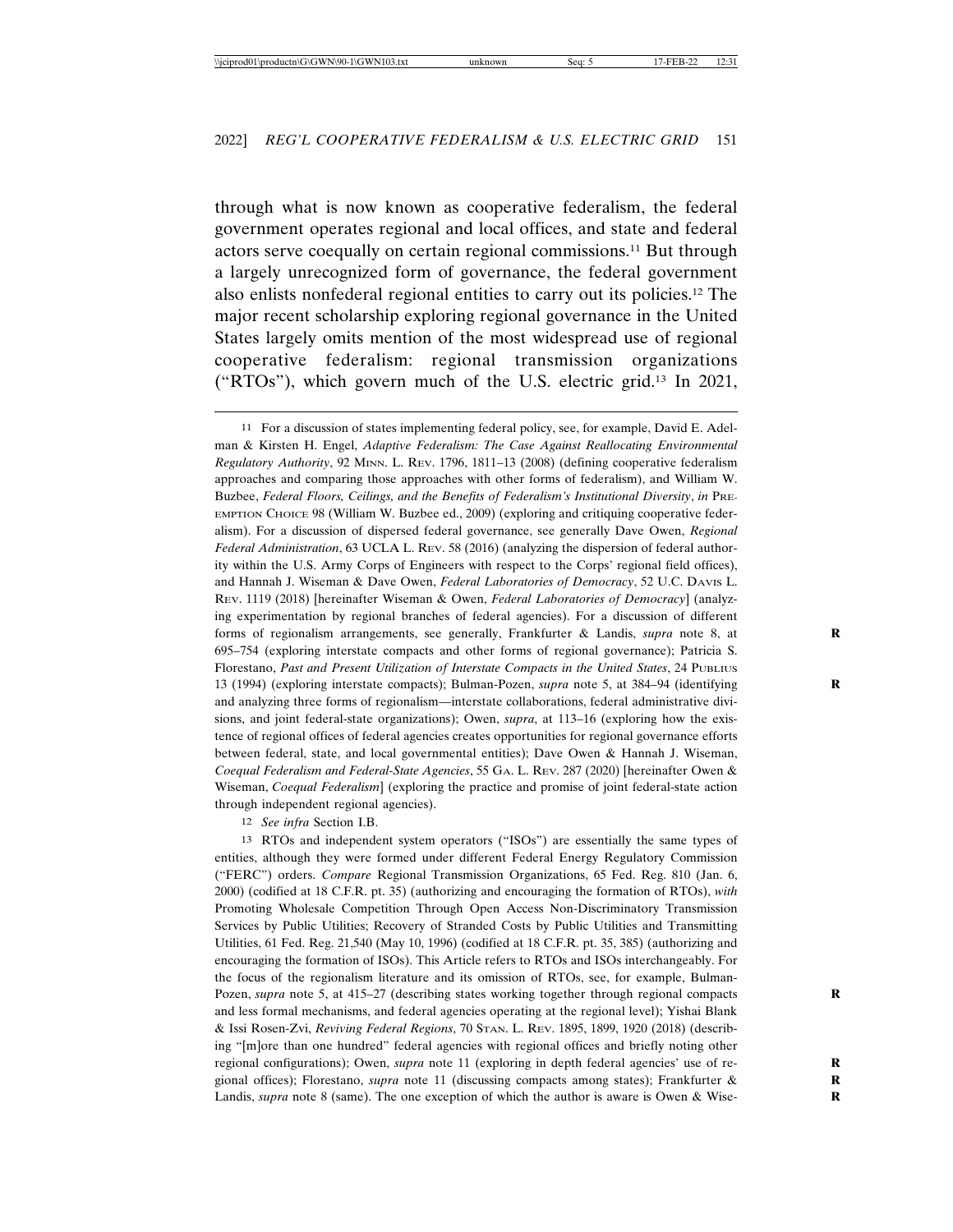through what is now known as cooperative federalism, the federal government operates regional and local offices, and state and federal actors serve coequally on certain regional commissions.11 But through a largely unrecognized form of governance, the federal government also enlists nonfederal regional entities to carry out its policies.12 The major recent scholarship exploring regional governance in the United States largely omits mention of the most widespread use of regional cooperative federalism: regional transmission organizations ("RTOs"), which govern much of the U.S. electric grid.13 In 2021,

12 *See infra* Section I.B.

13 RTOs and independent system operators ("ISOs") are essentially the same types of entities, although they were formed under different Federal Energy Regulatory Commission ("FERC") orders. *Compare* Regional Transmission Organizations, 65 Fed. Reg. 810 (Jan. 6, 2000) (codified at 18 C.F.R. pt. 35) (authorizing and encouraging the formation of RTOs), *with* Promoting Wholesale Competition Through Open Access Non-Discriminatory Transmission Services by Public Utilities; Recovery of Stranded Costs by Public Utilities and Transmitting Utilities, 61 Fed. Reg. 21,540 (May 10, 1996) (codified at 18 C.F.R. pt. 35, 385) (authorizing and encouraging the formation of ISOs). This Article refers to RTOs and ISOs interchangeably. For the focus of the regionalism literature and its omission of RTOs, see, for example, Bulman-Pozen, *supra* note 5, at 415–27 (describing states working together through regional compacts and less formal mechanisms, and federal agencies operating at the regional level); Yishai Blank & Issi Rosen-Zvi, *Reviving Federal Regions*, 70 STAN. L. REV. 1895, 1899, 1920 (2018) (describing "[m]ore than one hundred" federal agencies with regional offices and briefly noting other regional configurations); Owen, *supra* note 11 (exploring in depth federal agencies' use of regional offices); Florestano, *supra* note 11 (discussing compacts among states); Frankfurter & **R** Landis, *supra* note 8 (same). The one exception of which the author is aware is Owen & Wise-

<sup>11</sup> For a discussion of states implementing federal policy, see, for example, David E. Adelman & Kirsten H. Engel, *Adaptive Federalism: The Case Against Reallocating Environmental Regulatory Authority*, 92 MINN. L. REV. 1796, 1811–13 (2008) (defining cooperative federalism approaches and comparing those approaches with other forms of federalism), and William W. Buzbee, *Federal Floors, Ceilings, and the Benefits of Federalism's Institutional Diversity*, *in* PRE-EMPTION CHOICE 98 (William W. Buzbee ed., 2009) (exploring and critiquing cooperative federalism). For a discussion of dispersed federal governance, see generally Dave Owen, *Regional Federal Administration*, 63 UCLA L. REV. 58 (2016) (analyzing the dispersion of federal authority within the U.S. Army Corps of Engineers with respect to the Corps' regional field offices), and Hannah J. Wiseman & Dave Owen, *Federal Laboratories of Democracy*, 52 U.C. DAVIS L. REV. 1119 (2018) [hereinafter Wiseman & Owen, *Federal Laboratories of Democracy*] (analyzing experimentation by regional branches of federal agencies). For a discussion of different forms of regionalism arrangements, see generally, Frankfurter & Landis, *supra* note 8, at **R** 695–754 (exploring interstate compacts and other forms of regional governance); Patricia S. Florestano, *Past and Present Utilization of Interstate Compacts in the United States*, 24 PUBLIUS 13 (1994) (exploring interstate compacts); Bulman-Pozen, *supra* note 5, at 384–94 (identifying **R** and analyzing three forms of regionalism—interstate collaborations, federal administrative divisions, and joint federal-state organizations); Owen, *supra*, at 113–16 (exploring how the existence of regional offices of federal agencies creates opportunities for regional governance efforts between federal, state, and local governmental entities); Dave Owen & Hannah J. Wiseman, *Coequal Federalism and Federal-State Agencies*, 55 GA. L. REV. 287 (2020) [hereinafter Owen & Wiseman, *Coequal Federalism*] (exploring the practice and promise of joint federal-state action through independent regional agencies).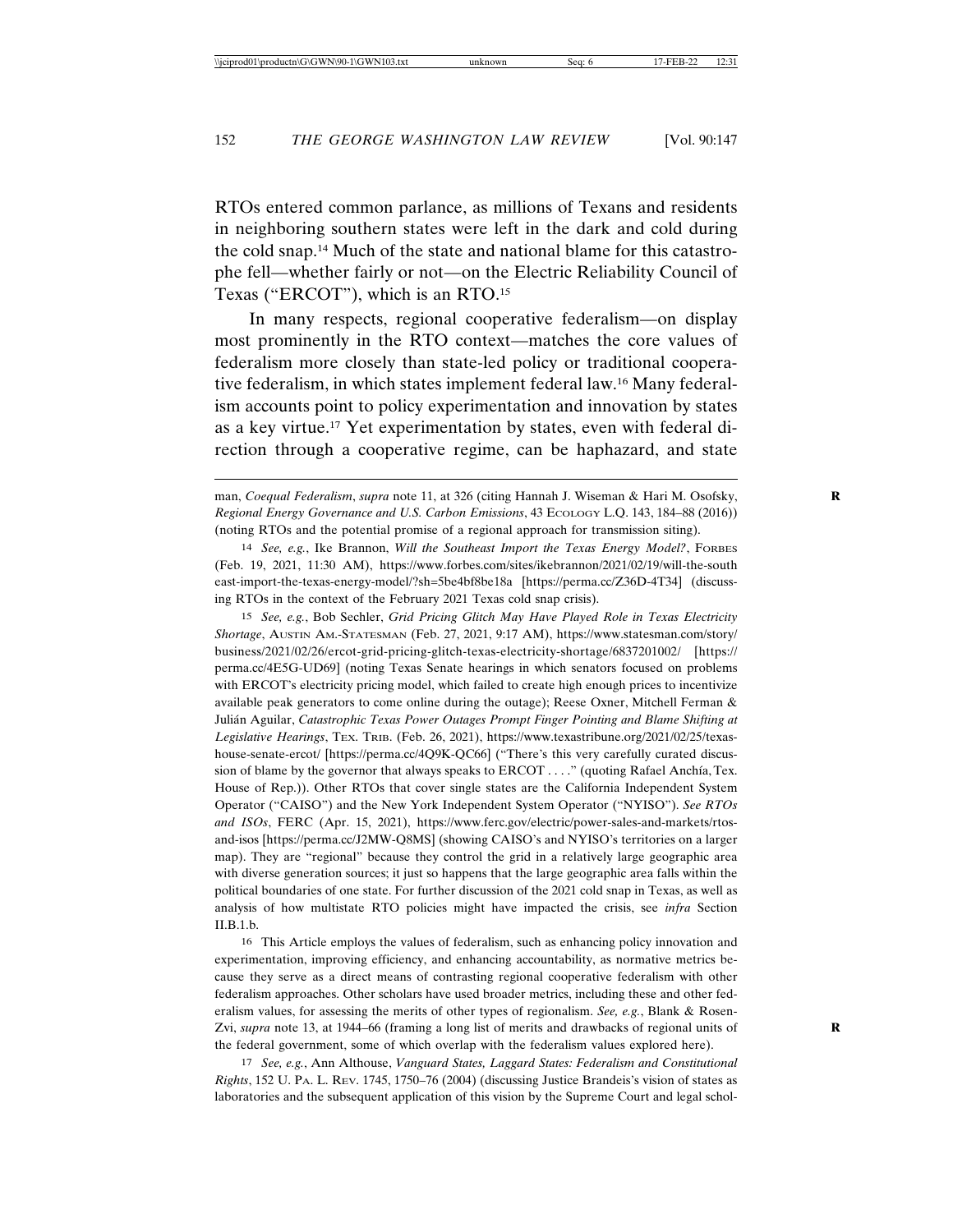RTOs entered common parlance, as millions of Texans and residents in neighboring southern states were left in the dark and cold during the cold snap.14 Much of the state and national blame for this catastrophe fell—whether fairly or not—on the Electric Reliability Council of Texas ("ERCOT"), which is an RTO.15

In many respects, regional cooperative federalism—on display most prominently in the RTO context—matches the core values of federalism more closely than state-led policy or traditional cooperative federalism, in which states implement federal law.16 Many federalism accounts point to policy experimentation and innovation by states as a key virtue.17 Yet experimentation by states, even with federal direction through a cooperative regime, can be haphazard, and state

14 *See, e.g.*, Ike Brannon, *Will the Southeast Import the Texas Energy Model?*, FORBES (Feb. 19, 2021, 11:30 AM), https://www.forbes.com/sites/ikebrannon/2021/02/19/will-the-south east-import-the-texas-energy-model/?sh=5be4bf8be18a [https://perma.cc/Z36D-4T34] (discussing RTOs in the context of the February 2021 Texas cold snap crisis).

15 *See, e.g.*, Bob Sechler, *Grid Pricing Glitch May Have Played Role in Texas Electricity Shortage*, AUSTIN AM.-STATESMAN (Feb. 27, 2021, 9:17 AM), https://www.statesman.com/story/ business/2021/02/26/ercot-grid-pricing-glitch-texas-electricity-shortage/6837201002/ [https:// perma.cc/4E5G-UD69] (noting Texas Senate hearings in which senators focused on problems with ERCOT's electricity pricing model, which failed to create high enough prices to incentivize available peak generators to come online during the outage); Reese Oxner, Mitchell Ferman  $\&$ Julián Aguilar, *Catastrophic Texas Power Outages Prompt Finger Pointing and Blame Shifting at Legislative Hearings*, TEX. TRIB. (Feb. 26, 2021), https://www.texastribune.org/2021/02/25/texashouse-senate-ercot/ [https://perma.cc/4Q9K-QC66] ("There's this very carefully curated discussion of blame by the governor that always speaks to ERCOT . . . ." (quoting Rafael Anchía, Tex. House of Rep.)). Other RTOs that cover single states are the California Independent System Operator ("CAISO") and the New York Independent System Operator ("NYISO"). *See RTOs and ISOs*, FERC (Apr. 15, 2021), https://www.ferc.gov/electric/power-sales-and-markets/rtosand-isos [https://perma.cc/J2MW-Q8MS] (showing CAISO's and NYISO's territories on a larger map). They are "regional" because they control the grid in a relatively large geographic area with diverse generation sources; it just so happens that the large geographic area falls within the political boundaries of one state. For further discussion of the 2021 cold snap in Texas, as well as analysis of how multistate RTO policies might have impacted the crisis, see *infra* Section II.B.1.b.

16 This Article employs the values of federalism, such as enhancing policy innovation and experimentation, improving efficiency, and enhancing accountability, as normative metrics because they serve as a direct means of contrasting regional cooperative federalism with other federalism approaches. Other scholars have used broader metrics, including these and other federalism values, for assessing the merits of other types of regionalism. *See, e.g.*, Blank & Rosen-Zvi, *supra* note 13, at 1944–66 (framing a long list of merits and drawbacks of regional units of **R** the federal government, some of which overlap with the federalism values explored here).

17 *See, e.g.*, Ann Althouse, *Vanguard States, Laggard States: Federalism and Constitutional Rights*, 152 U. PA. L. REV. 1745, 1750–76 (2004) (discussing Justice Brandeis's vision of states as laboratories and the subsequent application of this vision by the Supreme Court and legal schol-

man, *Coequal Federalism*, *supra* note 11, at 326 (citing Hannah J. Wiseman & Hari M. Osofsky, **R** *Regional Energy Governance and U.S. Carbon Emissions*, 43 ECOLOGY L.Q. 143, 184–88 (2016)) (noting RTOs and the potential promise of a regional approach for transmission siting).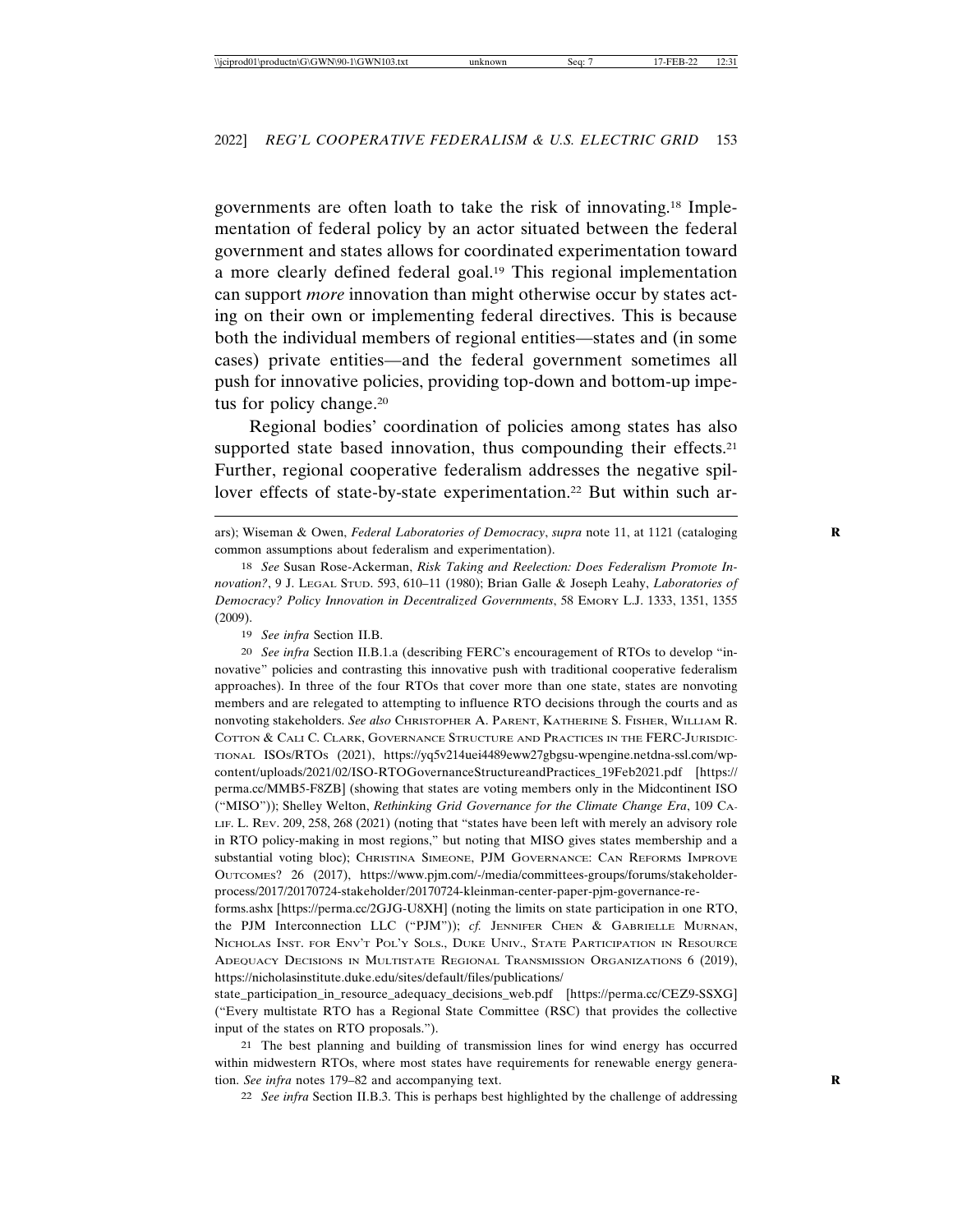governments are often loath to take the risk of innovating.18 Implementation of federal policy by an actor situated between the federal government and states allows for coordinated experimentation toward a more clearly defined federal goal.19 This regional implementation can support *more* innovation than might otherwise occur by states acting on their own or implementing federal directives. This is because both the individual members of regional entities—states and (in some cases) private entities—and the federal government sometimes all push for innovative policies, providing top-down and bottom-up impetus for policy change.<sup>20</sup>

Regional bodies' coordination of policies among states has also supported state based innovation, thus compounding their effects.<sup>21</sup> Further, regional cooperative federalism addresses the negative spillover effects of state-by-state experimentation.<sup>22</sup> But within such ar-

19 *See infra* Section II.B.

20 *See infra* Section II.B.1.a (describing FERC's encouragement of RTOs to develop "innovative" policies and contrasting this innovative push with traditional cooperative federalism approaches). In three of the four RTOs that cover more than one state, states are nonvoting members and are relegated to attempting to influence RTO decisions through the courts and as nonvoting stakeholders. *See also* CHRISTOPHER A. PARENT, KATHERINE S. FISHER, WILLIAM R. COTTON & CALI C. CLARK, GOVERNANCE STRUCTURE AND PRACTICES IN THE FERC-JURISDIC-TIONAL ISOS/RTOS (2021), https://yq5v214uei4489eww27gbgsu-wpengine.netdna-ssl.com/wpcontent/uploads/2021/02/ISO-RTOGovernanceStructureandPractices\_19Feb2021.pdf [https:// perma.cc/MMB5-F8ZB] (showing that states are voting members only in the Midcontinent ISO ("MISO")); Shelley Welton, *Rethinking Grid Governance for the Climate Change Era*, 109 CA-LIF. L. REV. 209, 258, 268 (2021) (noting that "states have been left with merely an advisory role in RTO policy-making in most regions," but noting that MISO gives states membership and a substantial voting bloc); CHRISTINA SIMEONE, PJM GOVERNANCE: CAN REFORMS IMPROVE OUTCOMES? 26 (2017), https://www.pjm.com/-/media/committees-groups/forums/stakeholderprocess/2017/20170724-stakeholder/20170724-kleinman-center-paper-pjm-governance-re-

forms.ashx [https://perma.cc/2GJG-U8XH] (noting the limits on state participation in one RTO, the PJM Interconnection LLC ("PJM")); *cf.* JENNIFER CHEN & GABRIELLE MURNAN, NICHOLAS INST. FOR ENV'T POL'Y SOLS., DUKE UNIV., STATE PARTICIPATION IN RESOURCE ADEQUACY DECISIONS IN MULTISTATE REGIONAL TRANSMISSION ORGANIZATIONS 6 (2019), https://nicholasinstitute.duke.edu/sites/default/files/publications/

state\_participation\_in\_resource\_adequacy\_decisions\_web.pdf [https://perma.cc/CEZ9-SSXG] ("Every multistate RTO has a Regional State Committee (RSC) that provides the collective input of the states on RTO proposals.").

21 The best planning and building of transmission lines for wind energy has occurred within midwestern RTOs, where most states have requirements for renewable energy generation. *See infra* notes 179–82 and accompanying text.

22 *See infra* Section II.B.3. This is perhaps best highlighted by the challenge of addressing

ars); Wiseman & Owen, *Federal Laboratories of Democracy*, *supra* note 11, at 1121 (cataloging common assumptions about federalism and experimentation).

<sup>18</sup> *See* Susan Rose-Ackerman, *Risk Taking and Reelection: Does Federalism Promote Innovation?*, 9 J. LEGAL STUD. 593, 610–11 (1980); Brian Galle & Joseph Leahy, *Laboratories of Democracy? Policy Innovation in Decentralized Governments*, 58 EMORY L.J. 1333, 1351, 1355 (2009).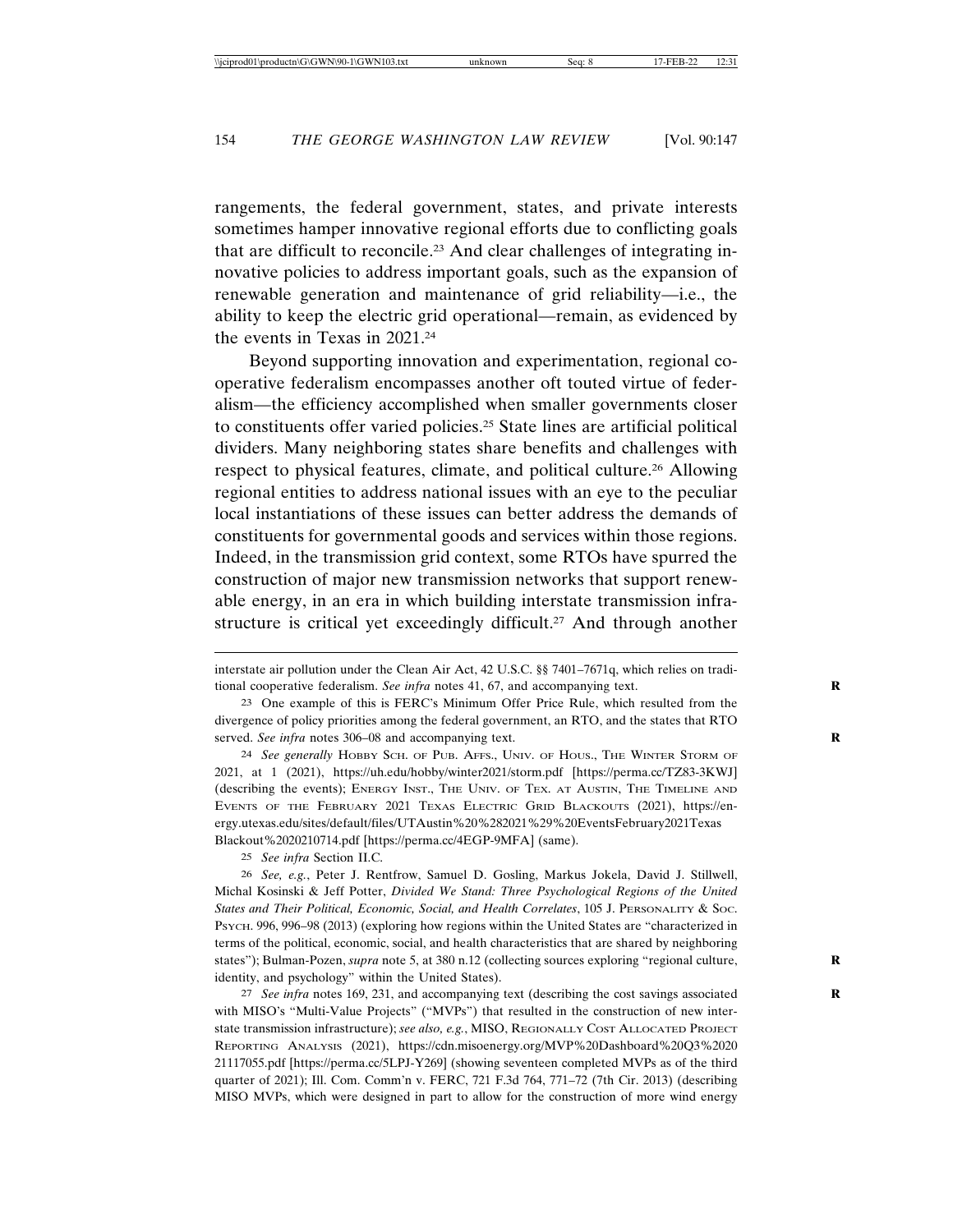rangements, the federal government, states, and private interests sometimes hamper innovative regional efforts due to conflicting goals that are difficult to reconcile.23 And clear challenges of integrating innovative policies to address important goals, such as the expansion of renewable generation and maintenance of grid reliability—i.e., the ability to keep the electric grid operational—remain, as evidenced by the events in Texas in 2021.24

Beyond supporting innovation and experimentation, regional cooperative federalism encompasses another oft touted virtue of federalism—the efficiency accomplished when smaller governments closer to constituents offer varied policies.25 State lines are artificial political dividers. Many neighboring states share benefits and challenges with respect to physical features, climate, and political culture.26 Allowing regional entities to address national issues with an eye to the peculiar local instantiations of these issues can better address the demands of constituents for governmental goods and services within those regions. Indeed, in the transmission grid context, some RTOs have spurred the construction of major new transmission networks that support renewable energy, in an era in which building interstate transmission infrastructure is critical yet exceedingly difficult.27 And through another

24 *See generally* HOBBY SCH. OF PUB. AFFS., UNIV. OF HOUS., THE WINTER STORM OF 2021, at 1 (2021), https://uh.edu/hobby/winter2021/storm.pdf [https://perma.cc/TZ83-3KWJ] (describing the events); ENERGY INST., THE UNIV. OF TEX. AT AUSTIN, THE TIMELINE AND EVENTS OF THE FEBRUARY 2021 TEXAS ELECTRIC GRID BLACKOUTS (2021), https://energy.utexas.edu/sites/default/files/UTAustin%20%282021%29%20EventsFebruary2021Texas Blackout%2020210714.pdf [https://perma.cc/4EGP-9MFA] (same).

25 *See infra* Section II.C.

26 *See, e.g.*, Peter J. Rentfrow, Samuel D. Gosling, Markus Jokela, David J. Stillwell, Michal Kosinski & Jeff Potter, *Divided We Stand: Three Psychological Regions of the United States and Their Political, Economic, Social, and Health Correlates*, 105 J. PERSONALITY & SOC. PSYCH. 996, 996–98 (2013) (exploring how regions within the United States are "characterized in terms of the political, economic, social, and health characteristics that are shared by neighboring states"); Bulman-Pozen, *supra* note 5, at 380 n.12 (collecting sources exploring "regional culture, **R** identity, and psychology" within the United States).

27 *See infra* notes 169, 231, and accompanying text (describing the cost savings associated **R** with MISO's "Multi-Value Projects" ("MVPs") that resulted in the construction of new interstate transmission infrastructure); *see also, e.g.*, MISO, REGIONALLY COST ALLOCATED PROJECT REPORTING ANALYSIS (2021), https://cdn.misoenergy.org/MVP%20Dashboard%20Q3%2020 21117055.pdf [https://perma.cc/5LPJ-Y269] (showing seventeen completed MVPs as of the third quarter of 2021); Ill. Com. Comm'n v. FERC, 721 F.3d 764, 771–72 (7th Cir. 2013) (describing MISO MVPs, which were designed in part to allow for the construction of more wind energy

interstate air pollution under the Clean Air Act, 42 U.S.C. §§ 7401–7671q, which relies on traditional cooperative federalism. *See infra* notes 41, 67, and accompanying text. **R**

<sup>23</sup> One example of this is FERC's Minimum Offer Price Rule, which resulted from the divergence of policy priorities among the federal government, an RTO, and the states that RTO served. See infra notes 306–08 and accompanying text.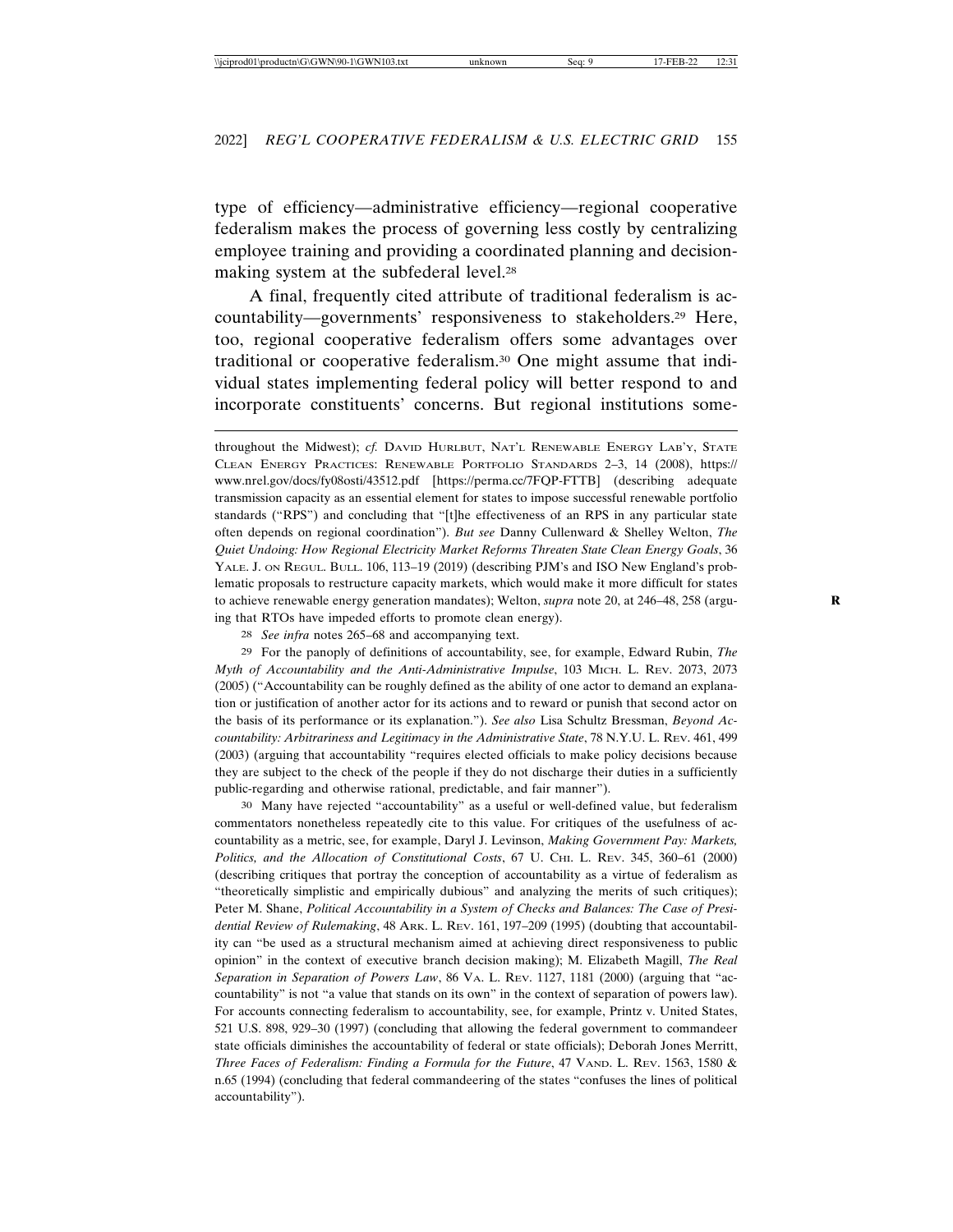type of efficiency—administrative efficiency—regional cooperative federalism makes the process of governing less costly by centralizing employee training and providing a coordinated planning and decisionmaking system at the subfederal level.<sup>28</sup>

A final, frequently cited attribute of traditional federalism is accountability—governments' responsiveness to stakeholders.29 Here, too, regional cooperative federalism offers some advantages over traditional or cooperative federalism.30 One might assume that individual states implementing federal policy will better respond to and incorporate constituents' concerns. But regional institutions some-

28 *See infra* notes 265–68 and accompanying text.

29 For the panoply of definitions of accountability, see, for example, Edward Rubin, *The Myth of Accountability and the Anti-Administrative Impulse*, 103 MICH. L. REV. 2073, 2073 (2005) ("Accountability can be roughly defined as the ability of one actor to demand an explanation or justification of another actor for its actions and to reward or punish that second actor on the basis of its performance or its explanation."). *See also* Lisa Schultz Bressman, *Beyond Accountability: Arbitrariness and Legitimacy in the Administrative State*, 78 N.Y.U. L. REV. 461, 499 (2003) (arguing that accountability "requires elected officials to make policy decisions because they are subject to the check of the people if they do not discharge their duties in a sufficiently public-regarding and otherwise rational, predictable, and fair manner").

30 Many have rejected "accountability" as a useful or well-defined value, but federalism commentators nonetheless repeatedly cite to this value. For critiques of the usefulness of accountability as a metric, see, for example, Daryl J. Levinson, *Making Government Pay: Markets, Politics, and the Allocation of Constitutional Costs*, 67 U. CHI. L. REV. 345, 360–61 (2000) (describing critiques that portray the conception of accountability as a virtue of federalism as "theoretically simplistic and empirically dubious" and analyzing the merits of such critiques); Peter M. Shane, *Political Accountability in a System of Checks and Balances: The Case of Presidential Review of Rulemaking*, 48 ARK. L. REV. 161, 197–209 (1995) (doubting that accountability can "be used as a structural mechanism aimed at achieving direct responsiveness to public opinion" in the context of executive branch decision making); M. Elizabeth Magill, *The Real Separation in Separation of Powers Law*, 86 VA. L. REV. 1127, 1181 (2000) (arguing that "accountability" is not "a value that stands on its own" in the context of separation of powers law). For accounts connecting federalism to accountability, see, for example, Printz v. United States, 521 U.S. 898, 929–30 (1997) (concluding that allowing the federal government to commandeer state officials diminishes the accountability of federal or state officials); Deborah Jones Merritt, *Three Faces of Federalism: Finding a Formula for the Future*, 47 VAND. L. REV. 1563, 1580 & n.65 (1994) (concluding that federal commandeering of the states "confuses the lines of political accountability").

throughout the Midwest); *cf.* DAVID HURLBUT, NAT'L RENEWABLE ENERGY LAB'Y, STATE CLEAN ENERGY PRACTICES: RENEWABLE PORTFOLIO STANDARDS 2–3, 14 (2008), https:// www.nrel.gov/docs/fy08osti/43512.pdf [https://perma.cc/7FQP-FTTB] (describing adequate transmission capacity as an essential element for states to impose successful renewable portfolio standards ("RPS") and concluding that "[t]he effectiveness of an RPS in any particular state often depends on regional coordination"). *But see* Danny Cullenward & Shelley Welton, *The Quiet Undoing: How Regional Electricity Market Reforms Threaten State Clean Energy Goals*, 36 YALE. J. ON REGUL. BULL. 106, 113–19 (2019) (describing PJM's and ISO New England's problematic proposals to restructure capacity markets, which would make it more difficult for states to achieve renewable energy generation mandates); Welton, *supra* note 20, at 246-48, 258 (arguing that RTOs have impeded efforts to promote clean energy).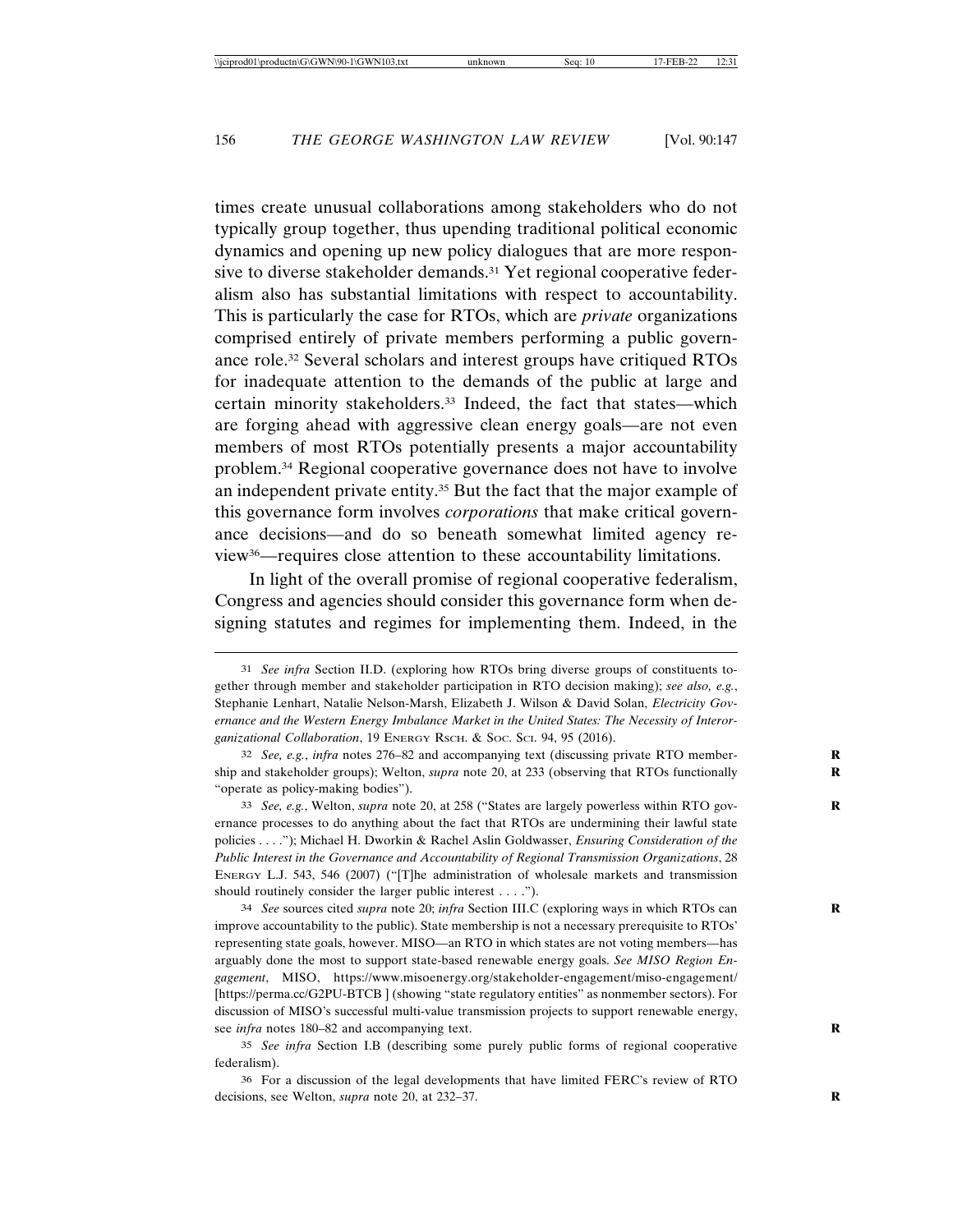times create unusual collaborations among stakeholders who do not typically group together, thus upending traditional political economic dynamics and opening up new policy dialogues that are more responsive to diverse stakeholder demands.<sup>31</sup> Yet regional cooperative federalism also has substantial limitations with respect to accountability. This is particularly the case for RTOs, which are *private* organizations comprised entirely of private members performing a public governance role.32 Several scholars and interest groups have critiqued RTOs for inadequate attention to the demands of the public at large and certain minority stakeholders.33 Indeed, the fact that states—which are forging ahead with aggressive clean energy goals—are not even members of most RTOs potentially presents a major accountability problem.34 Regional cooperative governance does not have to involve an independent private entity.35 But the fact that the major example of this governance form involves *corporations* that make critical governance decisions—and do so beneath somewhat limited agency review36—requires close attention to these accountability limitations.

In light of the overall promise of regional cooperative federalism, Congress and agencies should consider this governance form when designing statutes and regimes for implementing them. Indeed, in the

33 *See, e.g.*, Welton, *supra* note 20, at 258 ("States are largely powerless within RTO gov- **R** ernance processes to do anything about the fact that RTOs are undermining their lawful state policies . . . ."); Michael H. Dworkin & Rachel Aslin Goldwasser, *Ensuring Consideration of the Public Interest in the Governance and Accountability of Regional Transmission Organizations*, 28 ENERGY L.J. 543, 546 (2007) ("[T]he administration of wholesale markets and transmission should routinely consider the larger public interest . . . .").

34 *See* sources cited *supra* note 20; *infra* Section III.C (exploring ways in which RTOs can **R** improve accountability to the public). State membership is not a necessary prerequisite to RTOs' representing state goals, however. MISO—an RTO in which states are not voting members—has arguably done the most to support state-based renewable energy goals. *See MISO Region Engagement*, MISO, https://www.misoenergy.org/stakeholder-engagement/miso-engagement/ [https://perma.cc/G2PU-BTCB ] (showing "state regulatory entities" as nonmember sectors). For discussion of MISO's successful multi-value transmission projects to support renewable energy, see *infra* notes 180–82 and accompanying text. **R**

35 *See infra* Section I.B (describing some purely public forms of regional cooperative federalism).

36 For a discussion of the legal developments that have limited FERC's review of RTO decisions, see Welton, *supra* note 20, at 232-37.

<sup>31</sup> *See infra* Section II.D. (exploring how RTOs bring diverse groups of constituents together through member and stakeholder participation in RTO decision making); *see also, e.g.*, Stephanie Lenhart, Natalie Nelson-Marsh, Elizabeth J. Wilson & David Solan, *Electricity Governance and the Western Energy Imbalance Market in the United States: The Necessity of Interorganizational Collaboration*, 19 ENERGY RSCH. & SOC. SCI. 94, 95 (2016).

<sup>32</sup> *See, e.g.*, *infra* notes 276–82 and accompanying text (discussing private RTO member- **R** ship and stakeholder groups); Welton, *supra* note 20, at 233 (observing that RTOs functionally "operate as policy-making bodies").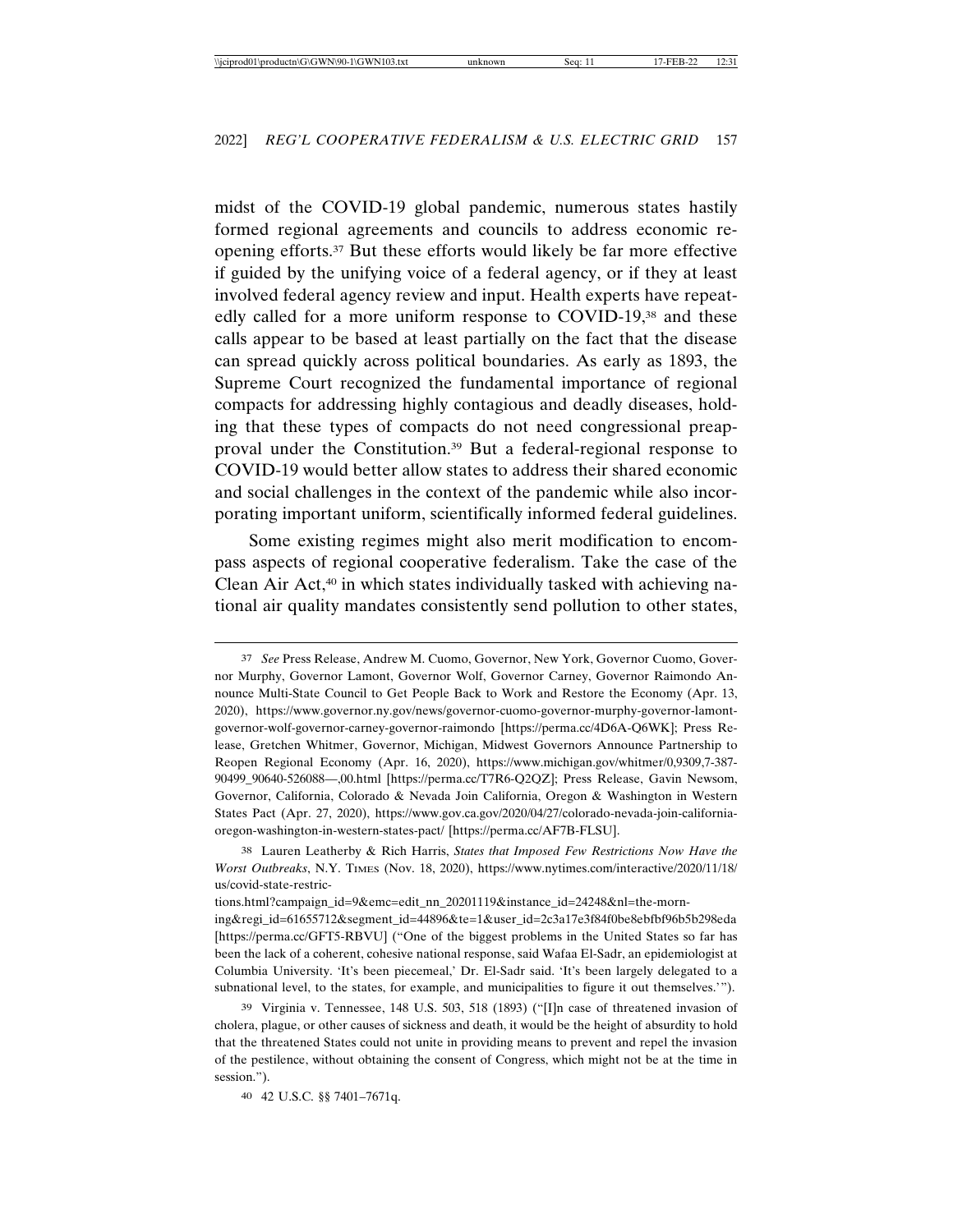midst of the COVID-19 global pandemic, numerous states hastily formed regional agreements and councils to address economic reopening efforts.37 But these efforts would likely be far more effective if guided by the unifying voice of a federal agency, or if they at least involved federal agency review and input. Health experts have repeatedly called for a more uniform response to COVID-19,<sup>38</sup> and these calls appear to be based at least partially on the fact that the disease can spread quickly across political boundaries. As early as 1893, the Supreme Court recognized the fundamental importance of regional compacts for addressing highly contagious and deadly diseases, holding that these types of compacts do not need congressional preapproval under the Constitution.39 But a federal-regional response to COVID-19 would better allow states to address their shared economic and social challenges in the context of the pandemic while also incorporating important uniform, scientifically informed federal guidelines.

Some existing regimes might also merit modification to encompass aspects of regional cooperative federalism. Take the case of the Clean Air Act, $40$  in which states individually tasked with achieving national air quality mandates consistently send pollution to other states,

tions.html?campaign\_id=9&emc=edit\_nn\_20201119&instance\_id=24248&nl=the-morn-

<sup>37</sup> *See* Press Release, Andrew M. Cuomo, Governor, New York, Governor Cuomo, Governor Murphy, Governor Lamont, Governor Wolf, Governor Carney, Governor Raimondo Announce Multi-State Council to Get People Back to Work and Restore the Economy (Apr. 13, 2020), https://www.governor.ny.gov/news/governor-cuomo-governor-murphy-governor-lamontgovernor-wolf-governor-carney-governor-raimondo [https://perma.cc/4D6A-Q6WK]; Press Release, Gretchen Whitmer, Governor, Michigan, Midwest Governors Announce Partnership to Reopen Regional Economy (Apr. 16, 2020), https://www.michigan.gov/whitmer/0,9309,7-387- 90499\_90640-526088—,00.html [https://perma.cc/T7R6-Q2QZ]; Press Release, Gavin Newsom, Governor, California, Colorado & Nevada Join California, Oregon & Washington in Western States Pact (Apr. 27, 2020), https://www.gov.ca.gov/2020/04/27/colorado-nevada-join-californiaoregon-washington-in-western-states-pact/ [https://perma.cc/AF7B-FLSU].

<sup>38</sup> Lauren Leatherby & Rich Harris, *States that Imposed Few Restrictions Now Have the Worst Outbreaks*, N.Y. TIMES (Nov. 18, 2020), https://www.nytimes.com/interactive/2020/11/18/ us/covid-state-restric-

ing&regi\_id=61655712&segment\_id=44896&te=1&user\_id=2c3a17e3f84f0be8ebfbf96b5b298eda [https://perma.cc/GFT5-RBVU] ("One of the biggest problems in the United States so far has been the lack of a coherent, cohesive national response, said Wafaa El-Sadr, an epidemiologist at Columbia University. 'It's been piecemeal,' Dr. El-Sadr said. 'It's been largely delegated to a subnational level, to the states, for example, and municipalities to figure it out themselves.'").

<sup>39</sup> Virginia v. Tennessee, 148 U.S. 503, 518 (1893) ("[I]n case of threatened invasion of cholera, plague, or other causes of sickness and death, it would be the height of absurdity to hold that the threatened States could not unite in providing means to prevent and repel the invasion of the pestilence, without obtaining the consent of Congress, which might not be at the time in session.").

<sup>40</sup> 42 U.S.C. §§ 7401–7671q.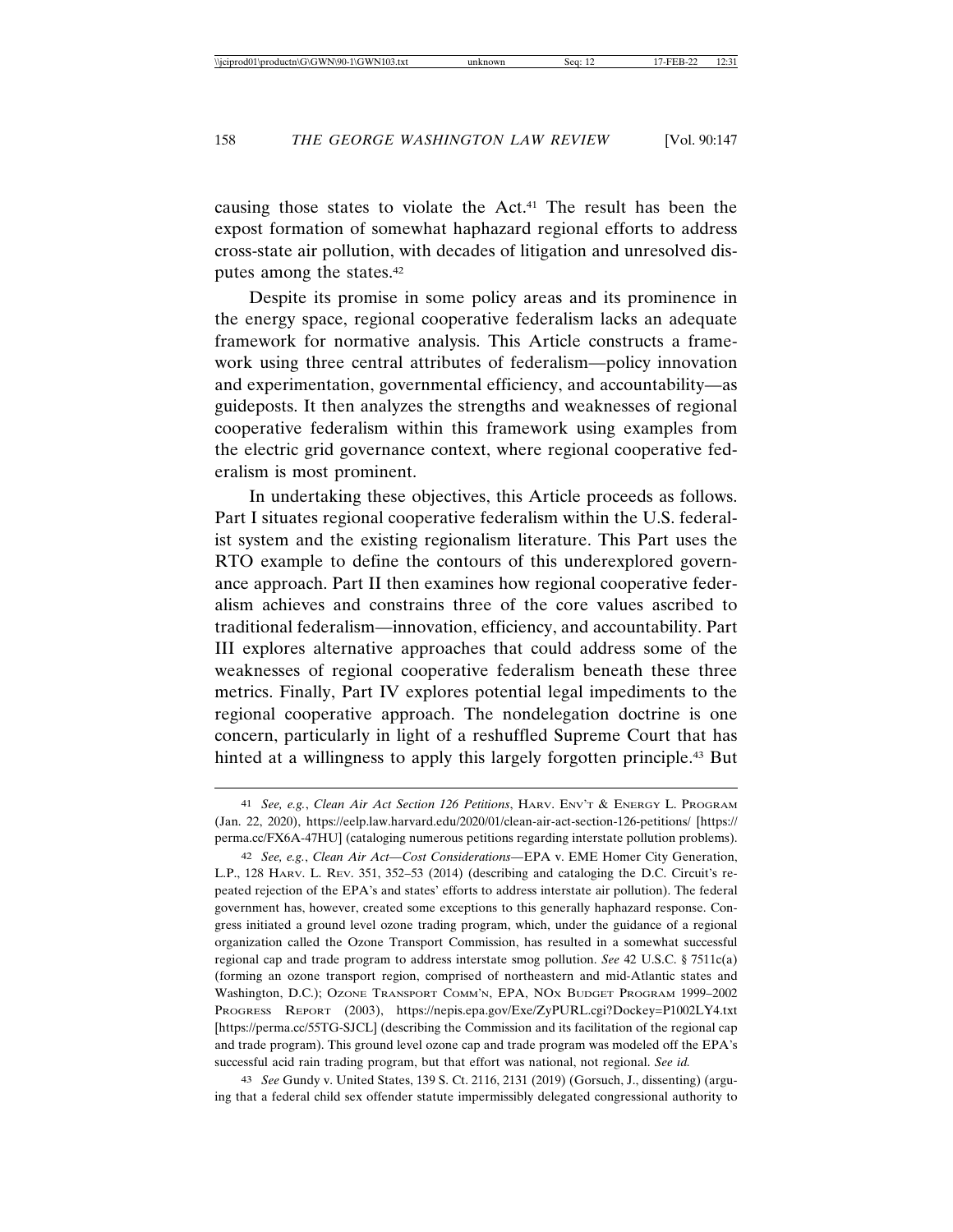causing those states to violate the Act.41 The result has been the expost formation of somewhat haphazard regional efforts to address cross-state air pollution, with decades of litigation and unresolved disputes among the states.42

Despite its promise in some policy areas and its prominence in the energy space, regional cooperative federalism lacks an adequate framework for normative analysis. This Article constructs a framework using three central attributes of federalism—policy innovation and experimentation, governmental efficiency, and accountability—as guideposts. It then analyzes the strengths and weaknesses of regional cooperative federalism within this framework using examples from the electric grid governance context, where regional cooperative federalism is most prominent.

In undertaking these objectives, this Article proceeds as follows. Part I situates regional cooperative federalism within the U.S. federalist system and the existing regionalism literature. This Part uses the RTO example to define the contours of this underexplored governance approach. Part II then examines how regional cooperative federalism achieves and constrains three of the core values ascribed to traditional federalism—innovation, efficiency, and accountability. Part III explores alternative approaches that could address some of the weaknesses of regional cooperative federalism beneath these three metrics. Finally, Part IV explores potential legal impediments to the regional cooperative approach. The nondelegation doctrine is one concern, particularly in light of a reshuffled Supreme Court that has hinted at a willingness to apply this largely forgotten principle.<sup>43</sup> But

<sup>41</sup> *See, e.g.*, *Clean Air Act Section 126 Petitions*, HARV. ENV'T & ENERGY L. PROGRAM (Jan. 22, 2020), https://eelp.law.harvard.edu/2020/01/clean-air-act-section-126-petitions/ [https:// perma.cc/FX6A-47HU] (cataloging numerous petitions regarding interstate pollution problems).

<sup>42</sup> *See, e.g.*, *Clean Air Act—Cost Considerations—*EPA v. EME Homer City Generation, L.P., 128 HARV. L. REV. 351, 352–53 (2014) (describing and cataloging the D.C. Circuit's repeated rejection of the EPA's and states' efforts to address interstate air pollution). The federal government has, however, created some exceptions to this generally haphazard response. Congress initiated a ground level ozone trading program, which, under the guidance of a regional organization called the Ozone Transport Commission, has resulted in a somewhat successful regional cap and trade program to address interstate smog pollution. *See* 42 U.S.C. § 7511c(a) (forming an ozone transport region, comprised of northeastern and mid-Atlantic states and Washington, D.C.); OZONE TRANSPORT COMM'N, EPA, NOX BUDGET PROGRAM 1999–2002 PROGRESS REPORT (2003), https://nepis.epa.gov/Exe/ZyPURL.cgi?Dockey=P1002LY4.txt [https://perma.cc/55TG-SJCL] (describing the Commission and its facilitation of the regional cap and trade program). This ground level ozone cap and trade program was modeled off the EPA's successful acid rain trading program, but that effort was national, not regional. *See id.*

<sup>43</sup> *See* Gundy v. United States, 139 S. Ct. 2116, 2131 (2019) (Gorsuch, J., dissenting) (arguing that a federal child sex offender statute impermissibly delegated congressional authority to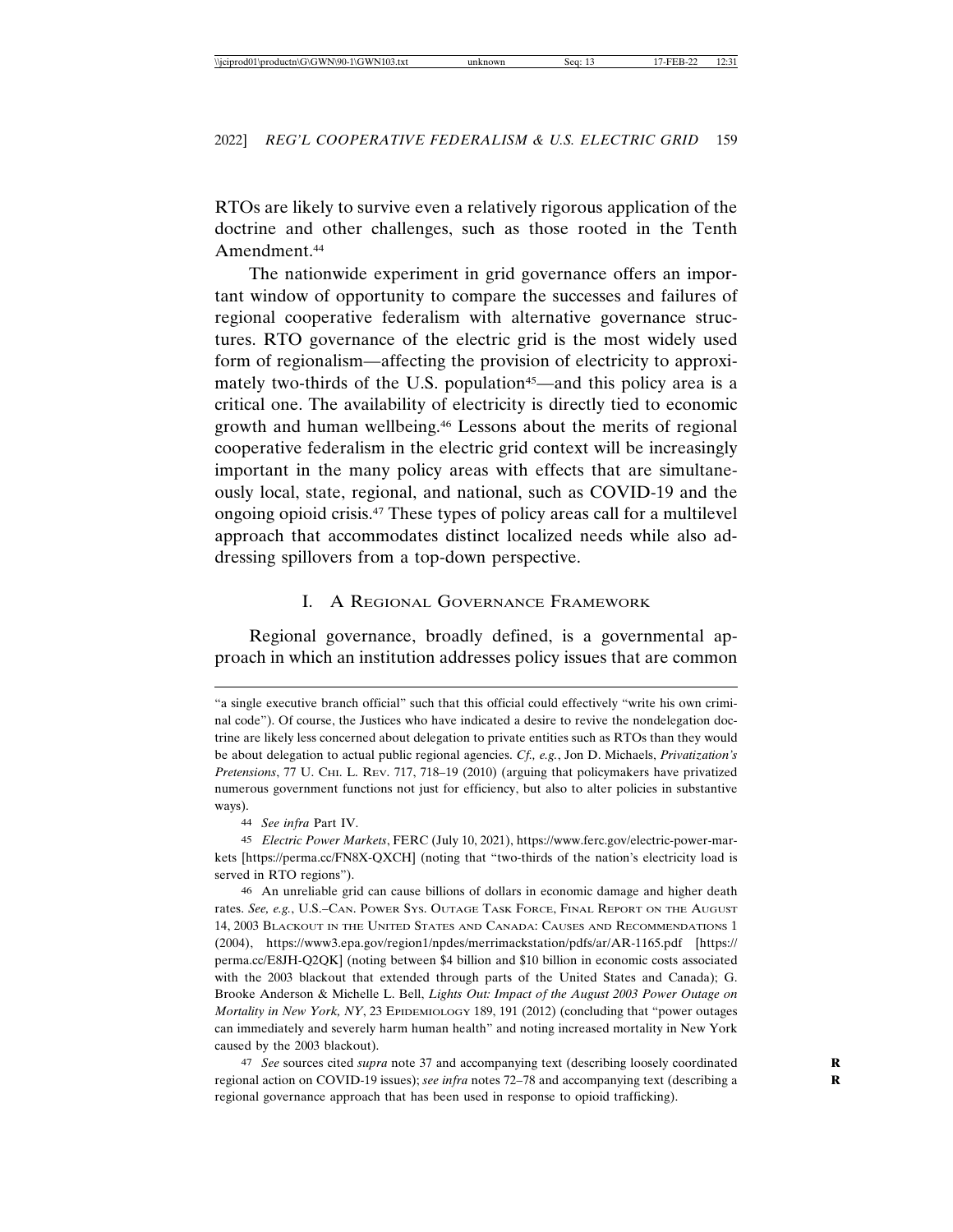RTOs are likely to survive even a relatively rigorous application of the doctrine and other challenges, such as those rooted in the Tenth Amendment.<sup>44</sup>

The nationwide experiment in grid governance offers an important window of opportunity to compare the successes and failures of regional cooperative federalism with alternative governance structures. RTO governance of the electric grid is the most widely used form of regionalism—affecting the provision of electricity to approximately two-thirds of the U.S. population<sup>45</sup>—and this policy area is a critical one. The availability of electricity is directly tied to economic growth and human wellbeing.46 Lessons about the merits of regional cooperative federalism in the electric grid context will be increasingly important in the many policy areas with effects that are simultaneously local, state, regional, and national, such as COVID-19 and the ongoing opioid crisis.47 These types of policy areas call for a multilevel approach that accommodates distinct localized needs while also addressing spillovers from a top-down perspective.

### I. A REGIONAL GOVERNANCE FRAMEWORK

Regional governance, broadly defined, is a governmental approach in which an institution addresses policy issues that are common

44 *See infra* Part IV.

45 *Electric Power Markets*, FERC (July 10, 2021), https://www.ferc.gov/electric-power-markets [https://perma.cc/FN8X-QXCH] (noting that "two-thirds of the nation's electricity load is served in RTO regions").

46 An unreliable grid can cause billions of dollars in economic damage and higher death rates. *See, e.g.*, U.S.–CAN. POWER SYS. OUTAGE TASK FORCE, FINAL REPORT ON THE AUGUST 14, 2003 BLACKOUT IN THE UNITED STATES AND CANADA: CAUSES AND RECOMMENDATIONS 1 (2004), https://www3.epa.gov/region1/npdes/merrimackstation/pdfs/ar/AR-1165.pdf [https:// perma.cc/E8JH-Q2QK] (noting between \$4 billion and \$10 billion in economic costs associated with the 2003 blackout that extended through parts of the United States and Canada); G. Brooke Anderson & Michelle L. Bell, *Lights Out: Impact of the August 2003 Power Outage on Mortality in New York, NY*, 23 EPIDEMIOLOGY 189, 191 (2012) (concluding that "power outages can immediately and severely harm human health" and noting increased mortality in New York caused by the 2003 blackout).

47 *See* sources cited *supra* note 37 and accompanying text (describing loosely coordinated **R** regional action on COVID-19 issues); *see infra* notes 72–78 and accompanying text (describing a **R** regional governance approach that has been used in response to opioid trafficking).

<sup>&</sup>quot;a single executive branch official" such that this official could effectively "write his own criminal code"). Of course, the Justices who have indicated a desire to revive the nondelegation doctrine are likely less concerned about delegation to private entities such as RTOs than they would be about delegation to actual public regional agencies. *Cf., e.g.*, Jon D. Michaels, *Privatization's* Pretensions, 77 U. CHI. L. REV. 717, 718-19 (2010) (arguing that policymakers have privatized numerous government functions not just for efficiency, but also to alter policies in substantive ways).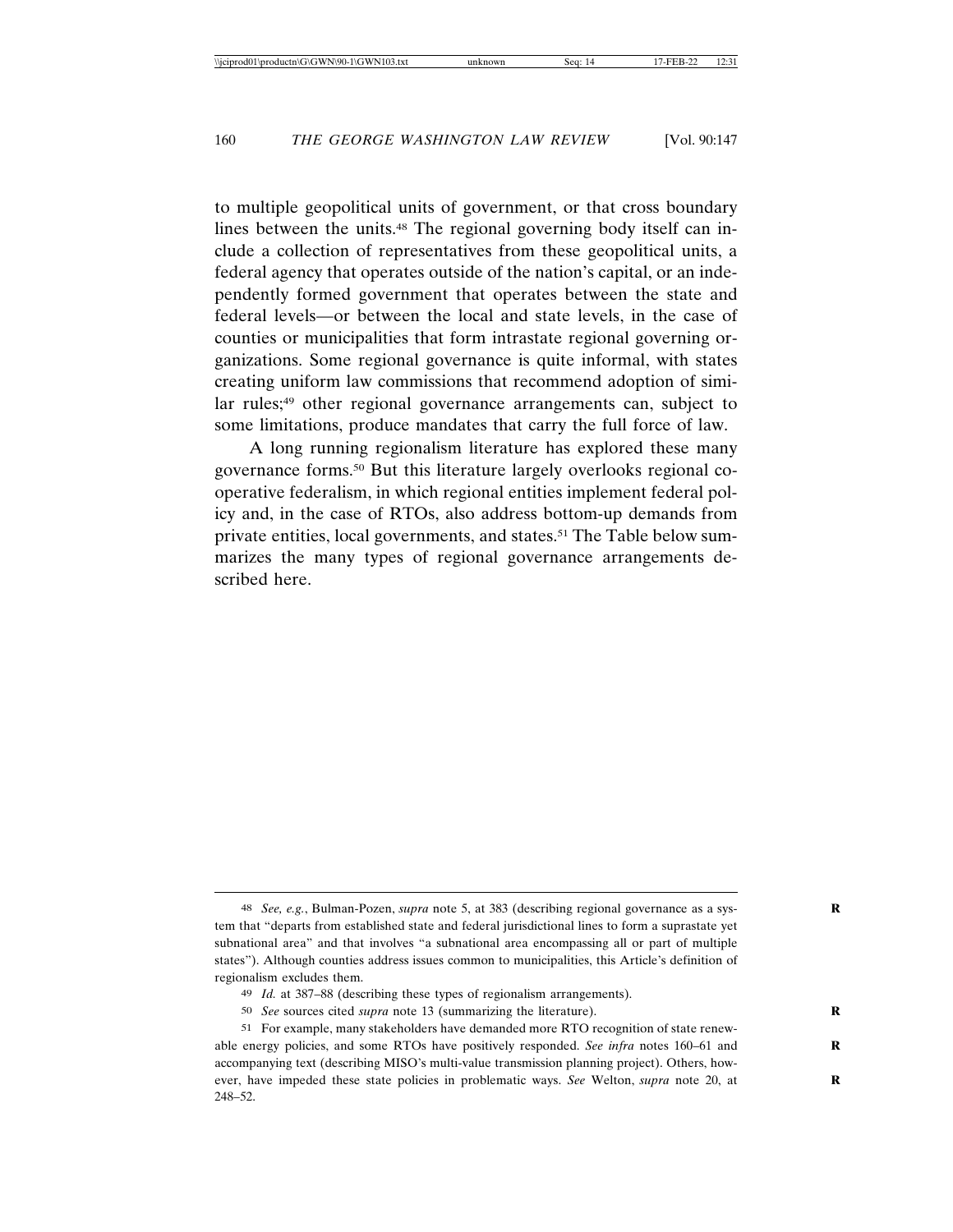to multiple geopolitical units of government, or that cross boundary lines between the units.<sup>48</sup> The regional governing body itself can include a collection of representatives from these geopolitical units, a federal agency that operates outside of the nation's capital, or an independently formed government that operates between the state and federal levels—or between the local and state levels, in the case of counties or municipalities that form intrastate regional governing organizations. Some regional governance is quite informal, with states creating uniform law commissions that recommend adoption of similar rules;<sup>49</sup> other regional governance arrangements can, subject to some limitations, produce mandates that carry the full force of law.

A long running regionalism literature has explored these many governance forms.50 But this literature largely overlooks regional cooperative federalism, in which regional entities implement federal policy and, in the case of RTOs, also address bottom-up demands from private entities, local governments, and states.51 The Table below summarizes the many types of regional governance arrangements described here.

<sup>48</sup> *See, e.g.*, Bulman-Pozen, *supra* note 5, at 383 (describing regional governance as a sys- **R** tem that "departs from established state and federal jurisdictional lines to form a suprastate yet subnational area" and that involves "a subnational area encompassing all or part of multiple states"). Although counties address issues common to municipalities, this Article's definition of regionalism excludes them.

<sup>49</sup> *Id.* at 387–88 (describing these types of regionalism arrangements).

<sup>50</sup> *See* sources cited *supra* note 13 (summarizing the literature). **R**

<sup>51</sup> For example, many stakeholders have demanded more RTO recognition of state renewable energy policies, and some RTOs have positively responded. See infra notes 160–61 and accompanying text (describing MISO's multi-value transmission planning project). Others, however, have impeded these state policies in problematic ways. *See* Welton, *supra* note 20, at 248–52.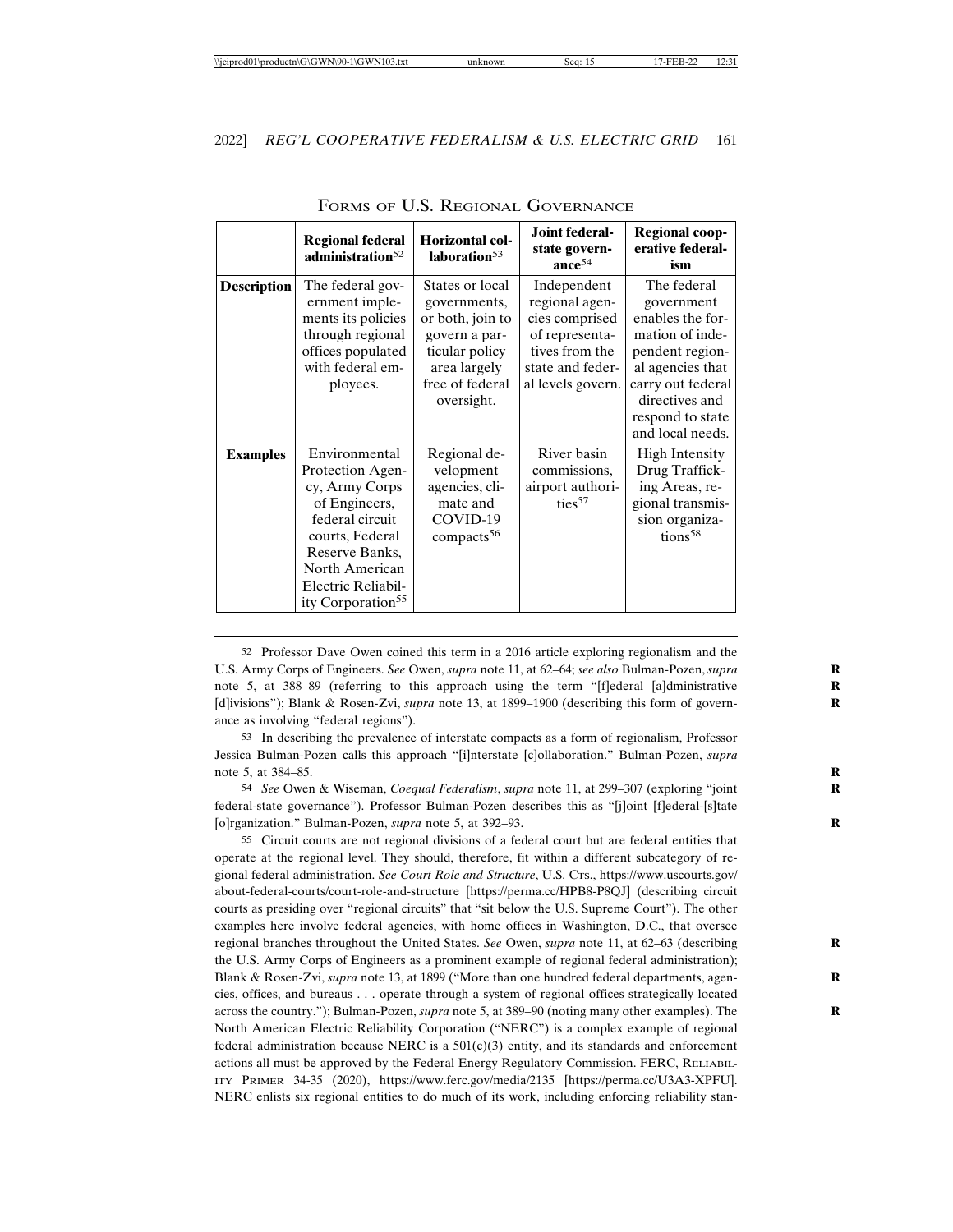|                    | <b>Regional federal</b><br>administration $52$                                                                                                                                                        | Horizontal col-<br>laboration $53$                                                                                                      | <b>Joint federal-</b><br>state govern-<br>ance <sup>54</sup>                                                                 | <b>Regional coop-</b><br>erative federal-<br>ism                                                                                                                                       |
|--------------------|-------------------------------------------------------------------------------------------------------------------------------------------------------------------------------------------------------|-----------------------------------------------------------------------------------------------------------------------------------------|------------------------------------------------------------------------------------------------------------------------------|----------------------------------------------------------------------------------------------------------------------------------------------------------------------------------------|
| <b>Description</b> | The federal gov-<br>ernment imple-<br>ments its policies<br>through regional<br>offices populated<br>with federal em-<br>ployees.                                                                     | States or local<br>governments,<br>or both, join to<br>govern a par-<br>ticular policy<br>area largely<br>free of federal<br>oversight. | Independent<br>regional agen-<br>cies comprised<br>of representa-<br>tives from the<br>state and feder-<br>al levels govern. | The federal<br>government<br>enables the for-<br>mation of inde-<br>pendent region-<br>al agencies that<br>carry out federal<br>directives and<br>respond to state<br>and local needs. |
| <b>Examples</b>    | Environmental<br>Protection Agen-<br>cy, Army Corps<br>of Engineers,<br>federal circuit<br>courts, Federal<br>Reserve Banks,<br>North American<br>Electric Reliabil-<br>ity Corporation <sup>55</sup> | Regional de-<br>velopment<br>agencies, cli-<br>mate and<br>COVID-19<br>compacts <sup>56</sup>                                           | River basin<br>commissions,<br>airport authori-<br>ties <sup>57</sup>                                                        | <b>High Intensity</b><br>Drug Traffick-<br>ing Areas, re-<br>gional transmis-<br>sion organiza-<br>tions <sup>58</sup>                                                                 |

FORMS OF U.S. REGIONAL GOVERNANCE

52 Professor Dave Owen coined this term in a 2016 article exploring regionalism and the U.S. Army Corps of Engineers. *See* Owen, *supra* note 11, at 62–64; *see also* Bulman-Pozen, *supra* **R** note 5, at 388–89 (referring to this approach using the term "[f]ederal [a]dministrative [d]ivisions"); Blank & Rosen-Zvi, *supra* note 13, at 1899–1900 (describing this form of governance as involving "federal regions").

53 In describing the prevalence of interstate compacts as a form of regionalism, Professor Jessica Bulman-Pozen calls this approach "[i]nterstate [c]ollaboration." Bulman-Pozen, *supra* note 5, at 384–85. **R**

54 *See* Owen & Wiseman, *Coequal Federalism*, *supra* note 11, at 299–307 (exploring "joint **R** federal-state governance"). Professor Bulman-Pozen describes this as "[j]oint [f]ederal-[s]tate [o]rganization." Bulman-Pozen, *supra* note 5, at 392–93. **R**

55 Circuit courts are not regional divisions of a federal court but are federal entities that operate at the regional level. They should, therefore, fit within a different subcategory of regional federal administration. *See Court Role and Structure*, U.S. CTS., https://www.uscourts.gov/ about-federal-courts/court-role-and-structure [https://perma.cc/HPB8-P8QJ] (describing circuit courts as presiding over "regional circuits" that "sit below the U.S. Supreme Court"). The other examples here involve federal agencies, with home offices in Washington, D.C., that oversee regional branches throughout the United States. *See* Owen, *supra* note 11, at 62–63 (describing **R** the U.S. Army Corps of Engineers as a prominent example of regional federal administration); Blank & Rosen-Zvi, *supra* note 13, at 1899 ("More than one hundred federal departments, agencies, offices, and bureaus . . . operate through a system of regional offices strategically located across the country."); Bulman-Pozen, *supra* note 5, at 389–90 (noting many other examples). The North American Electric Reliability Corporation ("NERC") is a complex example of regional federal administration because NERC is a  $501(c)(3)$  entity, and its standards and enforcement actions all must be approved by the Federal Energy Regulatory Commission. FERC, RELIABIL-ITY PRIMER 34-35 (2020), https://www.ferc.gov/media/2135 [https://perma.cc/U3A3-XPFU]. NERC enlists six regional entities to do much of its work, including enforcing reliability stan-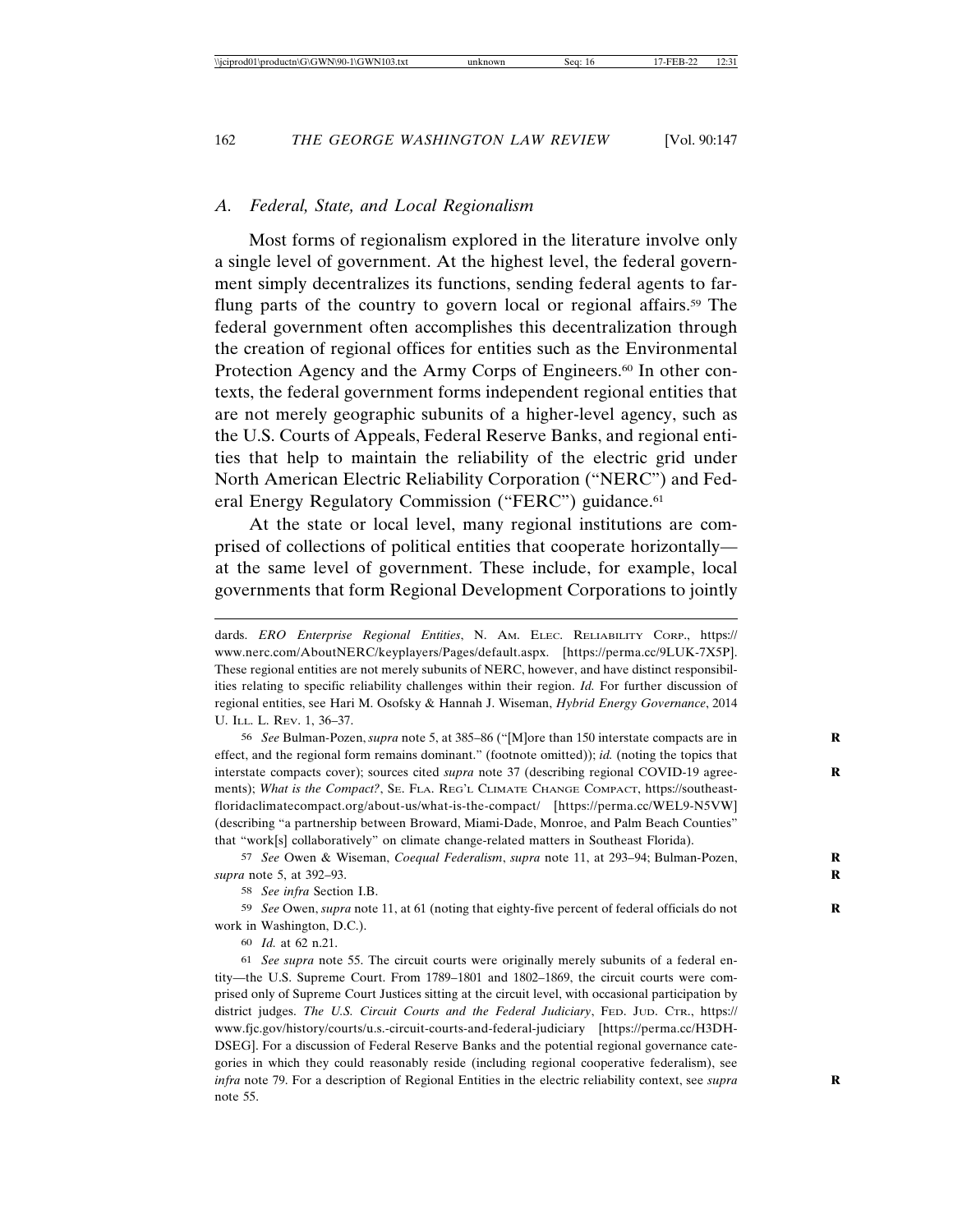### *A. Federal, State, and Local Regionalism*

Most forms of regionalism explored in the literature involve only a single level of government. At the highest level, the federal government simply decentralizes its functions, sending federal agents to farflung parts of the country to govern local or regional affairs.<sup>59</sup> The federal government often accomplishes this decentralization through the creation of regional offices for entities such as the Environmental Protection Agency and the Army Corps of Engineers.<sup>60</sup> In other contexts, the federal government forms independent regional entities that are not merely geographic subunits of a higher-level agency, such as the U.S. Courts of Appeals, Federal Reserve Banks, and regional entities that help to maintain the reliability of the electric grid under North American Electric Reliability Corporation ("NERC") and Federal Energy Regulatory Commission ("FERC") guidance.<sup>61</sup>

At the state or local level, many regional institutions are comprised of collections of political entities that cooperate horizontally at the same level of government. These include, for example, local governments that form Regional Development Corporations to jointly

56 *See* Bulman-Pozen, *supra* note 5, at 385–86 ("[M]ore than 150 interstate compacts are in **R** effect, and the regional form remains dominant." (footnote omitted)); *id.* (noting the topics that interstate compacts cover); sources cited *supra* note 37 (describing regional COVID-19 agreements); *What is the Compact?*, SE. FLA. REG'L CLIMATE CHANGE COMPACT, https://southeastfloridaclimatecompact.org/about-us/what-is-the-compact/ [https://perma.cc/WEL9-N5VW] (describing "a partnership between Broward, Miami-Dade, Monroe, and Palm Beach Counties" that "work[s] collaboratively" on climate change-related matters in Southeast Florida).

57 *See* Owen & Wiseman, *Coequal Federalism*, *supra* note 11, at 293–94; Bulman-Pozen, **R** *supra* note 5, at 392–93. **R**

58 *See infra* Section I.B.

59 *See* Owen, *supra* note 11, at 61 (noting that eighty-five percent of federal officials do not **R** work in Washington, D.C.).

60 *Id.* at 62 n.21.

61 *See supra* note 55. The circuit courts were originally merely subunits of a federal entity—the U.S. Supreme Court. From 1789–1801 and 1802–1869, the circuit courts were comprised only of Supreme Court Justices sitting at the circuit level, with occasional participation by district judges. *The U.S. Circuit Courts and the Federal Judiciary*, FED. JUD. CTR., https:// www.fjc.gov/history/courts/u.s.-circuit-courts-and-federal-judiciary [https://perma.cc/H3DH-DSEG]. For a discussion of Federal Reserve Banks and the potential regional governance categories in which they could reasonably reside (including regional cooperative federalism), see *infra* note 79. For a description of Regional Entities in the electric reliability context, see *supra* note 55.

dards. *ERO Enterprise Regional Entities*, N. AM. ELEC. RELIABILITY CORP., https:// www.nerc.com/AboutNERC/keyplayers/Pages/default.aspx. [https://perma.cc/9LUK-7X5P]. These regional entities are not merely subunits of NERC, however, and have distinct responsibilities relating to specific reliability challenges within their region. *Id.* For further discussion of regional entities, see Hari M. Osofsky & Hannah J. Wiseman, *Hybrid Energy Governance*, 2014 U. ILL. L. REV. 1, 36–37.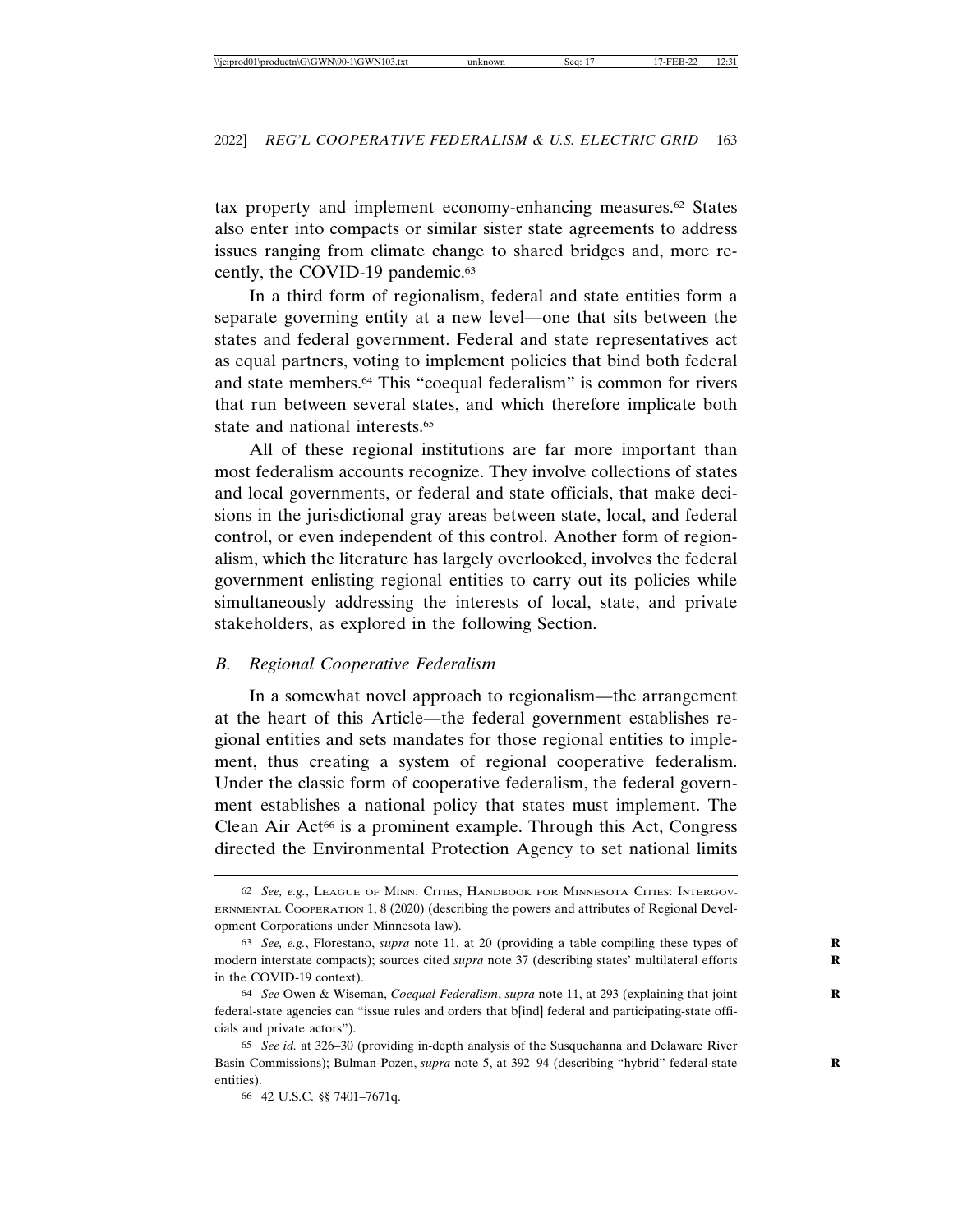tax property and implement economy-enhancing measures.62 States also enter into compacts or similar sister state agreements to address issues ranging from climate change to shared bridges and, more recently, the COVID-19 pandemic.63

In a third form of regionalism, federal and state entities form a separate governing entity at a new level—one that sits between the states and federal government. Federal and state representatives act as equal partners, voting to implement policies that bind both federal and state members.64 This "coequal federalism" is common for rivers that run between several states, and which therefore implicate both state and national interests.65

All of these regional institutions are far more important than most federalism accounts recognize. They involve collections of states and local governments, or federal and state officials, that make decisions in the jurisdictional gray areas between state, local, and federal control, or even independent of this control. Another form of regionalism, which the literature has largely overlooked, involves the federal government enlisting regional entities to carry out its policies while simultaneously addressing the interests of local, state, and private stakeholders, as explored in the following Section.

#### *B. Regional Cooperative Federalism*

In a somewhat novel approach to regionalism—the arrangement at the heart of this Article—the federal government establishes regional entities and sets mandates for those regional entities to implement, thus creating a system of regional cooperative federalism. Under the classic form of cooperative federalism, the federal government establishes a national policy that states must implement. The Clean Air Act<sup>66</sup> is a prominent example. Through this Act, Congress directed the Environmental Protection Agency to set national limits

<sup>62</sup> *See, e.g.*, LEAGUE OF MINN. CITIES, HANDBOOK FOR MINNESOTA CITIES: INTERGOV-ERNMENTAL COOPERATION 1, 8 (2020) (describing the powers and attributes of Regional Development Corporations under Minnesota law).

<sup>63</sup> *See, e.g.*, Florestano, *supra* note 11, at 20 (providing a table compiling these types of **R** modern interstate compacts); sources cited *supra* note 37 (describing states' multilateral efforts in the COVID-19 context).

<sup>64</sup> *See* Owen & Wiseman, *Coequal Federalism*, *supra* note 11, at 293 (explaining that joint **R** federal-state agencies can "issue rules and orders that b[ind] federal and participating-state officials and private actors").

<sup>65</sup> *See id.* at 326–30 (providing in-depth analysis of the Susquehanna and Delaware River Basin Commissions); Bulman-Pozen, *supra* note 5, at 392–94 (describing "hybrid" federal-state **R** entities).

<sup>66</sup> 42 U.S.C. §§ 7401–7671q.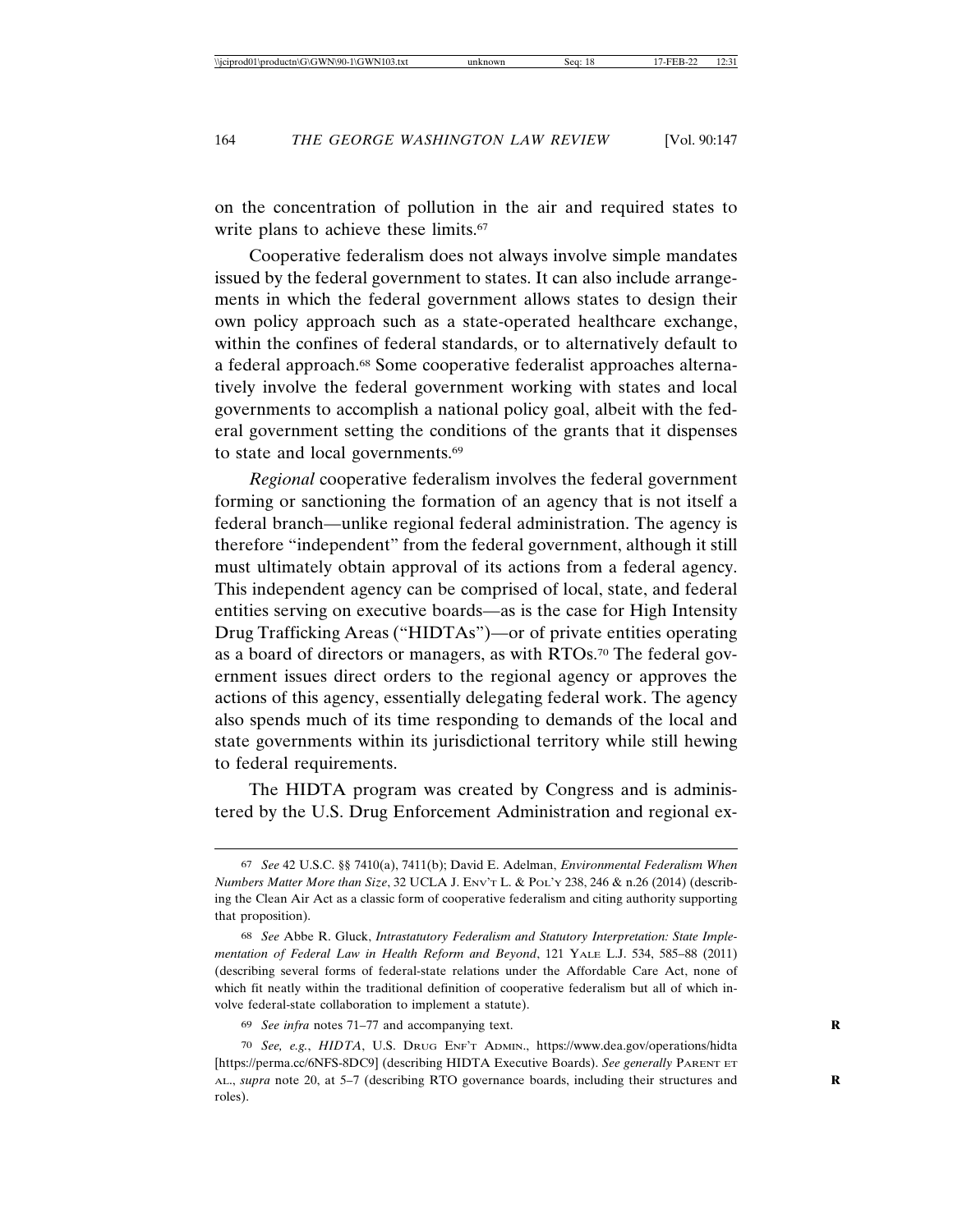on the concentration of pollution in the air and required states to write plans to achieve these limits.<sup>67</sup>

Cooperative federalism does not always involve simple mandates issued by the federal government to states. It can also include arrangements in which the federal government allows states to design their own policy approach such as a state-operated healthcare exchange, within the confines of federal standards, or to alternatively default to a federal approach.68 Some cooperative federalist approaches alternatively involve the federal government working with states and local governments to accomplish a national policy goal, albeit with the federal government setting the conditions of the grants that it dispenses to state and local governments.69

*Regional* cooperative federalism involves the federal government forming or sanctioning the formation of an agency that is not itself a federal branch—unlike regional federal administration. The agency is therefore "independent" from the federal government, although it still must ultimately obtain approval of its actions from a federal agency. This independent agency can be comprised of local, state, and federal entities serving on executive boards—as is the case for High Intensity Drug Trafficking Areas ("HIDTAs")—or of private entities operating as a board of directors or managers, as with RTOs.70 The federal government issues direct orders to the regional agency or approves the actions of this agency, essentially delegating federal work. The agency also spends much of its time responding to demands of the local and state governments within its jurisdictional territory while still hewing to federal requirements.

The HIDTA program was created by Congress and is administered by the U.S. Drug Enforcement Administration and regional ex-

<sup>67</sup> *See* 42 U.S.C. §§ 7410(a), 7411(b); David E. Adelman, *Environmental Federalism When Numbers Matter More than Size*, 32 UCLA J. ENV'T L. & POL'Y 238, 246 & n.26 (2014) (describing the Clean Air Act as a classic form of cooperative federalism and citing authority supporting that proposition).

<sup>68</sup> *See* Abbe R. Gluck, *Intrastatutory Federalism and Statutory Interpretation: State Implementation of Federal Law in Health Reform and Beyond*, 121 YALE L.J. 534, 585–88 (2011) (describing several forms of federal-state relations under the Affordable Care Act, none of which fit neatly within the traditional definition of cooperative federalism but all of which involve federal-state collaboration to implement a statute).

<sup>69</sup> *See infra* notes 71–77 and accompanying text. **R**

<sup>70</sup> *See, e.g.*, *HIDTA*, U.S. DRUG ENF'T ADMIN., https://www.dea.gov/operations/hidta [https://perma.cc/6NFS-8DC9] (describing HIDTA Executive Boards). *See generally* PARENT ET AL., *supra* note 20, at 5–7 (describing RTO governance boards, including their structures and **R** roles).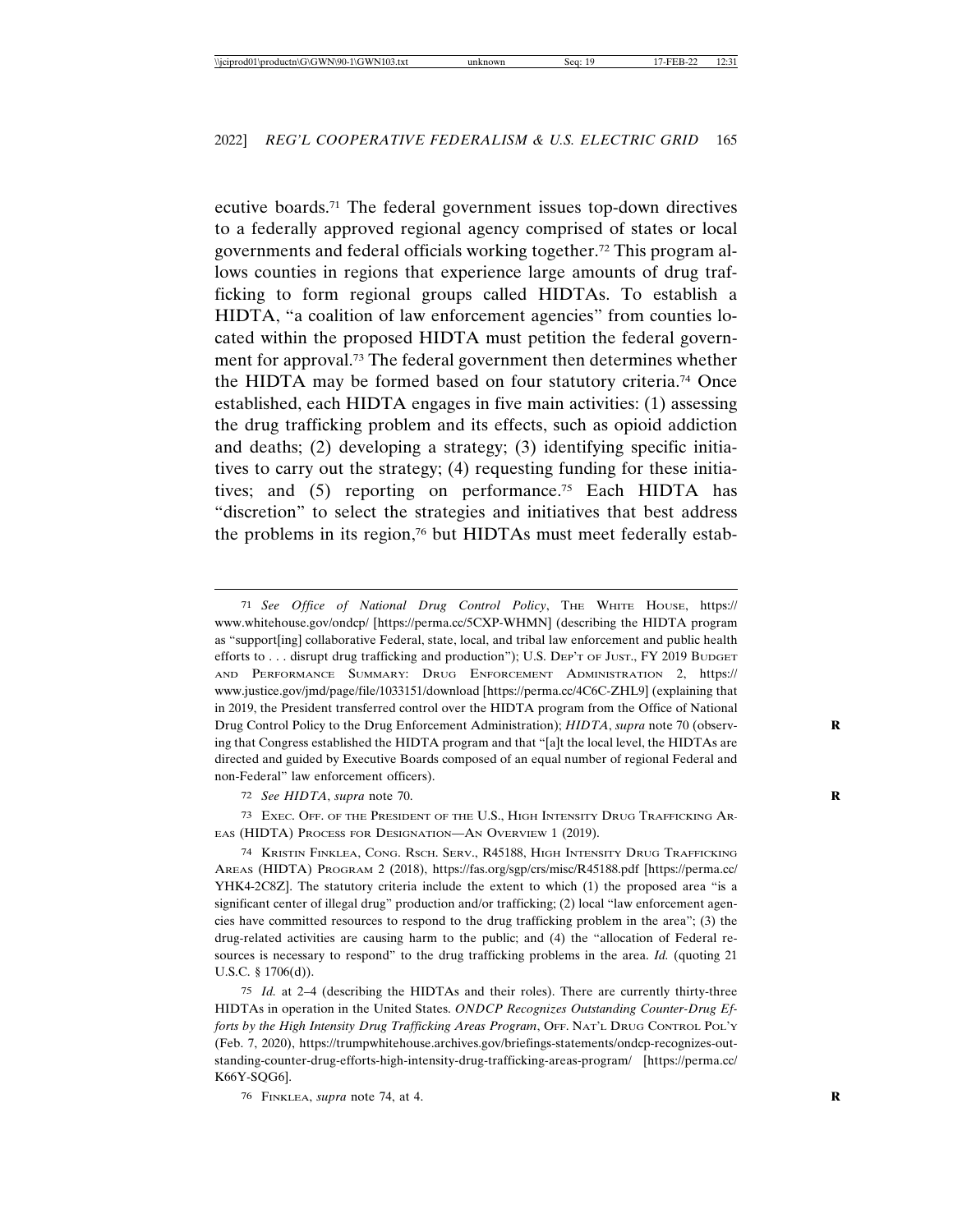ecutive boards.71 The federal government issues top-down directives to a federally approved regional agency comprised of states or local governments and federal officials working together.72 This program allows counties in regions that experience large amounts of drug trafficking to form regional groups called HIDTAs. To establish a HIDTA, "a coalition of law enforcement agencies" from counties located within the proposed HIDTA must petition the federal government for approval.73 The federal government then determines whether the HIDTA may be formed based on four statutory criteria.74 Once established, each HIDTA engages in five main activities: (1) assessing the drug trafficking problem and its effects, such as opioid addiction and deaths; (2) developing a strategy; (3) identifying specific initiatives to carry out the strategy; (4) requesting funding for these initiatives; and (5) reporting on performance.<sup>75</sup> Each HIDTA has "discretion" to select the strategies and initiatives that best address the problems in its region,76 but HIDTAs must meet federally estab-

72 *See HIDTA*, *supra* note 70. **R**

73 EXEC. OFF. OF THE PRESIDENT OF THE U.S., HIGH INTENSITY DRUG TRAFFICKING AR-EAS (HIDTA) PROCESS FOR DESIGNATION—AN OVERVIEW 1 (2019).

74 KRISTIN FINKLEA, CONG. RSCH. SERV., R45188, HIGH INTENSITY DRUG TRAFFICKING AREAS (HIDTA) PROGRAM 2 (2018), https://fas.org/sgp/crs/misc/R45188.pdf [https://perma.cc/ YHK4-2C8Z]. The statutory criteria include the extent to which (1) the proposed area "is a significant center of illegal drug" production and/or trafficking; (2) local "law enforcement agencies have committed resources to respond to the drug trafficking problem in the area"; (3) the drug-related activities are causing harm to the public; and (4) the "allocation of Federal resources is necessary to respond" to the drug trafficking problems in the area. *Id.* (quoting 21 U.S.C. § 1706(d)).

75 *Id.* at 2–4 (describing the HIDTAs and their roles). There are currently thirty-three HIDTAs in operation in the United States. *ONDCP Recognizes Outstanding Counter-Drug Efforts by the High Intensity Drug Trafficking Areas Program*, OFF. NAT'L DRUG CONTROL POL'Y (Feb. 7, 2020), https://trumpwhitehouse.archives.gov/briefings-statements/ondcp-recognizes-outstanding-counter-drug-efforts-high-intensity-drug-trafficking-areas-program/ [https://perma.cc/ K66Y-SQG6].

<sup>71</sup> *See Office of National Drug Control Policy*, THE WHITE HOUSE, https:// www.whitehouse.gov/ondcp/ [https://perma.cc/5CXP-WHMN] (describing the HIDTA program as "support[ing] collaborative Federal, state, local, and tribal law enforcement and public health efforts to . . . disrupt drug trafficking and production"); U.S. DEP'T OF JUST., FY 2019 BUDGET AND PERFORMANCE SUMMARY: DRUG ENFORCEMENT ADMINISTRATION 2, https:// www.justice.gov/jmd/page/file/1033151/download [https://perma.cc/4C6C-ZHL9] (explaining that in 2019, the President transferred control over the HIDTA program from the Office of National Drug Control Policy to the Drug Enforcement Administration); *HIDTA*, *supra* note 70 (observing that Congress established the HIDTA program and that "[a]t the local level, the HIDTAs are directed and guided by Executive Boards composed of an equal number of regional Federal and non-Federal" law enforcement officers).

<sup>76</sup> FINKLEA, *supra* note 74, at 4. **R**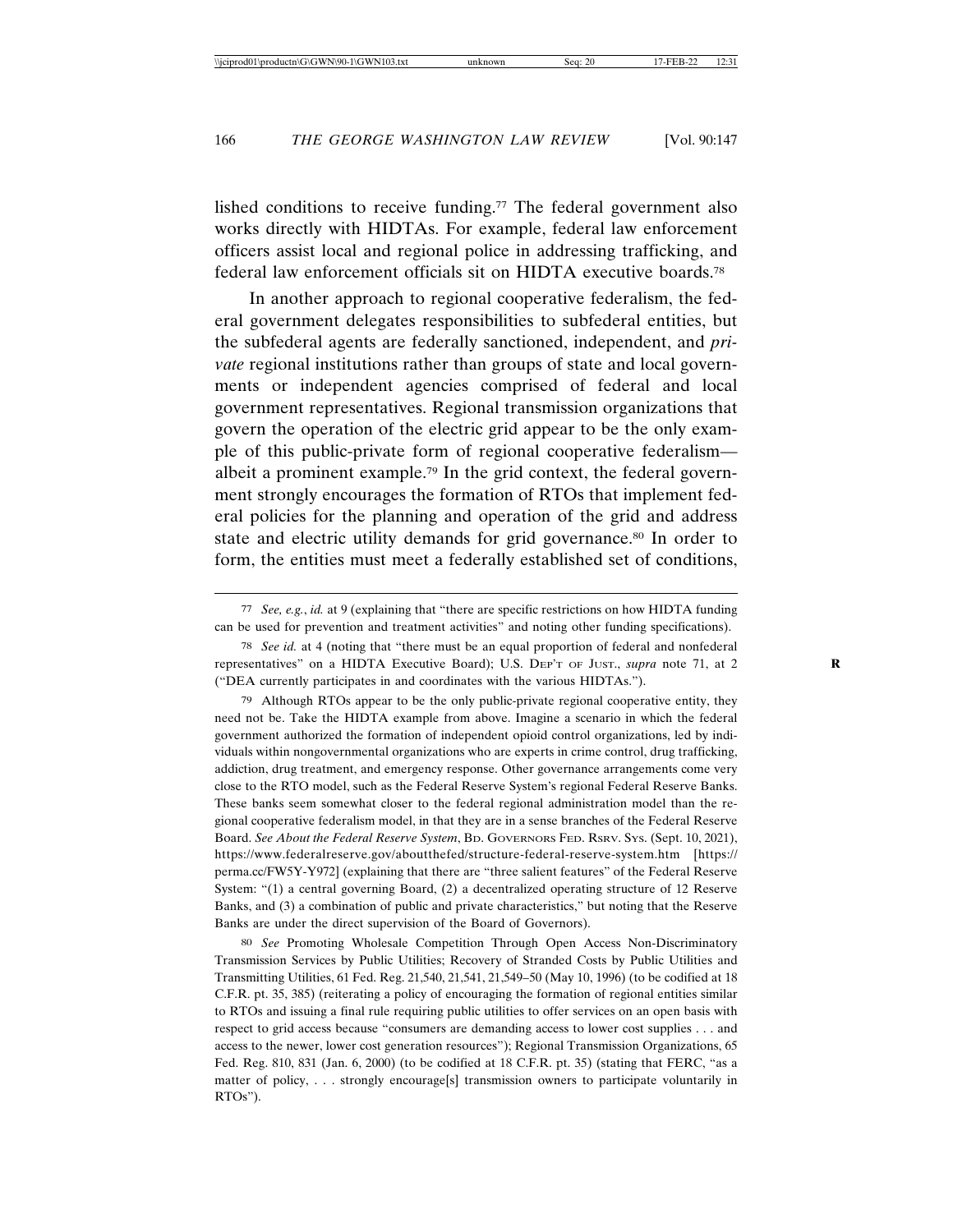lished conditions to receive funding.<sup>77</sup> The federal government also works directly with HIDTAs. For example, federal law enforcement officers assist local and regional police in addressing trafficking, and federal law enforcement officials sit on HIDTA executive boards.78

In another approach to regional cooperative federalism, the federal government delegates responsibilities to subfederal entities, but the subfederal agents are federally sanctioned, independent, and *private* regional institutions rather than groups of state and local governments or independent agencies comprised of federal and local government representatives. Regional transmission organizations that govern the operation of the electric grid appear to be the only example of this public-private form of regional cooperative federalism albeit a prominent example.79 In the grid context, the federal government strongly encourages the formation of RTOs that implement federal policies for the planning and operation of the grid and address state and electric utility demands for grid governance.<sup>80</sup> In order to form, the entities must meet a federally established set of conditions,

79 Although RTOs appear to be the only public-private regional cooperative entity, they need not be. Take the HIDTA example from above. Imagine a scenario in which the federal government authorized the formation of independent opioid control organizations, led by individuals within nongovernmental organizations who are experts in crime control, drug trafficking, addiction, drug treatment, and emergency response. Other governance arrangements come very close to the RTO model, such as the Federal Reserve System's regional Federal Reserve Banks. These banks seem somewhat closer to the federal regional administration model than the regional cooperative federalism model, in that they are in a sense branches of the Federal Reserve Board. *See About the Federal Reserve System*, BD. GOVERNORS FED. RSRV. SYS. (Sept. 10, 2021), https://www.federalreserve.gov/aboutthefed/structure-federal-reserve-system.htm [https:// perma.cc/FW5Y-Y972] (explaining that there are "three salient features" of the Federal Reserve System: "(1) a central governing Board, (2) a decentralized operating structure of 12 Reserve Banks, and (3) a combination of public and private characteristics," but noting that the Reserve Banks are under the direct supervision of the Board of Governors).

80 *See* Promoting Wholesale Competition Through Open Access Non-Discriminatory Transmission Services by Public Utilities; Recovery of Stranded Costs by Public Utilities and Transmitting Utilities, 61 Fed. Reg. 21,540, 21,541, 21,549–50 (May 10, 1996) (to be codified at 18 C.F.R. pt. 35, 385) (reiterating a policy of encouraging the formation of regional entities similar to RTOs and issuing a final rule requiring public utilities to offer services on an open basis with respect to grid access because "consumers are demanding access to lower cost supplies . . . and access to the newer, lower cost generation resources"); Regional Transmission Organizations, 65 Fed. Reg. 810, 831 (Jan. 6, 2000) (to be codified at 18 C.F.R. pt. 35) (stating that FERC, "as a matter of policy, . . . strongly encourage[s] transmission owners to participate voluntarily in RTOs").

<sup>77</sup> *See, e.g.*, *id.* at 9 (explaining that "there are specific restrictions on how HIDTA funding can be used for prevention and treatment activities" and noting other funding specifications).

<sup>78</sup> *See id.* at 4 (noting that "there must be an equal proportion of federal and nonfederal representatives" on a HIDTA Executive Board); U.S. DEP'T OF JUST., *supra* note 71, at 2 **R** ("DEA currently participates in and coordinates with the various HIDTAs.").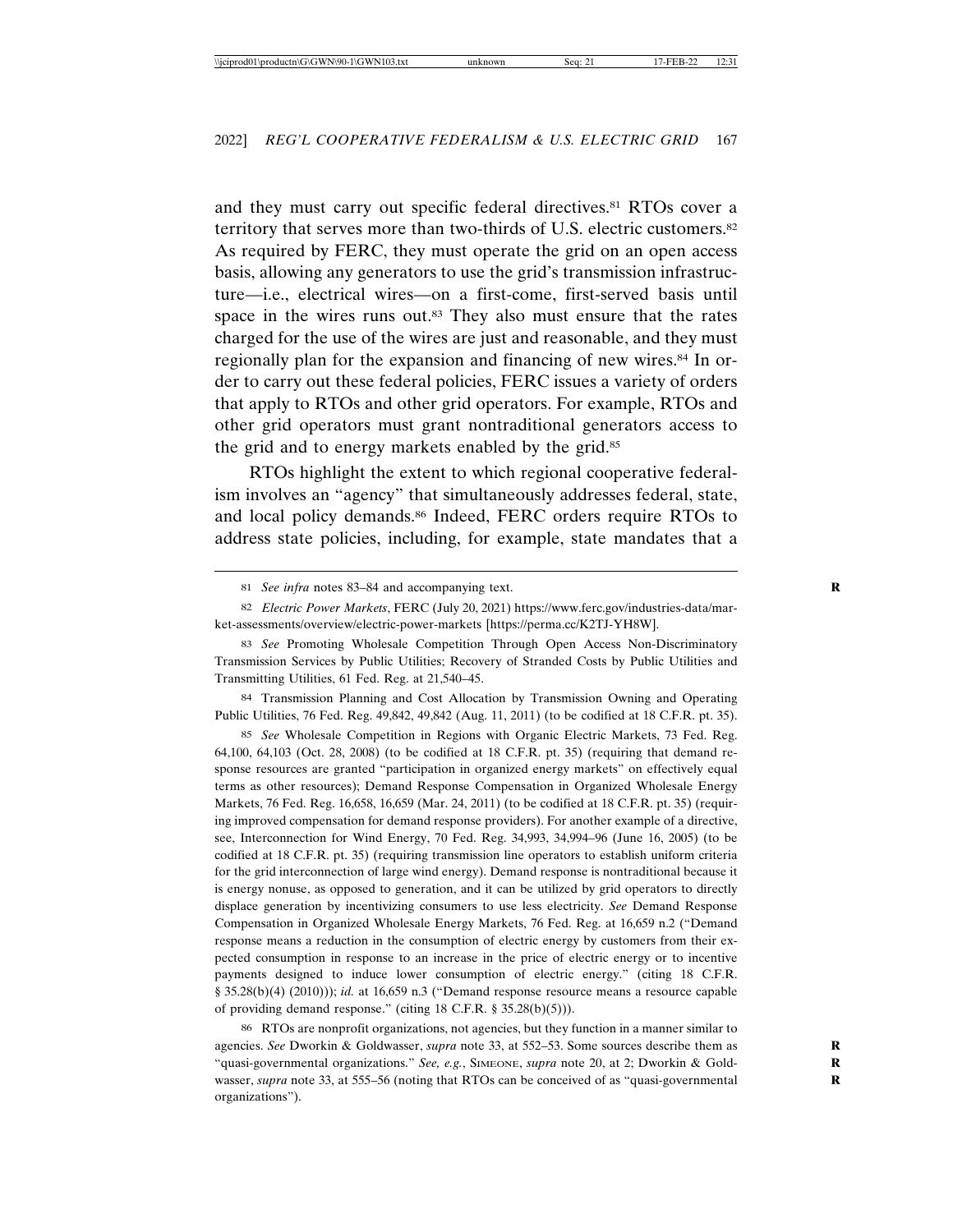and they must carry out specific federal directives.<sup>81</sup> RTOs cover a territory that serves more than two-thirds of U.S. electric customers.82 As required by FERC, they must operate the grid on an open access basis, allowing any generators to use the grid's transmission infrastructure—i.e., electrical wires—on a first-come, first-served basis until space in the wires runs out.<sup>83</sup> They also must ensure that the rates charged for the use of the wires are just and reasonable, and they must regionally plan for the expansion and financing of new wires.<sup>84</sup> In order to carry out these federal policies, FERC issues a variety of orders that apply to RTOs and other grid operators. For example, RTOs and other grid operators must grant nontraditional generators access to the grid and to energy markets enabled by the grid.85

RTOs highlight the extent to which regional cooperative federalism involves an "agency" that simultaneously addresses federal, state, and local policy demands.<sup>86</sup> Indeed, FERC orders require RTOs to address state policies, including, for example, state mandates that a

84 Transmission Planning and Cost Allocation by Transmission Owning and Operating Public Utilities, 76 Fed. Reg. 49,842, 49,842 (Aug. 11, 2011) (to be codified at 18 C.F.R. pt. 35).

85 *See* Wholesale Competition in Regions with Organic Electric Markets, 73 Fed. Reg. 64,100, 64,103 (Oct. 28, 2008) (to be codified at 18 C.F.R. pt. 35) (requiring that demand response resources are granted "participation in organized energy markets" on effectively equal terms as other resources); Demand Response Compensation in Organized Wholesale Energy Markets, 76 Fed. Reg. 16,658, 16,659 (Mar. 24, 2011) (to be codified at 18 C.F.R. pt. 35) (requiring improved compensation for demand response providers). For another example of a directive, see, Interconnection for Wind Energy, 70 Fed. Reg. 34,993, 34,994–96 (June 16, 2005) (to be codified at 18 C.F.R. pt. 35) (requiring transmission line operators to establish uniform criteria for the grid interconnection of large wind energy). Demand response is nontraditional because it is energy nonuse, as opposed to generation, and it can be utilized by grid operators to directly displace generation by incentivizing consumers to use less electricity. *See* Demand Response Compensation in Organized Wholesale Energy Markets, 76 Fed. Reg. at 16,659 n.2 ("Demand response means a reduction in the consumption of electric energy by customers from their expected consumption in response to an increase in the price of electric energy or to incentive payments designed to induce lower consumption of electric energy." (citing 18 C.F.R. § 35.28(b)(4) (2010))); *id.* at 16,659 n.3 ("Demand response resource means a resource capable of providing demand response." (citing 18 C.F.R. § 35.28(b)(5))).

86 RTOs are nonprofit organizations, not agencies, but they function in a manner similar to agencies. *See* Dworkin & Goldwasser, *supra* note 33, at 552–53. Some sources describe them as **R** "quasi-governmental organizations." See, e.g., SIMEONE, *supra* note 20, at 2; Dworkin & Goldwasser, *supra* note 33, at 555–56 (noting that RTOs can be conceived of as "quasi-governmental organizations").

<sup>81</sup> *See infra* notes 83–84 and accompanying text. **R**

<sup>82</sup> *Electric Power Markets*, FERC (July 20, 2021) https://www.ferc.gov/industries-data/market-assessments/overview/electric-power-markets [https://perma.cc/K2TJ-YH8W].

<sup>83</sup> *See* Promoting Wholesale Competition Through Open Access Non-Discriminatory Transmission Services by Public Utilities; Recovery of Stranded Costs by Public Utilities and Transmitting Utilities, 61 Fed. Reg. at 21,540–45.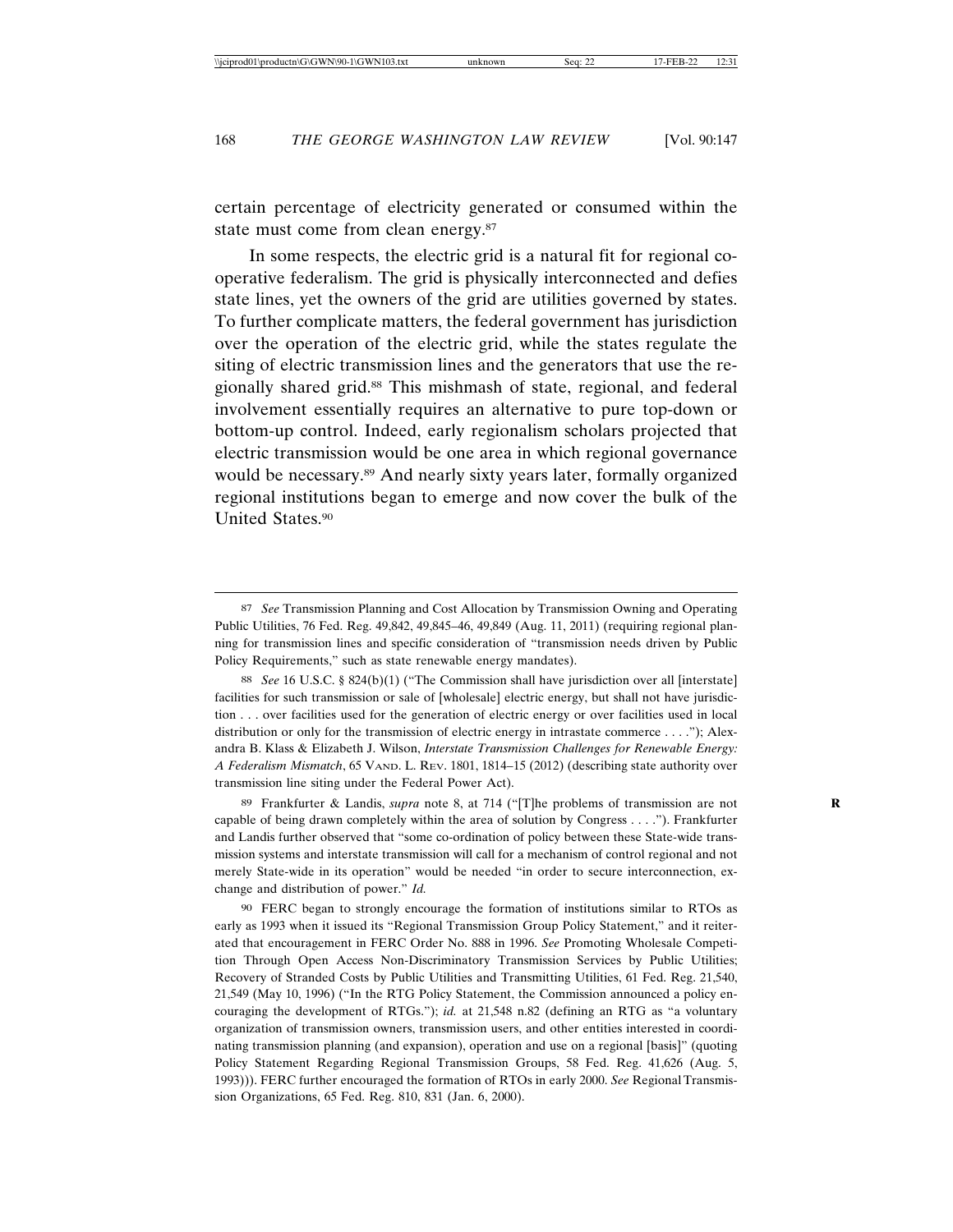certain percentage of electricity generated or consumed within the state must come from clean energy.<sup>87</sup>

In some respects, the electric grid is a natural fit for regional cooperative federalism. The grid is physically interconnected and defies state lines, yet the owners of the grid are utilities governed by states. To further complicate matters, the federal government has jurisdiction over the operation of the electric grid, while the states regulate the siting of electric transmission lines and the generators that use the regionally shared grid.88 This mishmash of state, regional, and federal involvement essentially requires an alternative to pure top-down or bottom-up control. Indeed, early regionalism scholars projected that electric transmission would be one area in which regional governance would be necessary.<sup>89</sup> And nearly sixty years later, formally organized regional institutions began to emerge and now cover the bulk of the United States.90

89 Frankfurter & Landis, *supra* note 8, at 714 ("[T]he problems of transmission are not **R** capable of being drawn completely within the area of solution by Congress . . . ."). Frankfurter and Landis further observed that "some co-ordination of policy between these State-wide transmission systems and interstate transmission will call for a mechanism of control regional and not merely State-wide in its operation" would be needed "in order to secure interconnection, exchange and distribution of power." *Id.*

90 FERC began to strongly encourage the formation of institutions similar to RTOs as early as 1993 when it issued its "Regional Transmission Group Policy Statement," and it reiterated that encouragement in FERC Order No. 888 in 1996. *See* Promoting Wholesale Competition Through Open Access Non-Discriminatory Transmission Services by Public Utilities; Recovery of Stranded Costs by Public Utilities and Transmitting Utilities, 61 Fed. Reg. 21,540, 21,549 (May 10, 1996) ("In the RTG Policy Statement, the Commission announced a policy encouraging the development of RTGs."); *id.* at 21,548 n.82 (defining an RTG as "a voluntary organization of transmission owners, transmission users, and other entities interested in coordinating transmission planning (and expansion), operation and use on a regional [basis]" (quoting Policy Statement Regarding Regional Transmission Groups, 58 Fed. Reg. 41,626 (Aug. 5, 1993))). FERC further encouraged the formation of RTOs in early 2000. *See* Regional Transmission Organizations, 65 Fed. Reg. 810, 831 (Jan. 6, 2000).

<sup>87</sup> *See* Transmission Planning and Cost Allocation by Transmission Owning and Operating Public Utilities, 76 Fed. Reg. 49,842, 49,845–46, 49,849 (Aug. 11, 2011) (requiring regional planning for transmission lines and specific consideration of "transmission needs driven by Public Policy Requirements," such as state renewable energy mandates).

<sup>88</sup> *See* 16 U.S.C. § 824(b)(1) ("The Commission shall have jurisdiction over all [interstate] facilities for such transmission or sale of [wholesale] electric energy, but shall not have jurisdiction . . . over facilities used for the generation of electric energy or over facilities used in local distribution or only for the transmission of electric energy in intrastate commerce . . . ."); Alexandra B. Klass & Elizabeth J. Wilson, *Interstate Transmission Challenges for Renewable Energy: A Federalism Mismatch*, 65 VAND. L. REV. 1801, 1814–15 (2012) (describing state authority over transmission line siting under the Federal Power Act).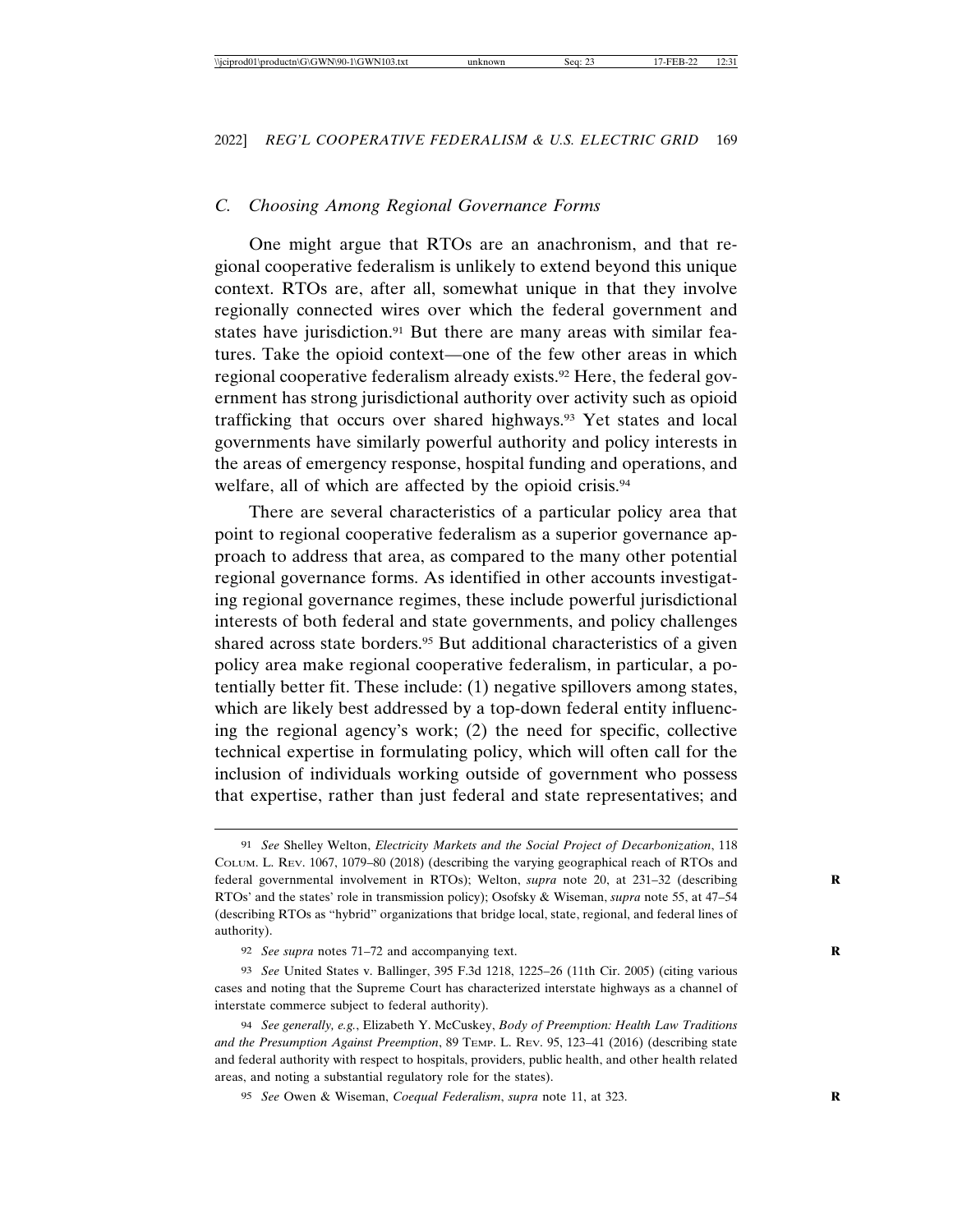### *C. Choosing Among Regional Governance Forms*

One might argue that RTOs are an anachronism, and that regional cooperative federalism is unlikely to extend beyond this unique context. RTOs are, after all, somewhat unique in that they involve regionally connected wires over which the federal government and states have jurisdiction.<sup>91</sup> But there are many areas with similar features. Take the opioid context—one of the few other areas in which regional cooperative federalism already exists.92 Here, the federal government has strong jurisdictional authority over activity such as opioid trafficking that occurs over shared highways.93 Yet states and local governments have similarly powerful authority and policy interests in the areas of emergency response, hospital funding and operations, and welfare, all of which are affected by the opioid crisis.<sup>94</sup>

There are several characteristics of a particular policy area that point to regional cooperative federalism as a superior governance approach to address that area, as compared to the many other potential regional governance forms. As identified in other accounts investigating regional governance regimes, these include powerful jurisdictional interests of both federal and state governments, and policy challenges shared across state borders.<sup>95</sup> But additional characteristics of a given policy area make regional cooperative federalism, in particular, a potentially better fit. These include: (1) negative spillovers among states, which are likely best addressed by a top-down federal entity influencing the regional agency's work; (2) the need for specific, collective technical expertise in formulating policy, which will often call for the inclusion of individuals working outside of government who possess that expertise, rather than just federal and state representatives; and

<sup>91</sup> *See* Shelley Welton, *Electricity Markets and the Social Project of Decarbonization*, 118 COLUM. L. REV. 1067, 1079–80 (2018) (describing the varying geographical reach of RTOs and federal governmental involvement in RTOs); Welton, *supra* note 20, at 231–32 (describing RTOs' and the states' role in transmission policy); Osofsky & Wiseman, *supra* note 55, at 47–54 (describing RTOs as "hybrid" organizations that bridge local, state, regional, and federal lines of authority).

<sup>92</sup> *See supra* notes 71–72 and accompanying text. **R**

<sup>93</sup> *See* United States v. Ballinger, 395 F.3d 1218, 1225–26 (11th Cir. 2005) (citing various cases and noting that the Supreme Court has characterized interstate highways as a channel of interstate commerce subject to federal authority).

<sup>94</sup> *See generally, e.g.*, Elizabeth Y. McCuskey, *Body of Preemption: Health Law Traditions and the Presumption Against Preemption*, 89 TEMP. L. REV. 95, 123–41 (2016) (describing state and federal authority with respect to hospitals, providers, public health, and other health related areas, and noting a substantial regulatory role for the states).

<sup>95</sup> *See* Owen & Wiseman, *Coequal Federalism*, *supra* note 11, at 323. **R**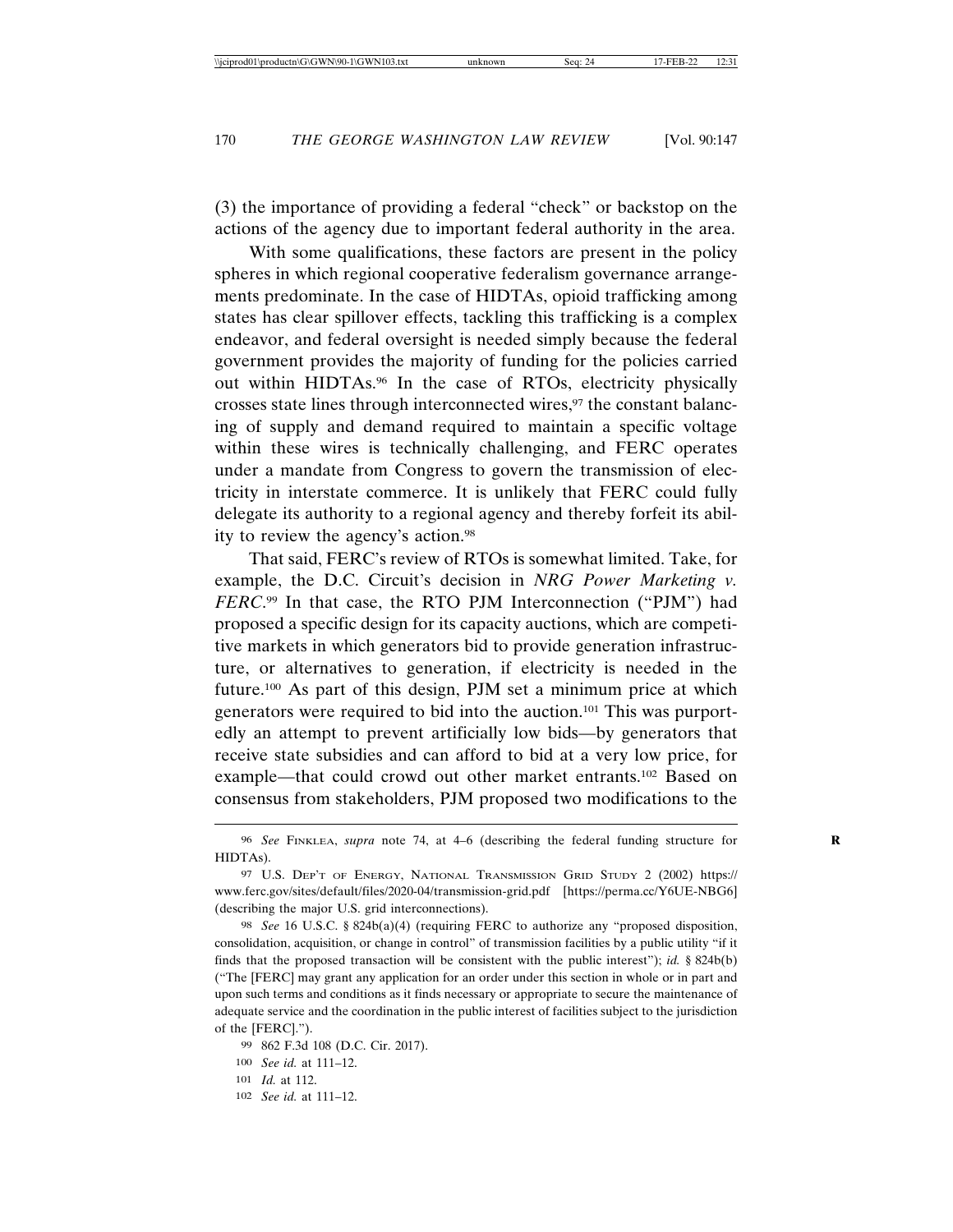(3) the importance of providing a federal "check" or backstop on the actions of the agency due to important federal authority in the area.

With some qualifications, these factors are present in the policy spheres in which regional cooperative federalism governance arrangements predominate. In the case of HIDTAs, opioid trafficking among states has clear spillover effects, tackling this trafficking is a complex endeavor, and federal oversight is needed simply because the federal government provides the majority of funding for the policies carried out within HIDTAs.96 In the case of RTOs, electricity physically crosses state lines through interconnected wires,<sup>97</sup> the constant balancing of supply and demand required to maintain a specific voltage within these wires is technically challenging, and FERC operates under a mandate from Congress to govern the transmission of electricity in interstate commerce. It is unlikely that FERC could fully delegate its authority to a regional agency and thereby forfeit its ability to review the agency's action.98

That said, FERC's review of RTOs is somewhat limited. Take, for example, the D.C. Circuit's decision in *NRG Power Marketing v. FERC*. 99 In that case, the RTO PJM Interconnection ("PJM") had proposed a specific design for its capacity auctions, which are competitive markets in which generators bid to provide generation infrastructure, or alternatives to generation, if electricity is needed in the future.100 As part of this design, PJM set a minimum price at which generators were required to bid into the auction.101 This was purportedly an attempt to prevent artificially low bids—by generators that receive state subsidies and can afford to bid at a very low price, for example—that could crowd out other market entrants.102 Based on consensus from stakeholders, PJM proposed two modifications to the

102 *See id.* at 111–12.

<sup>96</sup> *See* FINKLEA, *supra* note 74, at 4–6 (describing the federal funding structure for **R** HIDTAs).

<sup>97</sup> U.S. DEP'T OF ENERGY, NATIONAL TRANSMISSION GRID STUDY 2 (2002) https:// www.ferc.gov/sites/default/files/2020-04/transmission-grid.pdf [https://perma.cc/Y6UE-NBG6] (describing the major U.S. grid interconnections).

<sup>98</sup> *See* 16 U.S.C. § 824b(a)(4) (requiring FERC to authorize any "proposed disposition, consolidation, acquisition, or change in control" of transmission facilities by a public utility "if it finds that the proposed transaction will be consistent with the public interest"); *id.* § 824b(b) ("The [FERC] may grant any application for an order under this section in whole or in part and upon such terms and conditions as it finds necessary or appropriate to secure the maintenance of adequate service and the coordination in the public interest of facilities subject to the jurisdiction of the [FERC].").

<sup>99</sup> 862 F.3d 108 (D.C. Cir. 2017).

<sup>100</sup> *See id.* at 111–12.

<sup>101</sup> *Id.* at 112.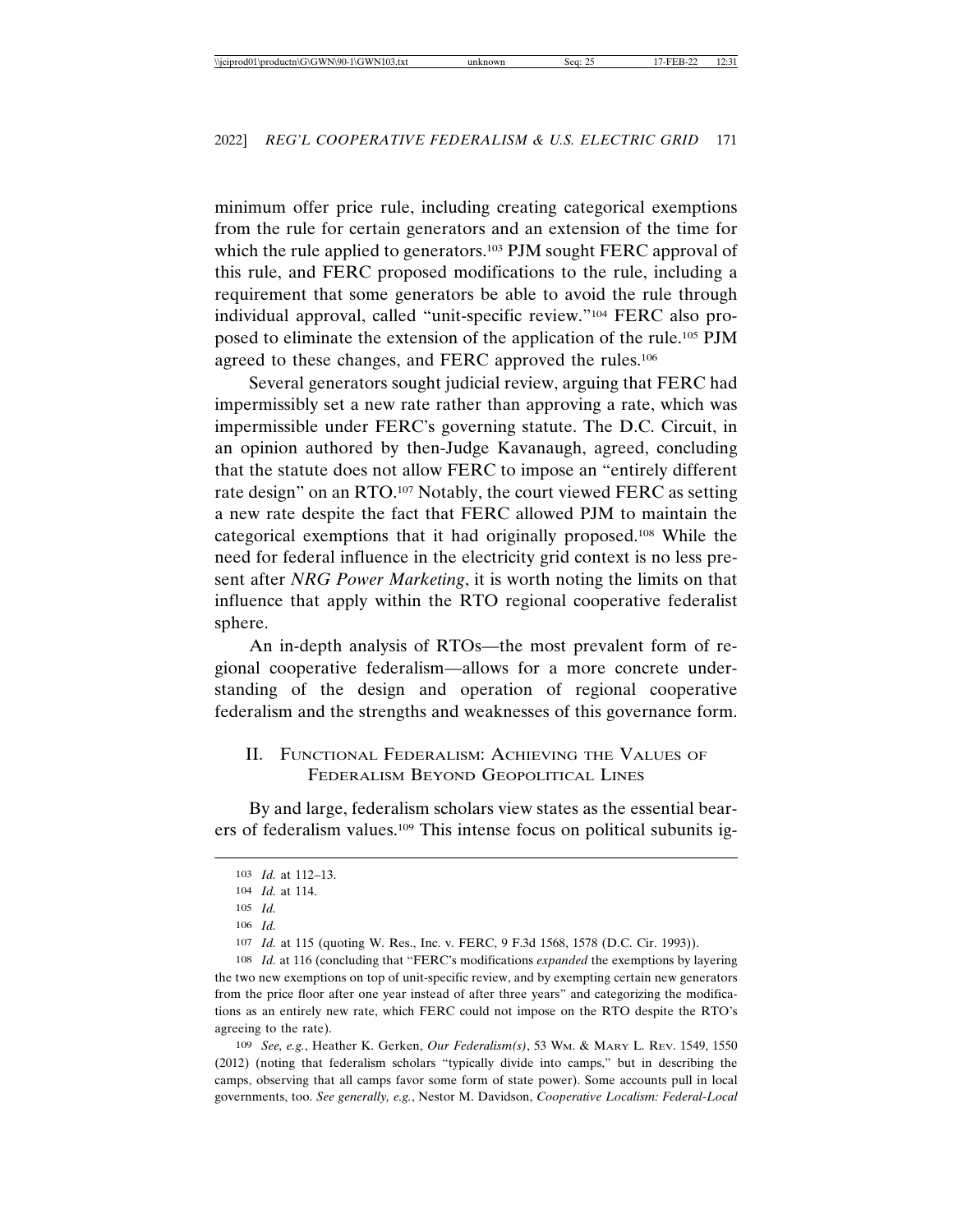minimum offer price rule, including creating categorical exemptions from the rule for certain generators and an extension of the time for which the rule applied to generators.<sup>103</sup> PJM sought FERC approval of this rule, and FERC proposed modifications to the rule, including a requirement that some generators be able to avoid the rule through individual approval, called "unit-specific review."104 FERC also proposed to eliminate the extension of the application of the rule.105 PJM agreed to these changes, and FERC approved the rules.<sup>106</sup>

Several generators sought judicial review, arguing that FERC had impermissibly set a new rate rather than approving a rate, which was impermissible under FERC's governing statute. The D.C. Circuit, in an opinion authored by then-Judge Kavanaugh, agreed, concluding that the statute does not allow FERC to impose an "entirely different rate design" on an RTO.107 Notably, the court viewed FERC as setting a new rate despite the fact that FERC allowed PJM to maintain the categorical exemptions that it had originally proposed.108 While the need for federal influence in the electricity grid context is no less present after *NRG Power Marketing*, it is worth noting the limits on that influence that apply within the RTO regional cooperative federalist sphere.

An in-depth analysis of RTOs—the most prevalent form of regional cooperative federalism—allows for a more concrete understanding of the design and operation of regional cooperative federalism and the strengths and weaknesses of this governance form.

## II. FUNCTIONAL FEDERALISM: ACHIEVING THE VALUES OF FEDERALISM BEYOND GEOPOLITICAL LINES

By and large, federalism scholars view states as the essential bearers of federalism values.109 This intense focus on political subunits ig-

108 *Id.* at 116 (concluding that "FERC's modifications *expanded* the exemptions by layering the two new exemptions on top of unit-specific review, and by exempting certain new generators from the price floor after one year instead of after three years" and categorizing the modifications as an entirely new rate, which FERC could not impose on the RTO despite the RTO's agreeing to the rate).

109 *See, e.g.*, Heather K. Gerken, *Our Federalism(s)*, 53 WM. & MARY L. REV. 1549, 1550 (2012) (noting that federalism scholars "typically divide into camps," but in describing the camps, observing that all camps favor some form of state power). Some accounts pull in local governments, too. *See generally, e.g.*, Nestor M. Davidson, *Cooperative Localism: Federal-Local*

<sup>103</sup> *Id.* at 112–13.

<sup>104</sup> *Id.* at 114.

<sup>105</sup> *Id.*

<sup>106</sup> *Id.*

<sup>107</sup> *Id.* at 115 (quoting W. Res., Inc. v. FERC, 9 F.3d 1568, 1578 (D.C. Cir. 1993)).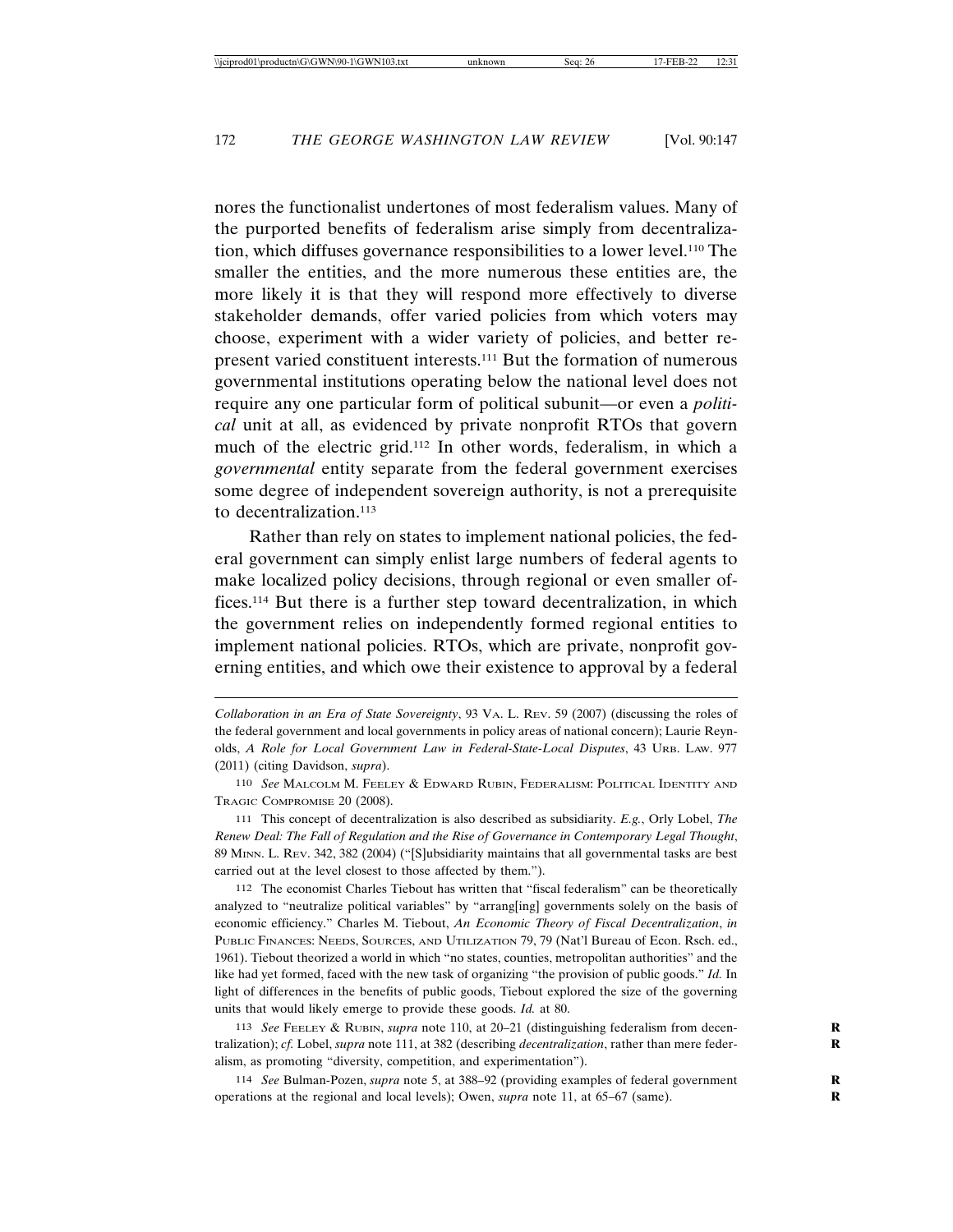nores the functionalist undertones of most federalism values. Many of the purported benefits of federalism arise simply from decentralization, which diffuses governance responsibilities to a lower level.110 The smaller the entities, and the more numerous these entities are, the more likely it is that they will respond more effectively to diverse stakeholder demands, offer varied policies from which voters may choose, experiment with a wider variety of policies, and better represent varied constituent interests.111 But the formation of numerous governmental institutions operating below the national level does not require any one particular form of political subunit—or even a *political* unit at all, as evidenced by private nonprofit RTOs that govern much of the electric grid.112 In other words, federalism, in which a *governmental* entity separate from the federal government exercises some degree of independent sovereign authority, is not a prerequisite to decentralization.<sup>113</sup>

Rather than rely on states to implement national policies, the federal government can simply enlist large numbers of federal agents to make localized policy decisions, through regional or even smaller offices.114 But there is a further step toward decentralization, in which the government relies on independently formed regional entities to implement national policies. RTOs, which are private, nonprofit governing entities, and which owe their existence to approval by a federal

111 This concept of decentralization is also described as subsidiarity. *E.g.*, Orly Lobel, *The Renew Deal: The Fall of Regulation and the Rise of Governance in Contemporary Legal Thought*, 89 MINN. L. REV. 342, 382 (2004) ("[S]ubsidiarity maintains that all governmental tasks are best carried out at the level closest to those affected by them.").

112 The economist Charles Tiebout has written that "fiscal federalism" can be theoretically analyzed to "neutralize political variables" by "arrang[ing] governments solely on the basis of economic efficiency." Charles M. Tiebout, *An Economic Theory of Fiscal Decentralization*, *in* PUBLIC FINANCES: NEEDS, SOURCES, AND UTILIZATION 79, 79 (Nat'l Bureau of Econ. Rsch. ed., 1961). Tiebout theorized a world in which "no states, counties, metropolitan authorities" and the like had yet formed, faced with the new task of organizing "the provision of public goods." *Id.* In light of differences in the benefits of public goods, Tiebout explored the size of the governing units that would likely emerge to provide these goods. *Id.* at 80.

113 *See* FEELEY & RUBIN, *supra* note 110, at 20–21 (distinguishing federalism from decen- **R** tralization); *cf.* Lobel, *supra* note 111, at 382 (describing *decentralization*, rather than mere federalism, as promoting "diversity, competition, and experimentation").

114 *See* Bulman-Pozen, *supra* note 5, at 388–92 (providing examples of federal government **R** operations at the regional and local levels); Owen, *supra* note 11, at 65–67 (same). **R**

*Collaboration in an Era of State Sovereignty*, 93 VA. L. REV. 59 (2007) (discussing the roles of the federal government and local governments in policy areas of national concern); Laurie Reynolds, *A Role for Local Government Law in Federal-State-Local Disputes*, 43 URB. LAW. 977 (2011) (citing Davidson, *supra*).

<sup>110</sup> *See* MALCOLM M. FEELEY & EDWARD RUBIN, FEDERALISM: POLITICAL IDENTITY AND TRAGIC COMPROMISE 20 (2008).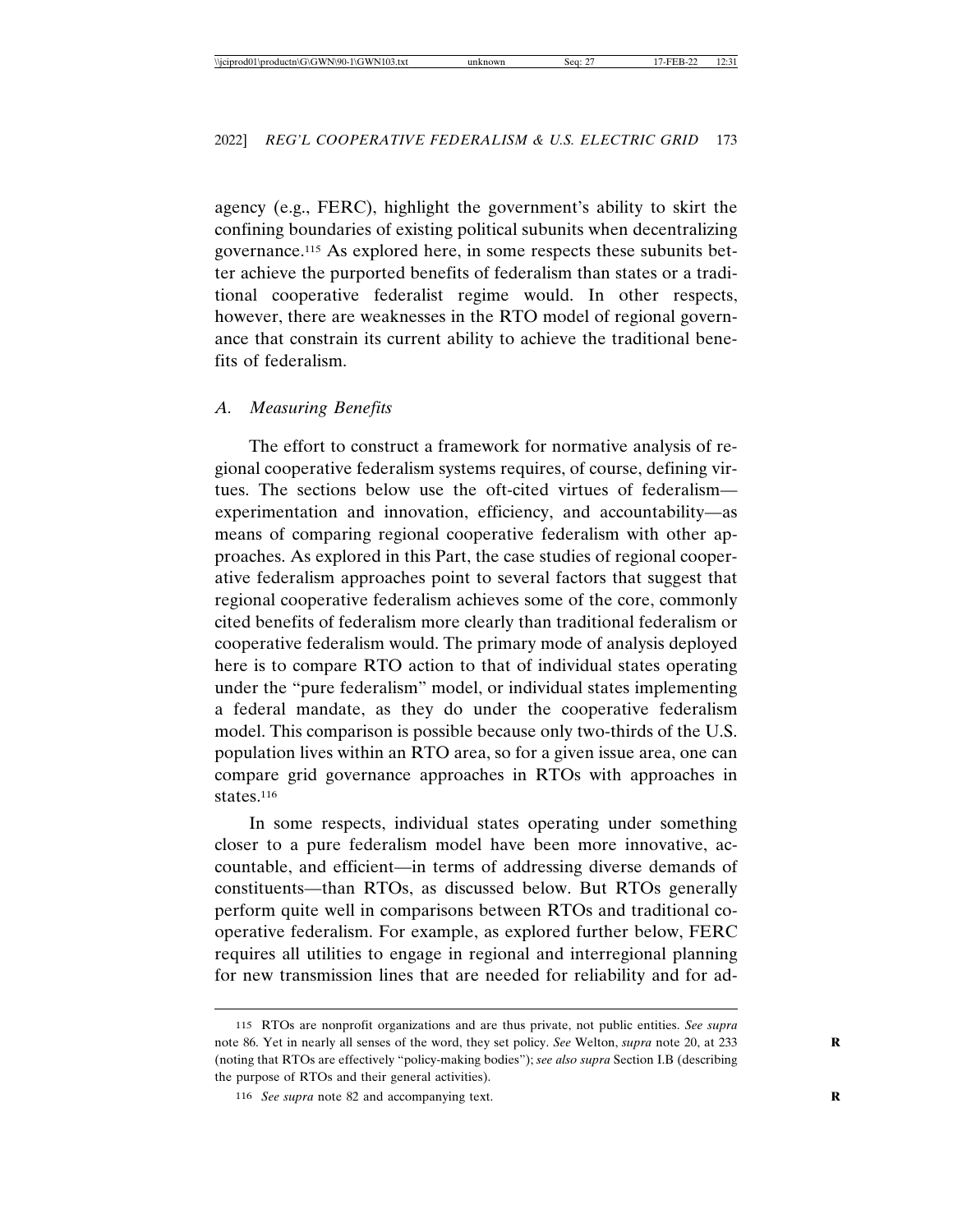agency (e.g., FERC), highlight the government's ability to skirt the confining boundaries of existing political subunits when decentralizing governance.115 As explored here, in some respects these subunits better achieve the purported benefits of federalism than states or a traditional cooperative federalist regime would. In other respects, however, there are weaknesses in the RTO model of regional governance that constrain its current ability to achieve the traditional benefits of federalism.

#### *A. Measuring Benefits*

The effort to construct a framework for normative analysis of regional cooperative federalism systems requires, of course, defining virtues. The sections below use the oft-cited virtues of federalism experimentation and innovation, efficiency, and accountability—as means of comparing regional cooperative federalism with other approaches. As explored in this Part, the case studies of regional cooperative federalism approaches point to several factors that suggest that regional cooperative federalism achieves some of the core, commonly cited benefits of federalism more clearly than traditional federalism or cooperative federalism would. The primary mode of analysis deployed here is to compare RTO action to that of individual states operating under the "pure federalism" model, or individual states implementing a federal mandate, as they do under the cooperative federalism model. This comparison is possible because only two-thirds of the U.S. population lives within an RTO area, so for a given issue area, one can compare grid governance approaches in RTOs with approaches in states.<sup>116</sup>

In some respects, individual states operating under something closer to a pure federalism model have been more innovative, accountable, and efficient—in terms of addressing diverse demands of constituents—than RTOs, as discussed below. But RTOs generally perform quite well in comparisons between RTOs and traditional cooperative federalism. For example, as explored further below, FERC requires all utilities to engage in regional and interregional planning for new transmission lines that are needed for reliability and for ad-

<sup>115</sup> RTOs are nonprofit organizations and are thus private, not public entities. *See supra* note 86. Yet in nearly all senses of the word, they set policy. *See* Welton, *supra* note 20, at 233 **R** (noting that RTOs are effectively "policy-making bodies"); *see also supra* Section I.B (describing the purpose of RTOs and their general activities).

<sup>116</sup> *See supra* note 82 and accompanying text.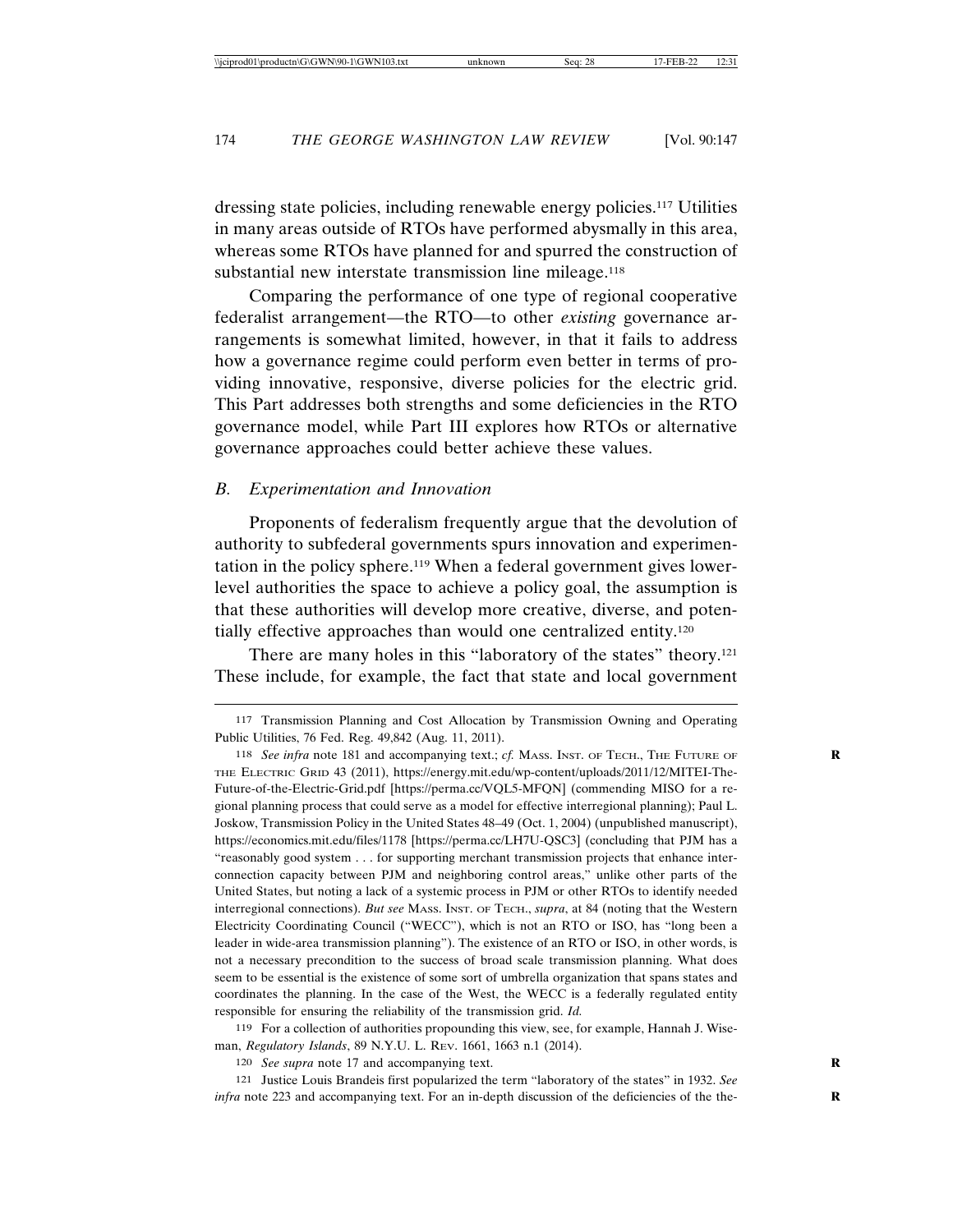dressing state policies, including renewable energy policies.117 Utilities in many areas outside of RTOs have performed abysmally in this area, whereas some RTOs have planned for and spurred the construction of substantial new interstate transmission line mileage.<sup>118</sup>

Comparing the performance of one type of regional cooperative federalist arrangement—the RTO—to other *existing* governance arrangements is somewhat limited, however, in that it fails to address how a governance regime could perform even better in terms of providing innovative, responsive, diverse policies for the electric grid. This Part addresses both strengths and some deficiencies in the RTO governance model, while Part III explores how RTOs or alternative governance approaches could better achieve these values.

#### *B. Experimentation and Innovation*

Proponents of federalism frequently argue that the devolution of authority to subfederal governments spurs innovation and experimentation in the policy sphere.119 When a federal government gives lowerlevel authorities the space to achieve a policy goal, the assumption is that these authorities will develop more creative, diverse, and potentially effective approaches than would one centralized entity.120

There are many holes in this "laboratory of the states" theory.<sup>121</sup> These include, for example, the fact that state and local government

119 For a collection of authorities propounding this view, see, for example, Hannah J. Wiseman, *Regulatory Islands*, 89 N.Y.U. L. REV. 1661, 1663 n.1 (2014).

120 *See supra* note 17 and accompanying text.

121 Justice Louis Brandeis first popularized the term "laboratory of the states" in 1932. *See infra* note 223 and accompanying text. For an in-depth discussion of the deficiencies of the the-

<sup>117</sup> Transmission Planning and Cost Allocation by Transmission Owning and Operating Public Utilities, 76 Fed. Reg. 49,842 (Aug. 11, 2011).

<sup>118</sup> *See infra* note 181 and accompanying text.; *cf.* MASS. INST. OF TECH., THE FUTURE OF **R** THE ELECTRIC GRID 43 (2011), https://energy.mit.edu/wp-content/uploads/2011/12/MITEI-The-Future-of-the-Electric-Grid.pdf [https://perma.cc/VQL5-MFQN] (commending MISO for a regional planning process that could serve as a model for effective interregional planning); Paul L. Joskow, Transmission Policy in the United States 48–49 (Oct. 1, 2004) (unpublished manuscript), https://economics.mit.edu/files/1178 [https://perma.cc/LH7U-QSC3] (concluding that PJM has a "reasonably good system . . . for supporting merchant transmission projects that enhance interconnection capacity between PJM and neighboring control areas," unlike other parts of the United States, but noting a lack of a systemic process in PJM or other RTOs to identify needed interregional connections). *But see* MASS. INST. OF TECH., *supra*, at 84 (noting that the Western Electricity Coordinating Council ("WECC"), which is not an RTO or ISO, has "long been a leader in wide-area transmission planning"). The existence of an RTO or ISO, in other words, is not a necessary precondition to the success of broad scale transmission planning. What does seem to be essential is the existence of some sort of umbrella organization that spans states and coordinates the planning. In the case of the West, the WECC is a federally regulated entity responsible for ensuring the reliability of the transmission grid. *Id.*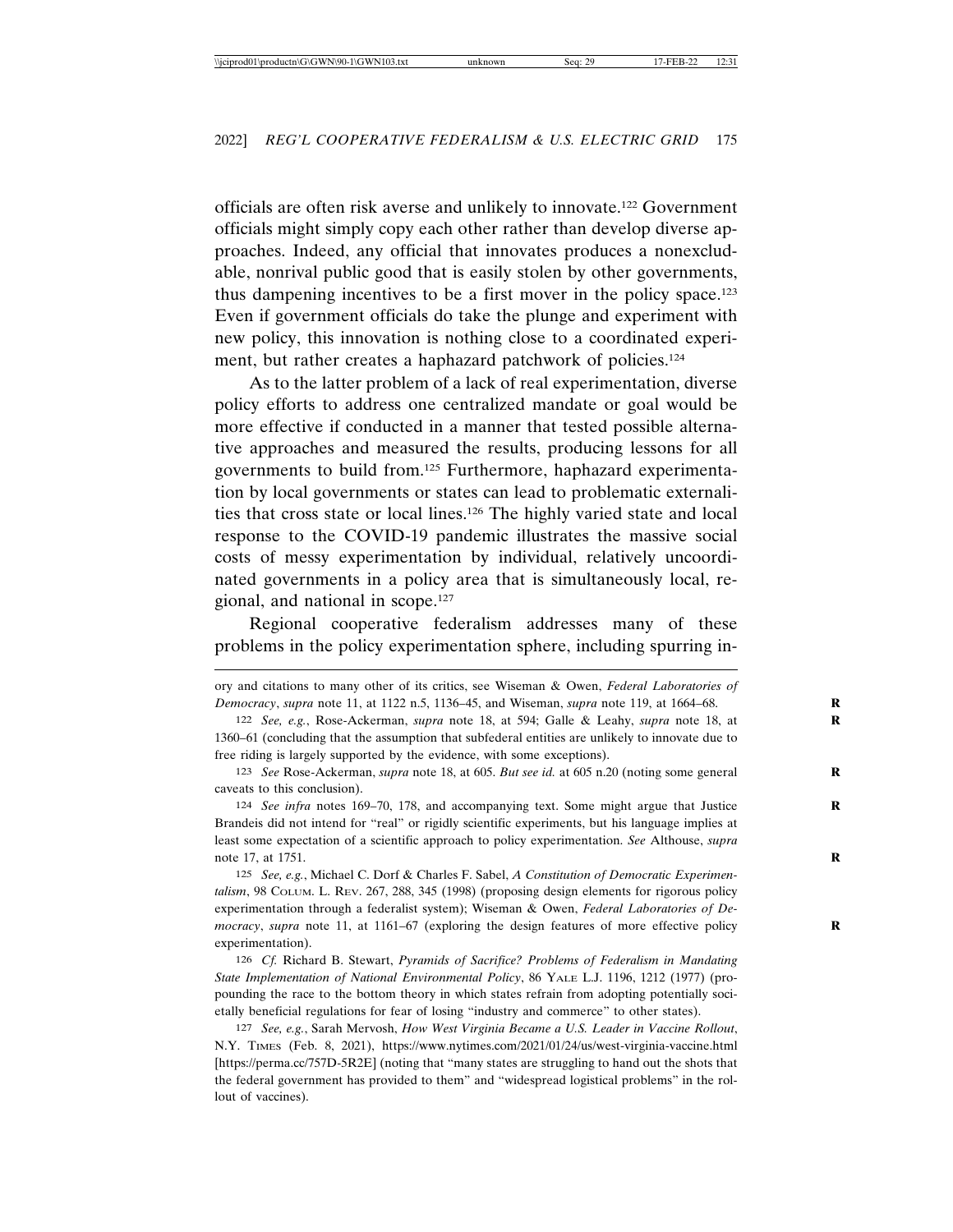officials are often risk averse and unlikely to innovate.122 Government officials might simply copy each other rather than develop diverse approaches. Indeed, any official that innovates produces a nonexcludable, nonrival public good that is easily stolen by other governments, thus dampening incentives to be a first mover in the policy space.123 Even if government officials do take the plunge and experiment with new policy, this innovation is nothing close to a coordinated experiment, but rather creates a haphazard patchwork of policies.<sup>124</sup>

As to the latter problem of a lack of real experimentation, diverse policy efforts to address one centralized mandate or goal would be more effective if conducted in a manner that tested possible alternative approaches and measured the results, producing lessons for all governments to build from.125 Furthermore, haphazard experimentation by local governments or states can lead to problematic externalities that cross state or local lines.126 The highly varied state and local response to the COVID-19 pandemic illustrates the massive social costs of messy experimentation by individual, relatively uncoordinated governments in a policy area that is simultaneously local, regional, and national in scope.127

Regional cooperative federalism addresses many of these problems in the policy experimentation sphere, including spurring in-

124 *See infra* notes 169–70, 178, and accompanying text. Some might argue that Justice **R** Brandeis did not intend for "real" or rigidly scientific experiments, but his language implies at least some expectation of a scientific approach to policy experimentation. *See* Althouse, *supra* note 17, at 1751. **R**

125 *See, e.g.*, Michael C. Dorf & Charles F. Sabel, *A Constitution of Democratic Experimentalism*, 98 COLUM. L. REV. 267, 288, 345 (1998) (proposing design elements for rigorous policy experimentation through a federalist system); Wiseman & Owen, *Federal Laboratories of Democracy*, *supra* note 11, at 1161–67 (exploring the design features of more effective policy **R** experimentation).

126 *Cf.* Richard B. Stewart, *Pyramids of Sacrifice? Problems of Federalism in Mandating State Implementation of National Environmental Policy*, 86 YALE L.J. 1196, 1212 (1977) (propounding the race to the bottom theory in which states refrain from adopting potentially societally beneficial regulations for fear of losing "industry and commerce" to other states).

127 *See, e.g.*, Sarah Mervosh, *How West Virginia Became a U.S. Leader in Vaccine Rollout*, N.Y. TIMES (Feb. 8, 2021), https://www.nytimes.com/2021/01/24/us/west-virginia-vaccine.html [https://perma.cc/757D-5R2E] (noting that "many states are struggling to hand out the shots that the federal government has provided to them" and "widespread logistical problems" in the rollout of vaccines).

ory and citations to many other of its critics, see Wiseman & Owen, *Federal Laboratories of Democracy*, *supra* note 11, at 1122 n.5, 1136–45, and Wiseman, *supra* note 119, at 1664–68. **R**

<sup>122</sup> *See, e.g.*, Rose-Ackerman, *supra* note 18, at 594; Galle & Leahy, *supra* note 18, at **R** 1360–61 (concluding that the assumption that subfederal entities are unlikely to innovate due to free riding is largely supported by the evidence, with some exceptions).

<sup>123</sup> *See* Rose-Ackerman, *supra* note 18, at 605. *But see id.* at 605 n.20 (noting some general **R** caveats to this conclusion).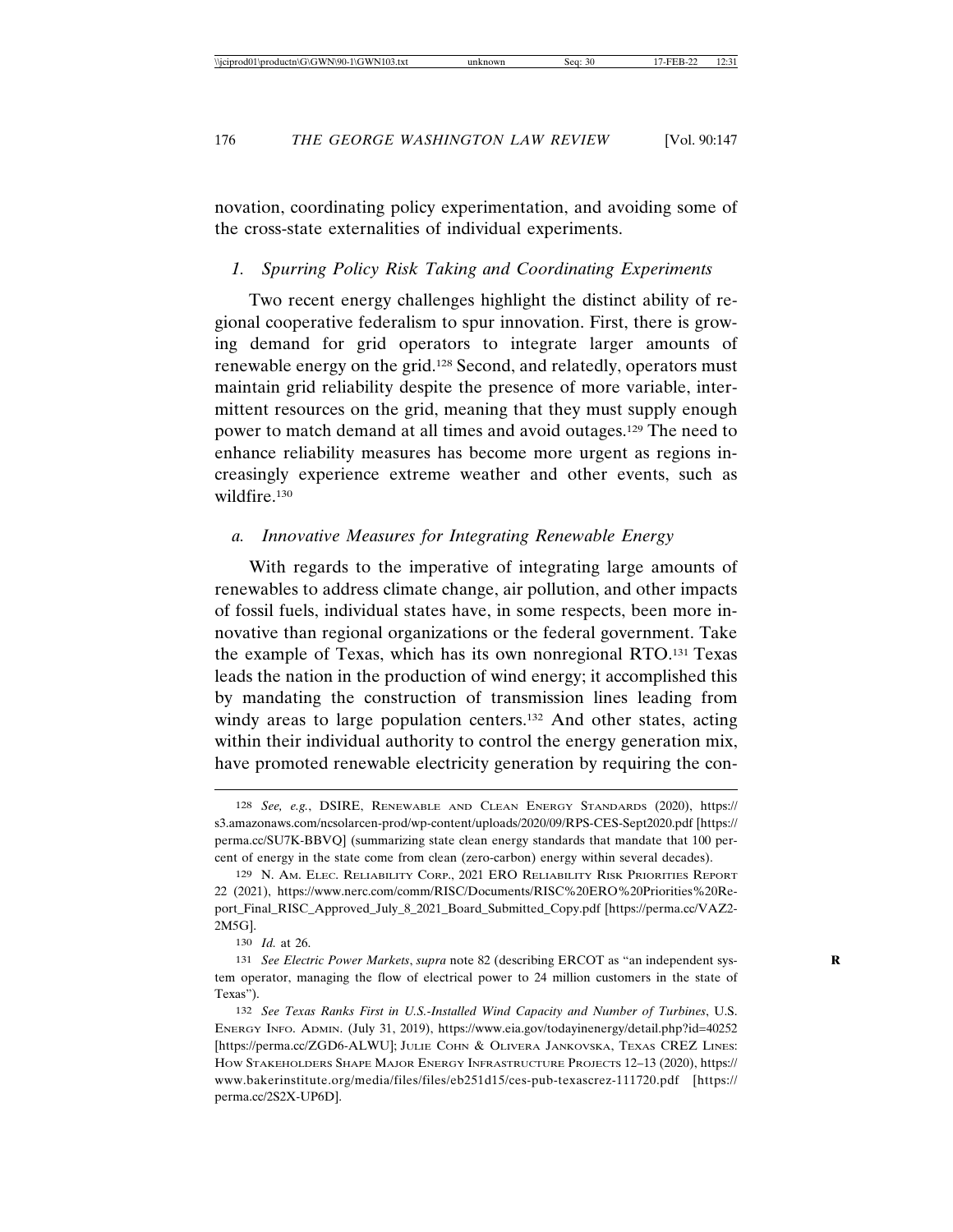novation, coordinating policy experimentation, and avoiding some of the cross-state externalities of individual experiments.

### *1. Spurring Policy Risk Taking and Coordinating Experiments*

Two recent energy challenges highlight the distinct ability of regional cooperative federalism to spur innovation. First, there is growing demand for grid operators to integrate larger amounts of renewable energy on the grid.128 Second, and relatedly, operators must maintain grid reliability despite the presence of more variable, intermittent resources on the grid, meaning that they must supply enough power to match demand at all times and avoid outages.129 The need to enhance reliability measures has become more urgent as regions increasingly experience extreme weather and other events, such as wildfire.130

### *a. Innovative Measures for Integrating Renewable Energy*

With regards to the imperative of integrating large amounts of renewables to address climate change, air pollution, and other impacts of fossil fuels, individual states have, in some respects, been more innovative than regional organizations or the federal government. Take the example of Texas, which has its own nonregional RTO.131 Texas leads the nation in the production of wind energy; it accomplished this by mandating the construction of transmission lines leading from windy areas to large population centers.<sup>132</sup> And other states, acting within their individual authority to control the energy generation mix, have promoted renewable electricity generation by requiring the con-

<sup>128</sup> *See, e.g.*, DSIRE, RENEWABLE AND CLEAN ENERGY STANDARDS (2020), https:// s3.amazonaws.com/ncsolarcen-prod/wp-content/uploads/2020/09/RPS-CES-Sept2020.pdf [https:// perma.cc/SU7K-BBVQ] (summarizing state clean energy standards that mandate that 100 percent of energy in the state come from clean (zero-carbon) energy within several decades).

<sup>129</sup> N. AM. ELEC. RELIABILITY CORP., 2021 ERO RELIABILITY RISK PRIORITIES REPORT 22 (2021), https://www.nerc.com/comm/RISC/Documents/RISC%20ERO%20Priorities%20Report\_Final\_RISC\_Approved\_July\_8\_2021\_Board\_Submitted\_Copy.pdf [https://perma.cc/VAZ2- 2M5G].

<sup>130</sup> *Id.* at 26.

<sup>131</sup> *See Electric Power Markets*, *supra* note 82 (describing ERCOT as "an independent sys- **R** tem operator, managing the flow of electrical power to 24 million customers in the state of Texas").

<sup>132</sup> *See Texas Ranks First in U.S.-Installed Wind Capacity and Number of Turbines*, U.S. ENERGY INFO. ADMIN. (July 31, 2019), https://www.eia.gov/todayinenergy/detail.php?id=40252 [https://perma.cc/ZGD6-ALWU]; JULIE COHN & OLIVERA JANKOVSKA, TEXAS CREZ LINES: HOW STAKEHOLDERS SHAPE MAJOR ENERGY INFRASTRUCTURE PROJECTS 12–13 (2020), https:// www.bakerinstitute.org/media/files/files/eb251d15/ces-pub-texascrez-111720.pdf [https:// perma.cc/2S2X-UP6D].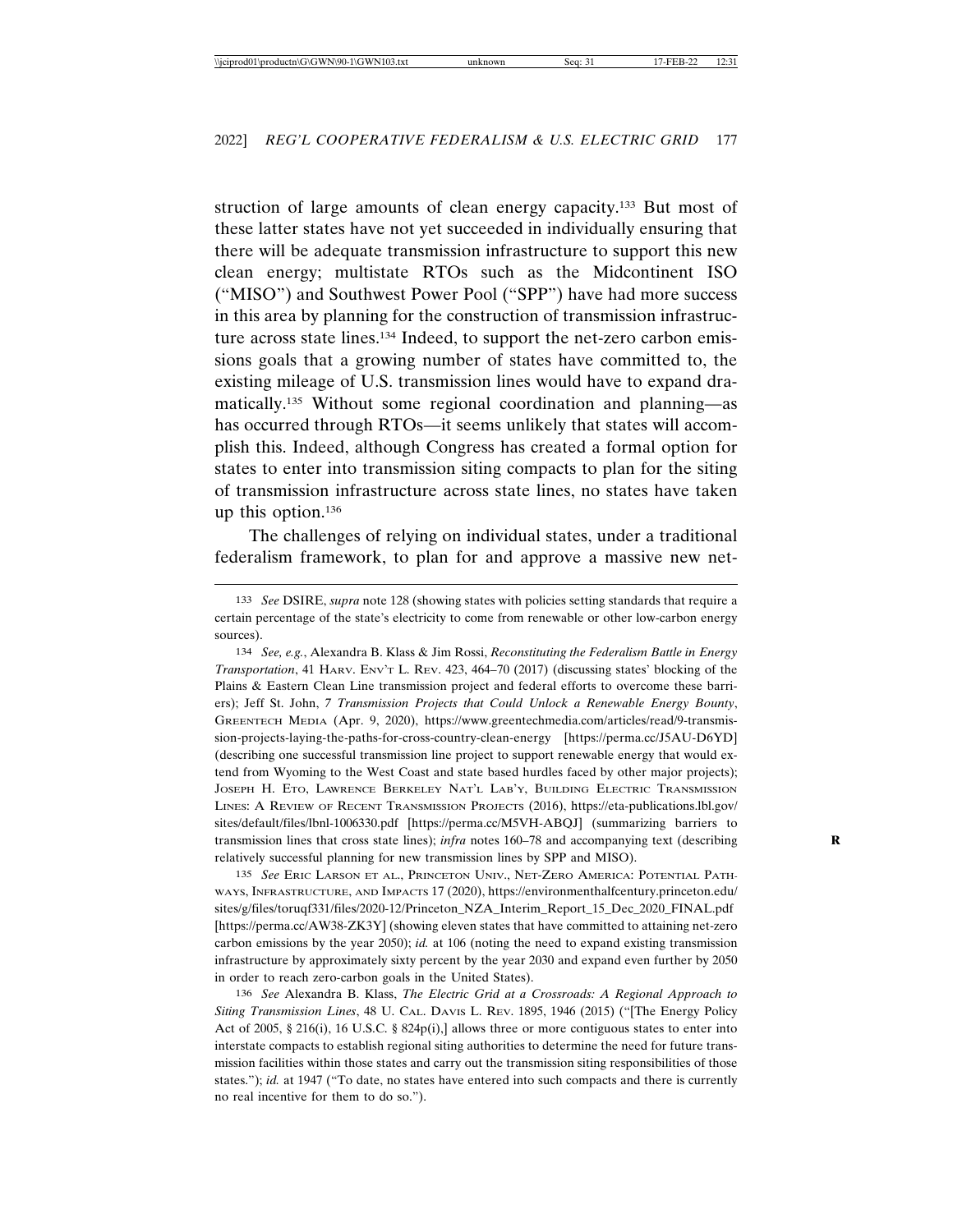struction of large amounts of clean energy capacity.133 But most of these latter states have not yet succeeded in individually ensuring that there will be adequate transmission infrastructure to support this new clean energy; multistate RTOs such as the Midcontinent ISO ("MISO") and Southwest Power Pool ("SPP") have had more success in this area by planning for the construction of transmission infrastructure across state lines.134 Indeed, to support the net-zero carbon emissions goals that a growing number of states have committed to, the existing mileage of U.S. transmission lines would have to expand dramatically.135 Without some regional coordination and planning—as has occurred through RTOs—it seems unlikely that states will accomplish this. Indeed, although Congress has created a formal option for states to enter into transmission siting compacts to plan for the siting of transmission infrastructure across state lines, no states have taken up this option.136

The challenges of relying on individual states, under a traditional federalism framework, to plan for and approve a massive new net-

134 *See, e.g.*, Alexandra B. Klass & Jim Rossi, *Reconstituting the Federalism Battle in Energy Transportation*, 41 HARV. ENV'T L. REV. 423, 464–70 (2017) (discussing states' blocking of the Plains & Eastern Clean Line transmission project and federal efforts to overcome these barriers); Jeff St. John, *7 Transmission Projects that Could Unlock a Renewable Energy Bounty*, GREENTECH MEDIA (Apr. 9, 2020), https://www.greentechmedia.com/articles/read/9-transmission-projects-laying-the-paths-for-cross-country-clean-energy [https://perma.cc/J5AU-D6YD] (describing one successful transmission line project to support renewable energy that would extend from Wyoming to the West Coast and state based hurdles faced by other major projects); JOSEPH H. ETO, LAWRENCE BERKELEY NAT'L LAB'Y, BUILDING ELECTRIC TRANSMISSION LINES: A REVIEW OF RECENT TRANSMISSION PROJECTS (2016), https://eta-publications.lbl.gov/ sites/default/files/lbnl-1006330.pdf [https://perma.cc/M5VH-ABQJ] (summarizing barriers to transmission lines that cross state lines); *infra* notes 160–78 and accompanying text (describing **R** relatively successful planning for new transmission lines by SPP and MISO).

135 *See* ERIC LARSON ET AL., PRINCETON UNIV., NET-ZERO AMERICA: POTENTIAL PATH-WAYS, INFRASTRUCTURE, AND IMPACTS 17 (2020), https://environmenthalfcentury.princeton.edu/ sites/g/files/toruqf331/files/2020-12/Princeton\_NZA\_Interim\_Report\_15\_Dec\_2020\_FINAL.pdf [https://perma.cc/AW38-ZK3Y] (showing eleven states that have committed to attaining net-zero carbon emissions by the year 2050); *id.* at 106 (noting the need to expand existing transmission infrastructure by approximately sixty percent by the year 2030 and expand even further by 2050 in order to reach zero-carbon goals in the United States).

136 *See* Alexandra B. Klass, *The Electric Grid at a Crossroads: A Regional Approach to Siting Transmission Lines*, 48 U. CAL. DAVIS L. REV. 1895, 1946 (2015) ("[The Energy Policy Act of 2005, § 216(i), 16 U.S.C. § 824p(i),] allows three or more contiguous states to enter into interstate compacts to establish regional siting authorities to determine the need for future transmission facilities within those states and carry out the transmission siting responsibilities of those states."); *id.* at 1947 ("To date, no states have entered into such compacts and there is currently no real incentive for them to do so.").

<sup>133</sup> *See* DSIRE, *supra* note 128 (showing states with policies setting standards that require a certain percentage of the state's electricity to come from renewable or other low-carbon energy sources).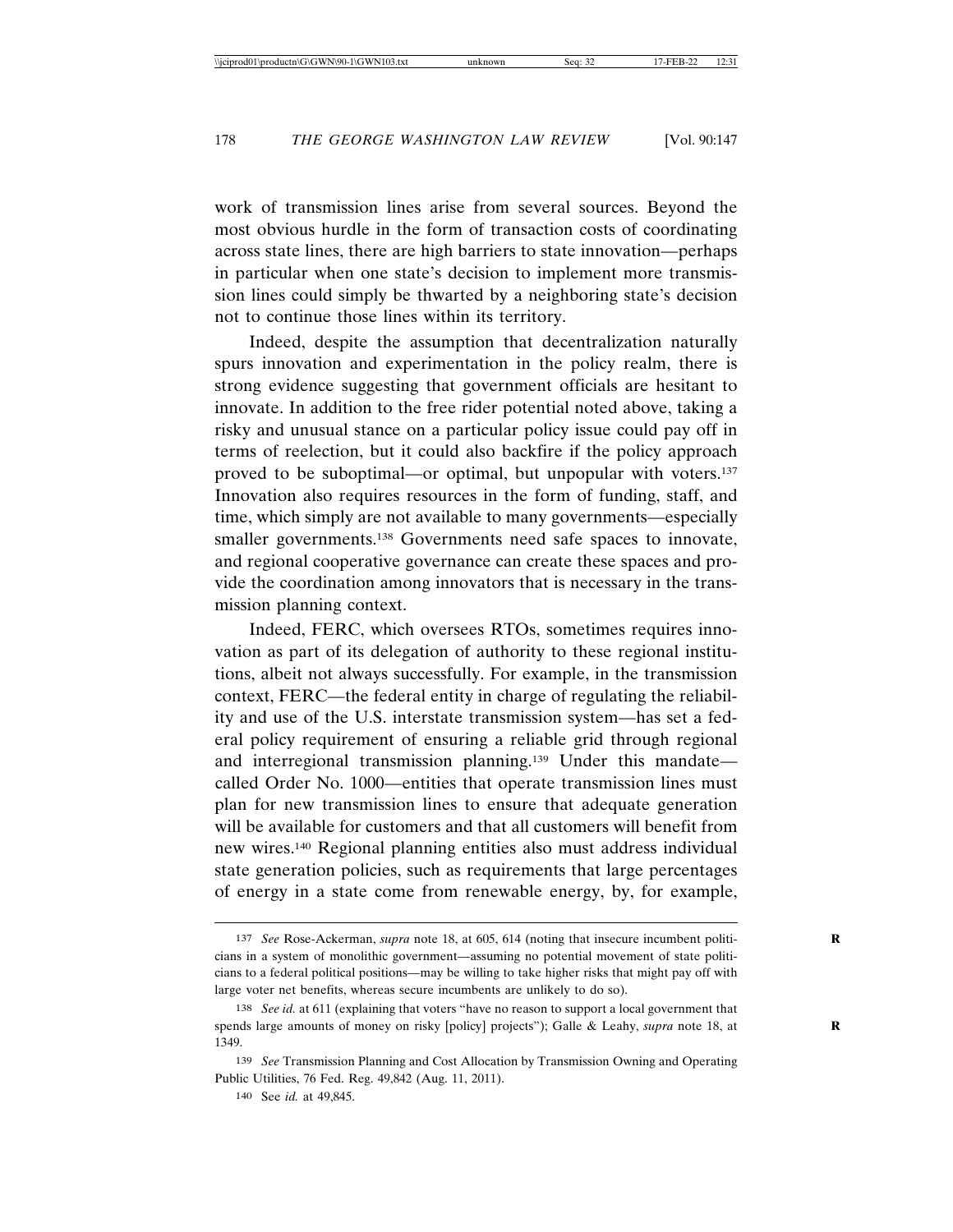work of transmission lines arise from several sources. Beyond the most obvious hurdle in the form of transaction costs of coordinating across state lines, there are high barriers to state innovation—perhaps in particular when one state's decision to implement more transmission lines could simply be thwarted by a neighboring state's decision not to continue those lines within its territory.

Indeed, despite the assumption that decentralization naturally spurs innovation and experimentation in the policy realm, there is strong evidence suggesting that government officials are hesitant to innovate. In addition to the free rider potential noted above, taking a risky and unusual stance on a particular policy issue could pay off in terms of reelection, but it could also backfire if the policy approach proved to be suboptimal—or optimal, but unpopular with voters.137 Innovation also requires resources in the form of funding, staff, and time, which simply are not available to many governments—especially smaller governments.138 Governments need safe spaces to innovate, and regional cooperative governance can create these spaces and provide the coordination among innovators that is necessary in the transmission planning context.

Indeed, FERC, which oversees RTOs, sometimes requires innovation as part of its delegation of authority to these regional institutions, albeit not always successfully. For example, in the transmission context, FERC—the federal entity in charge of regulating the reliability and use of the U.S. interstate transmission system—has set a federal policy requirement of ensuring a reliable grid through regional and interregional transmission planning.139 Under this mandate called Order No. 1000—entities that operate transmission lines must plan for new transmission lines to ensure that adequate generation will be available for customers and that all customers will benefit from new wires.140 Regional planning entities also must address individual state generation policies, such as requirements that large percentages of energy in a state come from renewable energy, by, for example,

<sup>137</sup> *See* Rose-Ackerman, *supra* note 18, at 605, 614 (noting that insecure incumbent politi- **R** cians in a system of monolithic government—assuming no potential movement of state politicians to a federal political positions—may be willing to take higher risks that might pay off with large voter net benefits, whereas secure incumbents are unlikely to do so).

<sup>138</sup> *See id.* at 611 (explaining that voters "have no reason to support a local government that spends large amounts of money on risky [policy] projects"); Galle & Leahy, *supra* note 18, at 1349.

<sup>139</sup> *See* Transmission Planning and Cost Allocation by Transmission Owning and Operating Public Utilities, 76 Fed. Reg. 49,842 (Aug. 11, 2011).

<sup>140</sup> See *id.* at 49,845.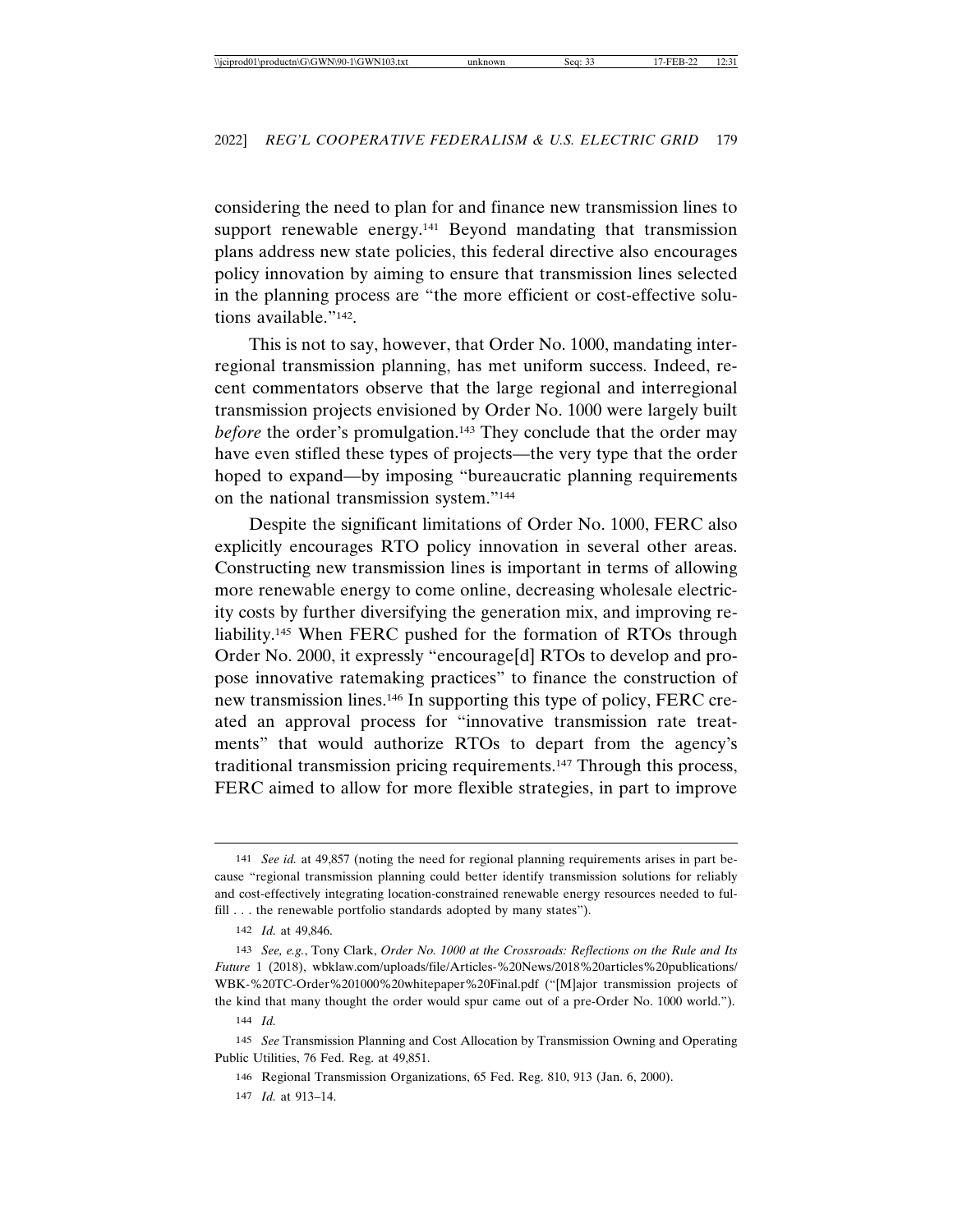considering the need to plan for and finance new transmission lines to support renewable energy.<sup>141</sup> Beyond mandating that transmission plans address new state policies, this federal directive also encourages policy innovation by aiming to ensure that transmission lines selected in the planning process are "the more efficient or cost-effective solutions available."142.

This is not to say, however, that Order No. 1000, mandating interregional transmission planning, has met uniform success. Indeed, recent commentators observe that the large regional and interregional transmission projects envisioned by Order No. 1000 were largely built *before* the order's promulgation.<sup>143</sup> They conclude that the order may have even stifled these types of projects—the very type that the order hoped to expand—by imposing "bureaucratic planning requirements on the national transmission system."144

Despite the significant limitations of Order No. 1000, FERC also explicitly encourages RTO policy innovation in several other areas. Constructing new transmission lines is important in terms of allowing more renewable energy to come online, decreasing wholesale electricity costs by further diversifying the generation mix, and improving reliability.145 When FERC pushed for the formation of RTOs through Order No. 2000, it expressly "encourage[d] RTOs to develop and propose innovative ratemaking practices" to finance the construction of new transmission lines.146 In supporting this type of policy, FERC created an approval process for "innovative transmission rate treatments" that would authorize RTOs to depart from the agency's traditional transmission pricing requirements.147 Through this process, FERC aimed to allow for more flexible strategies, in part to improve

<sup>141</sup> *See id.* at 49,857 (noting the need for regional planning requirements arises in part because "regional transmission planning could better identify transmission solutions for reliably and cost-effectively integrating location-constrained renewable energy resources needed to fulfill . . . the renewable portfolio standards adopted by many states").

<sup>142</sup> *Id.* at 49,846.

<sup>143</sup> *See, e.g.*, Tony Clark, *Order No. 1000 at the Crossroads: Reflections on the Rule and Its Future* 1 (2018), wbklaw.com/uploads/file/Articles-%20News/2018%20articles%20publications/ WBK-%20TC-Order%201000%20whitepaper%20Final.pdf ("[M]ajor transmission projects of the kind that many thought the order would spur came out of a pre-Order No. 1000 world.").

<sup>144</sup> *Id.*

<sup>145</sup> *See* Transmission Planning and Cost Allocation by Transmission Owning and Operating Public Utilities, 76 Fed. Reg. at 49,851.

<sup>146</sup> Regional Transmission Organizations, 65 Fed. Reg. 810, 913 (Jan. 6, 2000).

<sup>147</sup> *Id.* at 913–14.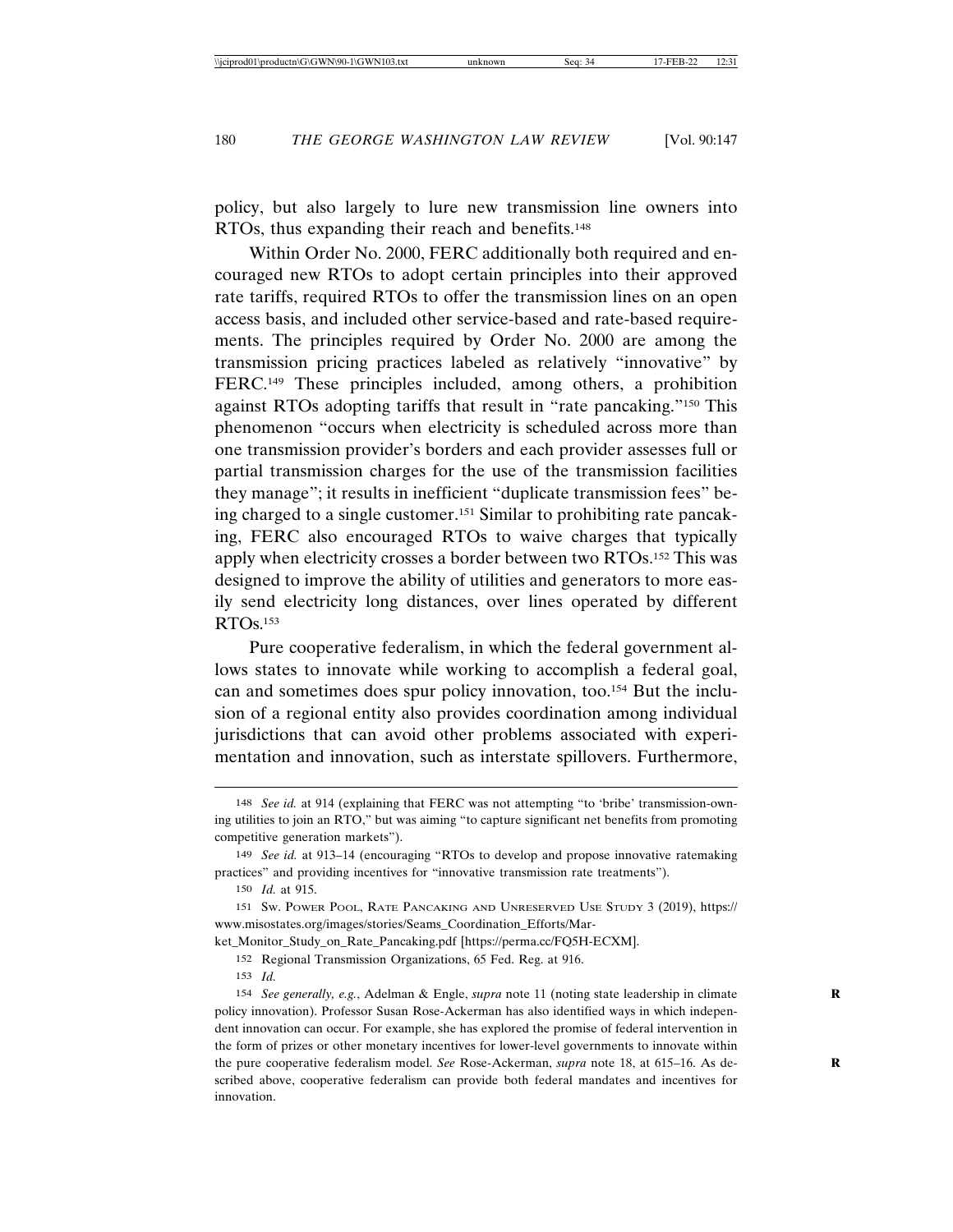policy, but also largely to lure new transmission line owners into RTOs, thus expanding their reach and benefits.<sup>148</sup>

Within Order No. 2000, FERC additionally both required and encouraged new RTOs to adopt certain principles into their approved rate tariffs, required RTOs to offer the transmission lines on an open access basis, and included other service-based and rate-based requirements. The principles required by Order No. 2000 are among the transmission pricing practices labeled as relatively "innovative" by FERC.149 These principles included, among others, a prohibition against RTOs adopting tariffs that result in "rate pancaking."150 This phenomenon "occurs when electricity is scheduled across more than one transmission provider's borders and each provider assesses full or partial transmission charges for the use of the transmission facilities they manage"; it results in inefficient "duplicate transmission fees" being charged to a single customer.151 Similar to prohibiting rate pancaking, FERC also encouraged RTOs to waive charges that typically apply when electricity crosses a border between two RTOs.152 This was designed to improve the ability of utilities and generators to more easily send electricity long distances, over lines operated by different RTOs.153

Pure cooperative federalism, in which the federal government allows states to innovate while working to accomplish a federal goal, can and sometimes does spur policy innovation, too.154 But the inclusion of a regional entity also provides coordination among individual jurisdictions that can avoid other problems associated with experimentation and innovation, such as interstate spillovers. Furthermore,

<sup>148</sup> *See id.* at 914 (explaining that FERC was not attempting "to 'bribe' transmission-owning utilities to join an RTO," but was aiming "to capture significant net benefits from promoting competitive generation markets").

<sup>149</sup> *See id.* at 913–14 (encouraging "RTOs to develop and propose innovative ratemaking practices" and providing incentives for "innovative transmission rate treatments").

<sup>150</sup> *Id.* at 915.

<sup>151</sup> SW. POWER POOL, RATE PANCAKING AND UNRESERVED USE STUDY 3 (2019), https:// www.misostates.org/images/stories/Seams\_Coordination\_Efforts/Mar-

ket\_Monitor\_Study\_on\_Rate\_Pancaking.pdf [https://perma.cc/FQ5H-ECXM].

<sup>152</sup> Regional Transmission Organizations, 65 Fed. Reg. at 916.

<sup>153</sup> *Id.*

<sup>154</sup> *See generally, e.g.*, Adelman & Engle, *supra* note 11 (noting state leadership in climate **R** policy innovation). Professor Susan Rose-Ackerman has also identified ways in which independent innovation can occur. For example, she has explored the promise of federal intervention in the form of prizes or other monetary incentives for lower-level governments to innovate within the pure cooperative federalism model. See Rose-Ackerman, *supra* note 18, at 615-16. As described above, cooperative federalism can provide both federal mandates and incentives for innovation.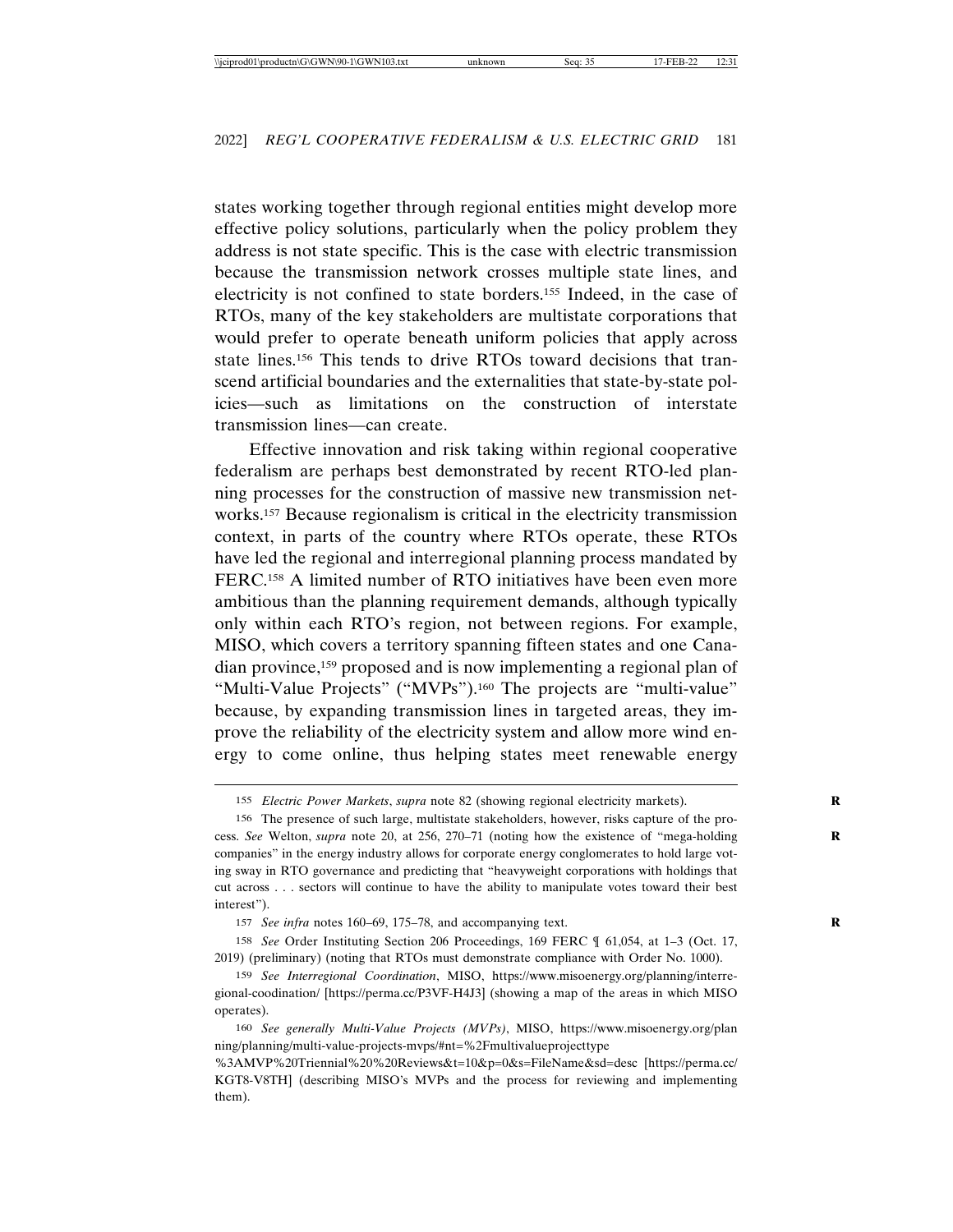states working together through regional entities might develop more effective policy solutions, particularly when the policy problem they address is not state specific. This is the case with electric transmission because the transmission network crosses multiple state lines, and electricity is not confined to state borders.155 Indeed, in the case of RTOs, many of the key stakeholders are multistate corporations that would prefer to operate beneath uniform policies that apply across state lines.156 This tends to drive RTOs toward decisions that transcend artificial boundaries and the externalities that state-by-state policies—such as limitations on the construction of interstate transmission lines—can create.

Effective innovation and risk taking within regional cooperative federalism are perhaps best demonstrated by recent RTO-led planning processes for the construction of massive new transmission networks.157 Because regionalism is critical in the electricity transmission context, in parts of the country where RTOs operate, these RTOs have led the regional and interregional planning process mandated by FERC.158 A limited number of RTO initiatives have been even more ambitious than the planning requirement demands, although typically only within each RTO's region, not between regions. For example, MISO, which covers a territory spanning fifteen states and one Canadian province,159 proposed and is now implementing a regional plan of "Multi-Value Projects" ("MVPs").<sup>160</sup> The projects are "multi-value" because, by expanding transmission lines in targeted areas, they improve the reliability of the electricity system and allow more wind energy to come online, thus helping states meet renewable energy

157 *See infra* notes 160-69, 175-78, and accompanying text.

158 *See* Order Instituting Section 206 Proceedings, 169 FERC ¶ 61,054, at 1–3 (Oct. 17, 2019) (preliminary) (noting that RTOs must demonstrate compliance with Order No. 1000).

159 *See Interregional Coordination*, MISO, https://www.misoenergy.org/planning/interregional-coodination/ [https://perma.cc/P3VF-H4J3] (showing a map of the areas in which MISO operates).

<sup>155</sup> *Electric Power Markets, supra* note 82 (showing regional electricity markets).

<sup>156</sup> The presence of such large, multistate stakeholders, however, risks capture of the process. *See* Welton, *supra* note 20, at 256, 270–71 (noting how the existence of "mega-holding companies" in the energy industry allows for corporate energy conglomerates to hold large voting sway in RTO governance and predicting that "heavyweight corporations with holdings that cut across . . . sectors will continue to have the ability to manipulate votes toward their best interest").

<sup>160</sup> *See generally Multi-Value Projects (MVPs)*, MISO, https://www.misoenergy.org/plan ning/planning/multi-value-projects-mvps/#nt=%2Fmultivalueprojecttype

<sup>%3</sup>AMVP%20Triennial%20%20Reviews&t=10&p=0&s=FileName&sd=desc [https://perma.cc/ KGT8-V8TH] (describing MISO's MVPs and the process for reviewing and implementing them).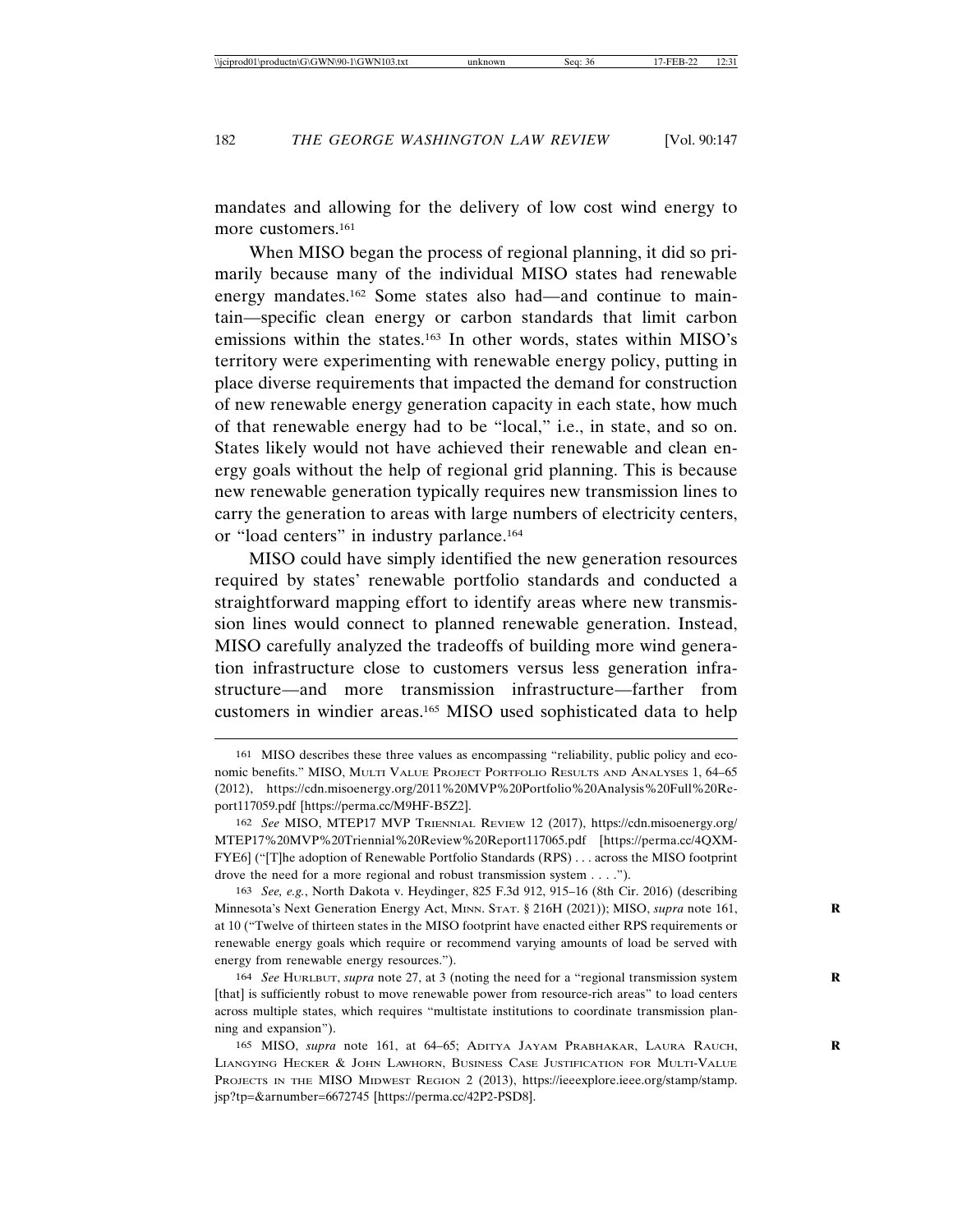mandates and allowing for the delivery of low cost wind energy to more customers.<sup>161</sup>

When MISO began the process of regional planning, it did so primarily because many of the individual MISO states had renewable energy mandates.<sup>162</sup> Some states also had—and continue to maintain—specific clean energy or carbon standards that limit carbon emissions within the states.163 In other words, states within MISO's territory were experimenting with renewable energy policy, putting in place diverse requirements that impacted the demand for construction of new renewable energy generation capacity in each state, how much of that renewable energy had to be "local," i.e., in state, and so on. States likely would not have achieved their renewable and clean energy goals without the help of regional grid planning. This is because new renewable generation typically requires new transmission lines to carry the generation to areas with large numbers of electricity centers, or "load centers" in industry parlance.164

MISO could have simply identified the new generation resources required by states' renewable portfolio standards and conducted a straightforward mapping effort to identify areas where new transmission lines would connect to planned renewable generation. Instead, MISO carefully analyzed the tradeoffs of building more wind generation infrastructure close to customers versus less generation infrastructure—and more transmission infrastructure—farther from customers in windier areas.165 MISO used sophisticated data to help

<sup>161</sup> MISO describes these three values as encompassing "reliability, public policy and economic benefits." MISO, MULTI VALUE PROJECT PORTFOLIO RESULTS AND ANALYSES 1, 64–65 (2012), https://cdn.misoenergy.org/2011%20MVP%20Portfolio%20Analysis%20Full%20Report117059.pdf [https://perma.cc/M9HF-B5Z2].

<sup>162</sup> *See* MISO, MTEP17 MVP TRIENNIAL REVIEW 12 (2017), https://cdn.misoenergy.org/ MTEP17%20MVP%20Triennial%20Review%20Report117065.pdf [https://perma.cc/4QXM-FYE6] ("[T]he adoption of Renewable Portfolio Standards (RPS) . . . across the MISO footprint drove the need for a more regional and robust transmission system . . . .").

<sup>163</sup> *See, e.g.*, North Dakota v. Heydinger, 825 F.3d 912, 915–16 (8th Cir. 2016) (describing Minnesota's Next Generation Energy Act, MINN. STAT. § 216H (2021)); MISO, *supra* note 161, **R** at 10 ("Twelve of thirteen states in the MISO footprint have enacted either RPS requirements or renewable energy goals which require or recommend varying amounts of load be served with energy from renewable energy resources.").

<sup>164</sup> *See* HURLBUT, *supra* note 27, at 3 (noting the need for a "regional transmission system **R** [that] is sufficiently robust to move renewable power from resource-rich areas" to load centers across multiple states, which requires "multistate institutions to coordinate transmission planning and expansion").

<sup>165</sup> MISO, *supra* note 161, at 64–65; ADITYA JAYAM PRABHAKAR, LAURA RAUCH, **R** LIANGYING HECKER & JOHN LAWHORN, BUSINESS CASE JUSTIFICATION FOR MULTI-VALUE PROJECTS IN THE MISO MIDWEST REGION 2 (2013), https://ieeexplore.ieee.org/stamp/stamp. jsp?tp=&arnumber=6672745 [https://perma.cc/42P2-PSD8].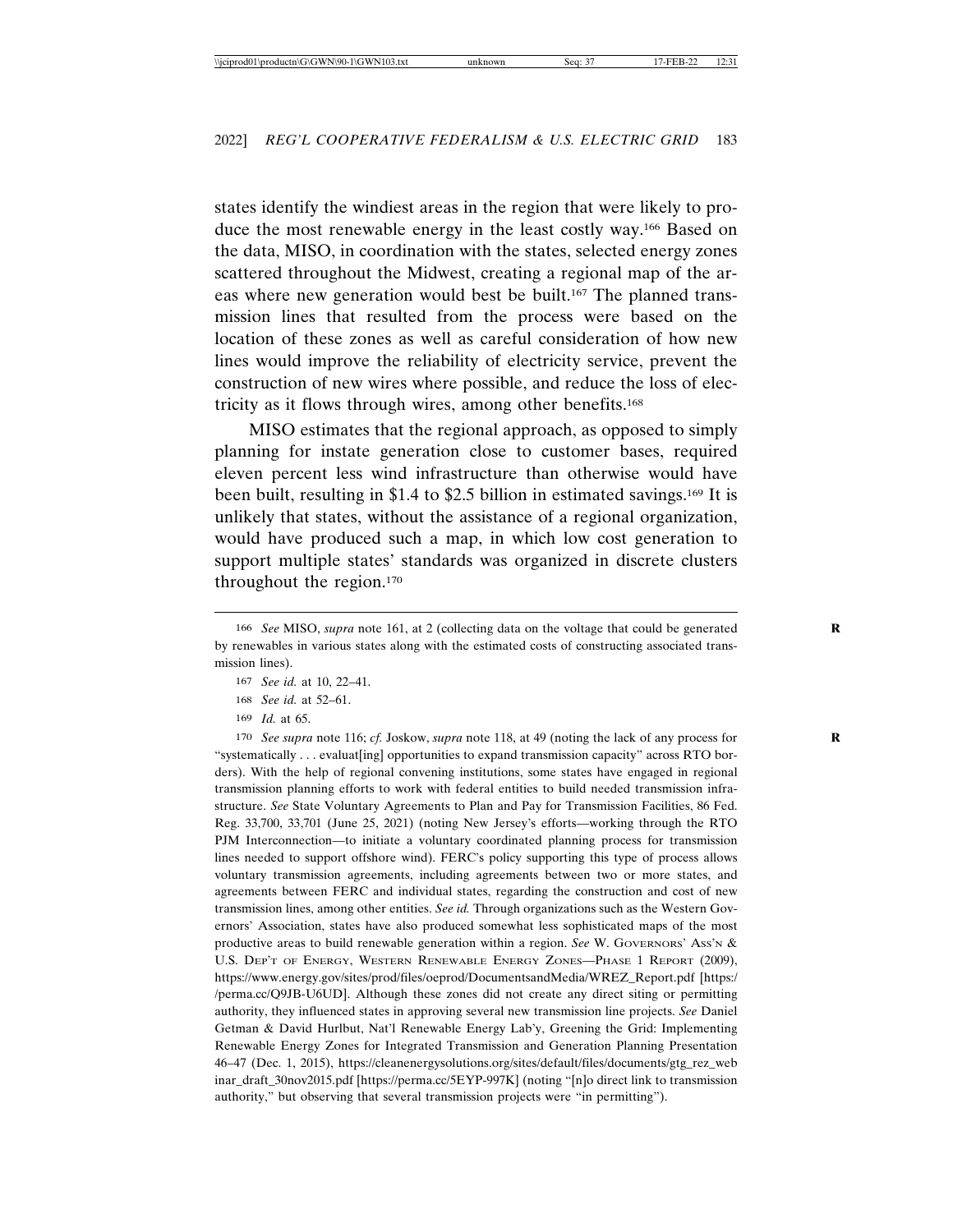states identify the windiest areas in the region that were likely to produce the most renewable energy in the least costly way.166 Based on the data, MISO, in coordination with the states, selected energy zones scattered throughout the Midwest, creating a regional map of the areas where new generation would best be built.<sup>167</sup> The planned transmission lines that resulted from the process were based on the location of these zones as well as careful consideration of how new lines would improve the reliability of electricity service, prevent the construction of new wires where possible, and reduce the loss of electricity as it flows through wires, among other benefits.168

MISO estimates that the regional approach, as opposed to simply planning for instate generation close to customer bases, required eleven percent less wind infrastructure than otherwise would have been built, resulting in \$1.4 to \$2.5 billion in estimated savings.169 It is unlikely that states, without the assistance of a regional organization, would have produced such a map, in which low cost generation to support multiple states' standards was organized in discrete clusters throughout the region.170

- 167 *See id.* at 10, 22–41.
- 168 *See id.* at 52–61.
- 169 *Id.* at 65.

170 *See supra* note 116; *cf.* Joskow, *supra* note 118, at 49 (noting the lack of any process for **R** "systematically . . . evaluat[ing] opportunities to expand transmission capacity" across RTO borders). With the help of regional convening institutions, some states have engaged in regional transmission planning efforts to work with federal entities to build needed transmission infrastructure. *See* State Voluntary Agreements to Plan and Pay for Transmission Facilities, 86 Fed. Reg. 33,700, 33,701 (June 25, 2021) (noting New Jersey's efforts—working through the RTO PJM Interconnection—to initiate a voluntary coordinated planning process for transmission lines needed to support offshore wind). FERC's policy supporting this type of process allows voluntary transmission agreements, including agreements between two or more states, and agreements between FERC and individual states, regarding the construction and cost of new transmission lines, among other entities. *See id.* Through organizations such as the Western Governors' Association, states have also produced somewhat less sophisticated maps of the most productive areas to build renewable generation within a region. *See W. GOVERNORS' Ass'n &* U.S. DEP'T OF ENERGY, WESTERN RENEWABLE ENERGY ZONES—PHASE 1 REPORT (2009), https://www.energy.gov/sites/prod/files/oeprod/DocumentsandMedia/WREZ\_Report.pdf [https:/ /perma.cc/Q9JB-U6UD]. Although these zones did not create any direct siting or permitting authority, they influenced states in approving several new transmission line projects. *See* Daniel Getman & David Hurlbut, Nat'l Renewable Energy Lab'y, Greening the Grid: Implementing Renewable Energy Zones for Integrated Transmission and Generation Planning Presentation 46–47 (Dec. 1, 2015), https://cleanenergysolutions.org/sites/default/files/documents/gtg\_rez\_web inar\_draft\_30nov2015.pdf [https://perma.cc/5EYP-997K] (noting "[n]o direct link to transmission authority," but observing that several transmission projects were "in permitting").

<sup>166</sup> *See* MISO, *supra* note 161, at 2 (collecting data on the voltage that could be generated **R** by renewables in various states along with the estimated costs of constructing associated transmission lines).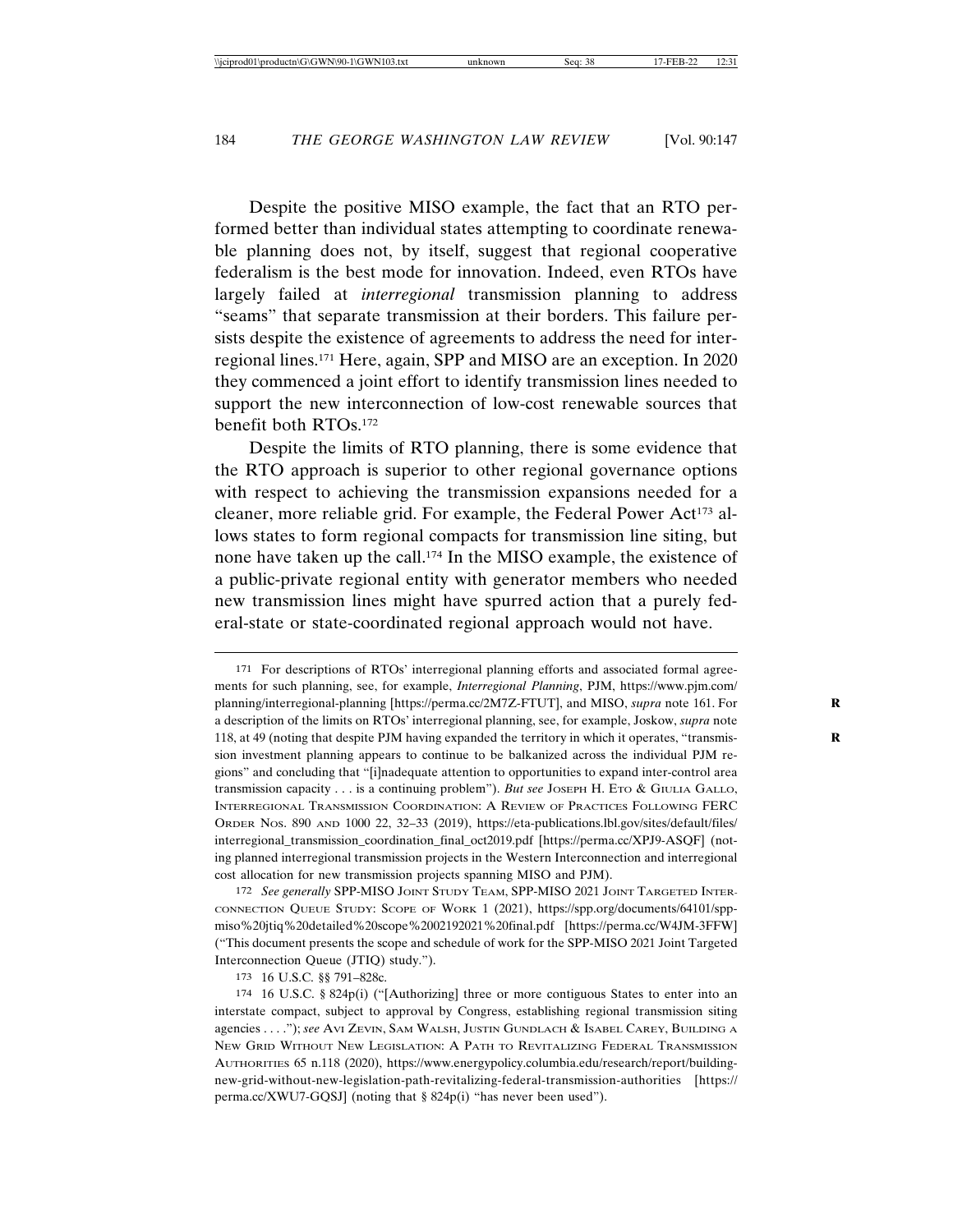Despite the positive MISO example, the fact that an RTO performed better than individual states attempting to coordinate renewable planning does not, by itself, suggest that regional cooperative federalism is the best mode for innovation. Indeed, even RTOs have largely failed at *interregional* transmission planning to address "seams" that separate transmission at their borders. This failure persists despite the existence of agreements to address the need for interregional lines.171 Here, again, SPP and MISO are an exception. In 2020 they commenced a joint effort to identify transmission lines needed to support the new interconnection of low-cost renewable sources that benefit both RTOs.172

Despite the limits of RTO planning, there is some evidence that the RTO approach is superior to other regional governance options with respect to achieving the transmission expansions needed for a cleaner, more reliable grid. For example, the Federal Power Act<sup>173</sup> allows states to form regional compacts for transmission line siting, but none have taken up the call.174 In the MISO example, the existence of a public-private regional entity with generator members who needed new transmission lines might have spurred action that a purely federal-state or state-coordinated regional approach would not have.

172 *See generally* SPP-MISO JOINT STUDY TEAM, SPP-MISO 2021 JOINT TARGETED INTER-CONNECTION QUEUE STUDY: SCOPE OF WORK 1 (2021), https://spp.org/documents/64101/sppmiso%20jtiq%20detailed%20scope%2002192021%20final.pdf [https://perma.cc/W4JM-3FFW] ("This document presents the scope and schedule of work for the SPP-MISO 2021 Joint Targeted Interconnection Queue (JTIQ) study.").

173 16 U.S.C. §§ 791–828c.

<sup>171</sup> For descriptions of RTOs' interregional planning efforts and associated formal agreements for such planning, see, for example, *Interregional Planning*, PJM, https://www.pjm.com/ planning/interregional-planning [https://perma.cc/2M7Z-FTUT], and MISO, *supra* note 161. For **R** a description of the limits on RTOs' interregional planning, see, for example, Joskow, *supra* note 118, at 49 (noting that despite PJM having expanded the territory in which it operates, "transmis- **R** sion investment planning appears to continue to be balkanized across the individual PJM regions" and concluding that "[i]nadequate attention to opportunities to expand inter-control area transmission capacity . . . is a continuing problem"). *But see* JOSEPH H. ETO & GIULIA GALLO, INTERREGIONAL TRANSMISSION COORDINATION: A REVIEW OF PRACTICES FOLLOWING FERC ORDER NOS. 890 AND 1000 22, 32–33 (2019), https://eta-publications.lbl.gov/sites/default/files/ interregional\_transmission\_coordination\_final\_oct2019.pdf [https://perma.cc/XPJ9-ASQF] (noting planned interregional transmission projects in the Western Interconnection and interregional cost allocation for new transmission projects spanning MISO and PJM).

<sup>174</sup> 16 U.S.C. § 824p(i) ("[Authorizing] three or more contiguous States to enter into an interstate compact, subject to approval by Congress, establishing regional transmission siting agencies . . . ."); *see* AVI ZEVIN, SAM WALSH, JUSTIN GUNDLACH & ISABEL CAREY, BUILDING A NEW GRID WITHOUT NEW LEGISLATION: A PATH TO REVITALIZING FEDERAL TRANSMISSION AUTHORITIES 65 n.118 (2020), https://www.energypolicy.columbia.edu/research/report/buildingnew-grid-without-new-legislation-path-revitalizing-federal-transmission-authorities [https:// perma.cc/XWU7-GQSJ] (noting that § 824p(i) "has never been used").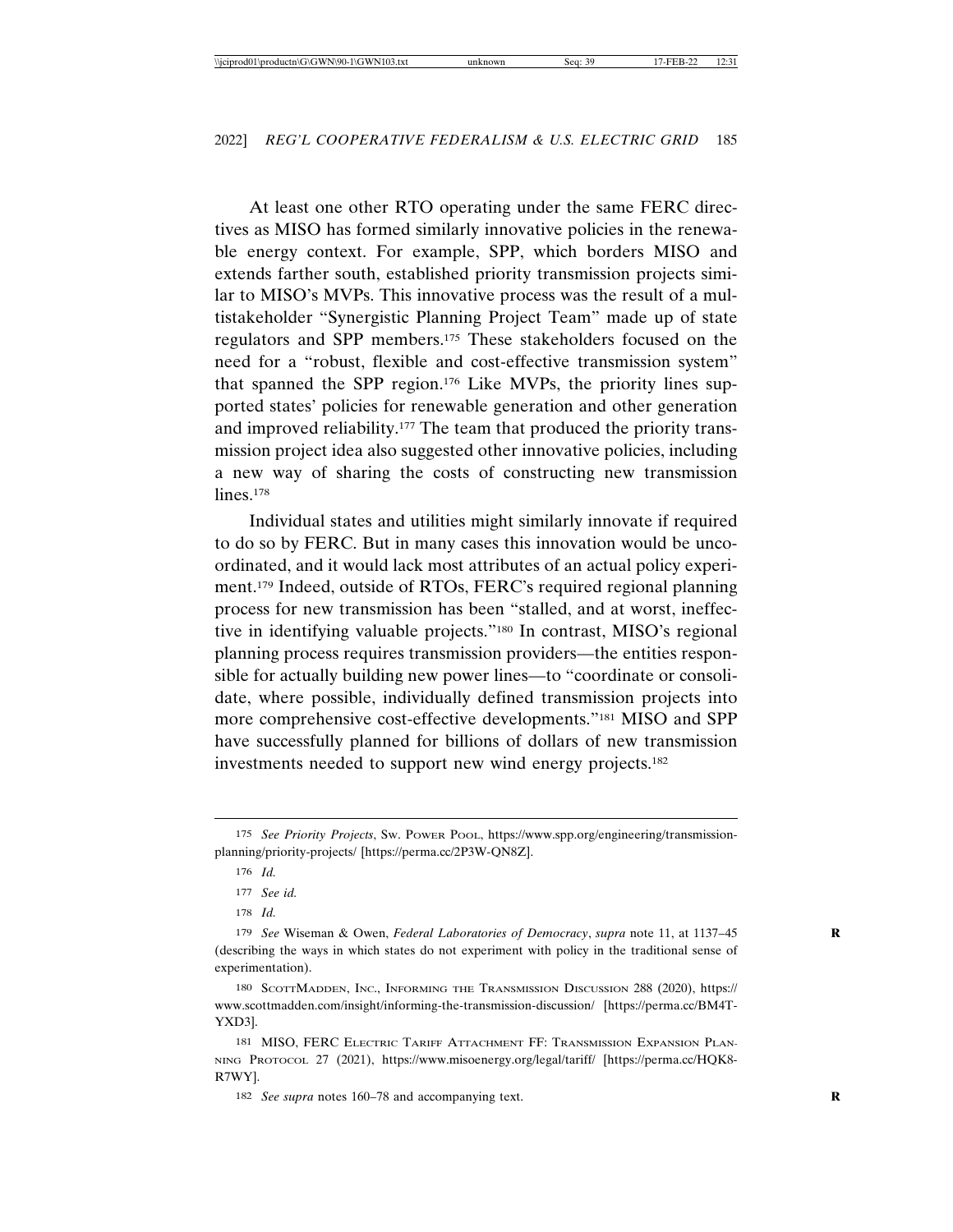At least one other RTO operating under the same FERC directives as MISO has formed similarly innovative policies in the renewable energy context. For example, SPP, which borders MISO and extends farther south, established priority transmission projects similar to MISO's MVPs. This innovative process was the result of a multistakeholder "Synergistic Planning Project Team" made up of state regulators and SPP members.175 These stakeholders focused on the need for a "robust, flexible and cost-effective transmission system" that spanned the SPP region.176 Like MVPs, the priority lines supported states' policies for renewable generation and other generation and improved reliability.<sup>177</sup> The team that produced the priority transmission project idea also suggested other innovative policies, including a new way of sharing the costs of constructing new transmission lines.<sup>178</sup>

Individual states and utilities might similarly innovate if required to do so by FERC. But in many cases this innovation would be uncoordinated, and it would lack most attributes of an actual policy experiment.179 Indeed, outside of RTOs, FERC's required regional planning process for new transmission has been "stalled, and at worst, ineffective in identifying valuable projects."180 In contrast, MISO's regional planning process requires transmission providers—the entities responsible for actually building new power lines—to "coordinate or consolidate, where possible, individually defined transmission projects into more comprehensive cost-effective developments."181 MISO and SPP have successfully planned for billions of dollars of new transmission investments needed to support new wind energy projects.182

<sup>175</sup> *See Priority Projects*, SW. POWER POOL, https://www.spp.org/engineering/transmissionplanning/priority-projects/ [https://perma.cc/2P3W-QN8Z].

<sup>176</sup> *Id.*

<sup>177</sup> *See id.*

<sup>178</sup> *Id.*

<sup>179</sup> *See* Wiseman & Owen, *Federal Laboratories of Democracy*, *supra* note 11, at 1137–45 **R** (describing the ways in which states do not experiment with policy in the traditional sense of experimentation).

<sup>180</sup> SCOTTMADDEN, INC., INFORMING THE TRANSMISSION DISCUSSION 288 (2020), https:// www.scottmadden.com/insight/informing-the-transmission-discussion/ [https://perma.cc/BM4T-YXD3].

<sup>181</sup> MISO, FERC ELECTRIC TARIFF ATTACHMENT FF: TRANSMISSION EXPANSION PLAN-NING PROTOCOL 27 (2021), https://www.misoenergy.org/legal/tariff/ [https://perma.cc/HQK8- R7WY].

<sup>182</sup> *See supra* notes 160-78 and accompanying text.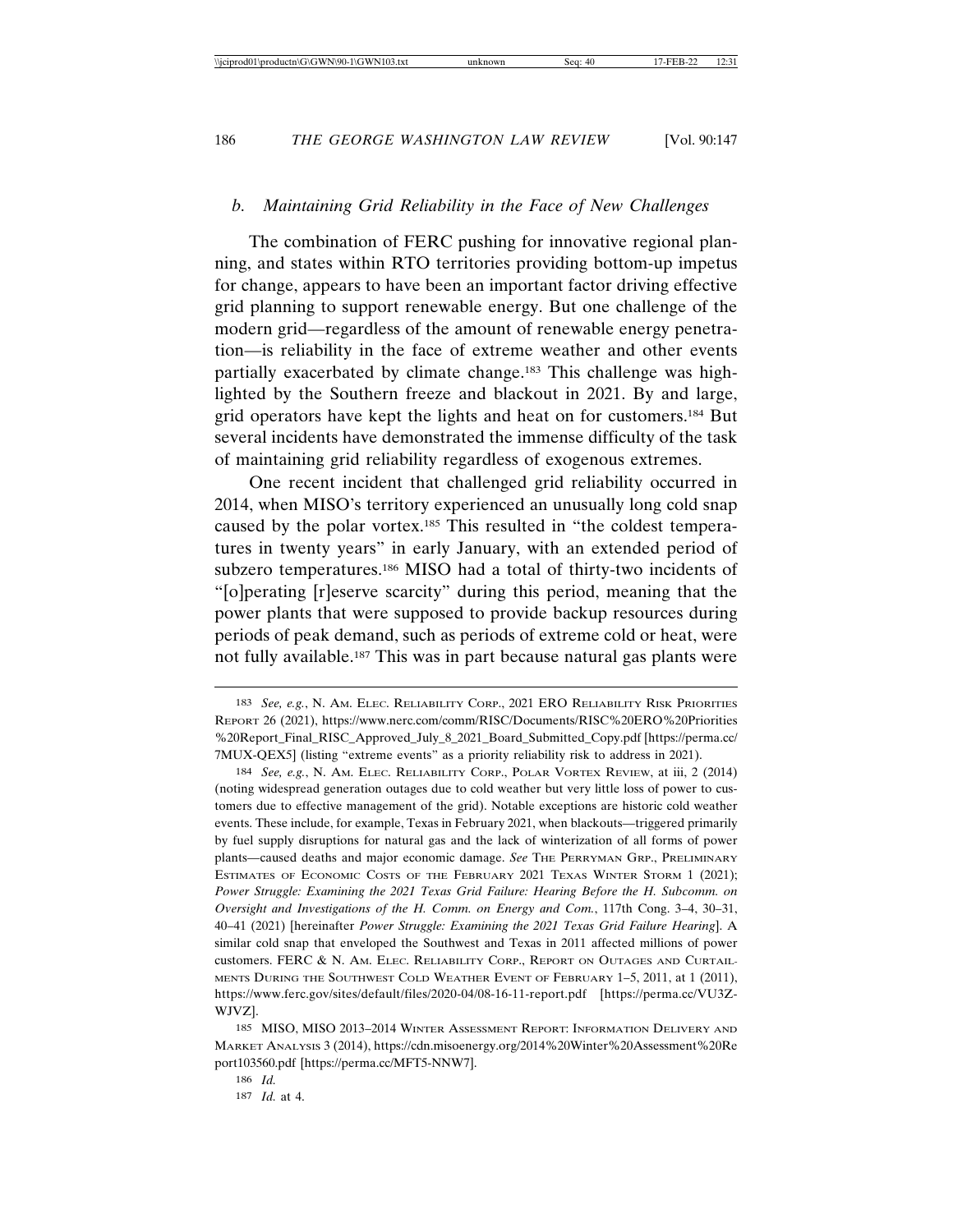### *b. Maintaining Grid Reliability in the Face of New Challenges*

The combination of FERC pushing for innovative regional planning, and states within RTO territories providing bottom-up impetus for change, appears to have been an important factor driving effective grid planning to support renewable energy. But one challenge of the modern grid—regardless of the amount of renewable energy penetration—is reliability in the face of extreme weather and other events partially exacerbated by climate change.183 This challenge was highlighted by the Southern freeze and blackout in 2021. By and large, grid operators have kept the lights and heat on for customers.184 But several incidents have demonstrated the immense difficulty of the task of maintaining grid reliability regardless of exogenous extremes.

One recent incident that challenged grid reliability occurred in 2014, when MISO's territory experienced an unusually long cold snap caused by the polar vortex.185 This resulted in "the coldest temperatures in twenty years" in early January, with an extended period of subzero temperatures.186 MISO had a total of thirty-two incidents of "[o]perating [r]eserve scarcity" during this period, meaning that the power plants that were supposed to provide backup resources during periods of peak demand, such as periods of extreme cold or heat, were not fully available.187 This was in part because natural gas plants were

<sup>183</sup> *See, e.g.*, N. AM. ELEC. RELIABILITY CORP., 2021 ERO RELIABILITY RISK PRIORITIES REPORT 26 (2021), https://www.nerc.com/comm/RISC/Documents/RISC%20ERO%20Priorities %20Report\_Final\_RISC\_Approved\_July\_8\_2021\_Board\_Submitted\_Copy.pdf [https://perma.cc/ 7MUX-QEX5] (listing "extreme events" as a priority reliability risk to address in 2021).

<sup>184</sup> *See, e.g.*, N. AM. ELEC. RELIABILITY CORP., POLAR VORTEX REVIEW, at iii, 2 (2014) (noting widespread generation outages due to cold weather but very little loss of power to customers due to effective management of the grid). Notable exceptions are historic cold weather events. These include, for example, Texas in February 2021, when blackouts—triggered primarily by fuel supply disruptions for natural gas and the lack of winterization of all forms of power plants—caused deaths and major economic damage. *See* THE PERRYMAN GRP., PRELIMINARY ESTIMATES OF ECONOMIC COSTS OF THE FEBRUARY 2021 TEXAS WINTER STORM 1 (2021); *Power Struggle: Examining the 2021 Texas Grid Failure: Hearing Before the H. Subcomm. on Oversight and Investigations of the H. Comm. on Energy and Com.*, 117th Cong. 3–4, 30–31, 40–41 (2021) [hereinafter *Power Struggle: Examining the 2021 Texas Grid Failure Hearing*]. A similar cold snap that enveloped the Southwest and Texas in 2011 affected millions of power customers. FERC & N. AM. ELEC. RELIABILITY CORP., REPORT ON OUTAGES AND CURTAIL-MENTS DURING THE SOUTHWEST COLD WEATHER EVENT OF FEBRUARY 1–5, 2011, at 1 (2011), https://www.ferc.gov/sites/default/files/2020-04/08-16-11-report.pdf [https://perma.cc/VU3Z-WJVZ].

<sup>185</sup> MISO, MISO 2013–2014 WINTER ASSESSMENT REPORT: INFORMATION DELIVERY AND MARKET ANALYSIS 3 (2014), https://cdn.misoenergy.org/2014%20Winter%20Assessment%20Re port103560.pdf [https://perma.cc/MFT5-NNW7].

<sup>186</sup> *Id.*

<sup>187</sup> *Id.* at 4.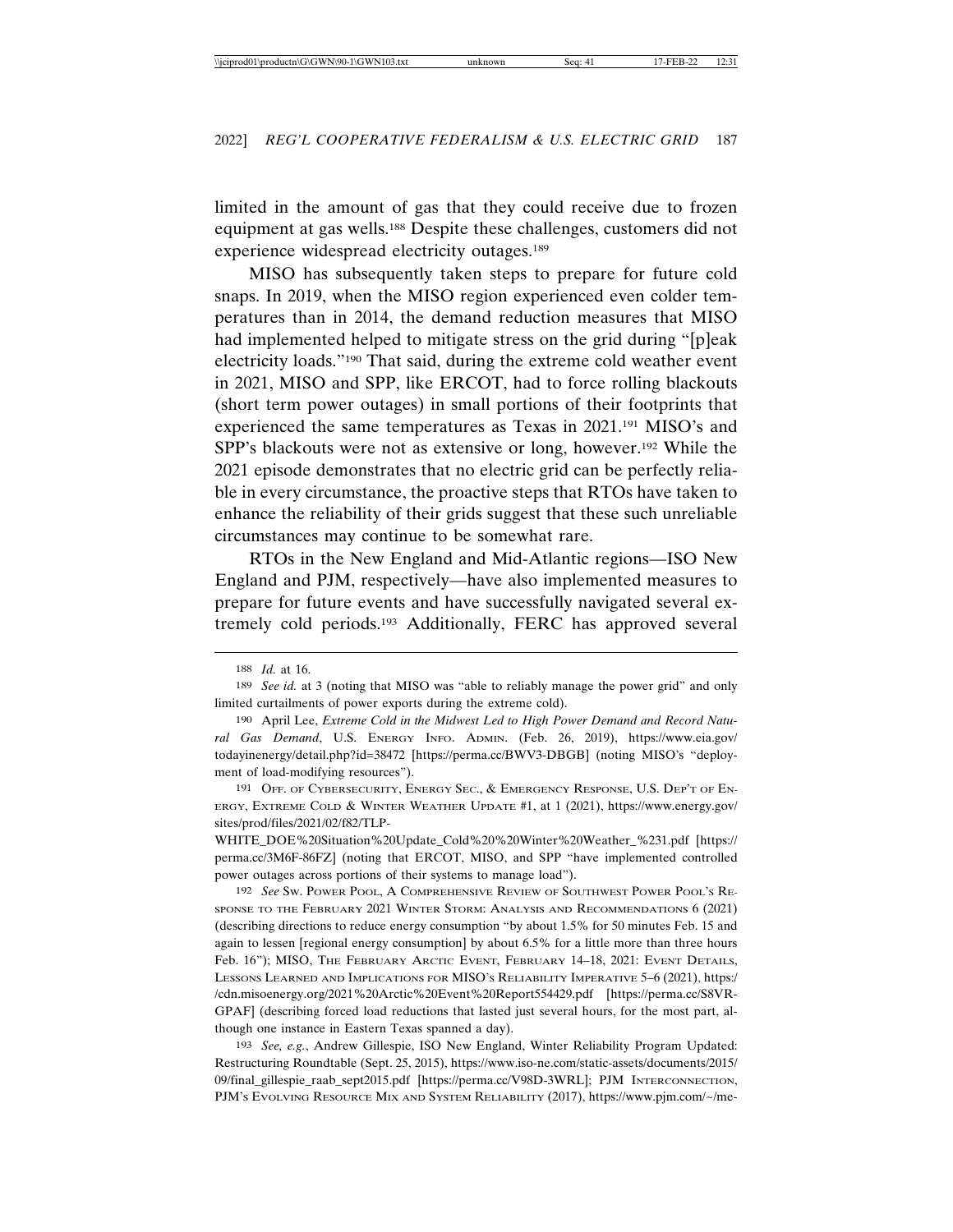limited in the amount of gas that they could receive due to frozen equipment at gas wells.188 Despite these challenges, customers did not experience widespread electricity outages.189

MISO has subsequently taken steps to prepare for future cold snaps. In 2019, when the MISO region experienced even colder temperatures than in 2014, the demand reduction measures that MISO had implemented helped to mitigate stress on the grid during "[p]eak electricity loads."190 That said, during the extreme cold weather event in 2021, MISO and SPP, like ERCOT, had to force rolling blackouts (short term power outages) in small portions of their footprints that experienced the same temperatures as Texas in 2021.191 MISO's and SPP's blackouts were not as extensive or long, however.<sup>192</sup> While the 2021 episode demonstrates that no electric grid can be perfectly reliable in every circumstance, the proactive steps that RTOs have taken to enhance the reliability of their grids suggest that these such unreliable circumstances may continue to be somewhat rare.

RTOs in the New England and Mid-Atlantic regions—ISO New England and PJM, respectively—have also implemented measures to prepare for future events and have successfully navigated several extremely cold periods.193 Additionally, FERC has approved several

WHITE\_DOE%20Situation%20Update\_Cold%20%20Winter%20Weather\_%231.pdf [https:// perma.cc/3M6F-86FZ] (noting that ERCOT, MISO, and SPP "have implemented controlled power outages across portions of their systems to manage load").

192 *See* SW. POWER POOL, A COMPREHENSIVE REVIEW OF SOUTHWEST POWER POOL'S RE-SPONSE TO THE FEBRUARY 2021 WINTER STORM: ANALYSIS AND RECOMMENDATIONS 6 (2021) (describing directions to reduce energy consumption "by about 1.5% for 50 minutes Feb. 15 and again to lessen [regional energy consumption] by about 6.5% for a little more than three hours Feb. 16"); MISO, THE FEBRUARY ARCTIC EVENT, FEBRUARY 14-18, 2021: EVENT DETAILS, LESSONS LEARNED AND IMPLICATIONS FOR MISO'S RELIABILITY IMPERATIVE 5–6 (2021), https:/ /cdn.misoenergy.org/2021%20Arctic%20Event%20Report554429.pdf [https://perma.cc/S8VR-GPAF] (describing forced load reductions that lasted just several hours, for the most part, although one instance in Eastern Texas spanned a day).

193 *See, e.g.*, Andrew Gillespie, ISO New England, Winter Reliability Program Updated: Restructuring Roundtable (Sept. 25, 2015), https://www.iso-ne.com/static-assets/documents/2015/ 09/final\_gillespie\_raab\_sept2015.pdf [https://perma.cc/V98D-3WRL]; PJM INTERCONNECTION, PJM'S EVOLVING RESOURCE MIX AND SYSTEM RELIABILITY (2017), https://www.pjm.com/~/me-

<sup>188</sup> *Id.* at 16.

<sup>189</sup> *See id.* at 3 (noting that MISO was "able to reliably manage the power grid" and only limited curtailments of power exports during the extreme cold).

<sup>190</sup> April Lee, *Extreme Cold in the Midwest Led to High Power Demand and Record Natural Gas Demand*, U.S. ENERGY INFO. ADMIN. (Feb. 26, 2019), https://www.eia.gov/ todayinenergy/detail.php?id=38472 [https://perma.cc/BWV3-DBGB] (noting MISO's "deployment of load-modifying resources").

<sup>191</sup> OFF. OF CYBERSECURITY, ENERGY SEC., & EMERGENCY RESPONSE, U.S. DEP'T OF EN-ERGY, EXTREME COLD & WINTER WEATHER UPDATE #1, at 1 (2021), https://www.energy.gov/ sites/prod/files/2021/02/f82/TLP-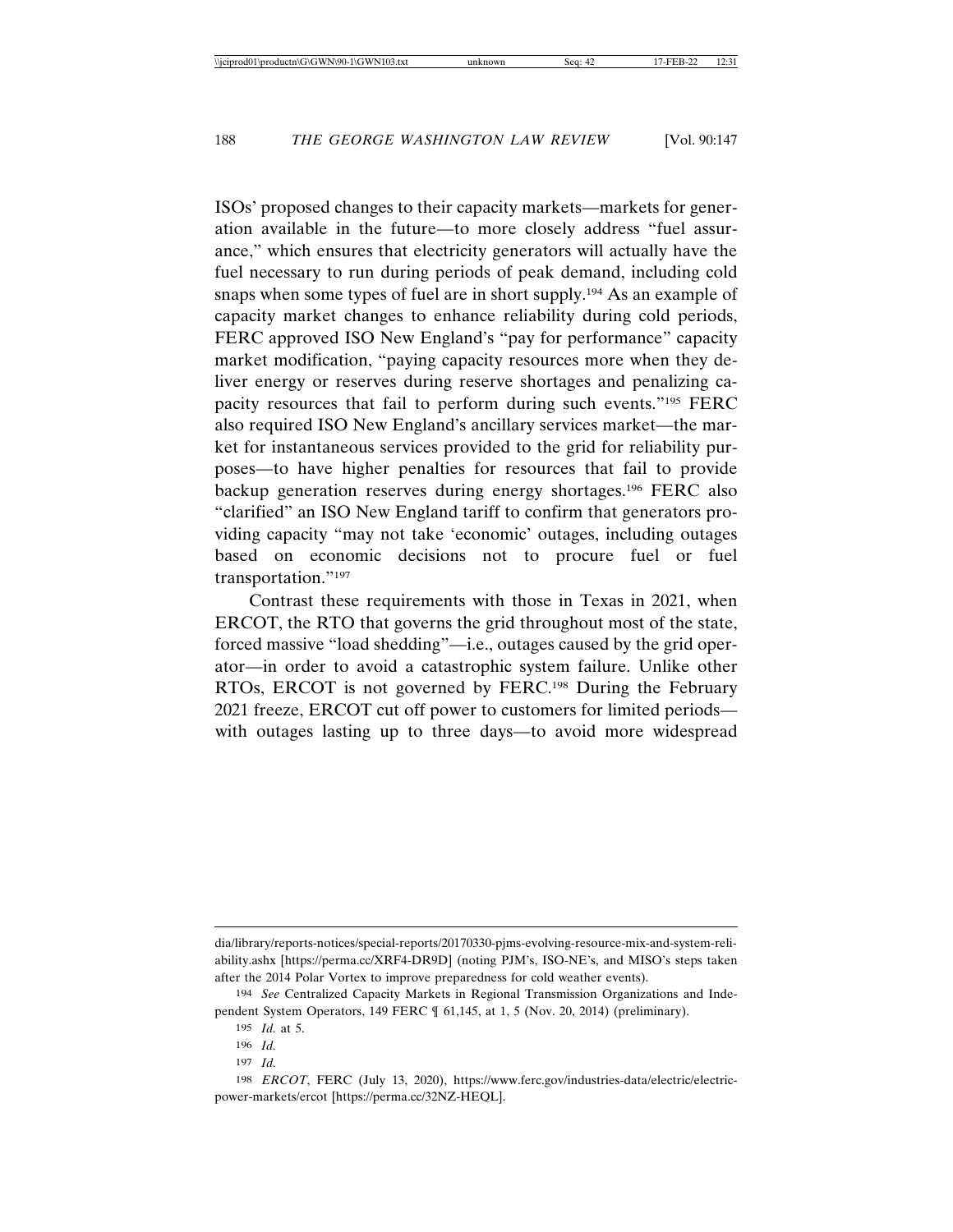ISOs' proposed changes to their capacity markets—markets for generation available in the future—to more closely address "fuel assurance," which ensures that electricity generators will actually have the fuel necessary to run during periods of peak demand, including cold snaps when some types of fuel are in short supply.194 As an example of capacity market changes to enhance reliability during cold periods, FERC approved ISO New England's "pay for performance" capacity market modification, "paying capacity resources more when they deliver energy or reserves during reserve shortages and penalizing capacity resources that fail to perform during such events."195 FERC also required ISO New England's ancillary services market—the market for instantaneous services provided to the grid for reliability purposes—to have higher penalties for resources that fail to provide backup generation reserves during energy shortages.196 FERC also "clarified" an ISO New England tariff to confirm that generators providing capacity "may not take 'economic' outages, including outages based on economic decisions not to procure fuel or fuel transportation."197

Contrast these requirements with those in Texas in 2021, when ERCOT, the RTO that governs the grid throughout most of the state, forced massive "load shedding"—i.e., outages caused by the grid operator—in order to avoid a catastrophic system failure. Unlike other RTOs, ERCOT is not governed by FERC.198 During the February 2021 freeze, ERCOT cut off power to customers for limited periods with outages lasting up to three days—to avoid more widespread

dia/library/reports-notices/special-reports/20170330-pjms-evolving-resource-mix-and-system-reliability.ashx [https://perma.cc/XRF4-DR9D] (noting PJM's, ISO-NE's, and MISO's steps taken after the 2014 Polar Vortex to improve preparedness for cold weather events).

<sup>194</sup> *See* Centralized Capacity Markets in Regional Transmission Organizations and Independent System Operators, 149 FERC ¶ 61,145, at 1, 5 (Nov. 20, 2014) (preliminary).

<sup>195</sup> *Id.* at 5.

<sup>196</sup> *Id.*

<sup>197</sup> *Id.*

<sup>198</sup> *ERCOT*, FERC (July 13, 2020), https://www.ferc.gov/industries-data/electric/electricpower-markets/ercot [https://perma.cc/32NZ-HEQL].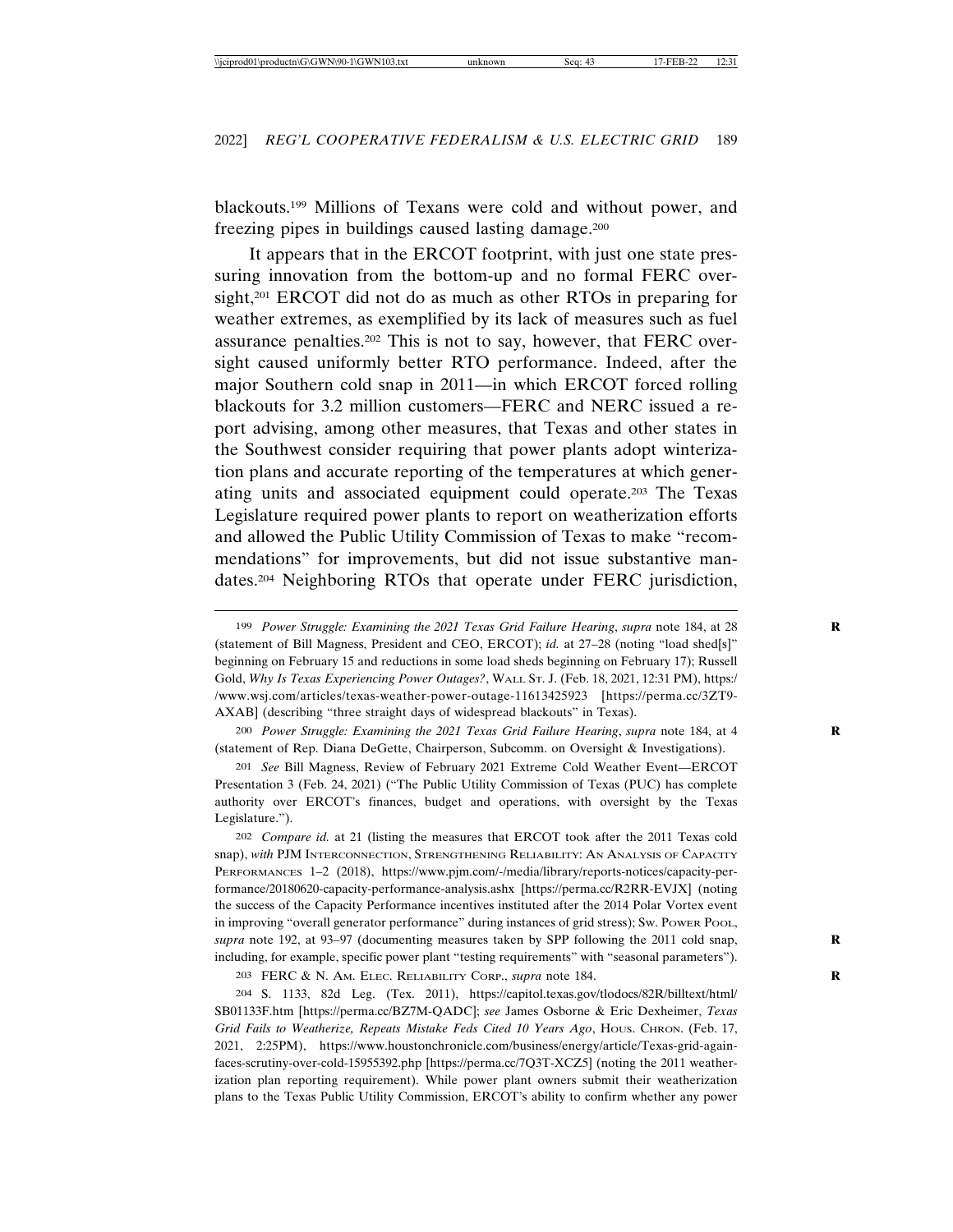blackouts.199 Millions of Texans were cold and without power, and freezing pipes in buildings caused lasting damage.200

It appears that in the ERCOT footprint, with just one state pressuring innovation from the bottom-up and no formal FERC oversight,<sup>201</sup> ERCOT did not do as much as other RTOs in preparing for weather extremes, as exemplified by its lack of measures such as fuel assurance penalties.202 This is not to say, however, that FERC oversight caused uniformly better RTO performance. Indeed, after the major Southern cold snap in 2011—in which ERCOT forced rolling blackouts for 3.2 million customers—FERC and NERC issued a report advising, among other measures, that Texas and other states in the Southwest consider requiring that power plants adopt winterization plans and accurate reporting of the temperatures at which generating units and associated equipment could operate.203 The Texas Legislature required power plants to report on weatherization efforts and allowed the Public Utility Commission of Texas to make "recommendations" for improvements, but did not issue substantive mandates.204 Neighboring RTOs that operate under FERC jurisdiction,

200 *Power Struggle: Examining the 2021 Texas Grid Failure Hearing*, *supra* note 184, at 4 **R** (statement of Rep. Diana DeGette, Chairperson, Subcomm. on Oversight & Investigations).

201 *See* Bill Magness, Review of February 2021 Extreme Cold Weather Event—ERCOT Presentation 3 (Feb. 24, 2021) ("The Public Utility Commission of Texas (PUC) has complete authority over ERCOT's finances, budget and operations, with oversight by the Texas Legislature.").

202 *Compare id.* at 21 (listing the measures that ERCOT took after the 2011 Texas cold snap), *with* PJM INTERCONNECTION, STRENGTHENING RELIABILITY: AN ANALYSIS OF CAPACITY PERFORMANCES 1–2 (2018), https://www.pjm.com/-/media/library/reports-notices/capacity-performance/20180620-capacity-performance-analysis.ashx [https://perma.cc/R2RR-EVJX] (noting the success of the Capacity Performance incentives instituted after the 2014 Polar Vortex event in improving "overall generator performance" during instances of grid stress); SW. POWER POOL, *supra* note 192, at 93–97 (documenting measures taken by SPP following the 2011 cold snap, **R** including, for example, specific power plant "testing requirements" with "seasonal parameters").

203 FERC & N. AM. ELEC. RELIABILITY CORP., *supra* note 184. **R**

204 S. 1133, 82d Leg. (Tex. 2011), https://capitol.texas.gov/tlodocs/82R/billtext/html/ SB01133F.htm [https://perma.cc/BZ7M-QADC]; *see* James Osborne & Eric Dexheimer, *Texas Grid Fails to Weatherize, Repeats Mistake Feds Cited 10 Years Ago*, HOUS. CHRON. (Feb. 17, 2021, 2:25PM), https://www.houstonchronicle.com/business/energy/article/Texas-grid-againfaces-scrutiny-over-cold-15955392.php [https://perma.cc/7Q3T-XCZ5] (noting the 2011 weatherization plan reporting requirement). While power plant owners submit their weatherization plans to the Texas Public Utility Commission, ERCOT's ability to confirm whether any power

<sup>199</sup> *Power Struggle: Examining the 2021 Texas Grid Failure Hearing*, *supra* note 184, at 28 **R** (statement of Bill Magness, President and CEO, ERCOT); *id.* at 27–28 (noting "load shed[s]" beginning on February 15 and reductions in some load sheds beginning on February 17); Russell Gold, *Why Is Texas Experiencing Power Outages?*, WALL ST. J. (Feb. 18, 2021, 12:31 PM), https:/ /www.wsj.com/articles/texas-weather-power-outage-11613425923 [https://perma.cc/3ZT9- AXAB] (describing "three straight days of widespread blackouts" in Texas).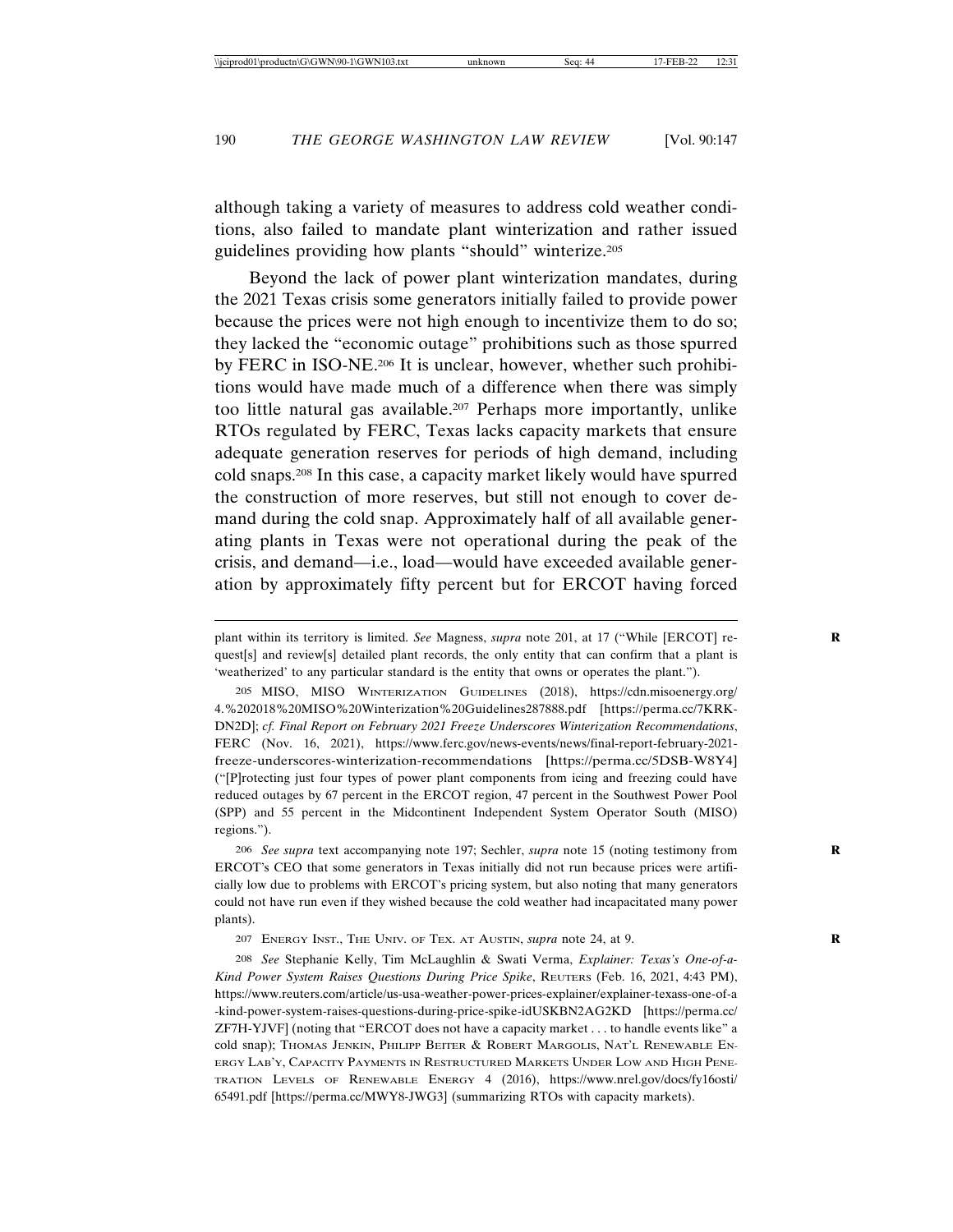although taking a variety of measures to address cold weather conditions, also failed to mandate plant winterization and rather issued guidelines providing how plants "should" winterize.205

Beyond the lack of power plant winterization mandates, during the 2021 Texas crisis some generators initially failed to provide power because the prices were not high enough to incentivize them to do so; they lacked the "economic outage" prohibitions such as those spurred by FERC in ISO-NE.206 It is unclear, however, whether such prohibitions would have made much of a difference when there was simply too little natural gas available.207 Perhaps more importantly, unlike RTOs regulated by FERC, Texas lacks capacity markets that ensure adequate generation reserves for periods of high demand, including cold snaps.208 In this case, a capacity market likely would have spurred the construction of more reserves, but still not enough to cover demand during the cold snap. Approximately half of all available generating plants in Texas were not operational during the peak of the crisis, and demand—i.e., load—would have exceeded available generation by approximately fifty percent but for ERCOT having forced

206 *See supra* text accompanying note 197; Sechler, *supra* note 15 (noting testimony from **R** ERCOT's CEO that some generators in Texas initially did not run because prices were artificially low due to problems with ERCOT's pricing system, but also noting that many generators could not have run even if they wished because the cold weather had incapacitated many power plants).

207 ENERGY INST., THE UNIV. OF TEX. AT AUSTIN, *supra* note 24, at 9. **R**

208 *See* Stephanie Kelly, Tim McLaughlin & Swati Verma, *Explainer: Texas's One-of-a-Kind Power System Raises Questions During Price Spike*, REUTERS (Feb. 16, 2021, 4:43 PM), https://www.reuters.com/article/us-usa-weather-power-prices-explainer/explainer-texass-one-of-a -kind-power-system-raises-questions-during-price-spike-idUSKBN2AG2KD [https://perma.cc/ ZF7H-YJVF] (noting that "ERCOT does not have a capacity market . . . to handle events like" a cold snap); Thomas Jenkin, Philipp Beiter & ROBERT MARGOLIS, NAT'L RENEWABLE EN-ERGY LAB'Y, CAPACITY PAYMENTS IN RESTRUCTURED MARKETS UNDER LOW AND HIGH PENE-TRATION LEVELS OF RENEWABLE ENERGY 4 (2016), https://www.nrel.gov/docs/fy16osti/ 65491.pdf [https://perma.cc/MWY8-JWG3] (summarizing RTOs with capacity markets).

plant within its territory is limited. *See Magness, <i>supra* note 201, at 17 ("While [ERCOT] request[s] and review[s] detailed plant records, the only entity that can confirm that a plant is 'weatherized' to any particular standard is the entity that owns or operates the plant.").

<sup>205</sup> MISO, MISO WINTERIZATION GUIDELINES (2018), https://cdn.misoenergy.org/ 4.%202018%20MISO%20Winterization%20Guidelines287888.pdf [https://perma.cc/7KRK-DN2D]; *cf. Final Report on February 2021 Freeze Underscores Winterization Recommendations*, FERC (Nov. 16, 2021), https://www.ferc.gov/news-events/news/final-report-february-2021 freeze-underscores-winterization-recommendations [https://perma.cc/5DSB-W8Y4] ("[P]rotecting just four types of power plant components from icing and freezing could have reduced outages by 67 percent in the ERCOT region, 47 percent in the Southwest Power Pool (SPP) and 55 percent in the Midcontinent Independent System Operator South (MISO) regions.").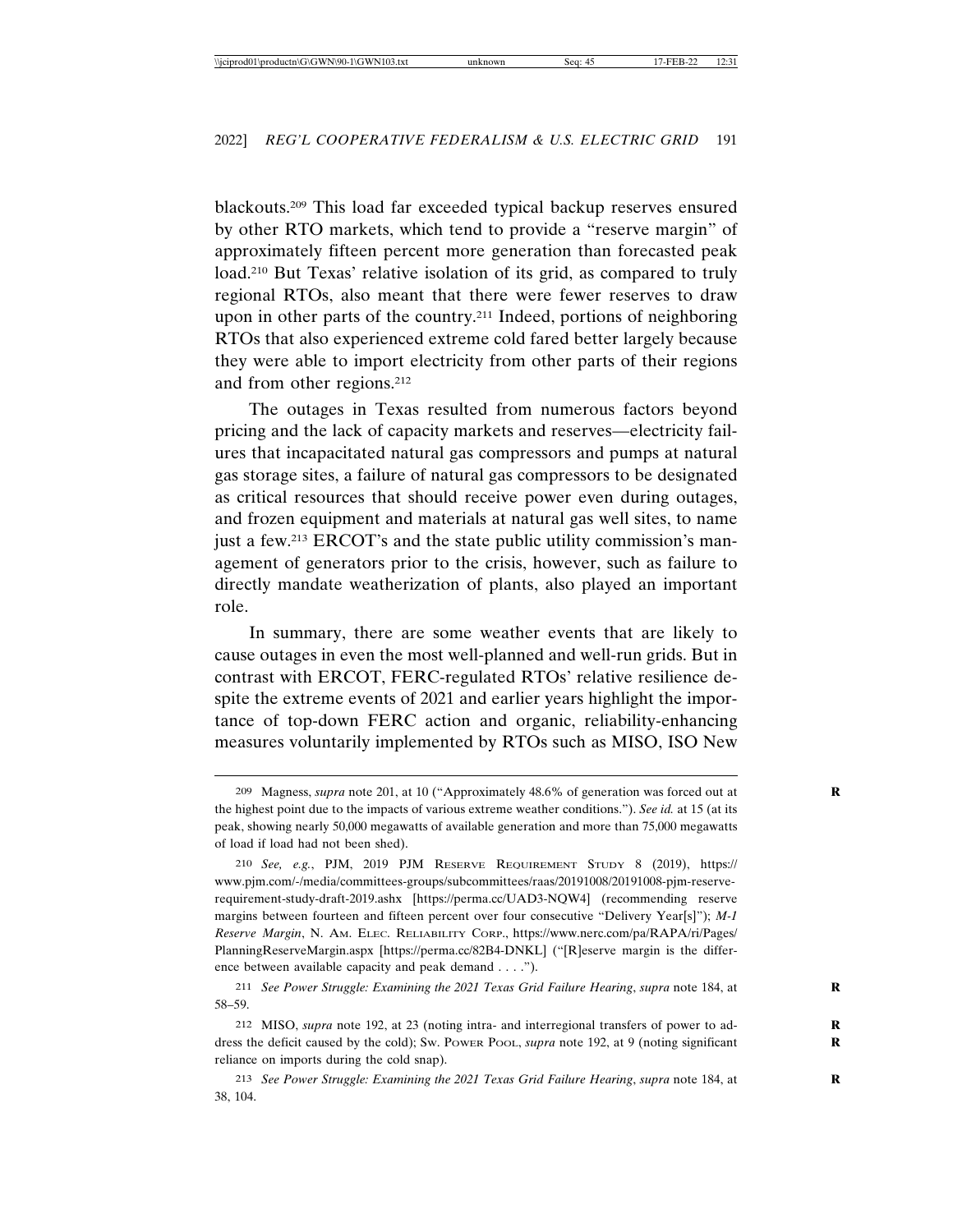blackouts.209 This load far exceeded typical backup reserves ensured by other RTO markets, which tend to provide a "reserve margin" of approximately fifteen percent more generation than forecasted peak load.210 But Texas' relative isolation of its grid, as compared to truly regional RTOs, also meant that there were fewer reserves to draw upon in other parts of the country.211 Indeed, portions of neighboring RTOs that also experienced extreme cold fared better largely because they were able to import electricity from other parts of their regions and from other regions.212

The outages in Texas resulted from numerous factors beyond pricing and the lack of capacity markets and reserves—electricity failures that incapacitated natural gas compressors and pumps at natural gas storage sites, a failure of natural gas compressors to be designated as critical resources that should receive power even during outages, and frozen equipment and materials at natural gas well sites, to name just a few.213 ERCOT's and the state public utility commission's management of generators prior to the crisis, however, such as failure to directly mandate weatherization of plants, also played an important role.

In summary, there are some weather events that are likely to cause outages in even the most well-planned and well-run grids. But in contrast with ERCOT, FERC-regulated RTOs' relative resilience despite the extreme events of 2021 and earlier years highlight the importance of top-down FERC action and organic, reliability-enhancing measures voluntarily implemented by RTOs such as MISO, ISO New

<sup>209</sup> Magness, *supra* note 201, at 10 ("Approximately 48.6% of generation was forced out at **R** the highest point due to the impacts of various extreme weather conditions."). *See id.* at 15 (at its peak, showing nearly 50,000 megawatts of available generation and more than 75,000 megawatts of load if load had not been shed).

<sup>210</sup> *See, e.g.*, PJM, 2019 PJM RESERVE REQUIREMENT STUDY 8 (2019), https:// www.pjm.com/-/media/committees-groups/subcommittees/raas/20191008/20191008-pjm-reserverequirement-study-draft-2019.ashx [https://perma.cc/UAD3-NQW4] (recommending reserve margins between fourteen and fifteen percent over four consecutive "Delivery Year[s]"); *M-1 Reserve Margin*, N. AM. ELEC. RELIABILITY CORP., https://www.nerc.com/pa/RAPA/ri/Pages/ PlanningReserveMargin.aspx [https://perma.cc/82B4-DNKL] ("[R]eserve margin is the difference between available capacity and peak demand . . . .").

<sup>211</sup> *See Power Struggle: Examining the 2021 Texas Grid Failure Hearing*, *supra* note 184, at **R** 58–59.

<sup>212</sup> MISO, *supra* note 192, at 23 (noting intra- and interregional transfers of power to ad- **R** dress the deficit caused by the cold); Sw. Power Pool, *supra* note 192, at 9 (noting significant reliance on imports during the cold snap).

<sup>213</sup> *See Power Struggle: Examining the 2021 Texas Grid Failure Hearing*, *supra* note 184, at **R** 38, 104.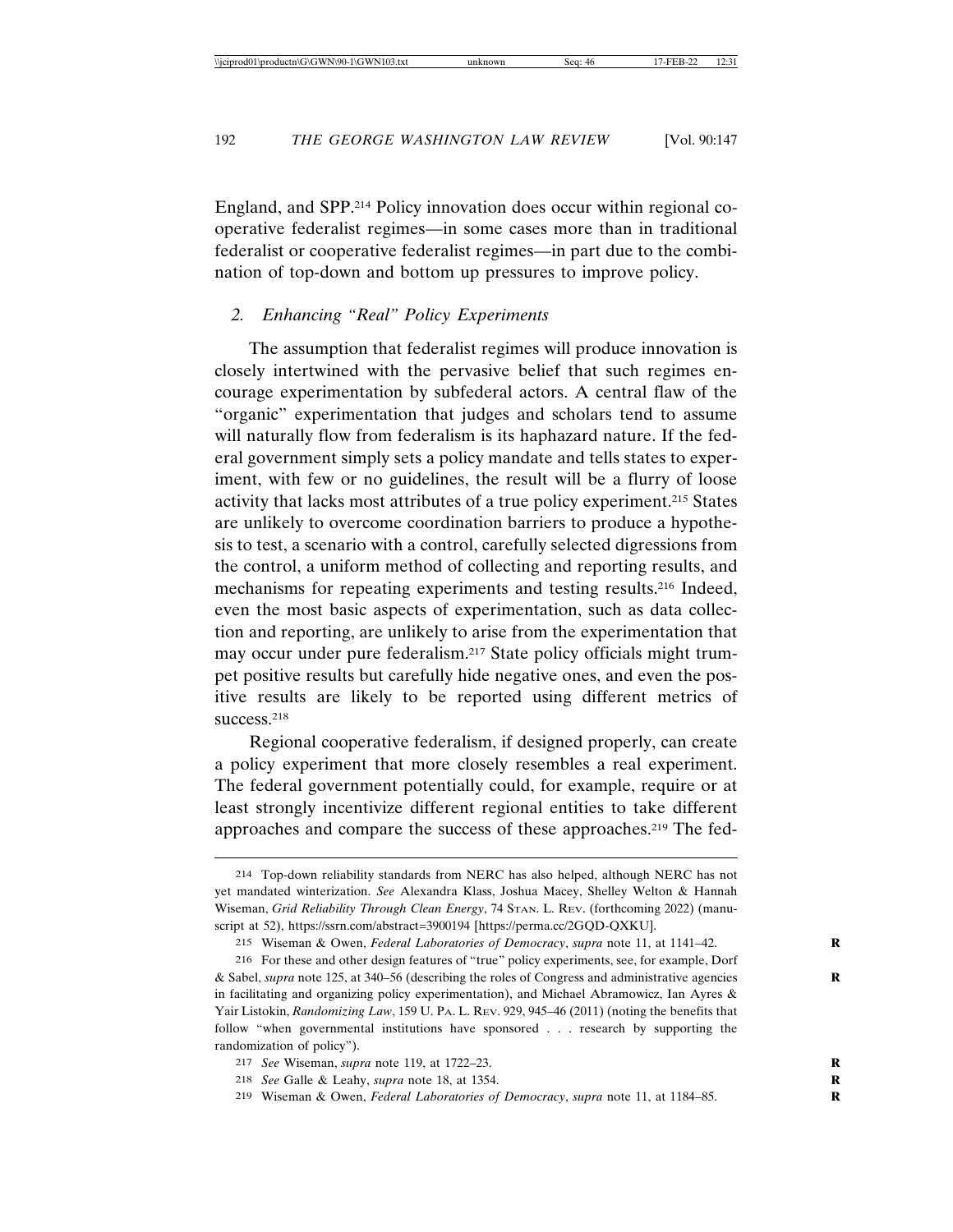England, and SPP.214 Policy innovation does occur within regional cooperative federalist regimes—in some cases more than in traditional federalist or cooperative federalist regimes—in part due to the combination of top-down and bottom up pressures to improve policy.

### *2. Enhancing "Real" Policy Experiments*

The assumption that federalist regimes will produce innovation is closely intertwined with the pervasive belief that such regimes encourage experimentation by subfederal actors. A central flaw of the "organic" experimentation that judges and scholars tend to assume will naturally flow from federalism is its haphazard nature. If the federal government simply sets a policy mandate and tells states to experiment, with few or no guidelines, the result will be a flurry of loose activity that lacks most attributes of a true policy experiment.215 States are unlikely to overcome coordination barriers to produce a hypothesis to test, a scenario with a control, carefully selected digressions from the control, a uniform method of collecting and reporting results, and mechanisms for repeating experiments and testing results.216 Indeed, even the most basic aspects of experimentation, such as data collection and reporting, are unlikely to arise from the experimentation that may occur under pure federalism.217 State policy officials might trumpet positive results but carefully hide negative ones, and even the positive results are likely to be reported using different metrics of success.<sup>218</sup>

Regional cooperative federalism, if designed properly, can create a policy experiment that more closely resembles a real experiment. The federal government potentially could, for example, require or at least strongly incentivize different regional entities to take different approaches and compare the success of these approaches.219 The fed-

<sup>214</sup> Top-down reliability standards from NERC has also helped, although NERC has not yet mandated winterization. *See* Alexandra Klass, Joshua Macey, Shelley Welton & Hannah Wiseman, *Grid Reliability Through Clean Energy*, 74 STAN. L. REV. (forthcoming 2022) (manuscript at 52), https://ssrn.com/abstract=3900194 [https://perma.cc/2GQD-QXKU].

<sup>215</sup> Wiseman & Owen, *Federal Laboratories of Democracy*, *supra* note 11, at 1141–42. **R**

<sup>216</sup> For these and other design features of "true" policy experiments, see, for example, Dorf & Sabel, *supra* note 125, at 340–56 (describing the roles of Congress and administrative agencies **R** in facilitating and organizing policy experimentation), and Michael Abramowicz, Ian Ayres & Yair Listokin, *Randomizing Law*, 159 U. PA. L. REV. 929, 945–46 (2011) (noting the benefits that follow "when governmental institutions have sponsored . . . research by supporting the randomization of policy").

<sup>217</sup> *See* Wiseman, *supra* note 119, at 1722–23. **R**

<sup>218</sup> *See* Galle & Leahy, *supra* note 18, at 1354. **R**

<sup>219</sup> Wiseman & Owen, *Federal Laboratories of Democracy*, *supra* note 11, at 1184–85. **R**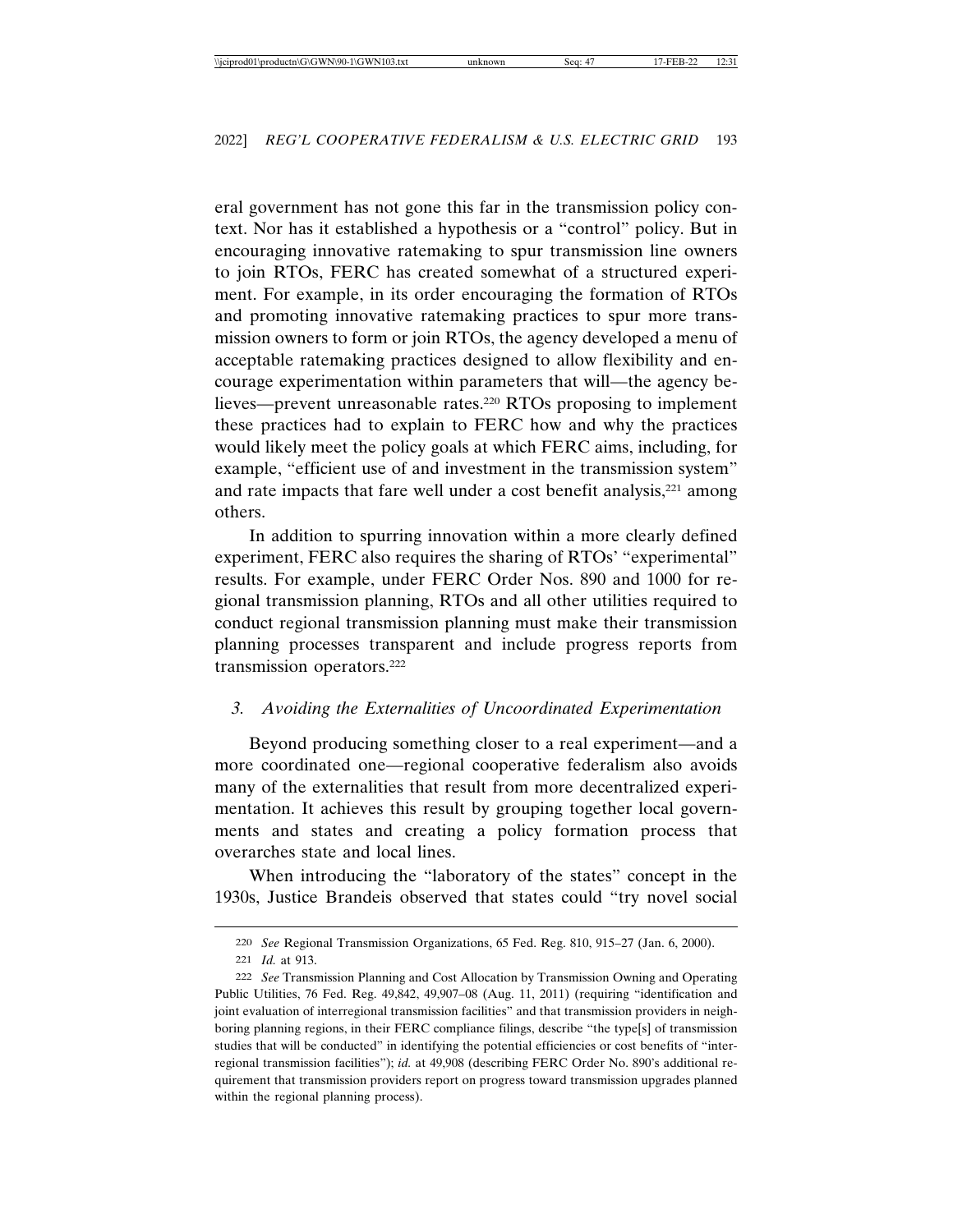eral government has not gone this far in the transmission policy context. Nor has it established a hypothesis or a "control" policy. But in encouraging innovative ratemaking to spur transmission line owners to join RTOs, FERC has created somewhat of a structured experiment. For example, in its order encouraging the formation of RTOs and promoting innovative ratemaking practices to spur more transmission owners to form or join RTOs, the agency developed a menu of acceptable ratemaking practices designed to allow flexibility and encourage experimentation within parameters that will—the agency believes—prevent unreasonable rates.220 RTOs proposing to implement these practices had to explain to FERC how and why the practices would likely meet the policy goals at which FERC aims, including, for example, "efficient use of and investment in the transmission system" and rate impacts that fare well under a cost benefit analysis,<sup>221</sup> among others.

In addition to spurring innovation within a more clearly defined experiment, FERC also requires the sharing of RTOs' "experimental" results. For example, under FERC Order Nos. 890 and 1000 for regional transmission planning, RTOs and all other utilities required to conduct regional transmission planning must make their transmission planning processes transparent and include progress reports from transmission operators.222

# *3. Avoiding the Externalities of Uncoordinated Experimentation*

Beyond producing something closer to a real experiment—and a more coordinated one—regional cooperative federalism also avoids many of the externalities that result from more decentralized experimentation. It achieves this result by grouping together local governments and states and creating a policy formation process that overarches state and local lines.

When introducing the "laboratory of the states" concept in the 1930s, Justice Brandeis observed that states could "try novel social

<sup>220</sup> *See* Regional Transmission Organizations, 65 Fed. Reg. 810, 915–27 (Jan. 6, 2000). 221 *Id.* at 913.

<sup>222</sup> *See* Transmission Planning and Cost Allocation by Transmission Owning and Operating Public Utilities, 76 Fed. Reg. 49,842, 49,907–08 (Aug. 11, 2011) (requiring "identification and joint evaluation of interregional transmission facilities" and that transmission providers in neighboring planning regions, in their FERC compliance filings, describe "the type[s] of transmission studies that will be conducted" in identifying the potential efficiencies or cost benefits of "interregional transmission facilities"); *id.* at 49,908 (describing FERC Order No. 890's additional requirement that transmission providers report on progress toward transmission upgrades planned within the regional planning process).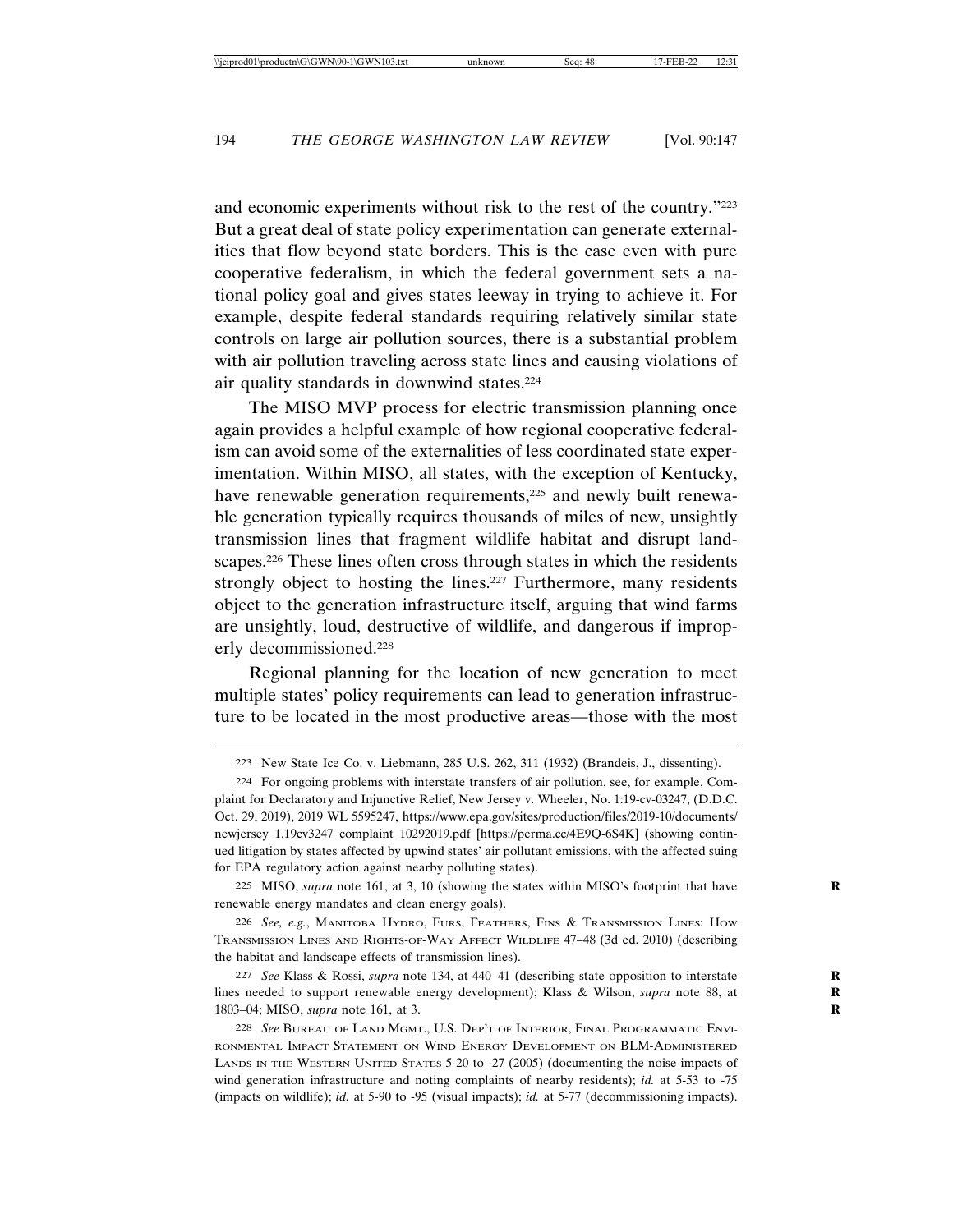and economic experiments without risk to the rest of the country."223 But a great deal of state policy experimentation can generate externalities that flow beyond state borders. This is the case even with pure cooperative federalism, in which the federal government sets a national policy goal and gives states leeway in trying to achieve it. For example, despite federal standards requiring relatively similar state controls on large air pollution sources, there is a substantial problem with air pollution traveling across state lines and causing violations of air quality standards in downwind states.224

The MISO MVP process for electric transmission planning once again provides a helpful example of how regional cooperative federalism can avoid some of the externalities of less coordinated state experimentation. Within MISO, all states, with the exception of Kentucky, have renewable generation requirements,<sup>225</sup> and newly built renewable generation typically requires thousands of miles of new, unsightly transmission lines that fragment wildlife habitat and disrupt landscapes.226 These lines often cross through states in which the residents strongly object to hosting the lines.<sup>227</sup> Furthermore, many residents object to the generation infrastructure itself, arguing that wind farms are unsightly, loud, destructive of wildlife, and dangerous if improperly decommissioned.228

Regional planning for the location of new generation to meet multiple states' policy requirements can lead to generation infrastructure to be located in the most productive areas—those with the most

226 *See, e.g.*, MANITOBA HYDRO, FURS, FEATHERS, FINS & TRANSMISSION LINES: HOW TRANSMISSION LINES AND RIGHTS-OF-WAY AFFECT WILDLIFE 47–48 (3d ed. 2010) (describing the habitat and landscape effects of transmission lines).

227 *See* Klass & Rossi, *supra* note 134, at 440–41 (describing state opposition to interstate **R** lines needed to support renewable energy development); Klass & Wilson, *supra* note 88, at 1803–04; MISO, *supra* note 161, at 3. **R**

228 *See* BUREAU OF LAND MGMT., U.S. DEP'T OF INTERIOR, FINAL PROGRAMMATIC ENVI-RONMENTAL IMPACT STATEMENT ON WIND ENERGY DEVELOPMENT ON BLM-ADMINISTERED LANDS IN THE WESTERN UNITED STATES 5-20 to -27 (2005) (documenting the noise impacts of wind generation infrastructure and noting complaints of nearby residents); *id.* at 5-53 to -75 (impacts on wildlife); *id.* at 5-90 to -95 (visual impacts); *id.* at 5-77 (decommissioning impacts).

<sup>223</sup> New State Ice Co. v. Liebmann, 285 U.S. 262, 311 (1932) (Brandeis, J., dissenting).

<sup>224</sup> For ongoing problems with interstate transfers of air pollution, see, for example, Complaint for Declaratory and Injunctive Relief, New Jersey v. Wheeler, No. 1:19-cv-03247, (D.D.C. Oct. 29, 2019), 2019 WL 5595247, https://www.epa.gov/sites/production/files/2019-10/documents/ newjersey\_1.19cv3247\_complaint\_10292019.pdf [https://perma.cc/4E9Q-6S4K] (showing continued litigation by states affected by upwind states' air pollutant emissions, with the affected suing for EPA regulatory action against nearby polluting states).

<sup>225</sup> MISO, *supra* note 161, at 3, 10 (showing the states within MISO's footprint that have **R** renewable energy mandates and clean energy goals).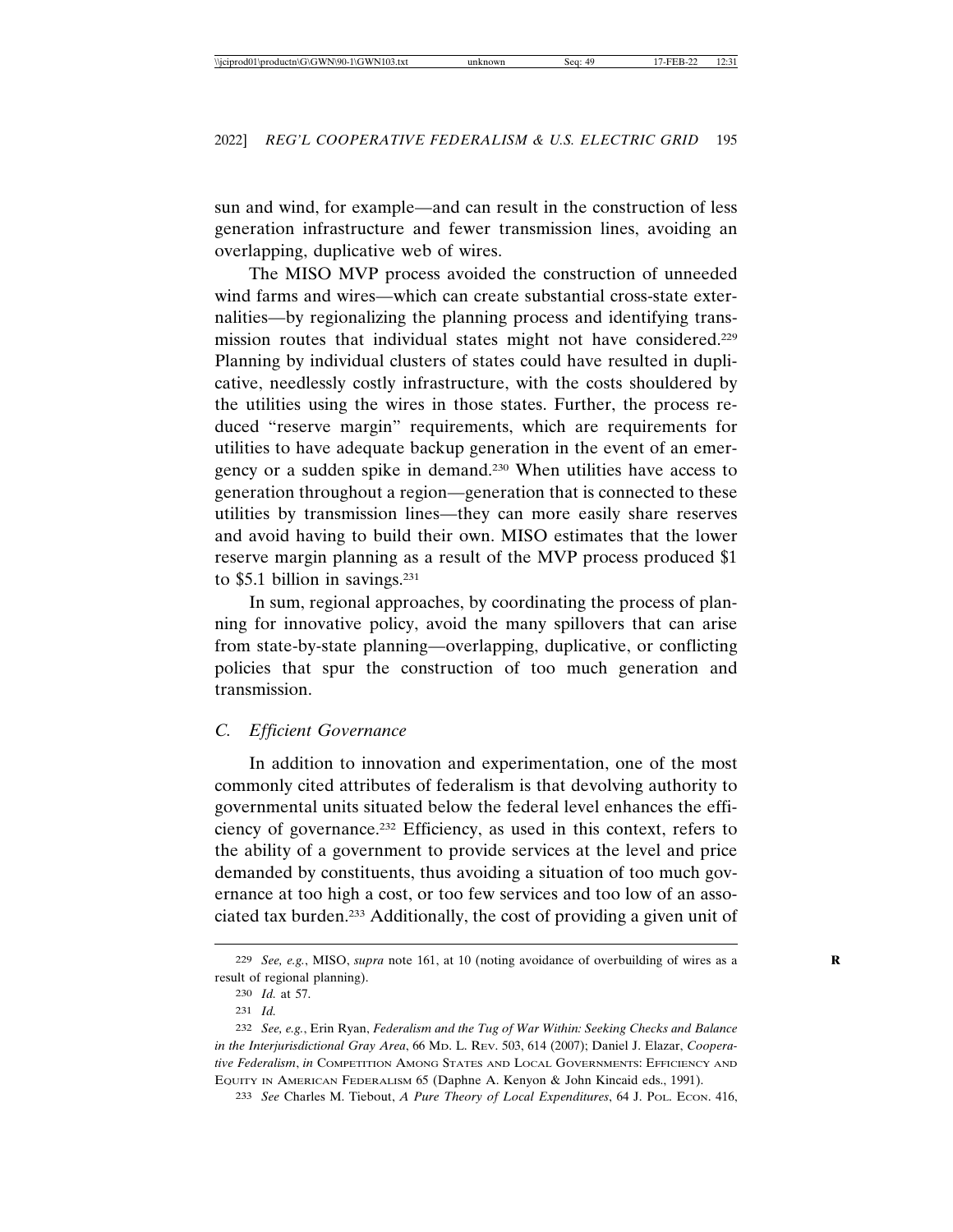sun and wind, for example—and can result in the construction of less generation infrastructure and fewer transmission lines, avoiding an overlapping, duplicative web of wires.

The MISO MVP process avoided the construction of unneeded wind farms and wires—which can create substantial cross-state externalities—by regionalizing the planning process and identifying transmission routes that individual states might not have considered.229 Planning by individual clusters of states could have resulted in duplicative, needlessly costly infrastructure, with the costs shouldered by the utilities using the wires in those states. Further, the process reduced "reserve margin" requirements, which are requirements for utilities to have adequate backup generation in the event of an emergency or a sudden spike in demand.230 When utilities have access to generation throughout a region—generation that is connected to these utilities by transmission lines—they can more easily share reserves and avoid having to build their own. MISO estimates that the lower reserve margin planning as a result of the MVP process produced \$1 to  $$5.1$  billion in savings.<sup>231</sup>

In sum, regional approaches, by coordinating the process of planning for innovative policy, avoid the many spillovers that can arise from state-by-state planning—overlapping, duplicative, or conflicting policies that spur the construction of too much generation and transmission.

### *C. Efficient Governance*

In addition to innovation and experimentation, one of the most commonly cited attributes of federalism is that devolving authority to governmental units situated below the federal level enhances the efficiency of governance.232 Efficiency, as used in this context, refers to the ability of a government to provide services at the level and price demanded by constituents, thus avoiding a situation of too much governance at too high a cost, or too few services and too low of an associated tax burden.233 Additionally, the cost of providing a given unit of

<sup>229</sup> *See, e.g.*, MISO, *supra* note 161, at 10 (noting avoidance of overbuilding of wires as a **R** result of regional planning).

<sup>230</sup> *Id.* at 57.

<sup>231</sup> *Id.*

<sup>232</sup> *See, e.g.*, Erin Ryan, *Federalism and the Tug of War Within: Seeking Checks and Balance in the Interjurisdictional Gray Area*, 66 MD. L. REV. 503, 614 (2007); Daniel J. Elazar, *Cooperative Federalism*, *in* COMPETITION AMONG STATES AND LOCAL GOVERNMENTS: EFFICIENCY AND EQUITY IN AMERICAN FEDERALISM 65 (Daphne A. Kenyon & John Kincaid eds., 1991).

<sup>233</sup> *See* Charles M. Tiebout, *A Pure Theory of Local Expenditures*, 64 J. POL. ECON. 416,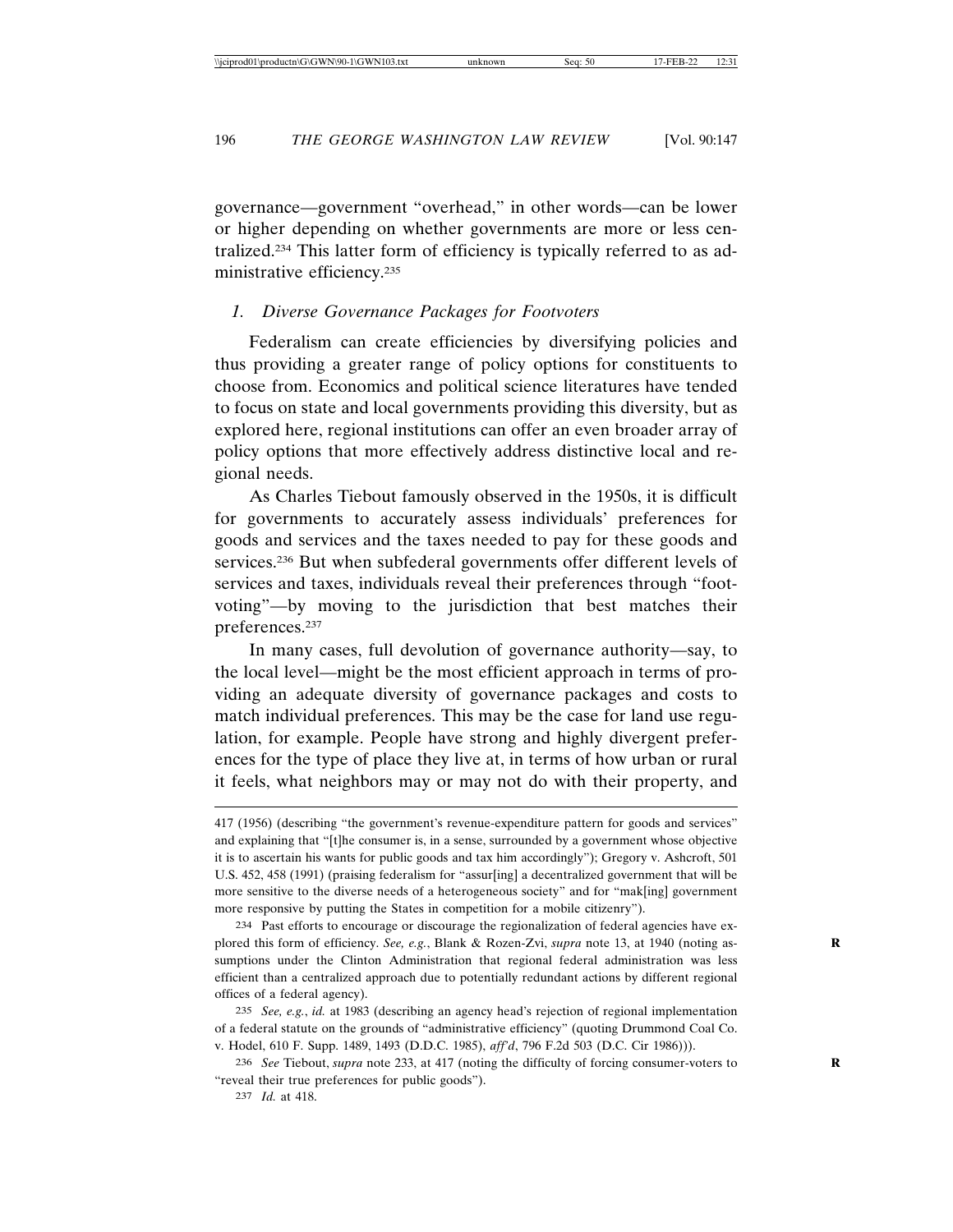governance—government "overhead," in other words—can be lower or higher depending on whether governments are more or less centralized.234 This latter form of efficiency is typically referred to as administrative efficiency.235

### *1. Diverse Governance Packages for Footvoters*

Federalism can create efficiencies by diversifying policies and thus providing a greater range of policy options for constituents to choose from. Economics and political science literatures have tended to focus on state and local governments providing this diversity, but as explored here, regional institutions can offer an even broader array of policy options that more effectively address distinctive local and regional needs.

As Charles Tiebout famously observed in the 1950s, it is difficult for governments to accurately assess individuals' preferences for goods and services and the taxes needed to pay for these goods and services.236 But when subfederal governments offer different levels of services and taxes, individuals reveal their preferences through "footvoting"—by moving to the jurisdiction that best matches their preferences.237

In many cases, full devolution of governance authority—say, to the local level—might be the most efficient approach in terms of providing an adequate diversity of governance packages and costs to match individual preferences. This may be the case for land use regulation, for example. People have strong and highly divergent preferences for the type of place they live at, in terms of how urban or rural it feels, what neighbors may or may not do with their property, and

234 Past efforts to encourage or discourage the regionalization of federal agencies have explored this form of efficiency. *See, e.g.*, Blank & Rozen-Zvi, *supra* note 13, at 1940 (noting assumptions under the Clinton Administration that regional federal administration was less efficient than a centralized approach due to potentially redundant actions by different regional offices of a federal agency).

235 *See, e.g.*, *id.* at 1983 (describing an agency head's rejection of regional implementation of a federal statute on the grounds of "administrative efficiency" (quoting Drummond Coal Co. v. Hodel, 610 F. Supp. 1489, 1493 (D.D.C. 1985), *aff'd*, 796 F.2d 503 (D.C. Cir 1986))).

236 *See* Tiebout, *supra* note 233, at 417 (noting the difficulty of forcing consumer-voters to **R** "reveal their true preferences for public goods").

237 *Id.* at 418.

<sup>417 (1956) (</sup>describing "the government's revenue-expenditure pattern for goods and services" and explaining that "[t]he consumer is, in a sense, surrounded by a government whose objective it is to ascertain his wants for public goods and tax him accordingly"); Gregory v. Ashcroft, 501 U.S. 452, 458 (1991) (praising federalism for "assur[ing] a decentralized government that will be more sensitive to the diverse needs of a heterogeneous society" and for "mak[ing] government more responsive by putting the States in competition for a mobile citizenry").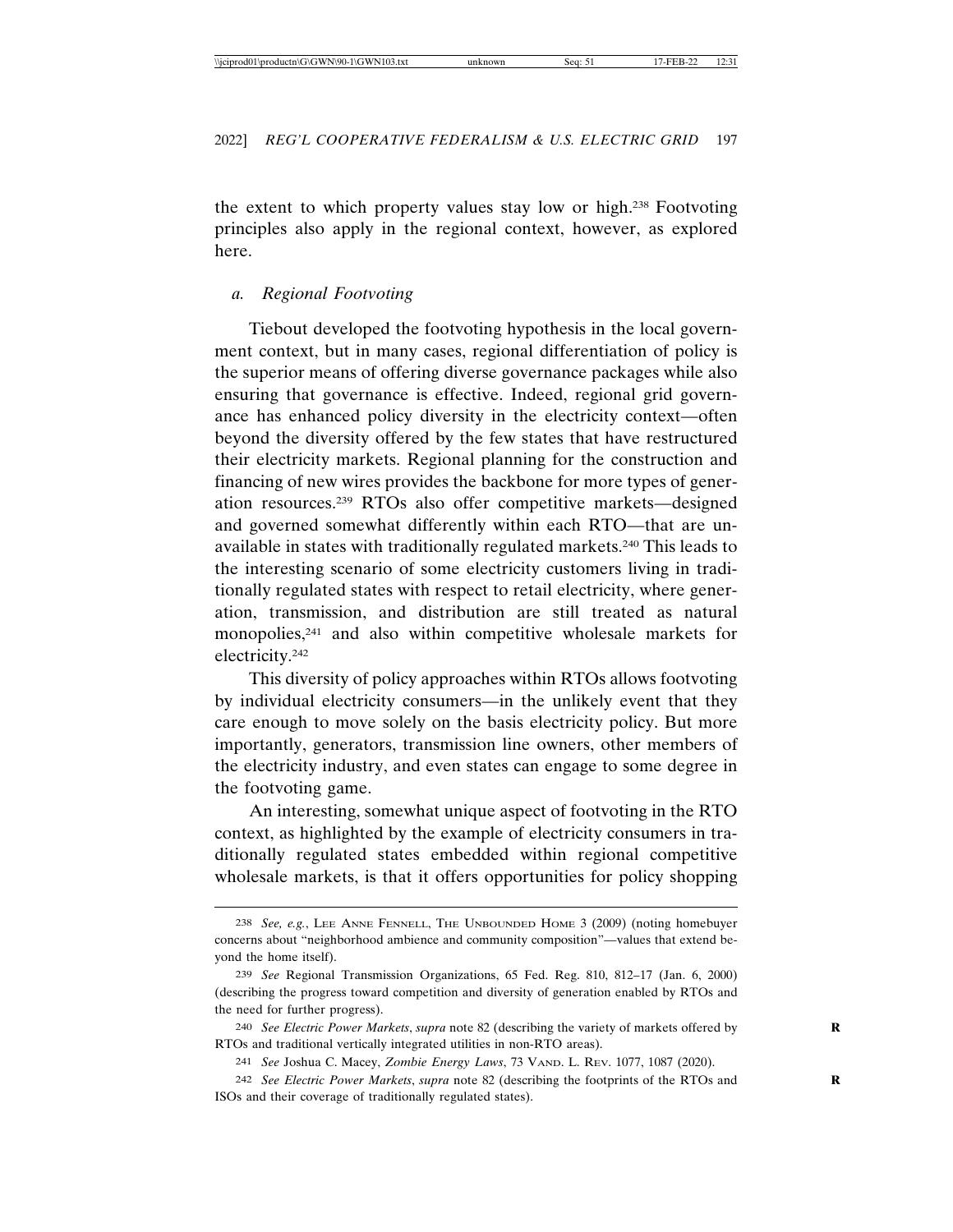the extent to which property values stay low or high.238 Footvoting principles also apply in the regional context, however, as explored here.

# *a. Regional Footvoting*

Tiebout developed the footvoting hypothesis in the local government context, but in many cases, regional differentiation of policy is the superior means of offering diverse governance packages while also ensuring that governance is effective. Indeed, regional grid governance has enhanced policy diversity in the electricity context—often beyond the diversity offered by the few states that have restructured their electricity markets. Regional planning for the construction and financing of new wires provides the backbone for more types of generation resources.239 RTOs also offer competitive markets—designed and governed somewhat differently within each RTO—that are unavailable in states with traditionally regulated markets.240 This leads to the interesting scenario of some electricity customers living in traditionally regulated states with respect to retail electricity, where generation, transmission, and distribution are still treated as natural monopolies,<sup>241</sup> and also within competitive wholesale markets for electricity.242

This diversity of policy approaches within RTOs allows footvoting by individual electricity consumers—in the unlikely event that they care enough to move solely on the basis electricity policy. But more importantly, generators, transmission line owners, other members of the electricity industry, and even states can engage to some degree in the footvoting game.

An interesting, somewhat unique aspect of footvoting in the RTO context, as highlighted by the example of electricity consumers in traditionally regulated states embedded within regional competitive wholesale markets, is that it offers opportunities for policy shopping

<sup>238</sup> *See, e.g.*, LEE ANNE FENNELL, THE UNBOUNDED HOME 3 (2009) (noting homebuyer concerns about "neighborhood ambience and community composition"—values that extend beyond the home itself).

<sup>239</sup> *See* Regional Transmission Organizations, 65 Fed. Reg. 810, 812–17 (Jan. 6, 2000) (describing the progress toward competition and diversity of generation enabled by RTOs and the need for further progress).

<sup>240</sup> *See Electric Power Markets*, *supra* note 82 (describing the variety of markets offered by **R** RTOs and traditional vertically integrated utilities in non-RTO areas).

<sup>241</sup> *See* Joshua C. Macey, *Zombie Energy Laws*, 73 VAND. L. REV. 1077, 1087 (2020).

<sup>242</sup> *See Electric Power Markets*, *supra* note 82 (describing the footprints of the RTOs and **R** ISOs and their coverage of traditionally regulated states).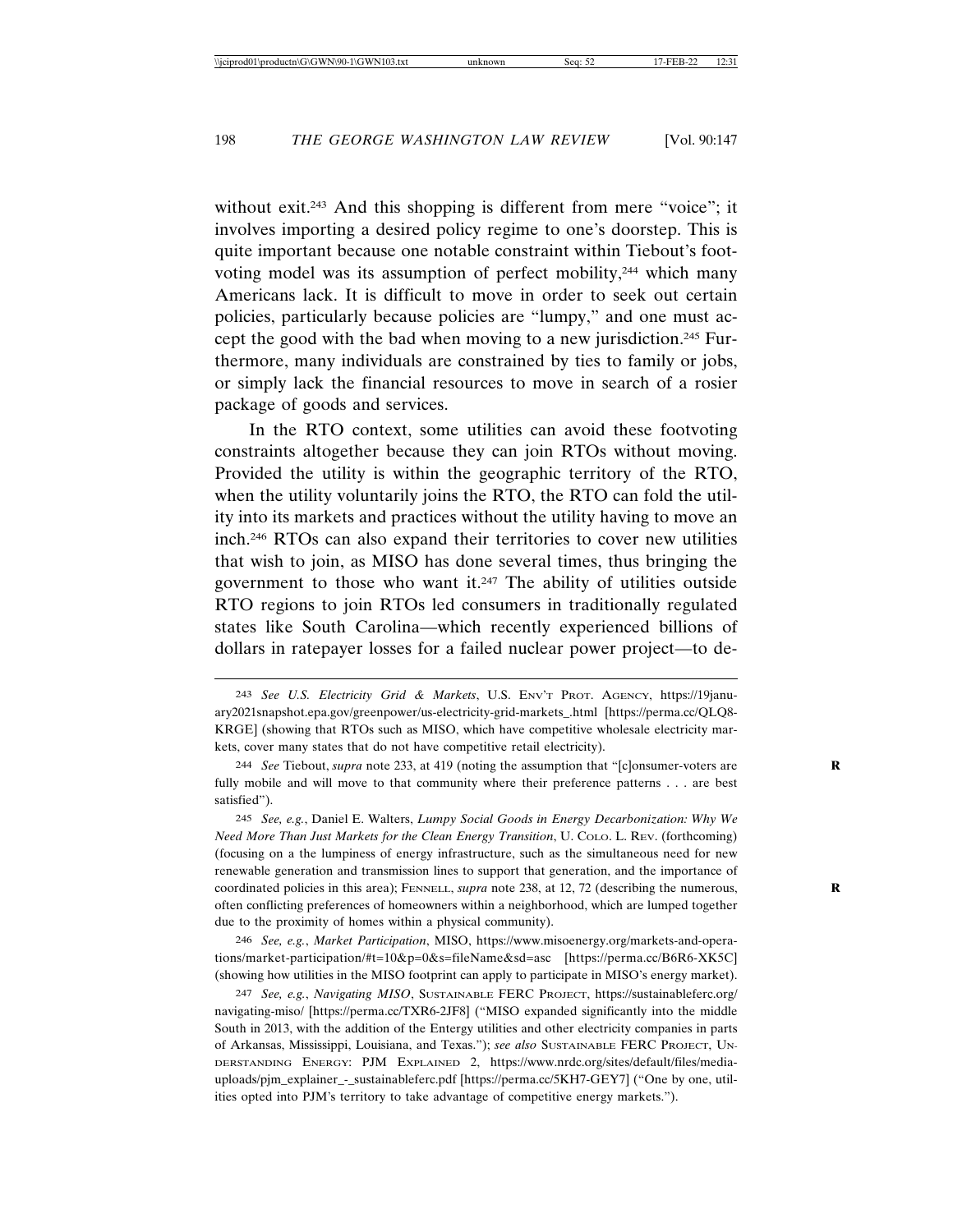without exit.<sup>243</sup> And this shopping is different from mere "voice"; it involves importing a desired policy regime to one's doorstep. This is quite important because one notable constraint within Tiebout's footvoting model was its assumption of perfect mobility,<sup>244</sup> which many Americans lack. It is difficult to move in order to seek out certain policies, particularly because policies are "lumpy," and one must accept the good with the bad when moving to a new jurisdiction.245 Furthermore, many individuals are constrained by ties to family or jobs, or simply lack the financial resources to move in search of a rosier package of goods and services.

In the RTO context, some utilities can avoid these footvoting constraints altogether because they can join RTOs without moving. Provided the utility is within the geographic territory of the RTO, when the utility voluntarily joins the RTO, the RTO can fold the utility into its markets and practices without the utility having to move an inch.246 RTOs can also expand their territories to cover new utilities that wish to join, as MISO has done several times, thus bringing the government to those who want it.247 The ability of utilities outside RTO regions to join RTOs led consumers in traditionally regulated states like South Carolina—which recently experienced billions of dollars in ratepayer losses for a failed nuclear power project—to de-

245 *See, e.g.*, Daniel E. Walters, *Lumpy Social Goods in Energy Decarbonization: Why We Need More Than Just Markets for the Clean Energy Transition*, U. COLO. L. REV. (forthcoming) (focusing on a the lumpiness of energy infrastructure, such as the simultaneous need for new renewable generation and transmission lines to support that generation, and the importance of coordinated policies in this area); FENNELL, *supra* note 238, at 12, 72 (describing the numerous, often conflicting preferences of homeowners within a neighborhood, which are lumped together due to the proximity of homes within a physical community).

246 *See, e.g.*, *Market Participation*, MISO, https://www.misoenergy.org/markets-and-operations/market-participation/#t=10&p=0&s=fileName&sd=asc [https://perma.cc/B6R6-XK5C] (showing how utilities in the MISO footprint can apply to participate in MISO's energy market).

247 *See, e.g.*, *Navigating MISO*, SUSTAINABLE FERC PROJECT, https://sustainableferc.org/ navigating-miso/ [https://perma.cc/TXR6-2JF8] ("MISO expanded significantly into the middle South in 2013, with the addition of the Entergy utilities and other electricity companies in parts of Arkansas, Mississippi, Louisiana, and Texas."); *see also* SUSTAINABLE FERC PROJECT, UN-DERSTANDING ENERGY: PJM EXPLAINED 2, https://www.nrdc.org/sites/default/files/mediauploads/pjm\_explainer\_-\_sustainableferc.pdf [https://perma.cc/5KH7-GEY7] ("One by one, utilities opted into PJM's territory to take advantage of competitive energy markets.").

<sup>243</sup> *See U.S. Electricity Grid & Markets*, U.S. ENV'T PROT. AGENCY, https://19january2021snapshot.epa.gov/greenpower/us-electricity-grid-markets\_.html [https://perma.cc/QLQ8- KRGE] (showing that RTOs such as MISO, which have competitive wholesale electricity markets, cover many states that do not have competitive retail electricity).

<sup>244</sup> *See* Tiebout, *supra* note 233, at 419 (noting the assumption that "[c]onsumer-voters are **R** fully mobile and will move to that community where their preference patterns . . . are best satisfied").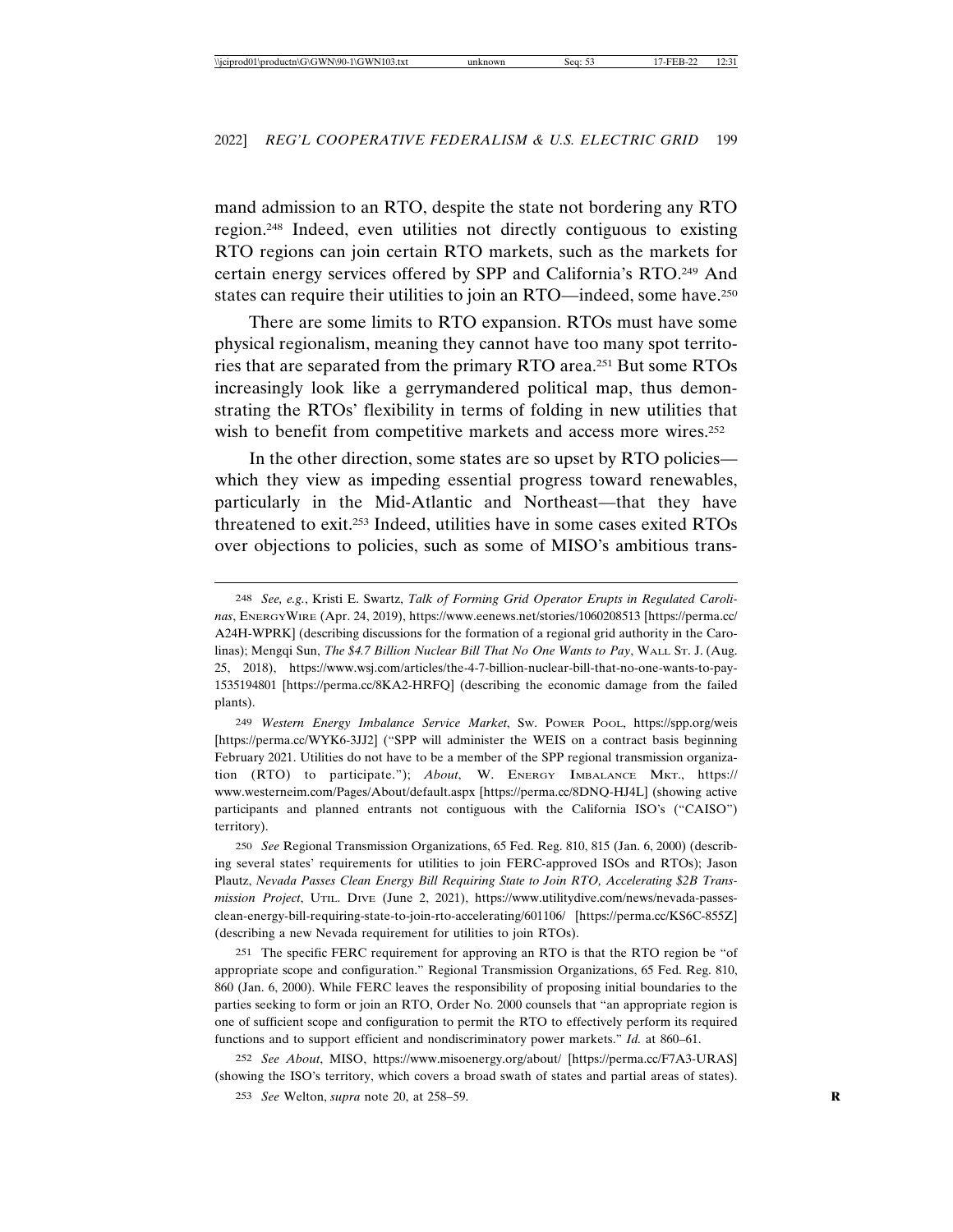mand admission to an RTO, despite the state not bordering any RTO region.248 Indeed, even utilities not directly contiguous to existing RTO regions can join certain RTO markets, such as the markets for certain energy services offered by SPP and California's RTO.249 And states can require their utilities to join an RTO—indeed, some have.250

There are some limits to RTO expansion. RTOs must have some physical regionalism, meaning they cannot have too many spot territories that are separated from the primary RTO area.251 But some RTOs increasingly look like a gerrymandered political map, thus demonstrating the RTOs' flexibility in terms of folding in new utilities that wish to benefit from competitive markets and access more wires.<sup>252</sup>

In the other direction, some states are so upset by RTO policies which they view as impeding essential progress toward renewables, particularly in the Mid-Atlantic and Northeast—that they have threatened to exit.253 Indeed, utilities have in some cases exited RTOs over objections to policies, such as some of MISO's ambitious trans-

249 *Western Energy Imbalance Service Market*, SW. POWER POOL, https://spp.org/weis [https://perma.cc/WYK6-3JJ2] ("SPP will administer the WEIS on a contract basis beginning February 2021. Utilities do not have to be a member of the SPP regional transmission organization (RTO) to participate."); *About*, W. ENERGY IMBALANCE MKT., https:// www.westerneim.com/Pages/About/default.aspx [https://perma.cc/8DNQ-HJ4L] (showing active participants and planned entrants not contiguous with the California ISO's ("CAISO") territory).

250 *See* Regional Transmission Organizations, 65 Fed. Reg. 810, 815 (Jan. 6, 2000) (describing several states' requirements for utilities to join FERC-approved ISOs and RTOs); Jason Plautz, *Nevada Passes Clean Energy Bill Requiring State to Join RTO, Accelerating \$2B Transmission Project*, UTIL. DIVE (June 2, 2021), https://www.utilitydive.com/news/nevada-passesclean-energy-bill-requiring-state-to-join-rto-accelerating/601106/ [https://perma.cc/KS6C-855Z] (describing a new Nevada requirement for utilities to join RTOs).

251 The specific FERC requirement for approving an RTO is that the RTO region be "of appropriate scope and configuration." Regional Transmission Organizations, 65 Fed. Reg. 810, 860 (Jan. 6, 2000). While FERC leaves the responsibility of proposing initial boundaries to the parties seeking to form or join an RTO, Order No. 2000 counsels that "an appropriate region is one of sufficient scope and configuration to permit the RTO to effectively perform its required functions and to support efficient and nondiscriminatory power markets." *Id.* at 860–61.

252 *See About*, MISO, https://www.misoenergy.org/about/ [https://perma.cc/F7A3-URAS] (showing the ISO's territory, which covers a broad swath of states and partial areas of states).

253 *See* Welton, *supra* note 20, at 258–59. **R**

<sup>248</sup> *See, e.g.*, Kristi E. Swartz, *Talk of Forming Grid Operator Erupts in Regulated Carolinas*, ENERGYWIRE (Apr. 24, 2019), https://www.eenews.net/stories/1060208513 [https://perma.cc/ A24H-WPRK] (describing discussions for the formation of a regional grid authority in the Carolinas); Mengqi Sun, *The \$4.7 Billion Nuclear Bill That No One Wants to Pay*, WALL ST. J. (Aug. 25, 2018), https://www.wsj.com/articles/the-4-7-billion-nuclear-bill-that-no-one-wants-to-pay-1535194801 [https://perma.cc/8KA2-HRFQ] (describing the economic damage from the failed plants).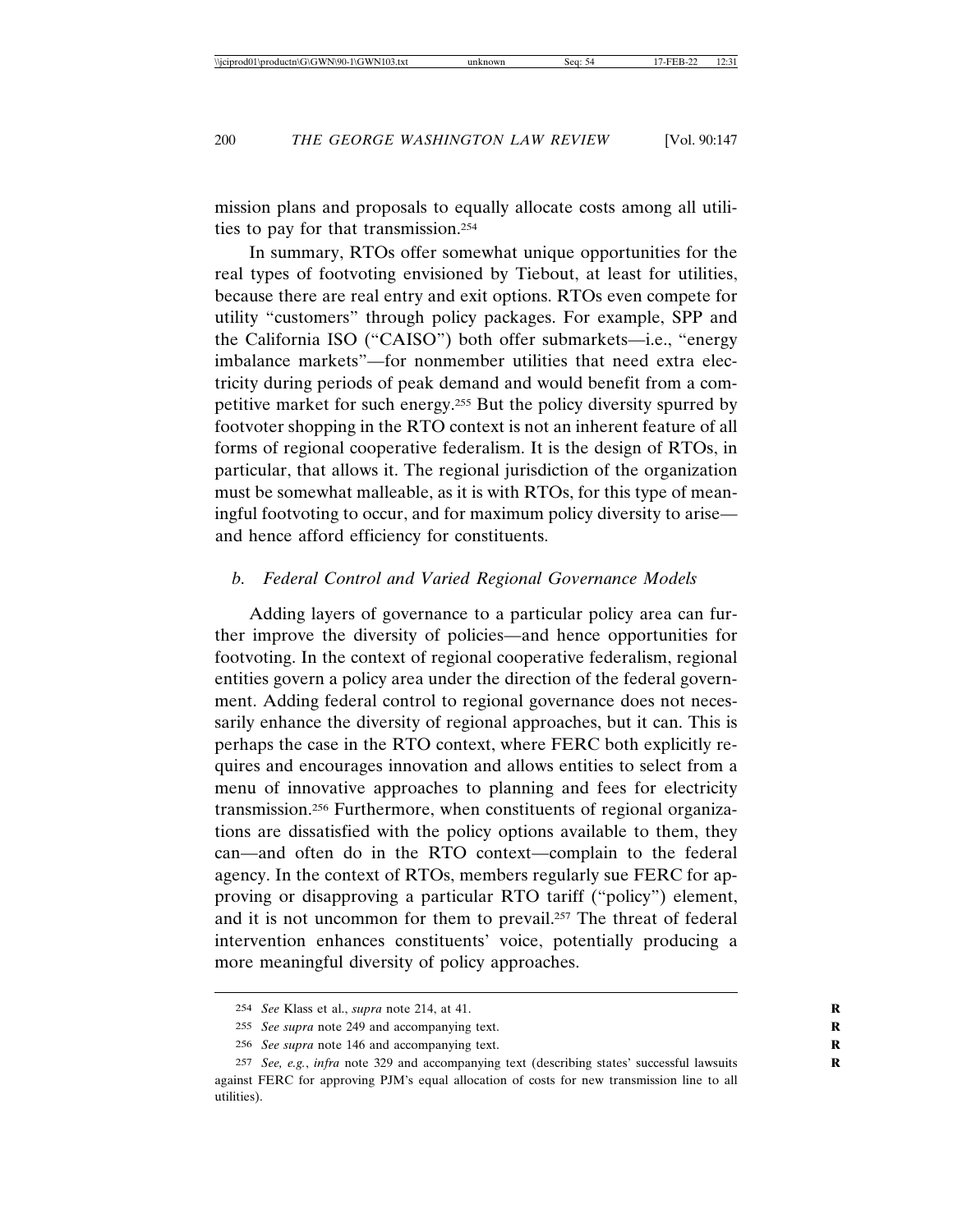mission plans and proposals to equally allocate costs among all utilities to pay for that transmission.254

In summary, RTOs offer somewhat unique opportunities for the real types of footvoting envisioned by Tiebout, at least for utilities, because there are real entry and exit options. RTOs even compete for utility "customers" through policy packages. For example, SPP and the California ISO ("CAISO") both offer submarkets—i.e., "energy imbalance markets"—for nonmember utilities that need extra electricity during periods of peak demand and would benefit from a competitive market for such energy.255 But the policy diversity spurred by footvoter shopping in the RTO context is not an inherent feature of all forms of regional cooperative federalism. It is the design of RTOs, in particular, that allows it. The regional jurisdiction of the organization must be somewhat malleable, as it is with RTOs, for this type of meaningful footvoting to occur, and for maximum policy diversity to arise and hence afford efficiency for constituents.

#### *b. Federal Control and Varied Regional Governance Models*

Adding layers of governance to a particular policy area can further improve the diversity of policies—and hence opportunities for footvoting. In the context of regional cooperative federalism, regional entities govern a policy area under the direction of the federal government. Adding federal control to regional governance does not necessarily enhance the diversity of regional approaches, but it can. This is perhaps the case in the RTO context, where FERC both explicitly requires and encourages innovation and allows entities to select from a menu of innovative approaches to planning and fees for electricity transmission.256 Furthermore, when constituents of regional organizations are dissatisfied with the policy options available to them, they can—and often do in the RTO context—complain to the federal agency. In the context of RTOs, members regularly sue FERC for approving or disapproving a particular RTO tariff ("policy") element, and it is not uncommon for them to prevail.257 The threat of federal intervention enhances constituents' voice, potentially producing a more meaningful diversity of policy approaches.

<sup>254</sup> *See* Klass et al., *supra* note 214, at 41. **R**

<sup>255</sup> *See supra* note 249 and accompanying text. **R**

<sup>256</sup> *See supra* note 146 and accompanying text. **R**

<sup>257</sup> *See, e.g.*, *infra* note 329 and accompanying text (describing states' successful lawsuits **R** against FERC for approving PJM's equal allocation of costs for new transmission line to all utilities).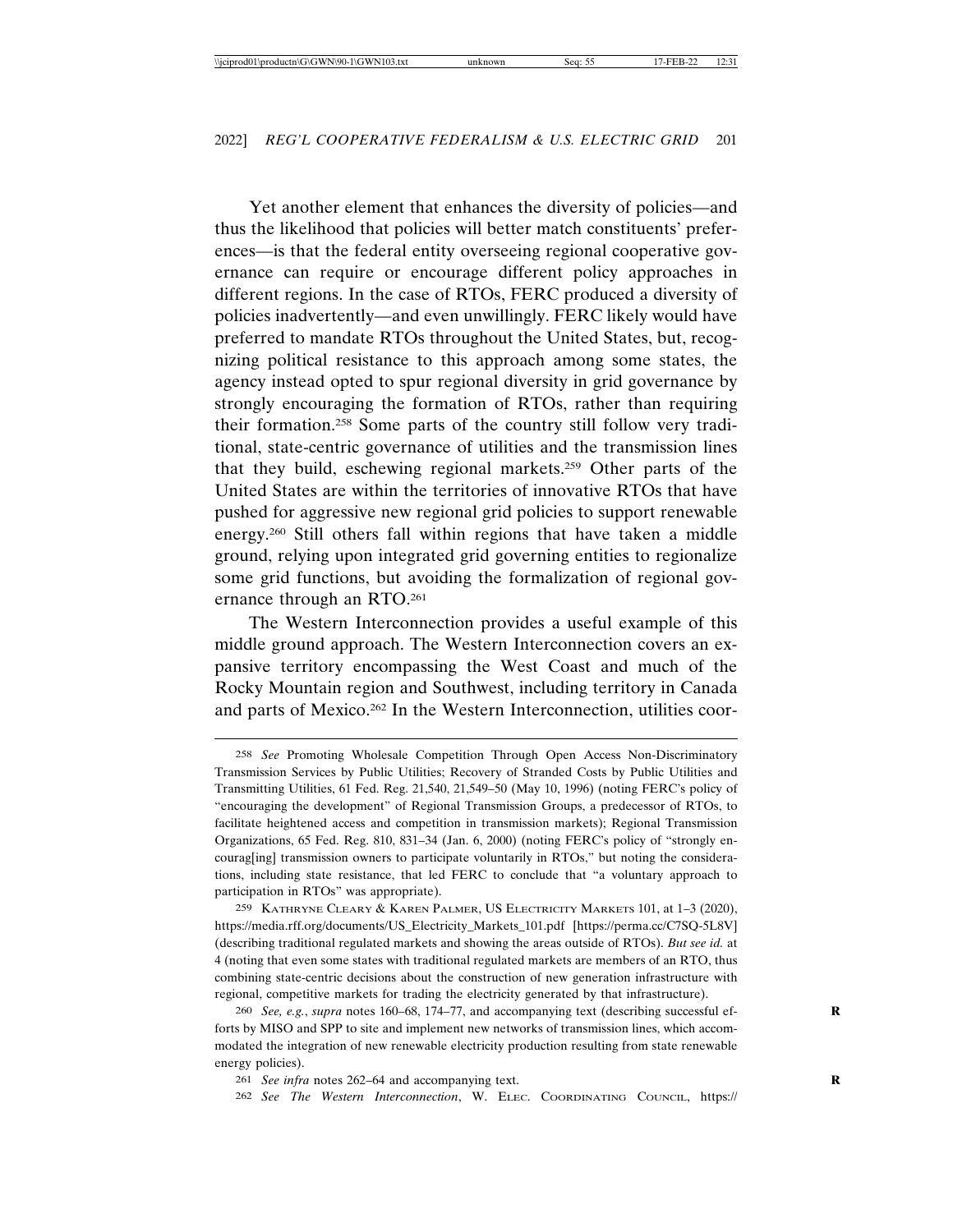Yet another element that enhances the diversity of policies—and thus the likelihood that policies will better match constituents' preferences—is that the federal entity overseeing regional cooperative governance can require or encourage different policy approaches in different regions. In the case of RTOs, FERC produced a diversity of policies inadvertently—and even unwillingly. FERC likely would have preferred to mandate RTOs throughout the United States, but, recognizing political resistance to this approach among some states, the agency instead opted to spur regional diversity in grid governance by strongly encouraging the formation of RTOs, rather than requiring their formation.258 Some parts of the country still follow very traditional, state-centric governance of utilities and the transmission lines that they build, eschewing regional markets.259 Other parts of the United States are within the territories of innovative RTOs that have pushed for aggressive new regional grid policies to support renewable energy.260 Still others fall within regions that have taken a middle ground, relying upon integrated grid governing entities to regionalize some grid functions, but avoiding the formalization of regional governance through an RTO.261

The Western Interconnection provides a useful example of this middle ground approach. The Western Interconnection covers an expansive territory encompassing the West Coast and much of the Rocky Mountain region and Southwest, including territory in Canada and parts of Mexico.262 In the Western Interconnection, utilities coor-

259 KATHRYNE CLEARY & KAREN PALMER, US ELECTRICITY MARKETS 101, at 1–3 (2020), https://media.rff.org/documents/US\_Electricity\_Markets\_101.pdf [https://perma.cc/C7SQ-5L8V] (describing traditional regulated markets and showing the areas outside of RTOs). *But see id.* at 4 (noting that even some states with traditional regulated markets are members of an RTO, thus combining state-centric decisions about the construction of new generation infrastructure with regional, competitive markets for trading the electricity generated by that infrastructure).

260 *See, e.g.*, *supra* notes 160–68, 174–77, and accompanying text (describing successful ef- **R** forts by MISO and SPP to site and implement new networks of transmission lines, which accommodated the integration of new renewable electricity production resulting from state renewable energy policies).

261 *See infra* notes 262–64 and accompanying text. **R**

262 *See The Western Interconnection*, W. ELEC. COORDINATING COUNCIL, https://

<sup>258</sup> *See* Promoting Wholesale Competition Through Open Access Non-Discriminatory Transmission Services by Public Utilities; Recovery of Stranded Costs by Public Utilities and Transmitting Utilities, 61 Fed. Reg. 21,540, 21,549–50 (May 10, 1996) (noting FERC's policy of "encouraging the development" of Regional Transmission Groups, a predecessor of RTOs, to facilitate heightened access and competition in transmission markets); Regional Transmission Organizations, 65 Fed. Reg. 810, 831–34 (Jan. 6, 2000) (noting FERC's policy of "strongly encourag[ing] transmission owners to participate voluntarily in RTOs," but noting the considerations, including state resistance, that led FERC to conclude that "a voluntary approach to participation in RTOs" was appropriate).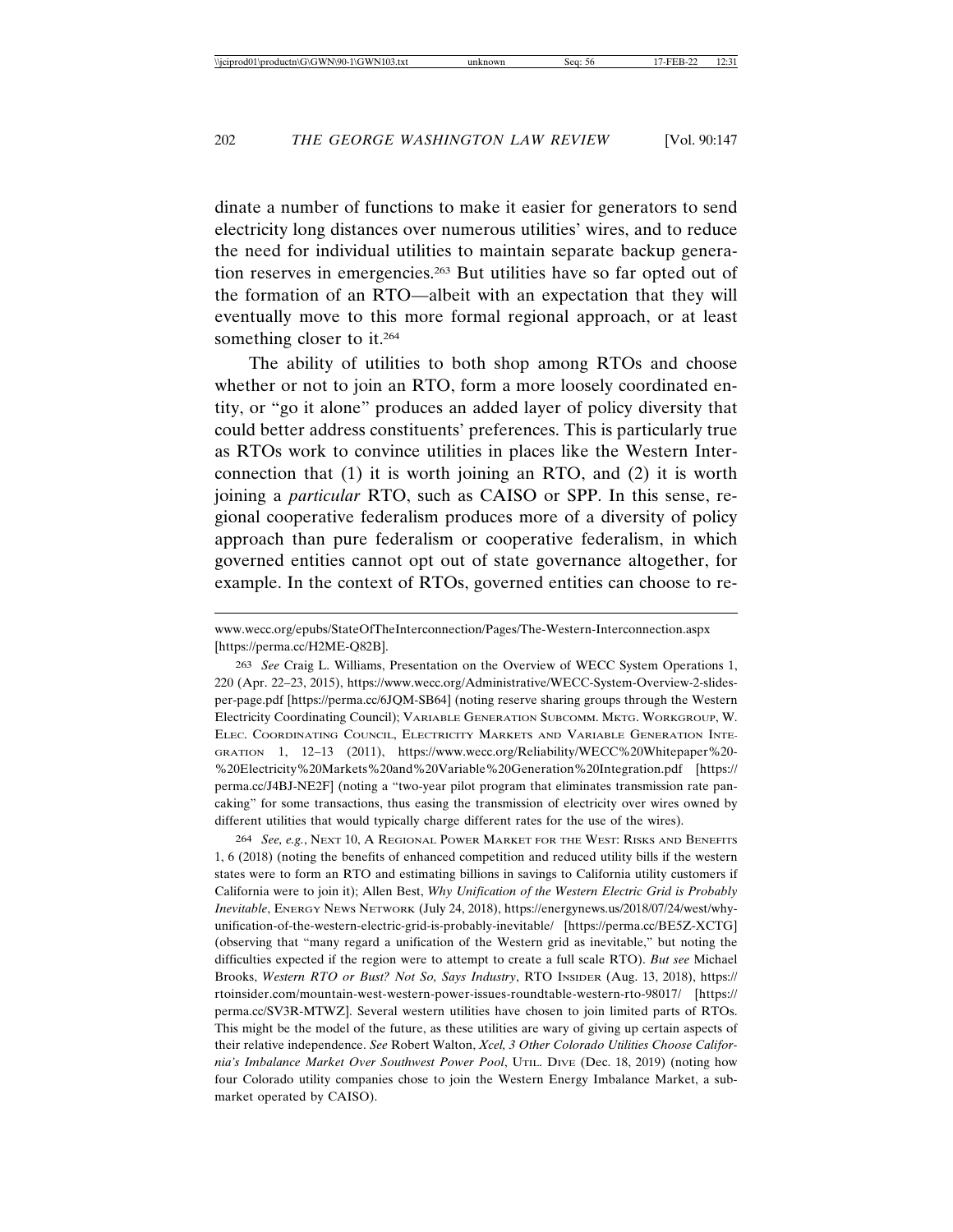dinate a number of functions to make it easier for generators to send electricity long distances over numerous utilities' wires, and to reduce the need for individual utilities to maintain separate backup generation reserves in emergencies.263 But utilities have so far opted out of the formation of an RTO—albeit with an expectation that they will eventually move to this more formal regional approach, or at least something closer to it.<sup>264</sup>

The ability of utilities to both shop among RTOs and choose whether or not to join an RTO, form a more loosely coordinated entity, or "go it alone" produces an added layer of policy diversity that could better address constituents' preferences. This is particularly true as RTOs work to convince utilities in places like the Western Interconnection that (1) it is worth joining an RTO, and (2) it is worth joining a *particular* RTO, such as CAISO or SPP. In this sense, regional cooperative federalism produces more of a diversity of policy approach than pure federalism or cooperative federalism, in which governed entities cannot opt out of state governance altogether, for example. In the context of RTOs, governed entities can choose to re-

263 *See* Craig L. Williams, Presentation on the Overview of WECC System Operations 1, 220 (Apr. 22–23, 2015), https://www.wecc.org/Administrative/WECC-System-Overview-2-slidesper-page.pdf [https://perma.cc/6JQM-SB64] (noting reserve sharing groups through the Western Electricity Coordinating Council); VARIABLE GENERATION SUBCOMM. MKTG. WORKGROUP, W. ELEC. COORDINATING COUNCIL, ELECTRICITY MARKETS AND VARIABLE GENERATION INTE-GRATION 1, 12–13 (2011), https://www.wecc.org/Reliability/WECC%20Whitepaper%20- %20Electricity%20Markets%20and%20Variable%20Generation%20Integration.pdf [https:// perma.cc/J4BJ-NE2F] (noting a "two-year pilot program that eliminates transmission rate pancaking" for some transactions, thus easing the transmission of electricity over wires owned by different utilities that would typically charge different rates for the use of the wires).

264 *See, e.g.*, NEXT 10, A REGIONAL POWER MARKET FOR THE WEST: RISKS AND BENEFITS 1, 6 (2018) (noting the benefits of enhanced competition and reduced utility bills if the western states were to form an RTO and estimating billions in savings to California utility customers if California were to join it); Allen Best, *Why Unification of the Western Electric Grid is Probably Inevitable*, ENERGY NEWS NETWORK (July 24, 2018), https://energynews.us/2018/07/24/west/whyunification-of-the-western-electric-grid-is-probably-inevitable/ [https://perma.cc/BE5Z-XCTG] (observing that "many regard a unification of the Western grid as inevitable," but noting the difficulties expected if the region were to attempt to create a full scale RTO). *But see* Michael Brooks, *Western RTO or Bust? Not So, Says Industry*, RTO INSIDER (Aug. 13, 2018), https:// rtoinsider.com/mountain-west-western-power-issues-roundtable-western-rto-98017/ [https:// perma.cc/SV3R-MTWZ]. Several western utilities have chosen to join limited parts of RTOs. This might be the model of the future, as these utilities are wary of giving up certain aspects of their relative independence. *See* Robert Walton, *Xcel, 3 Other Colorado Utilities Choose California's Imbalance Market Over Southwest Power Pool*, UTIL. DIVE (Dec. 18, 2019) (noting how four Colorado utility companies chose to join the Western Energy Imbalance Market, a submarket operated by CAISO).

www.wecc.org/epubs/StateOfTheInterconnection/Pages/The-Western-Interconnection.aspx [https://perma.cc/H2ME-Q82B].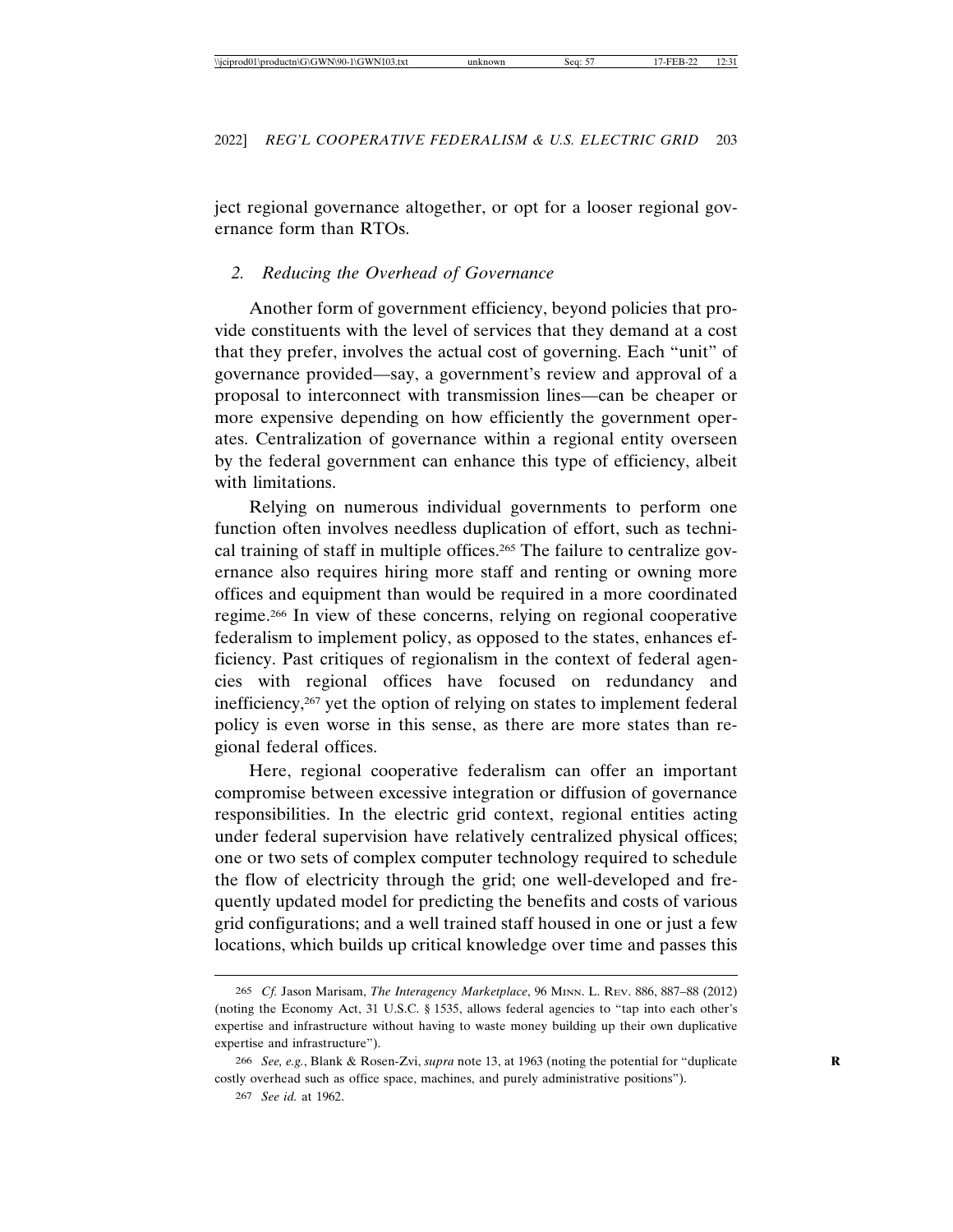ject regional governance altogether, or opt for a looser regional governance form than RTOs.

### *2. Reducing the Overhead of Governance*

Another form of government efficiency, beyond policies that provide constituents with the level of services that they demand at a cost that they prefer, involves the actual cost of governing. Each "unit" of governance provided—say, a government's review and approval of a proposal to interconnect with transmission lines—can be cheaper or more expensive depending on how efficiently the government operates. Centralization of governance within a regional entity overseen by the federal government can enhance this type of efficiency, albeit with limitations.

Relying on numerous individual governments to perform one function often involves needless duplication of effort, such as technical training of staff in multiple offices.265 The failure to centralize governance also requires hiring more staff and renting or owning more offices and equipment than would be required in a more coordinated regime.266 In view of these concerns, relying on regional cooperative federalism to implement policy, as opposed to the states, enhances efficiency. Past critiques of regionalism in the context of federal agencies with regional offices have focused on redundancy and inefficiency,267 yet the option of relying on states to implement federal policy is even worse in this sense, as there are more states than regional federal offices.

Here, regional cooperative federalism can offer an important compromise between excessive integration or diffusion of governance responsibilities. In the electric grid context, regional entities acting under federal supervision have relatively centralized physical offices; one or two sets of complex computer technology required to schedule the flow of electricity through the grid; one well-developed and frequently updated model for predicting the benefits and costs of various grid configurations; and a well trained staff housed in one or just a few locations, which builds up critical knowledge over time and passes this

<sup>265</sup> *Cf.* Jason Marisam, *The Interagency Marketplace*, 96 MINN. L. REV. 886, 887–88 (2012) (noting the Economy Act, 31 U.S.C. § 1535, allows federal agencies to "tap into each other's expertise and infrastructure without having to waste money building up their own duplicative expertise and infrastructure").

<sup>266</sup> *See, e.g.*, Blank & Rosen-Zvi, *supra* note 13, at 1963 (noting the potential for "duplicate **R** costly overhead such as office space, machines, and purely administrative positions").

<sup>267</sup> *See id.* at 1962.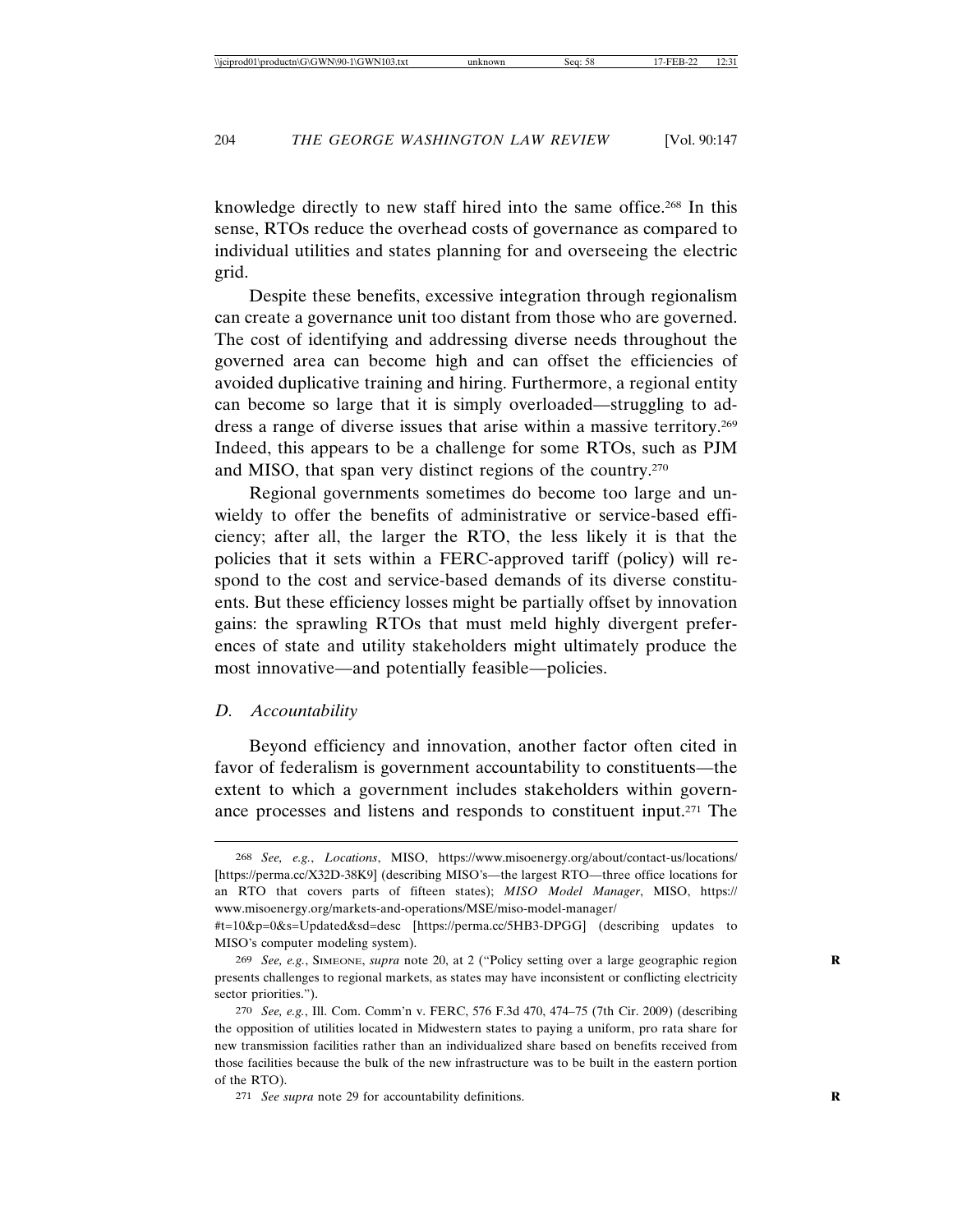knowledge directly to new staff hired into the same office.268 In this sense, RTOs reduce the overhead costs of governance as compared to individual utilities and states planning for and overseeing the electric grid.

Despite these benefits, excessive integration through regionalism can create a governance unit too distant from those who are governed. The cost of identifying and addressing diverse needs throughout the governed area can become high and can offset the efficiencies of avoided duplicative training and hiring. Furthermore, a regional entity can become so large that it is simply overloaded—struggling to address a range of diverse issues that arise within a massive territory.269 Indeed, this appears to be a challenge for some RTOs, such as PJM and MISO, that span very distinct regions of the country.270

Regional governments sometimes do become too large and unwieldy to offer the benefits of administrative or service-based efficiency; after all, the larger the RTO, the less likely it is that the policies that it sets within a FERC-approved tariff (policy) will respond to the cost and service-based demands of its diverse constituents. But these efficiency losses might be partially offset by innovation gains: the sprawling RTOs that must meld highly divergent preferences of state and utility stakeholders might ultimately produce the most innovative—and potentially feasible—policies.

### *D. Accountability*

Beyond efficiency and innovation, another factor often cited in favor of federalism is government accountability to constituents—the extent to which a government includes stakeholders within governance processes and listens and responds to constituent input.271 The

<sup>268</sup> *See, e.g.*, *Locations*, MISO, https://www.misoenergy.org/about/contact-us/locations/ [https://perma.cc/X32D-38K9] (describing MISO's—the largest RTO—three office locations for an RTO that covers parts of fifteen states); *MISO Model Manager*, MISO, https:// www.misoenergy.org/markets-and-operations/MSE/miso-model-manager/

<sup>#</sup>t=10&p=0&s=Updated&sd=desc [https://perma.cc/5HB3-DPGG] (describing updates to MISO's computer modeling system).

<sup>269</sup> *See, e.g.*, SIMEONE, *supra* note 20, at 2 ("Policy setting over a large geographic region **R** presents challenges to regional markets, as states may have inconsistent or conflicting electricity sector priorities.").

<sup>270</sup> *See, e.g.*, Ill. Com. Comm'n v. FERC, 576 F.3d 470, 474–75 (7th Cir. 2009) (describing the opposition of utilities located in Midwestern states to paying a uniform, pro rata share for new transmission facilities rather than an individualized share based on benefits received from those facilities because the bulk of the new infrastructure was to be built in the eastern portion of the RTO).

<sup>271</sup> *See supra* note 29 for accountability definitions. **R**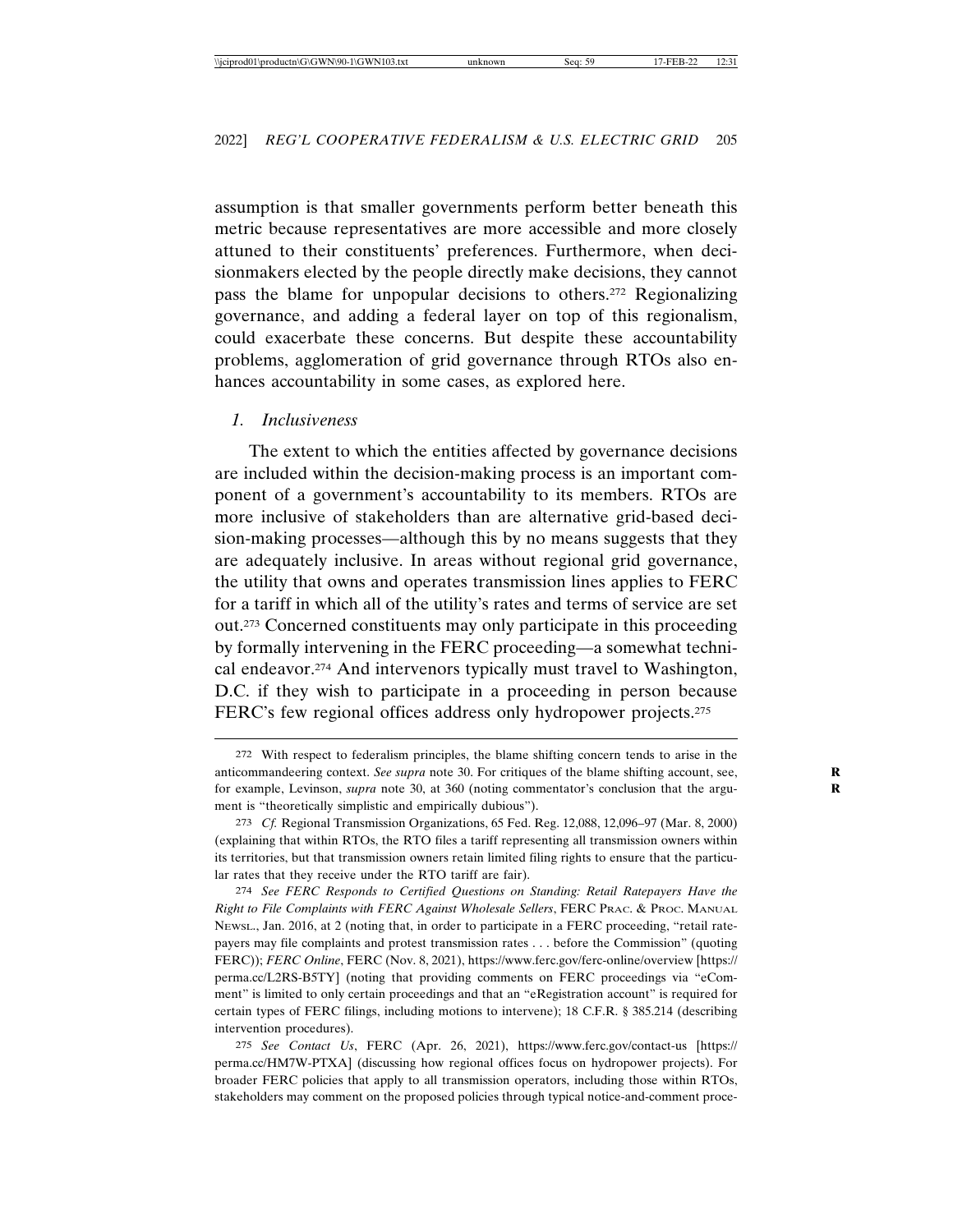assumption is that smaller governments perform better beneath this metric because representatives are more accessible and more closely attuned to their constituents' preferences. Furthermore, when decisionmakers elected by the people directly make decisions, they cannot pass the blame for unpopular decisions to others.272 Regionalizing governance, and adding a federal layer on top of this regionalism, could exacerbate these concerns. But despite these accountability problems, agglomeration of grid governance through RTOs also enhances accountability in some cases, as explored here.

#### *1. Inclusiveness*

The extent to which the entities affected by governance decisions are included within the decision-making process is an important component of a government's accountability to its members. RTOs are more inclusive of stakeholders than are alternative grid-based decision-making processes—although this by no means suggests that they are adequately inclusive. In areas without regional grid governance, the utility that owns and operates transmission lines applies to FERC for a tariff in which all of the utility's rates and terms of service are set out.273 Concerned constituents may only participate in this proceeding by formally intervening in the FERC proceeding—a somewhat technical endeavor.274 And intervenors typically must travel to Washington, D.C. if they wish to participate in a proceeding in person because FERC's few regional offices address only hydropower projects.<sup>275</sup>

275 *See Contact Us*, FERC (Apr. 26, 2021), https://www.ferc.gov/contact-us [https:// perma.cc/HM7W-PTXA] (discussing how regional offices focus on hydropower projects). For broader FERC policies that apply to all transmission operators, including those within RTOs, stakeholders may comment on the proposed policies through typical notice-and-comment proce-

<sup>272</sup> With respect to federalism principles, the blame shifting concern tends to arise in the anticommandeering context. See supra note 30. For critiques of the blame shifting account, see, for example, Levinson, *supra* note 30, at 360 (noting commentator's conclusion that the argument is "theoretically simplistic and empirically dubious").

<sup>273</sup> *Cf.* Regional Transmission Organizations, 65 Fed. Reg. 12,088, 12,096–97 (Mar. 8, 2000) (explaining that within RTOs, the RTO files a tariff representing all transmission owners within its territories, but that transmission owners retain limited filing rights to ensure that the particular rates that they receive under the RTO tariff are fair).

<sup>274</sup> *See FERC Responds to Certified Questions on Standing: Retail Ratepayers Have the Right to File Complaints with FERC Against Wholesale Sellers*, FERC PRAC. & PROC. MANUAL NEWSL., Jan. 2016, at 2 (noting that, in order to participate in a FERC proceeding, "retail ratepayers may file complaints and protest transmission rates . . . before the Commission" (quoting FERC)); *FERC Online*, FERC (Nov. 8, 2021), https://www.ferc.gov/ferc-online/overview [https:// perma.cc/L2RS-B5TY] (noting that providing comments on FERC proceedings via "eComment" is limited to only certain proceedings and that an "eRegistration account" is required for certain types of FERC filings, including motions to intervene); 18 C.F.R. § 385.214 (describing intervention procedures).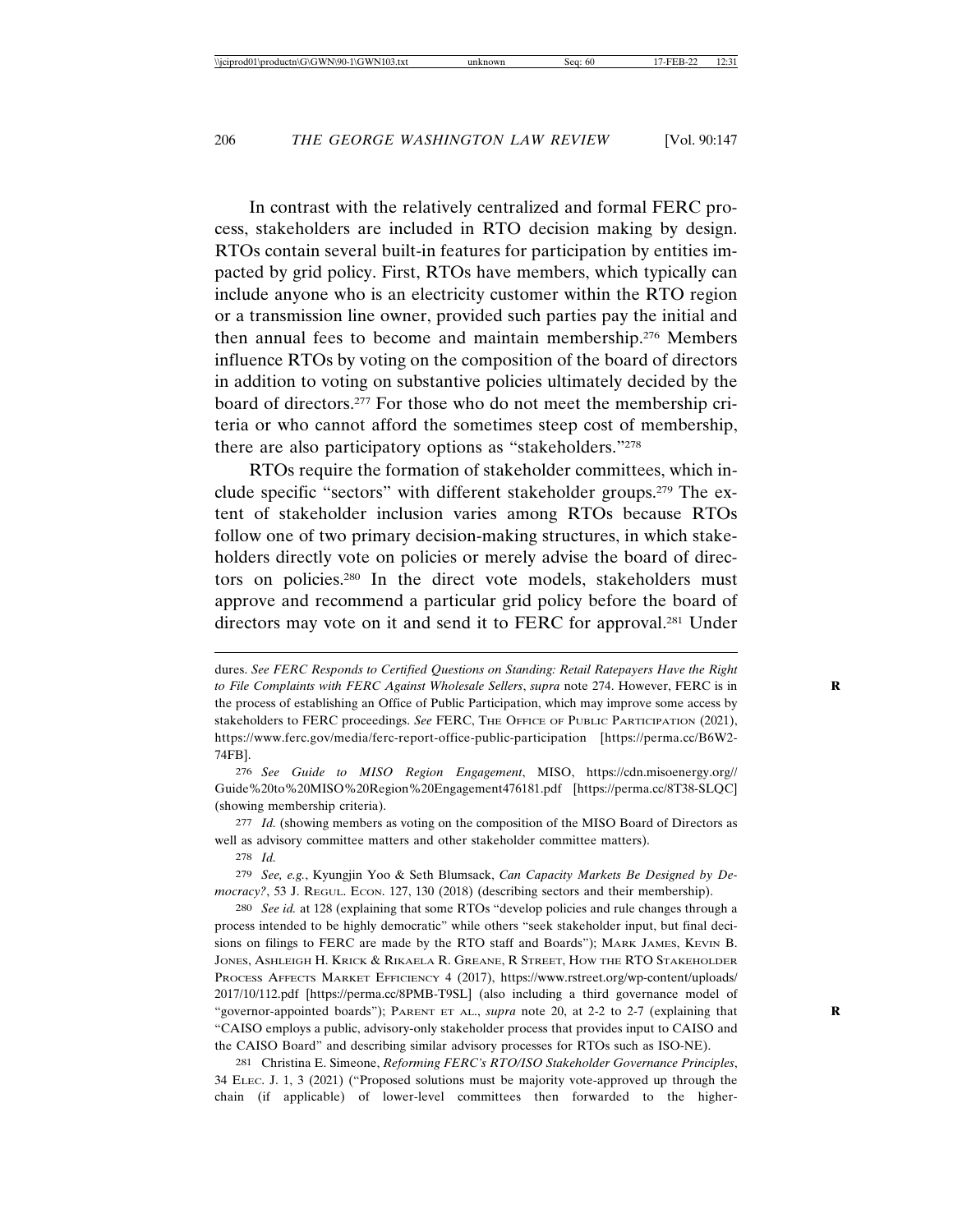In contrast with the relatively centralized and formal FERC process, stakeholders are included in RTO decision making by design. RTOs contain several built-in features for participation by entities impacted by grid policy. First, RTOs have members, which typically can include anyone who is an electricity customer within the RTO region or a transmission line owner, provided such parties pay the initial and then annual fees to become and maintain membership.276 Members influence RTOs by voting on the composition of the board of directors in addition to voting on substantive policies ultimately decided by the board of directors.277 For those who do not meet the membership criteria or who cannot afford the sometimes steep cost of membership, there are also participatory options as "stakeholders."278

RTOs require the formation of stakeholder committees, which include specific "sectors" with different stakeholder groups.279 The extent of stakeholder inclusion varies among RTOs because RTOs follow one of two primary decision-making structures, in which stakeholders directly vote on policies or merely advise the board of directors on policies.280 In the direct vote models, stakeholders must approve and recommend a particular grid policy before the board of directors may vote on it and send it to FERC for approval.281 Under

276 *See Guide to MISO Region Engagement*, MISO, https://cdn.misoenergy.org// Guide%20to%20MISO%20Region%20Engagement476181.pdf [https://perma.cc/8T38-SLQC] (showing membership criteria).

277 *Id.* (showing members as voting on the composition of the MISO Board of Directors as well as advisory committee matters and other stakeholder committee matters).

278 *Id.*

279 *See, e.g.*, Kyungjin Yoo & Seth Blumsack, *Can Capacity Markets Be Designed by Democracy?*, 53 J. REGUL. ECON. 127, 130 (2018) (describing sectors and their membership).

280 *See id.* at 128 (explaining that some RTOs "develop policies and rule changes through a process intended to be highly democratic" while others "seek stakeholder input, but final decisions on filings to FERC are made by the RTO staff and Boards"); MARK JAMES, KEVIN B. JONES, ASHLEIGH H. KRICK & RIKAELA R. GREANE, R STREET, HOW THE RTO STAKEHOLDER PROCESS AFFECTS MARKET EFFICIENCY 4 (2017), https://www.rstreet.org/wp-content/uploads/ 2017/10/112.pdf [https://perma.cc/8PMB-T9SL] (also including a third governance model of "governor-appointed boards"); PARENT ET AL., *supra* note 20, at 2-2 to 2-7 (explaining that "CAISO employs a public, advisory-only stakeholder process that provides input to CAISO and the CAISO Board" and describing similar advisory processes for RTOs such as ISO-NE).

281 Christina E. Simeone, *Reforming FERC's RTO/ISO Stakeholder Governance Principles*, 34 ELEC. J. 1, 3 (2021) ("Proposed solutions must be majority vote-approved up through the chain (if applicable) of lower-level committees then forwarded to the higher-

dures. *See FERC Responds to Certified Questions on Standing: Retail Ratepayers Have the Right to File Complaints with FERC Against Wholesale Sellers*, *supra* note 274. However, FERC is in **R** the process of establishing an Office of Public Participation, which may improve some access by stakeholders to FERC proceedings. *See* FERC, THE OFFICE OF PUBLIC PARTICIPATION (2021), https://www.ferc.gov/media/ferc-report-office-public-participation [https://perma.cc/B6W2- 74FB].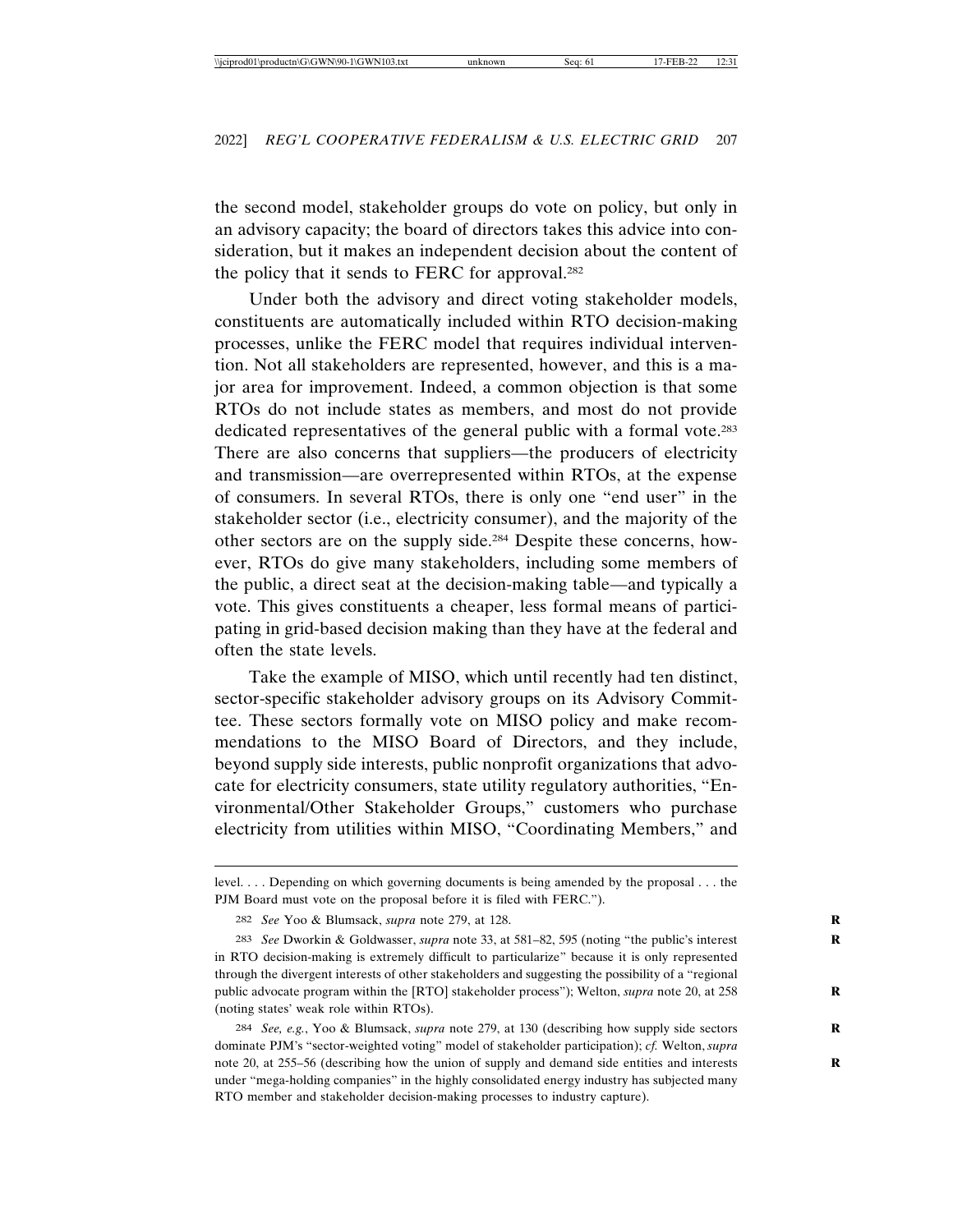the second model, stakeholder groups do vote on policy, but only in an advisory capacity; the board of directors takes this advice into consideration, but it makes an independent decision about the content of the policy that it sends to FERC for approval.282

Under both the advisory and direct voting stakeholder models, constituents are automatically included within RTO decision-making processes, unlike the FERC model that requires individual intervention. Not all stakeholders are represented, however, and this is a major area for improvement. Indeed, a common objection is that some RTOs do not include states as members, and most do not provide dedicated representatives of the general public with a formal vote.283 There are also concerns that suppliers—the producers of electricity and transmission—are overrepresented within RTOs, at the expense of consumers. In several RTOs, there is only one "end user" in the stakeholder sector (i.e., electricity consumer), and the majority of the other sectors are on the supply side.284 Despite these concerns, however, RTOs do give many stakeholders, including some members of the public, a direct seat at the decision-making table—and typically a vote. This gives constituents a cheaper, less formal means of participating in grid-based decision making than they have at the federal and often the state levels.

Take the example of MISO, which until recently had ten distinct, sector-specific stakeholder advisory groups on its Advisory Committee. These sectors formally vote on MISO policy and make recommendations to the MISO Board of Directors, and they include, beyond supply side interests, public nonprofit organizations that advocate for electricity consumers, state utility regulatory authorities, "Environmental/Other Stakeholder Groups," customers who purchase electricity from utilities within MISO, "Coordinating Members," and

level. . . . Depending on which governing documents is being amended by the proposal . . . the PJM Board must vote on the proposal before it is filed with FERC.").

<sup>282</sup> *See* Yoo & Blumsack, *supra* note 279, at 128. **R**

<sup>283</sup> *See* Dworkin & Goldwasser, *supra* note 33, at 581–82, 595 (noting "the public's interest **R** in RTO decision-making is extremely difficult to particularize" because it is only represented through the divergent interests of other stakeholders and suggesting the possibility of a "regional public advocate program within the [RTO] stakeholder process"); Welton, *supra* note 20, at 258 **R** (noting states' weak role within RTOs).

<sup>284</sup> *See, e.g.*, Yoo & Blumsack, *supra* note 279, at 130 (describing how supply side sectors **R** dominate PJM's "sector-weighted voting" model of stakeholder participation); *cf.* Welton, *supra* note 20, at 255–56 (describing how the union of supply and demand side entities and interests **R** under "mega-holding companies" in the highly consolidated energy industry has subjected many RTO member and stakeholder decision-making processes to industry capture).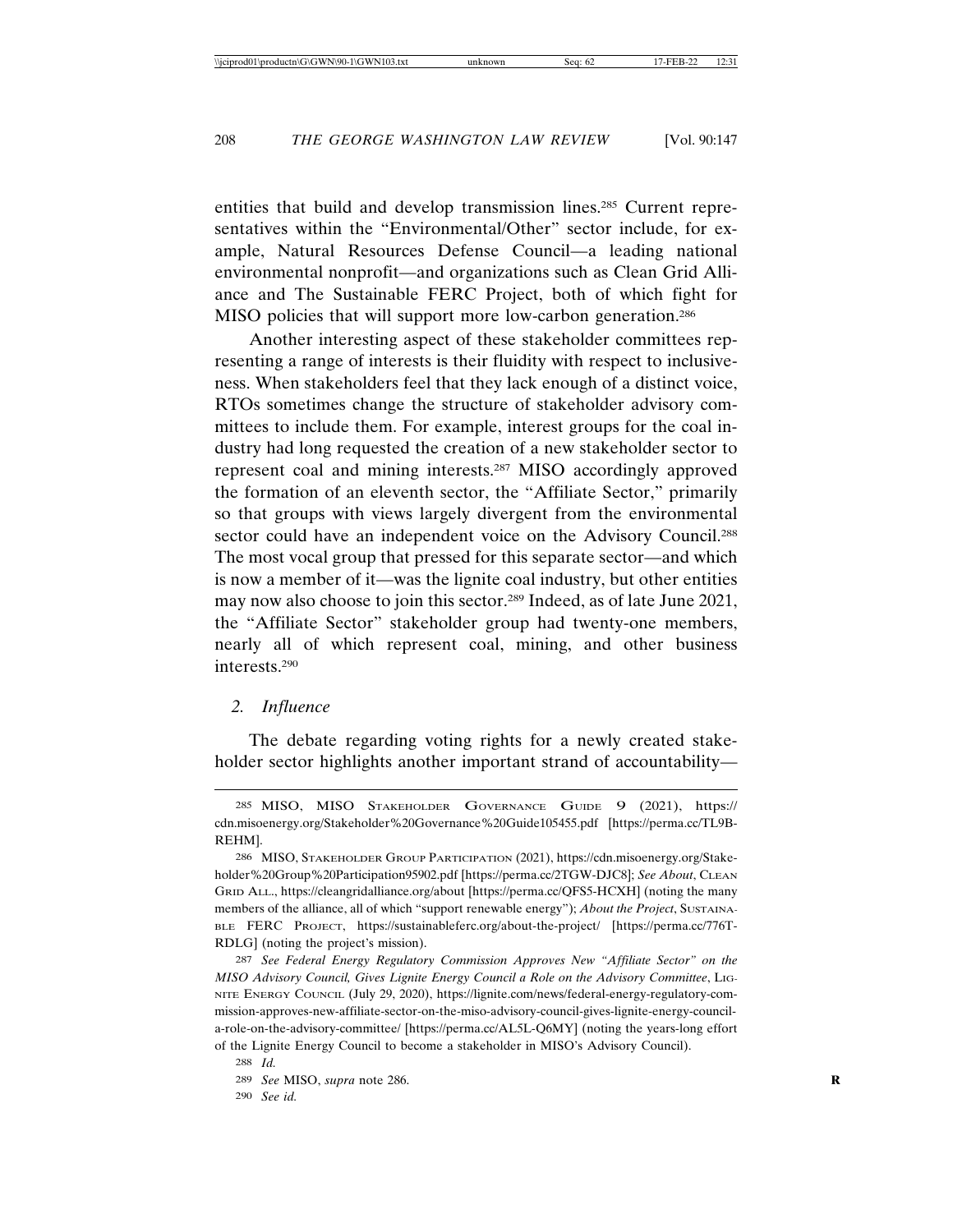entities that build and develop transmission lines.285 Current representatives within the "Environmental/Other" sector include, for example, Natural Resources Defense Council—a leading national environmental nonprofit—and organizations such as Clean Grid Alliance and The Sustainable FERC Project, both of which fight for MISO policies that will support more low-carbon generation.286

Another interesting aspect of these stakeholder committees representing a range of interests is their fluidity with respect to inclusiveness. When stakeholders feel that they lack enough of a distinct voice, RTOs sometimes change the structure of stakeholder advisory committees to include them. For example, interest groups for the coal industry had long requested the creation of a new stakeholder sector to represent coal and mining interests.287 MISO accordingly approved the formation of an eleventh sector, the "Affiliate Sector," primarily so that groups with views largely divergent from the environmental sector could have an independent voice on the Advisory Council.<sup>288</sup> The most vocal group that pressed for this separate sector—and which is now a member of it—was the lignite coal industry, but other entities may now also choose to join this sector.289 Indeed, as of late June 2021, the "Affiliate Sector" stakeholder group had twenty-one members, nearly all of which represent coal, mining, and other business interests.290

### *2. Influence*

The debate regarding voting rights for a newly created stakeholder sector highlights another important strand of accountability—

288 *Id.*

<sup>285</sup> MISO, MISO STAKEHOLDER GOVERNANCE GUIDE 9 (2021), https:// cdn.misoenergy.org/Stakeholder%20Governance%20Guide105455.pdf [https://perma.cc/TL9B-REHM].

<sup>286</sup> MISO, STAKEHOLDER GROUP PARTICIPATION (2021), https://cdn.misoenergy.org/Stakeholder%20Group%20Participation95902.pdf [https://perma.cc/2TGW-DJC8]; *See About*, CLEAN GRID ALL., https://cleangridalliance.org/about [https://perma.cc/QFS5-HCXH] (noting the many members of the alliance, all of which "support renewable energy"); *About the Project*, SUSTAINA-BLE FERC PROJECT, https://sustainableferc.org/about-the-project/ [https://perma.cc/776T-RDLG] (noting the project's mission).

<sup>287</sup> *See Federal Energy Regulatory Commission Approves New "Affiliate Sector" on the MISO Advisory Council, Gives Lignite Energy Council a Role on the Advisory Committee*, LIG-NITE ENERGY COUNCIL (July 29, 2020), https://lignite.com/news/federal-energy-regulatory-commission-approves-new-affiliate-sector-on-the-miso-advisory-council-gives-lignite-energy-councila-role-on-the-advisory-committee/ [https://perma.cc/AL5L-Q6MY] (noting the years-long effort of the Lignite Energy Council to become a stakeholder in MISO's Advisory Council).

<sup>289</sup> *See* MISO, *supra* note 286. **R**

<sup>290</sup> *See id.*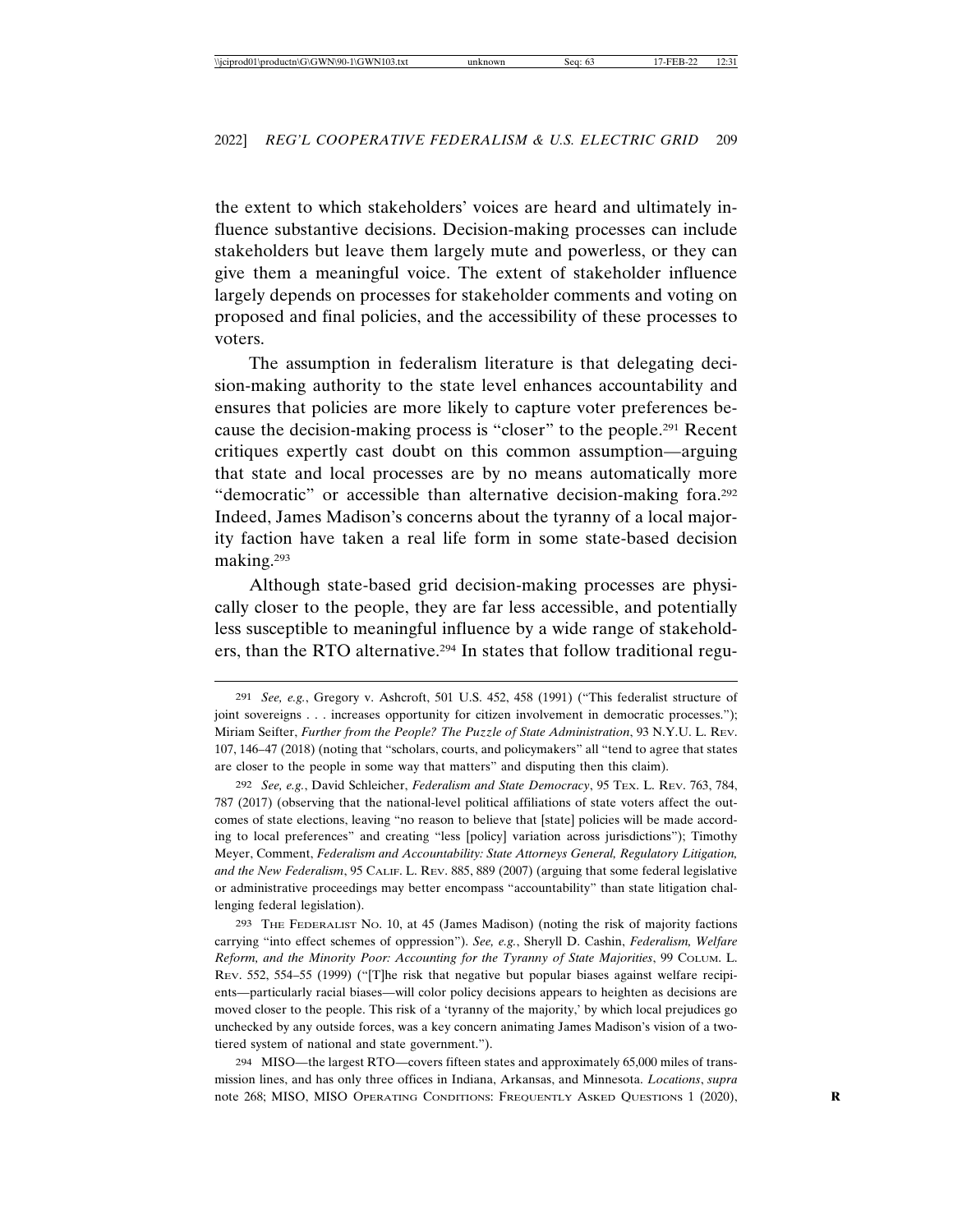the extent to which stakeholders' voices are heard and ultimately influence substantive decisions. Decision-making processes can include stakeholders but leave them largely mute and powerless, or they can give them a meaningful voice. The extent of stakeholder influence largely depends on processes for stakeholder comments and voting on proposed and final policies, and the accessibility of these processes to voters.

The assumption in federalism literature is that delegating decision-making authority to the state level enhances accountability and ensures that policies are more likely to capture voter preferences because the decision-making process is "closer" to the people.291 Recent critiques expertly cast doubt on this common assumption—arguing that state and local processes are by no means automatically more "democratic" or accessible than alternative decision-making fora.292 Indeed, James Madison's concerns about the tyranny of a local majority faction have taken a real life form in some state-based decision making.293

Although state-based grid decision-making processes are physically closer to the people, they are far less accessible, and potentially less susceptible to meaningful influence by a wide range of stakeholders, than the RTO alternative.<sup>294</sup> In states that follow traditional regu-

292 *See, e.g.*, David Schleicher, *Federalism and State Democracy*, 95 TEX. L. REV. 763, 784, 787 (2017) (observing that the national-level political affiliations of state voters affect the outcomes of state elections, leaving "no reason to believe that [state] policies will be made according to local preferences" and creating "less [policy] variation across jurisdictions"); Timothy Meyer, Comment, *Federalism and Accountability: State Attorneys General, Regulatory Litigation, and the New Federalism*, 95 CALIF. L. REV. 885, 889 (2007) (arguing that some federal legislative or administrative proceedings may better encompass "accountability" than state litigation challenging federal legislation).

293 THE FEDERALIST NO. 10, at 45 (James Madison) (noting the risk of majority factions carrying "into effect schemes of oppression"). *See, e.g.*, Sheryll D. Cashin, *Federalism, Welfare Reform, and the Minority Poor: Accounting for the Tyranny of State Majorities*, 99 COLUM. L. REV. 552, 554–55 (1999) ("[T]he risk that negative but popular biases against welfare recipients—particularly racial biases—will color policy decisions appears to heighten as decisions are moved closer to the people. This risk of a 'tyranny of the majority,' by which local prejudices go unchecked by any outside forces, was a key concern animating James Madison's vision of a twotiered system of national and state government.").

294 MISO—the largest RTO—covers fifteen states and approximately 65,000 miles of transmission lines, and has only three offices in Indiana, Arkansas, and Minnesota. *Locations*, *supra* note 268; MISO, MISO OPERATING CONDITIONS: FREQUENTLY ASKED QUESTIONS 1 (2020), **R**

<sup>291</sup> *See, e.g.*, Gregory v. Ashcroft, 501 U.S. 452, 458 (1991) ("This federalist structure of joint sovereigns . . . increases opportunity for citizen involvement in democratic processes."); Miriam Seifter, *Further from the People? The Puzzle of State Administration*, 93 N.Y.U. L. REV. 107, 146–47 (2018) (noting that "scholars, courts, and policymakers" all "tend to agree that states are closer to the people in some way that matters" and disputing then this claim).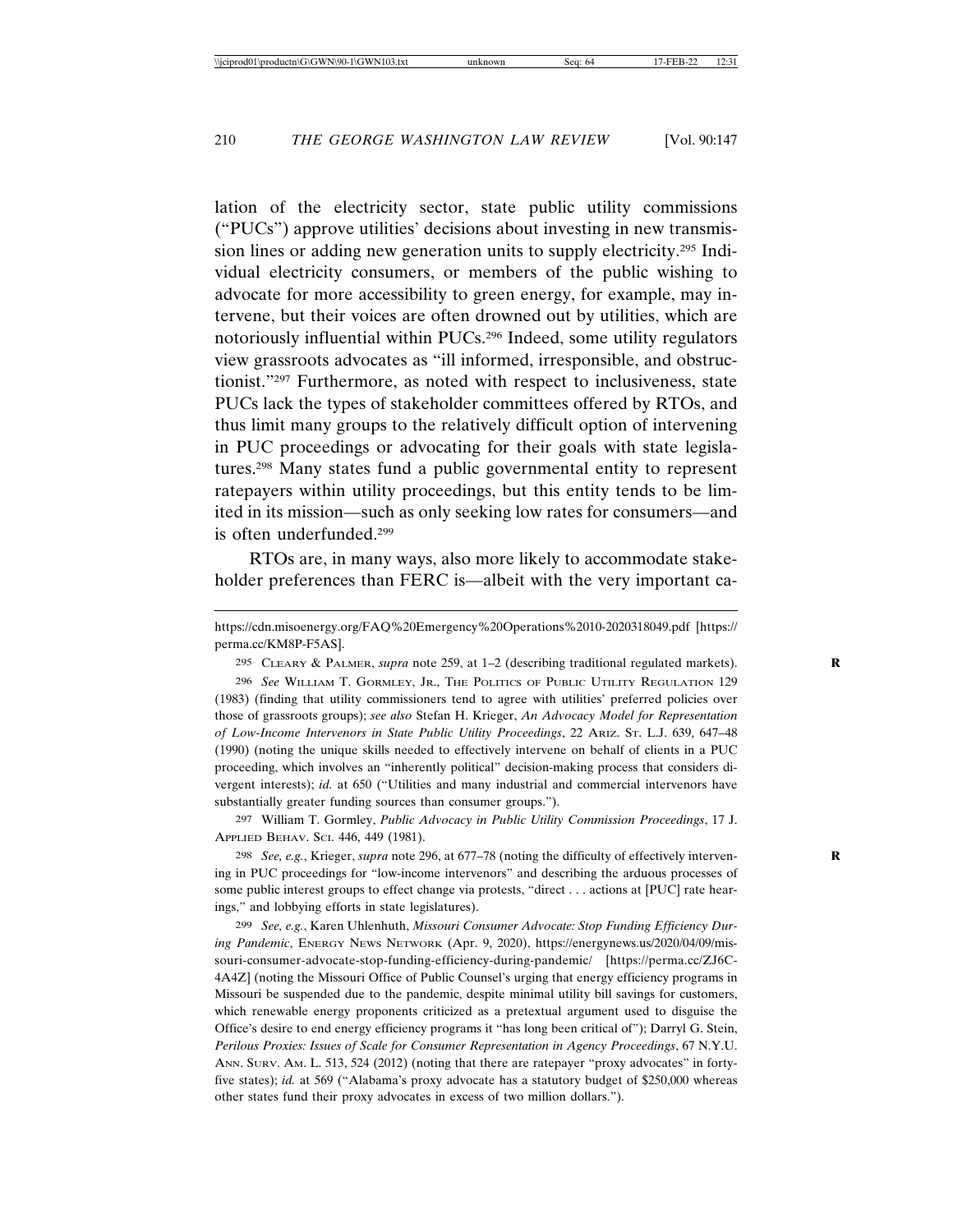lation of the electricity sector, state public utility commissions ("PUCs") approve utilities' decisions about investing in new transmission lines or adding new generation units to supply electricity.295 Individual electricity consumers, or members of the public wishing to advocate for more accessibility to green energy, for example, may intervene, but their voices are often drowned out by utilities, which are notoriously influential within PUCs.296 Indeed, some utility regulators view grassroots advocates as "ill informed, irresponsible, and obstructionist."297 Furthermore, as noted with respect to inclusiveness, state PUCs lack the types of stakeholder committees offered by RTOs, and thus limit many groups to the relatively difficult option of intervening in PUC proceedings or advocating for their goals with state legislatures.298 Many states fund a public governmental entity to represent ratepayers within utility proceedings, but this entity tends to be limited in its mission—such as only seeking low rates for consumers—and is often underfunded.299

RTOs are, in many ways, also more likely to accommodate stakeholder preferences than FERC is—albeit with the very important ca-

https://cdn.misoenergy.org/FAQ%20Emergency%20Operations%2010-2020318049.pdf [https:// perma.cc/KM8P-F5AS].

295 CLEARY & PALMER, *supra* note 259, at 1–2 (describing traditional regulated markets). **R**

296 *See* WILLIAM T. GORMLEY, JR., THE POLITICS OF PUBLIC UTILITY REGULATION 129 (1983) (finding that utility commissioners tend to agree with utilities' preferred policies over those of grassroots groups); *see also* Stefan H. Krieger, *An Advocacy Model for Representation of Low-Income Intervenors in State Public Utility Proceedings*, 22 ARIZ. ST. L.J. 639, 647–48 (1990) (noting the unique skills needed to effectively intervene on behalf of clients in a PUC proceeding, which involves an "inherently political" decision-making process that considers divergent interests); *id.* at 650 ("Utilities and many industrial and commercial intervenors have substantially greater funding sources than consumer groups.").

297 William T. Gormley, *Public Advocacy in Public Utility Commission Proceedings*, 17 J. APPLIED BEHAV. SCI. 446, 449 (1981).

298 *See, e.g.*, Krieger, *supra* note 296, at 677–78 (noting the difficulty of effectively interven- **R** ing in PUC proceedings for "low-income intervenors" and describing the arduous processes of some public interest groups to effect change via protests, "direct . . . actions at [PUC] rate hearings," and lobbying efforts in state legislatures).

299 *See, e.g.*, Karen Uhlenhuth, *Missouri Consumer Advocate: Stop Funding Efficiency During Pandemic*, ENERGY NEWS NETWORK (Apr. 9, 2020), https://energynews.us/2020/04/09/missouri-consumer-advocate-stop-funding-efficiency-during-pandemic/ [https://perma.cc/ZJ6C-4A4Z] (noting the Missouri Office of Public Counsel's urging that energy efficiency programs in Missouri be suspended due to the pandemic, despite minimal utility bill savings for customers, which renewable energy proponents criticized as a pretextual argument used to disguise the Office's desire to end energy efficiency programs it "has long been critical of"); Darryl G. Stein, *Perilous Proxies: Issues of Scale for Consumer Representation in Agency Proceedings*, 67 N.Y.U. ANN. SURV. AM. L. 513, 524 (2012) (noting that there are ratepayer "proxy advocates" in fortyfive states); *id.* at 569 ("Alabama's proxy advocate has a statutory budget of \$250,000 whereas other states fund their proxy advocates in excess of two million dollars.").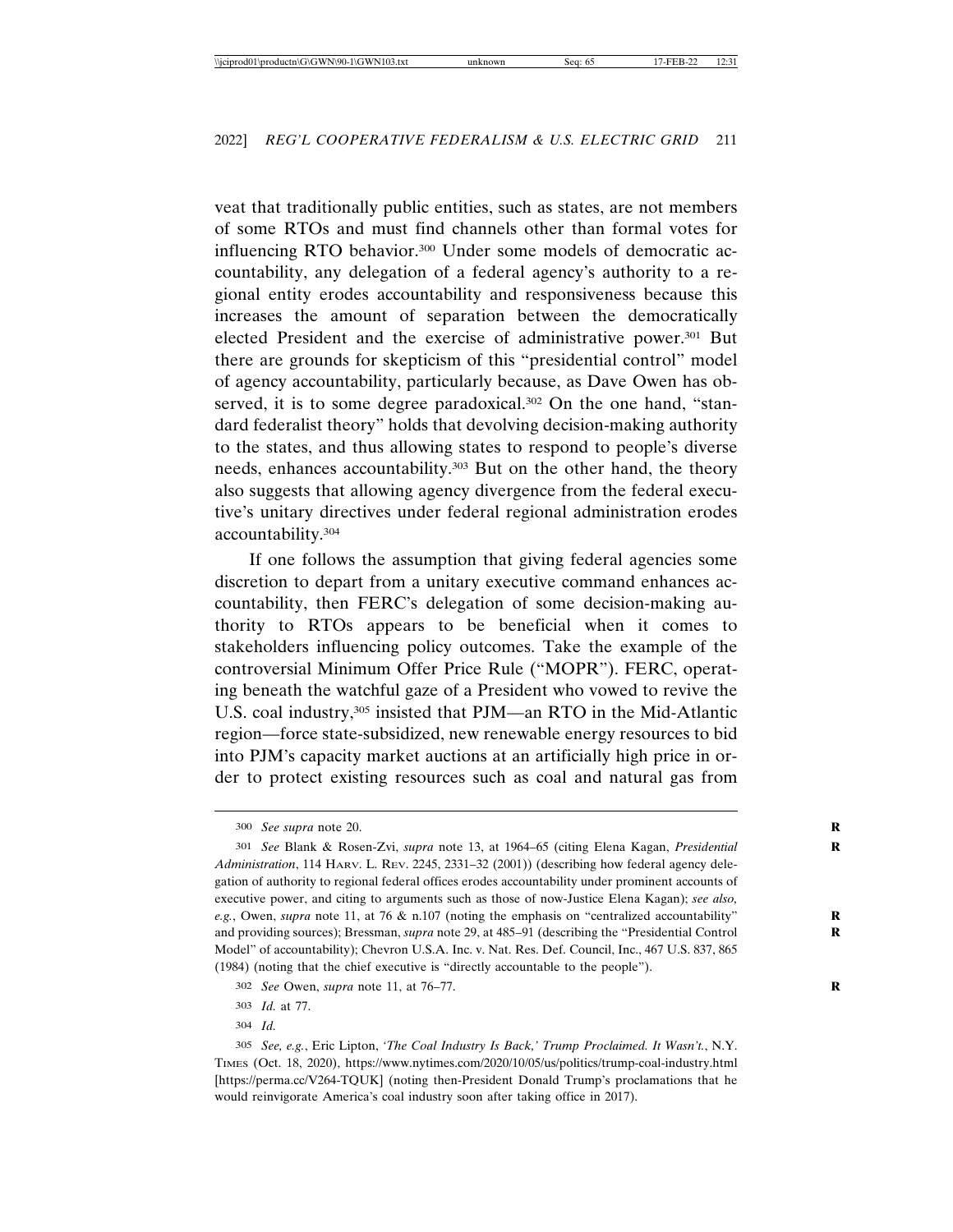veat that traditionally public entities, such as states, are not members of some RTOs and must find channels other than formal votes for influencing RTO behavior.300 Under some models of democratic accountability, any delegation of a federal agency's authority to a regional entity erodes accountability and responsiveness because this increases the amount of separation between the democratically elected President and the exercise of administrative power.301 But there are grounds for skepticism of this "presidential control" model of agency accountability, particularly because, as Dave Owen has observed, it is to some degree paradoxical.<sup>302</sup> On the one hand, "standard federalist theory" holds that devolving decision-making authority to the states, and thus allowing states to respond to people's diverse needs, enhances accountability.303 But on the other hand, the theory also suggests that allowing agency divergence from the federal executive's unitary directives under federal regional administration erodes accountability.304

If one follows the assumption that giving federal agencies some discretion to depart from a unitary executive command enhances accountability, then FERC's delegation of some decision-making authority to RTOs appears to be beneficial when it comes to stakeholders influencing policy outcomes. Take the example of the controversial Minimum Offer Price Rule ("MOPR"). FERC, operating beneath the watchful gaze of a President who vowed to revive the U.S. coal industry,<sup>305</sup> insisted that PJM—an RTO in the Mid-Atlantic region—force state-subsidized, new renewable energy resources to bid into PJM's capacity market auctions at an artificially high price in order to protect existing resources such as coal and natural gas from

<sup>300</sup> *See supra* note 20. **R**

<sup>301</sup> *See* Blank & Rosen-Zvi, *supra* note 13, at 1964–65 (citing Elena Kagan, *Presidential* **R** *Administration*, 114 HARV. L. REV. 2245, 2331–32 (2001)) (describing how federal agency delegation of authority to regional federal offices erodes accountability under prominent accounts of executive power, and citing to arguments such as those of now-Justice Elena Kagan); *see also, e.g.*, Owen, *supra* note 11, at 76 & n.107 (noting the emphasis on "centralized accountability" and providing sources); Bressman, *supra* note 29, at 485-91 (describing the "Presidential Control Model" of accountability); Chevron U.S.A. Inc. v. Nat. Res. Def. Council, Inc., 467 U.S. 837, 865 (1984) (noting that the chief executive is "directly accountable to the people").

<sup>302</sup> *See* Owen, *supra* note 11, at 76–77. **R**

<sup>303</sup> *Id.* at 77.

<sup>304</sup> *Id.*

<sup>305</sup> *See, e.g.*, Eric Lipton, *'The Coal Industry Is Back,' Trump Proclaimed. It Wasn't.*, N.Y. TIMES (Oct. 18, 2020), https://www.nytimes.com/2020/10/05/us/politics/trump-coal-industry.html [https://perma.cc/V264-TQUK] (noting then-President Donald Trump's proclamations that he would reinvigorate America's coal industry soon after taking office in 2017).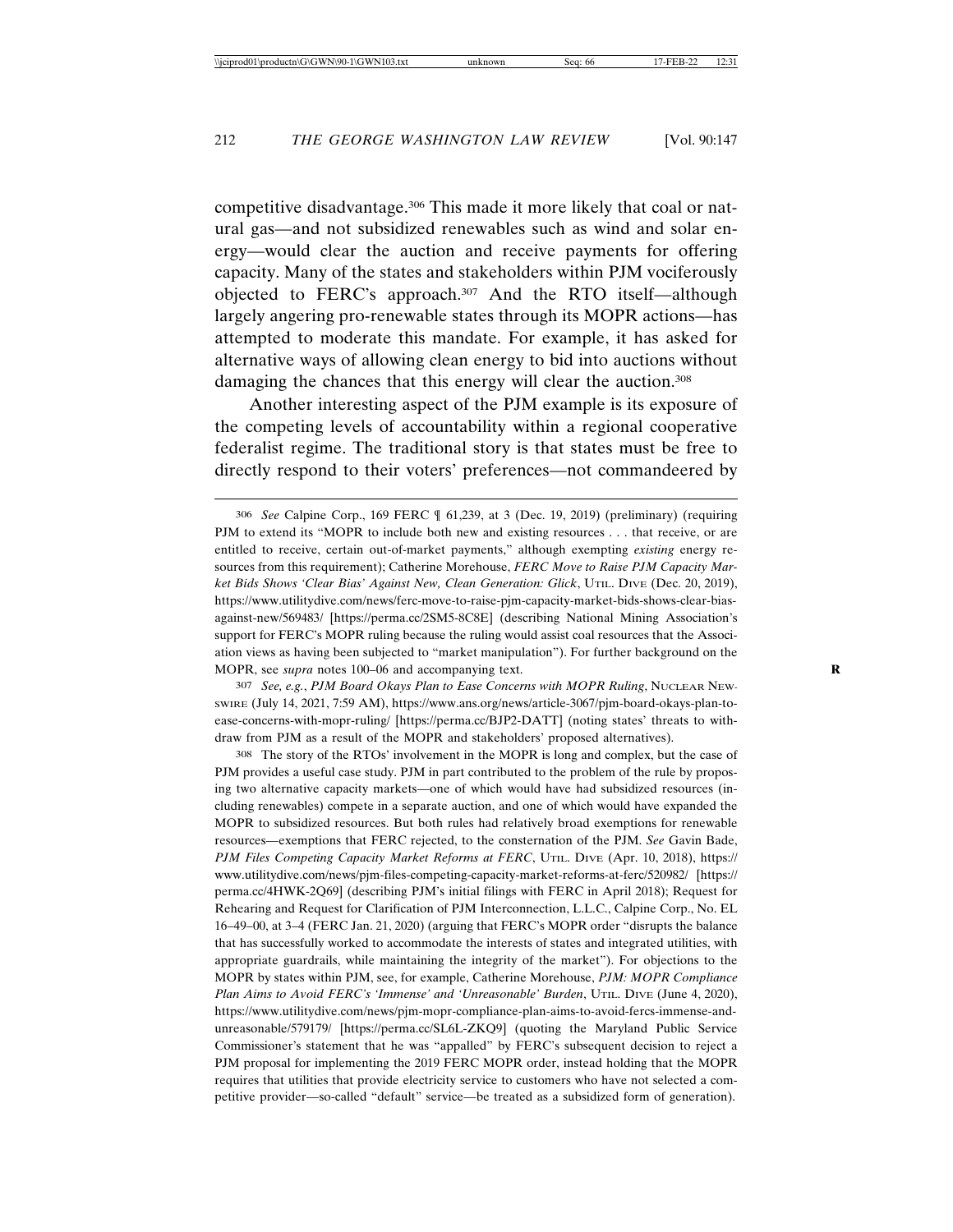competitive disadvantage.306 This made it more likely that coal or natural gas—and not subsidized renewables such as wind and solar energy—would clear the auction and receive payments for offering capacity. Many of the states and stakeholders within PJM vociferously objected to FERC's approach.307 And the RTO itself—although largely angering pro-renewable states through its MOPR actions—has attempted to moderate this mandate. For example, it has asked for alternative ways of allowing clean energy to bid into auctions without damaging the chances that this energy will clear the auction.<sup>308</sup>

Another interesting aspect of the PJM example is its exposure of the competing levels of accountability within a regional cooperative federalist regime. The traditional story is that states must be free to directly respond to their voters' preferences—not commandeered by

307 *See, e.g.*, *PJM Board Okays Plan to Ease Concerns with MOPR Ruling*, NUCLEAR NEW-SWIRE (July 14, 2021, 7:59 AM), https://www.ans.org/news/article-3067/pjm-board-okays-plan-toease-concerns-with-mopr-ruling/ [https://perma.cc/BJP2-DATT] (noting states' threats to withdraw from PJM as a result of the MOPR and stakeholders' proposed alternatives).

308 The story of the RTOs' involvement in the MOPR is long and complex, but the case of PJM provides a useful case study. PJM in part contributed to the problem of the rule by proposing two alternative capacity markets—one of which would have had subsidized resources (including renewables) compete in a separate auction, and one of which would have expanded the MOPR to subsidized resources. But both rules had relatively broad exemptions for renewable resources—exemptions that FERC rejected, to the consternation of the PJM. *See* Gavin Bade, *PJM Files Competing Capacity Market Reforms at FERC*, UTIL. DIVE (Apr. 10, 2018), https:// www.utilitydive.com/news/pjm-files-competing-capacity-market-reforms-at-ferc/520982/ [https:// perma.cc/4HWK-2Q69] (describing PJM's initial filings with FERC in April 2018); Request for Rehearing and Request for Clarification of PJM Interconnection, L.L.C., Calpine Corp., No. EL 16–49–00, at 3–4 (FERC Jan. 21, 2020) (arguing that FERC's MOPR order "disrupts the balance that has successfully worked to accommodate the interests of states and integrated utilities, with appropriate guardrails, while maintaining the integrity of the market"). For objections to the MOPR by states within PJM, see, for example, Catherine Morehouse, *PJM: MOPR Compliance Plan Aims to Avoid FERC's 'Immense' and 'Unreasonable' Burden*, UTIL. DIVE (June 4, 2020), https://www.utilitydive.com/news/pjm-mopr-compliance-plan-aims-to-avoid-fercs-immense-andunreasonable/579179/ [https://perma.cc/SL6L-ZKQ9] (quoting the Maryland Public Service Commissioner's statement that he was "appalled" by FERC's subsequent decision to reject a PJM proposal for implementing the 2019 FERC MOPR order, instead holding that the MOPR requires that utilities that provide electricity service to customers who have not selected a competitive provider—so-called "default" service—be treated as a subsidized form of generation).

<sup>306</sup> *See* Calpine Corp., 169 FERC ¶ 61,239, at 3 (Dec. 19, 2019) (preliminary) (requiring PJM to extend its "MOPR to include both new and existing resources . . . that receive, or are entitled to receive, certain out-of-market payments," although exempting *existing* energy resources from this requirement); Catherine Morehouse, *FERC Move to Raise PJM Capacity Market Bids Shows 'Clear Bias' Against New, Clean Generation: Glick*, UTIL. DIVE (Dec. 20, 2019), https://www.utilitydive.com/news/ferc-move-to-raise-pjm-capacity-market-bids-shows-clear-biasagainst-new/569483/ [https://perma.cc/2SM5-8C8E] (describing National Mining Association's support for FERC's MOPR ruling because the ruling would assist coal resources that the Association views as having been subjected to "market manipulation"). For further background on the MOPR, see *supra* notes 100–06 and accompanying text.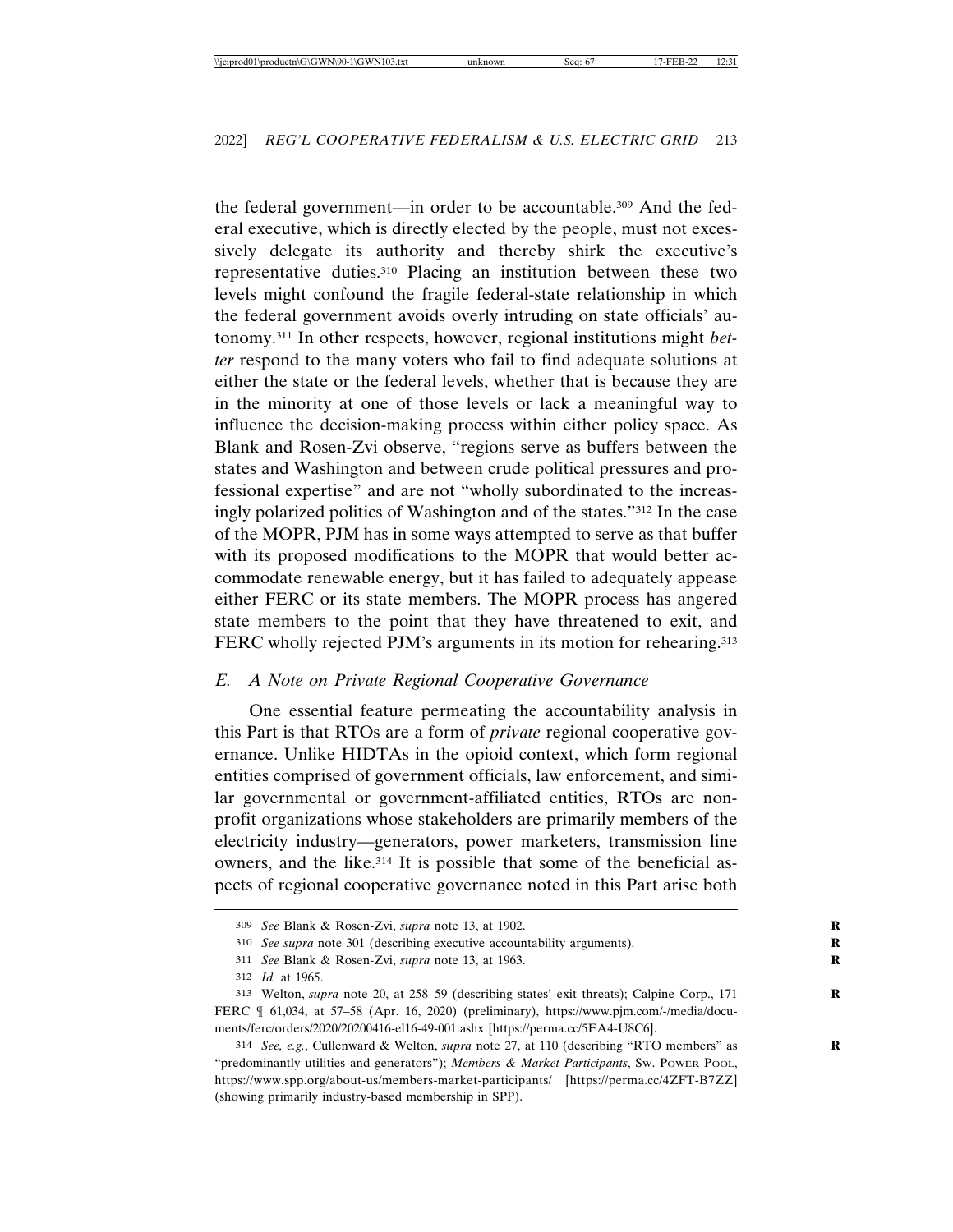the federal government—in order to be accountable.309 And the federal executive, which is directly elected by the people, must not excessively delegate its authority and thereby shirk the executive's representative duties.310 Placing an institution between these two levels might confound the fragile federal-state relationship in which the federal government avoids overly intruding on state officials' autonomy.311 In other respects, however, regional institutions might *better* respond to the many voters who fail to find adequate solutions at either the state or the federal levels, whether that is because they are in the minority at one of those levels or lack a meaningful way to influence the decision-making process within either policy space. As Blank and Rosen-Zvi observe, "regions serve as buffers between the states and Washington and between crude political pressures and professional expertise" and are not "wholly subordinated to the increasingly polarized politics of Washington and of the states."312 In the case of the MOPR, PJM has in some ways attempted to serve as that buffer with its proposed modifications to the MOPR that would better accommodate renewable energy, but it has failed to adequately appease either FERC or its state members. The MOPR process has angered state members to the point that they have threatened to exit, and FERC wholly rejected PJM's arguments in its motion for rehearing.<sup>313</sup>

### *E. A Note on Private Regional Cooperative Governance*

One essential feature permeating the accountability analysis in this Part is that RTOs are a form of *private* regional cooperative governance. Unlike HIDTAs in the opioid context, which form regional entities comprised of government officials, law enforcement, and similar governmental or government-affiliated entities, RTOs are nonprofit organizations whose stakeholders are primarily members of the electricity industry—generators, power marketers, transmission line owners, and the like.314 It is possible that some of the beneficial aspects of regional cooperative governance noted in this Part arise both

<sup>309</sup> *See* Blank & Rosen-Zvi, *supra* note 13, at 1902. **R**

<sup>310</sup> *See supra* note 301 (describing executive accountability arguments). **R**

<sup>311</sup> *See* Blank & Rosen-Zvi, *supra* note 13, at 1963. **R**

<sup>312</sup> *Id.* at 1965.

<sup>313</sup> Welton, *supra* note 20, at 258–59 (describing states' exit threats); Calpine Corp., 171 **R** FERC ¶ 61,034, at 57–58 (Apr. 16, 2020) (preliminary), https://www.pjm.com/-/media/documents/ferc/orders/2020/20200416-el16-49-001.ashx [https://perma.cc/5EA4-U8C6].

<sup>314</sup> *See, e.g.*, Cullenward & Welton, *supra* note 27, at 110 (describing "RTO members" as **R** "predominantly utilities and generators"); *Members & Market Participants*, SW. POWER POOL, https://www.spp.org/about-us/members-market-participants/ [https://perma.cc/4ZFT-B7ZZ] (showing primarily industry-based membership in SPP).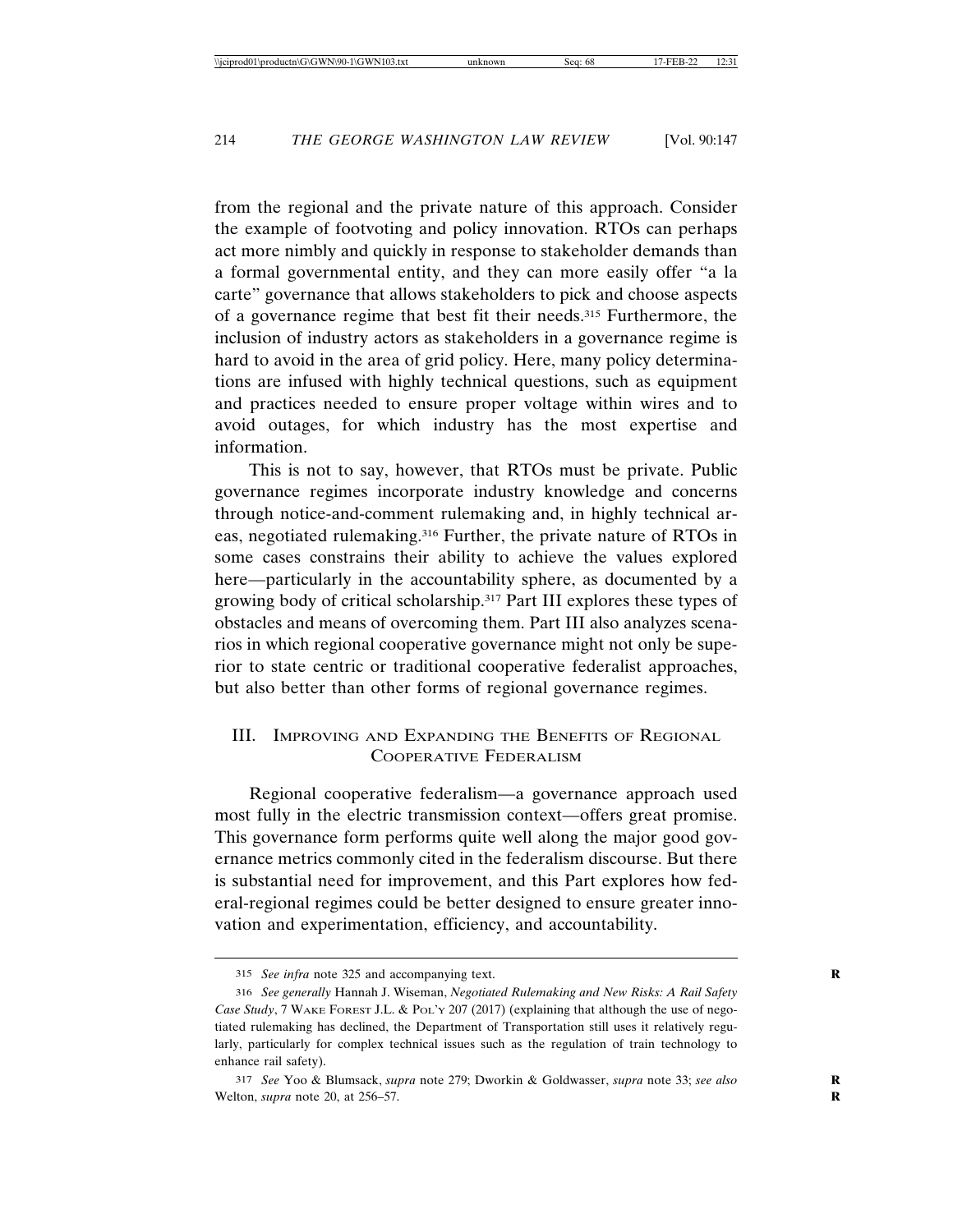from the regional and the private nature of this approach. Consider the example of footvoting and policy innovation. RTOs can perhaps act more nimbly and quickly in response to stakeholder demands than a formal governmental entity, and they can more easily offer "a la carte" governance that allows stakeholders to pick and choose aspects of a governance regime that best fit their needs.315 Furthermore, the inclusion of industry actors as stakeholders in a governance regime is hard to avoid in the area of grid policy. Here, many policy determinations are infused with highly technical questions, such as equipment and practices needed to ensure proper voltage within wires and to avoid outages, for which industry has the most expertise and information.

This is not to say, however, that RTOs must be private. Public governance regimes incorporate industry knowledge and concerns through notice-and-comment rulemaking and, in highly technical areas, negotiated rulemaking.316 Further, the private nature of RTOs in some cases constrains their ability to achieve the values explored here—particularly in the accountability sphere, as documented by a growing body of critical scholarship.317 Part III explores these types of obstacles and means of overcoming them. Part III also analyzes scenarios in which regional cooperative governance might not only be superior to state centric or traditional cooperative federalist approaches, but also better than other forms of regional governance regimes.

# III. IMPROVING AND EXPANDING THE BENEFITS OF REGIONAL COOPERATIVE FEDERALISM

Regional cooperative federalism—a governance approach used most fully in the electric transmission context—offers great promise. This governance form performs quite well along the major good governance metrics commonly cited in the federalism discourse. But there is substantial need for improvement, and this Part explores how federal-regional regimes could be better designed to ensure greater innovation and experimentation, efficiency, and accountability.

<sup>315</sup> *See infra* note 325 and accompanying text. **R**

<sup>316</sup> *See generally* Hannah J. Wiseman, *Negotiated Rulemaking and New Risks: A Rail Safety Case Study*, 7 WAKE FOREST J.L. & POL'Y 207 (2017) (explaining that although the use of negotiated rulemaking has declined, the Department of Transportation still uses it relatively regularly, particularly for complex technical issues such as the regulation of train technology to enhance rail safety).

<sup>317</sup> *See* Yoo & Blumsack, *supra* note 279; Dworkin & Goldwasser, *supra* note 33; *see also* **R** Welton, *supra* note 20, at 256–57. **R**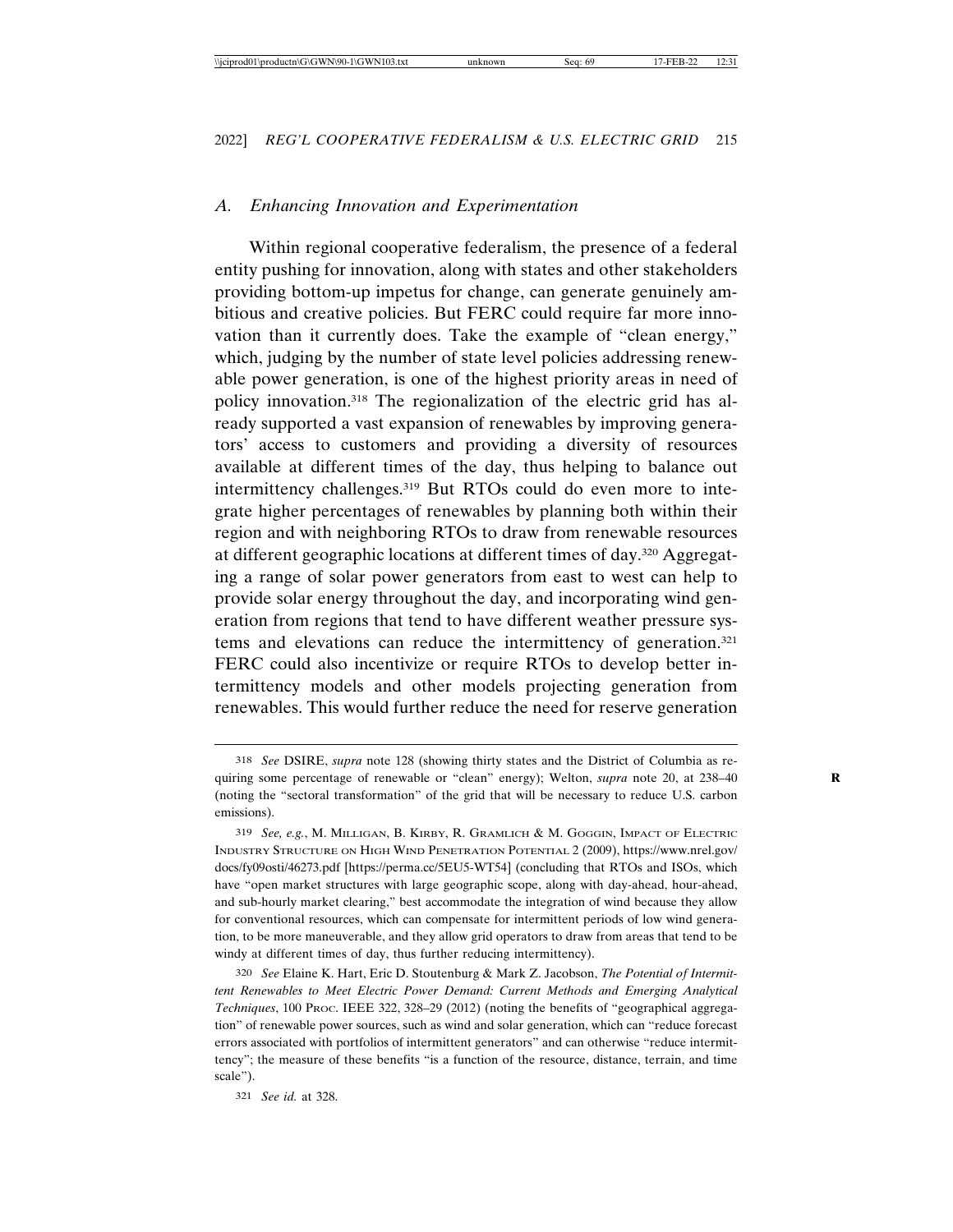#### *A. Enhancing Innovation and Experimentation*

Within regional cooperative federalism, the presence of a federal entity pushing for innovation, along with states and other stakeholders providing bottom-up impetus for change, can generate genuinely ambitious and creative policies. But FERC could require far more innovation than it currently does. Take the example of "clean energy," which, judging by the number of state level policies addressing renewable power generation, is one of the highest priority areas in need of policy innovation.318 The regionalization of the electric grid has already supported a vast expansion of renewables by improving generators' access to customers and providing a diversity of resources available at different times of the day, thus helping to balance out intermittency challenges.319 But RTOs could do even more to integrate higher percentages of renewables by planning both within their region and with neighboring RTOs to draw from renewable resources at different geographic locations at different times of day.320 Aggregating a range of solar power generators from east to west can help to provide solar energy throughout the day, and incorporating wind generation from regions that tend to have different weather pressure systems and elevations can reduce the intermittency of generation.321 FERC could also incentivize or require RTOs to develop better intermittency models and other models projecting generation from renewables. This would further reduce the need for reserve generation

<sup>318</sup> *See* DSIRE, *supra* note 128 (showing thirty states and the District of Columbia as requiring some percentage of renewable or "clean" energy); Welton, *supra* note 20, at 238–40 **R** (noting the "sectoral transformation" of the grid that will be necessary to reduce U.S. carbon emissions).

<sup>319</sup> *See, e.g.*, M. MILLIGAN, B. KIRBY, R. GRAMLICH & M. GOGGIN, IMPACT OF ELECTRIC INDUSTRY STRUCTURE ON HIGH WIND PENETRATION POTENTIAL 2 (2009), https://www.nrel.gov/ docs/fy09osti/46273.pdf [https://perma.cc/5EU5-WT54] (concluding that RTOs and ISOs, which have "open market structures with large geographic scope, along with day-ahead, hour-ahead, and sub-hourly market clearing," best accommodate the integration of wind because they allow for conventional resources, which can compensate for intermittent periods of low wind generation, to be more maneuverable, and they allow grid operators to draw from areas that tend to be windy at different times of day, thus further reducing intermittency).

<sup>320</sup> *See* Elaine K. Hart, Eric D. Stoutenburg & Mark Z. Jacobson, *The Potential of Intermittent Renewables to Meet Electric Power Demand: Current Methods and Emerging Analytical Techniques*, 100 PROC. IEEE 322, 328–29 (2012) (noting the benefits of "geographical aggregation" of renewable power sources, such as wind and solar generation, which can "reduce forecast errors associated with portfolios of intermittent generators" and can otherwise "reduce intermittency"; the measure of these benefits "is a function of the resource, distance, terrain, and time scale").

<sup>321</sup> *See id.* at 328.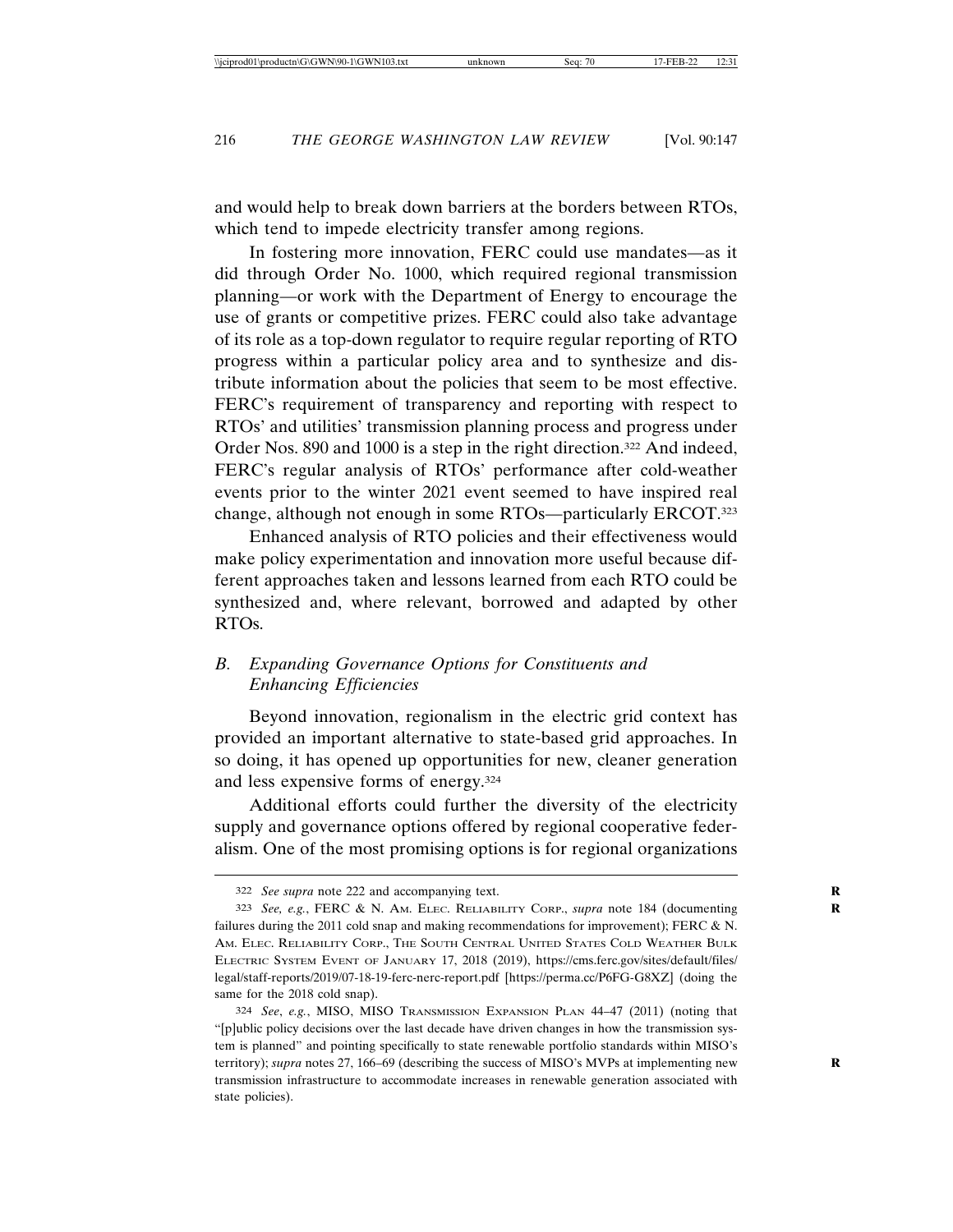and would help to break down barriers at the borders between RTOs, which tend to impede electricity transfer among regions.

In fostering more innovation, FERC could use mandates—as it did through Order No. 1000, which required regional transmission planning—or work with the Department of Energy to encourage the use of grants or competitive prizes. FERC could also take advantage of its role as a top-down regulator to require regular reporting of RTO progress within a particular policy area and to synthesize and distribute information about the policies that seem to be most effective. FERC's requirement of transparency and reporting with respect to RTOs' and utilities' transmission planning process and progress under Order Nos. 890 and 1000 is a step in the right direction.<sup>322</sup> And indeed, FERC's regular analysis of RTOs' performance after cold-weather events prior to the winter 2021 event seemed to have inspired real change, although not enough in some RTOs—particularly ERCOT.323

Enhanced analysis of RTO policies and their effectiveness would make policy experimentation and innovation more useful because different approaches taken and lessons learned from each RTO could be synthesized and, where relevant, borrowed and adapted by other RTOs.

# *B. Expanding Governance Options for Constituents and Enhancing Efficiencies*

Beyond innovation, regionalism in the electric grid context has provided an important alternative to state-based grid approaches. In so doing, it has opened up opportunities for new, cleaner generation and less expensive forms of energy.324

Additional efforts could further the diversity of the electricity supply and governance options offered by regional cooperative federalism. One of the most promising options is for regional organizations

<sup>322</sup> *See supra* note 222 and accompanying text. **R**

<sup>323</sup> *See, e.g.*, FERC & N. AM. ELEC. RELIABILITY CORP., *supra* note 184 (documenting **R** failures during the 2011 cold snap and making recommendations for improvement); FERC & N. AM. ELEC. RELIABILITY CORP., THE SOUTH CENTRAL UNITED STATES COLD WEATHER BULK ELECTRIC SYSTEM EVENT OF JANUARY 17, 2018 (2019), https://cms.ferc.gov/sites/default/files/ legal/staff-reports/2019/07-18-19-ferc-nerc-report.pdf [https://perma.cc/P6FG-G8XZ] (doing the same for the 2018 cold snap).

<sup>324</sup> *See*, *e.g.*, MISO, MISO TRANSMISSION EXPANSION PLAN 44–47 (2011) (noting that "[p]ublic policy decisions over the last decade have driven changes in how the transmission system is planned" and pointing specifically to state renewable portfolio standards within MISO's territory); *supra* notes 27, 166–69 (describing the success of MISO's MVPs at implementing new **R** transmission infrastructure to accommodate increases in renewable generation associated with state policies).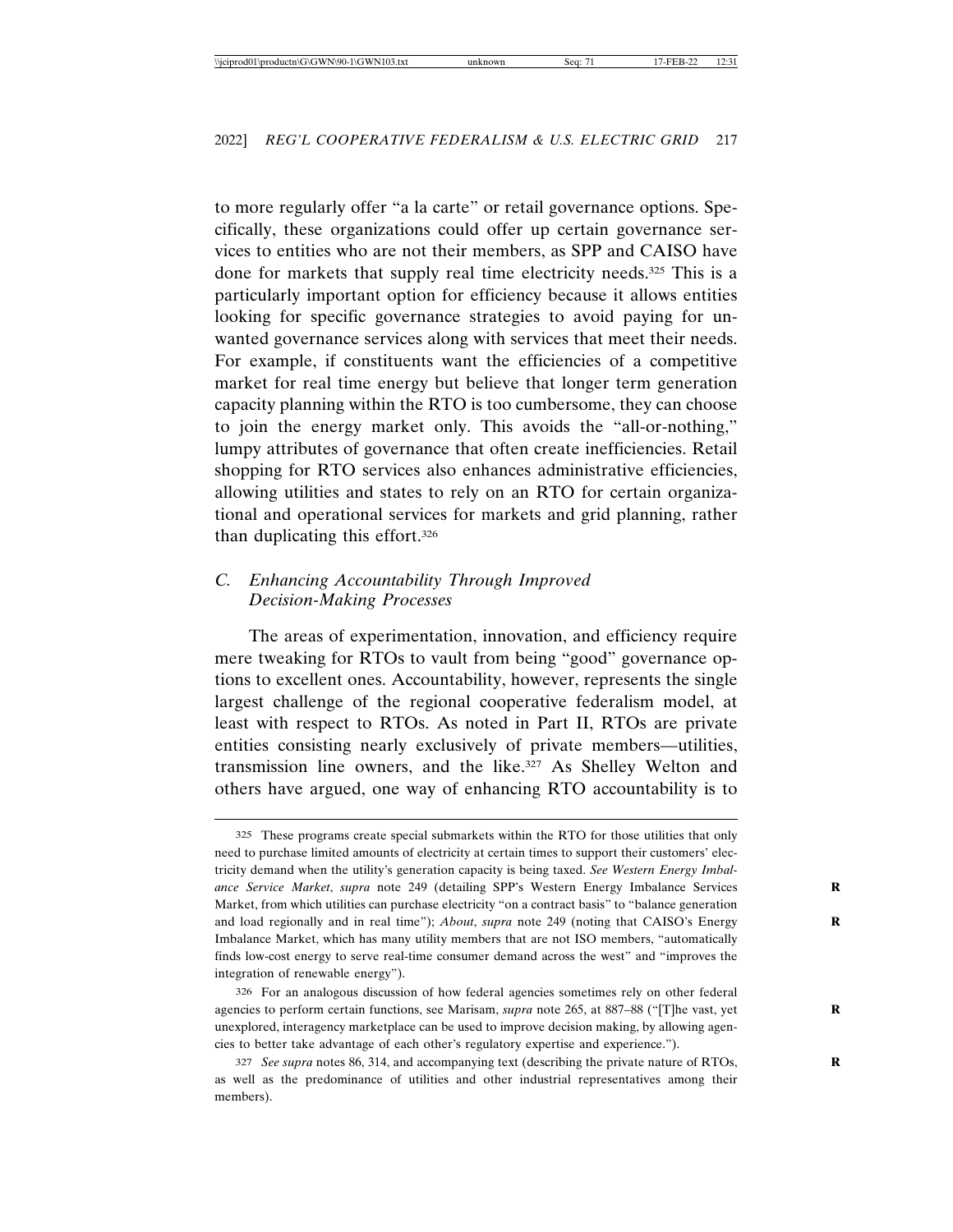to more regularly offer "a la carte" or retail governance options. Specifically, these organizations could offer up certain governance services to entities who are not their members, as SPP and CAISO have done for markets that supply real time electricity needs.325 This is a particularly important option for efficiency because it allows entities looking for specific governance strategies to avoid paying for unwanted governance services along with services that meet their needs. For example, if constituents want the efficiencies of a competitive market for real time energy but believe that longer term generation capacity planning within the RTO is too cumbersome, they can choose to join the energy market only. This avoids the "all-or-nothing," lumpy attributes of governance that often create inefficiencies. Retail shopping for RTO services also enhances administrative efficiencies, allowing utilities and states to rely on an RTO for certain organizational and operational services for markets and grid planning, rather than duplicating this effort.326

# *C. Enhancing Accountability Through Improved Decision-Making Processes*

The areas of experimentation, innovation, and efficiency require mere tweaking for RTOs to vault from being "good" governance options to excellent ones. Accountability, however, represents the single largest challenge of the regional cooperative federalism model, at least with respect to RTOs. As noted in Part II, RTOs are private entities consisting nearly exclusively of private members—utilities, transmission line owners, and the like.327 As Shelley Welton and others have argued, one way of enhancing RTO accountability is to

326 For an analogous discussion of how federal agencies sometimes rely on other federal agencies to perform certain functions, see Marisam, *supra* note 265, at 887–88 ("[T]he vast, yet **R** unexplored, interagency marketplace can be used to improve decision making, by allowing agencies to better take advantage of each other's regulatory expertise and experience.").

327 *See supra* notes 86, 314, and accompanying text (describing the private nature of RTOs, **R** as well as the predominance of utilities and other industrial representatives among their members).

<sup>325</sup> These programs create special submarkets within the RTO for those utilities that only need to purchase limited amounts of electricity at certain times to support their customers' electricity demand when the utility's generation capacity is being taxed. *See Western Energy Imbalance Service Market*, *supra* note 249 (detailing SPP's Western Energy Imbalance Services **R** Market, from which utilities can purchase electricity "on a contract basis" to "balance generation and load regionally and in real time"); *About*, *supra* note 249 (noting that CAISO's Energy Imbalance Market, which has many utility members that are not ISO members, "automatically finds low-cost energy to serve real-time consumer demand across the west" and "improves the integration of renewable energy").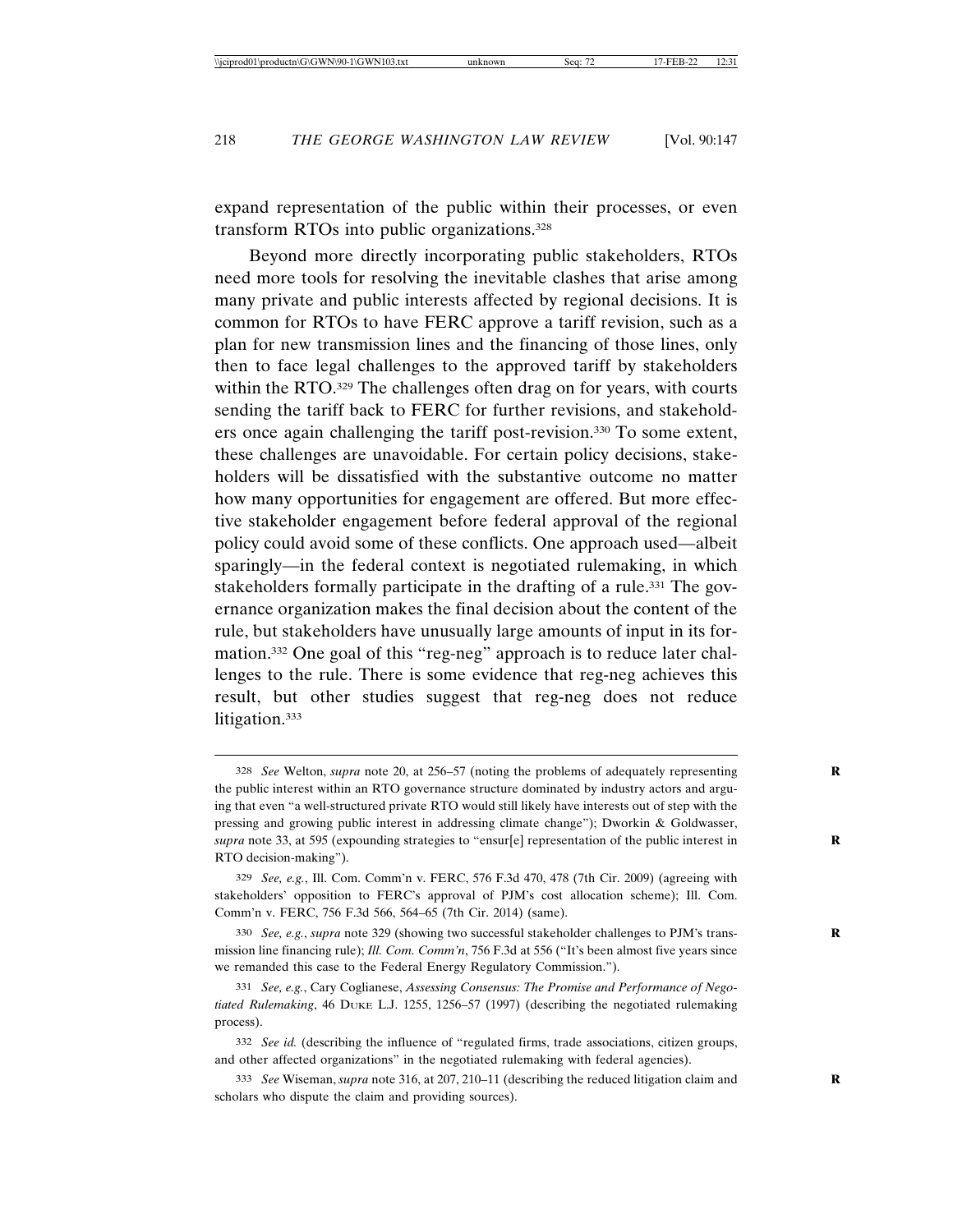expand representation of the public within their processes, or even transform RTOs into public organizations.328

Beyond more directly incorporating public stakeholders, RTOs need more tools for resolving the inevitable clashes that arise among many private and public interests affected by regional decisions. It is common for RTOs to have FERC approve a tariff revision, such as a plan for new transmission lines and the financing of those lines, only then to face legal challenges to the approved tariff by stakeholders within the RTO.<sup>329</sup> The challenges often drag on for years, with courts sending the tariff back to FERC for further revisions, and stakeholders once again challenging the tariff post-revision.330 To some extent, these challenges are unavoidable. For certain policy decisions, stakeholders will be dissatisfied with the substantive outcome no matter how many opportunities for engagement are offered. But more effective stakeholder engagement before federal approval of the regional policy could avoid some of these conflicts. One approach used—albeit sparingly—in the federal context is negotiated rulemaking, in which stakeholders formally participate in the drafting of a rule.<sup>331</sup> The governance organization makes the final decision about the content of the rule, but stakeholders have unusually large amounts of input in its formation.332 One goal of this "reg-neg" approach is to reduce later challenges to the rule. There is some evidence that reg-neg achieves this result, but other studies suggest that reg-neg does not reduce litigation.<sup>333</sup>

330 *See, e.g.*, *supra* note 329 (showing two successful stakeholder challenges to PJM's trans- **R** mission line financing rule); *Ill. Com. Comm'n*, 756 F.3d at 556 ("It's been almost five years since we remanded this case to the Federal Energy Regulatory Commission.").

<sup>328</sup> *See* Welton, *supra* note 20, at 256–57 (noting the problems of adequately representing **R** the public interest within an RTO governance structure dominated by industry actors and arguing that even "a well-structured private RTO would still likely have interests out of step with the pressing and growing public interest in addressing climate change"); Dworkin & Goldwasser, *supra* note 33, at 595 (expounding strategies to "ensur[e] representation of the public interest in **R** RTO decision-making").

<sup>329</sup> *See, e.g.*, Ill. Com. Comm'n v. FERC, 576 F.3d 470, 478 (7th Cir. 2009) (agreeing with stakeholders' opposition to FERC's approval of PJM's cost allocation scheme); Ill. Com. Comm'n v. FERC, 756 F.3d 566, 564–65 (7th Cir. 2014) (same).

<sup>331</sup> *See, e.g.*, Cary Coglianese, *Assessing Consensus: The Promise and Performance of Negotiated Rulemaking*, 46 DUKE L.J. 1255, 1256–57 (1997) (describing the negotiated rulemaking process).

<sup>332</sup> *See id.* (describing the influence of "regulated firms, trade associations, citizen groups, and other affected organizations" in the negotiated rulemaking with federal agencies).

<sup>333</sup> *See* Wiseman, *supra* note 316, at 207, 210–11 (describing the reduced litigation claim and **R** scholars who dispute the claim and providing sources).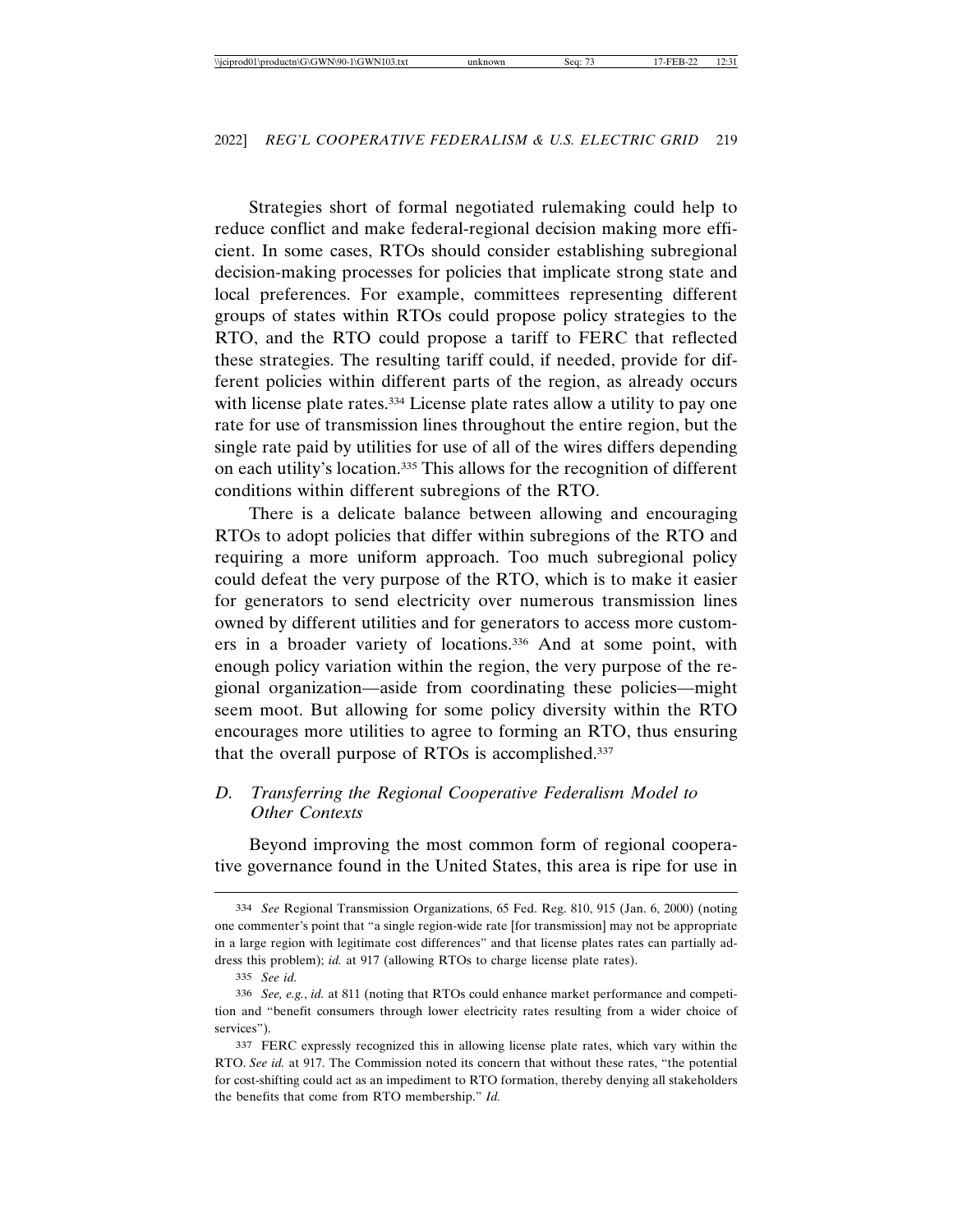Strategies short of formal negotiated rulemaking could help to reduce conflict and make federal-regional decision making more efficient. In some cases, RTOs should consider establishing subregional decision-making processes for policies that implicate strong state and local preferences. For example, committees representing different groups of states within RTOs could propose policy strategies to the RTO, and the RTO could propose a tariff to FERC that reflected these strategies. The resulting tariff could, if needed, provide for different policies within different parts of the region, as already occurs with license plate rates.<sup>334</sup> License plate rates allow a utility to pay one rate for use of transmission lines throughout the entire region, but the single rate paid by utilities for use of all of the wires differs depending on each utility's location.335 This allows for the recognition of different conditions within different subregions of the RTO.

There is a delicate balance between allowing and encouraging RTOs to adopt policies that differ within subregions of the RTO and requiring a more uniform approach. Too much subregional policy could defeat the very purpose of the RTO, which is to make it easier for generators to send electricity over numerous transmission lines owned by different utilities and for generators to access more customers in a broader variety of locations.336 And at some point, with enough policy variation within the region, the very purpose of the regional organization—aside from coordinating these policies—might seem moot. But allowing for some policy diversity within the RTO encourages more utilities to agree to forming an RTO, thus ensuring that the overall purpose of RTOs is accomplished.337

# *D. Transferring the Regional Cooperative Federalism Model to Other Contexts*

Beyond improving the most common form of regional cooperative governance found in the United States, this area is ripe for use in

<sup>334</sup> *See* Regional Transmission Organizations, 65 Fed. Reg. 810, 915 (Jan. 6, 2000) (noting one commenter's point that "a single region-wide rate [for transmission] may not be appropriate in a large region with legitimate cost differences" and that license plates rates can partially address this problem); *id.* at 917 (allowing RTOs to charge license plate rates).

<sup>335</sup> *See id.*

<sup>336</sup> *See, e.g.*, *id.* at 811 (noting that RTOs could enhance market performance and competition and "benefit consumers through lower electricity rates resulting from a wider choice of services").

<sup>337</sup> FERC expressly recognized this in allowing license plate rates, which vary within the RTO. *See id.* at 917. The Commission noted its concern that without these rates, "the potential for cost-shifting could act as an impediment to RTO formation, thereby denying all stakeholders the benefits that come from RTO membership." *Id.*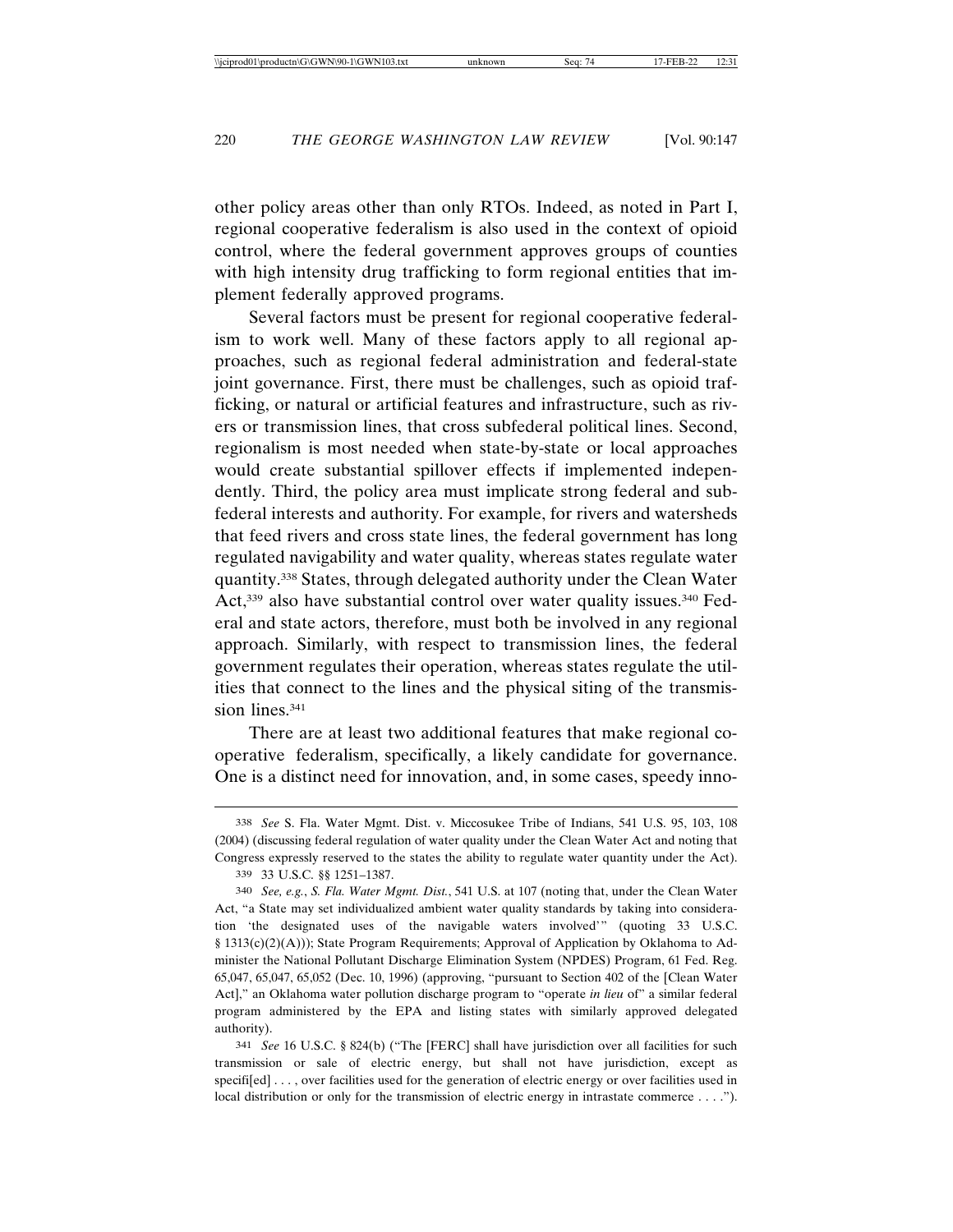other policy areas other than only RTOs. Indeed, as noted in Part I, regional cooperative federalism is also used in the context of opioid control, where the federal government approves groups of counties with high intensity drug trafficking to form regional entities that implement federally approved programs.

Several factors must be present for regional cooperative federalism to work well. Many of these factors apply to all regional approaches, such as regional federal administration and federal-state joint governance. First, there must be challenges, such as opioid trafficking, or natural or artificial features and infrastructure, such as rivers or transmission lines, that cross subfederal political lines. Second, regionalism is most needed when state-by-state or local approaches would create substantial spillover effects if implemented independently. Third, the policy area must implicate strong federal and subfederal interests and authority. For example, for rivers and watersheds that feed rivers and cross state lines, the federal government has long regulated navigability and water quality, whereas states regulate water quantity.338 States, through delegated authority under the Clean Water Act,<sup>339</sup> also have substantial control over water quality issues.<sup>340</sup> Federal and state actors, therefore, must both be involved in any regional approach. Similarly, with respect to transmission lines, the federal government regulates their operation, whereas states regulate the utilities that connect to the lines and the physical siting of the transmission lines.<sup>341</sup>

There are at least two additional features that make regional cooperative federalism, specifically, a likely candidate for governance. One is a distinct need for innovation, and, in some cases, speedy inno-

341 *See* 16 U.S.C. § 824(b) ("The [FERC] shall have jurisdiction over all facilities for such transmission or sale of electric energy, but shall not have jurisdiction, except as specifi[ed] ..., over facilities used for the generation of electric energy or over facilities used in local distribution or only for the transmission of electric energy in intrastate commerce . . . .").

<sup>338</sup> *See* S. Fla. Water Mgmt. Dist. v. Miccosukee Tribe of Indians, 541 U.S. 95, 103, 108 (2004) (discussing federal regulation of water quality under the Clean Water Act and noting that Congress expressly reserved to the states the ability to regulate water quantity under the Act).

<sup>339</sup> 33 U.S.C. §§ 1251–1387.

<sup>340</sup> *See, e.g.*, *S. Fla. Water Mgmt. Dist.*, 541 U.S. at 107 (noting that, under the Clean Water Act, "a State may set individualized ambient water quality standards by taking into consideration 'the designated uses of the navigable waters involved'" (quoting 33 U.S.C. § 1313(c)(2)(A))); State Program Requirements; Approval of Application by Oklahoma to Administer the National Pollutant Discharge Elimination System (NPDES) Program, 61 Fed. Reg. 65,047, 65,047, 65,052 (Dec. 10, 1996) (approving, "pursuant to Section 402 of the [Clean Water Act]," an Oklahoma water pollution discharge program to "operate *in lieu* of" a similar federal program administered by the EPA and listing states with similarly approved delegated authority).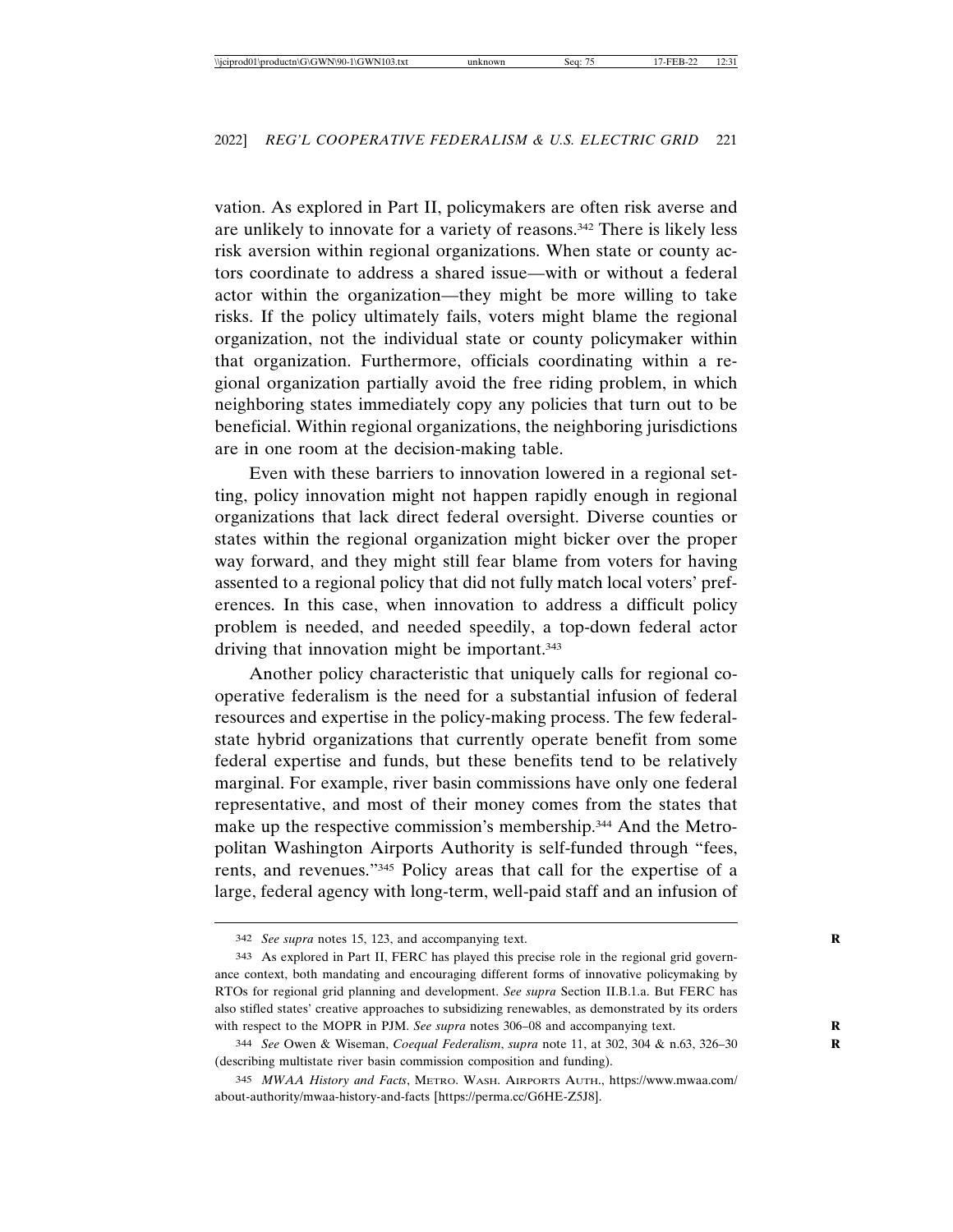vation. As explored in Part II, policymakers are often risk averse and are unlikely to innovate for a variety of reasons.342 There is likely less risk aversion within regional organizations. When state or county actors coordinate to address a shared issue—with or without a federal actor within the organization—they might be more willing to take risks. If the policy ultimately fails, voters might blame the regional organization, not the individual state or county policymaker within that organization. Furthermore, officials coordinating within a regional organization partially avoid the free riding problem, in which neighboring states immediately copy any policies that turn out to be beneficial. Within regional organizations, the neighboring jurisdictions are in one room at the decision-making table.

Even with these barriers to innovation lowered in a regional setting, policy innovation might not happen rapidly enough in regional organizations that lack direct federal oversight. Diverse counties or states within the regional organization might bicker over the proper way forward, and they might still fear blame from voters for having assented to a regional policy that did not fully match local voters' preferences. In this case, when innovation to address a difficult policy problem is needed, and needed speedily, a top-down federal actor driving that innovation might be important.343

Another policy characteristic that uniquely calls for regional cooperative federalism is the need for a substantial infusion of federal resources and expertise in the policy-making process. The few federalstate hybrid organizations that currently operate benefit from some federal expertise and funds, but these benefits tend to be relatively marginal. For example, river basin commissions have only one federal representative, and most of their money comes from the states that make up the respective commission's membership.<sup>344</sup> And the Metropolitan Washington Airports Authority is self-funded through "fees, rents, and revenues."345 Policy areas that call for the expertise of a large, federal agency with long-term, well-paid staff and an infusion of

<sup>342</sup> *See supra* notes 15, 123, and accompanying text. **R**

<sup>343</sup> As explored in Part II, FERC has played this precise role in the regional grid governance context, both mandating and encouraging different forms of innovative policymaking by RTOs for regional grid planning and development. *See supra* Section II.B.1.a. But FERC has also stifled states' creative approaches to subsidizing renewables, as demonstrated by its orders with respect to the MOPR in PJM. See supra notes 306-08 and accompanying text.

<sup>344</sup> *See* Owen & Wiseman, *Coequal Federalism*, *supra* note 11, at 302, 304 & n.63, 326–30 **R** (describing multistate river basin commission composition and funding).

<sup>345</sup> *MWAA History and Facts*, METRO. WASH. AIRPORTS AUTH., https://www.mwaa.com/ about-authority/mwaa-history-and-facts [https://perma.cc/G6HE-Z5J8].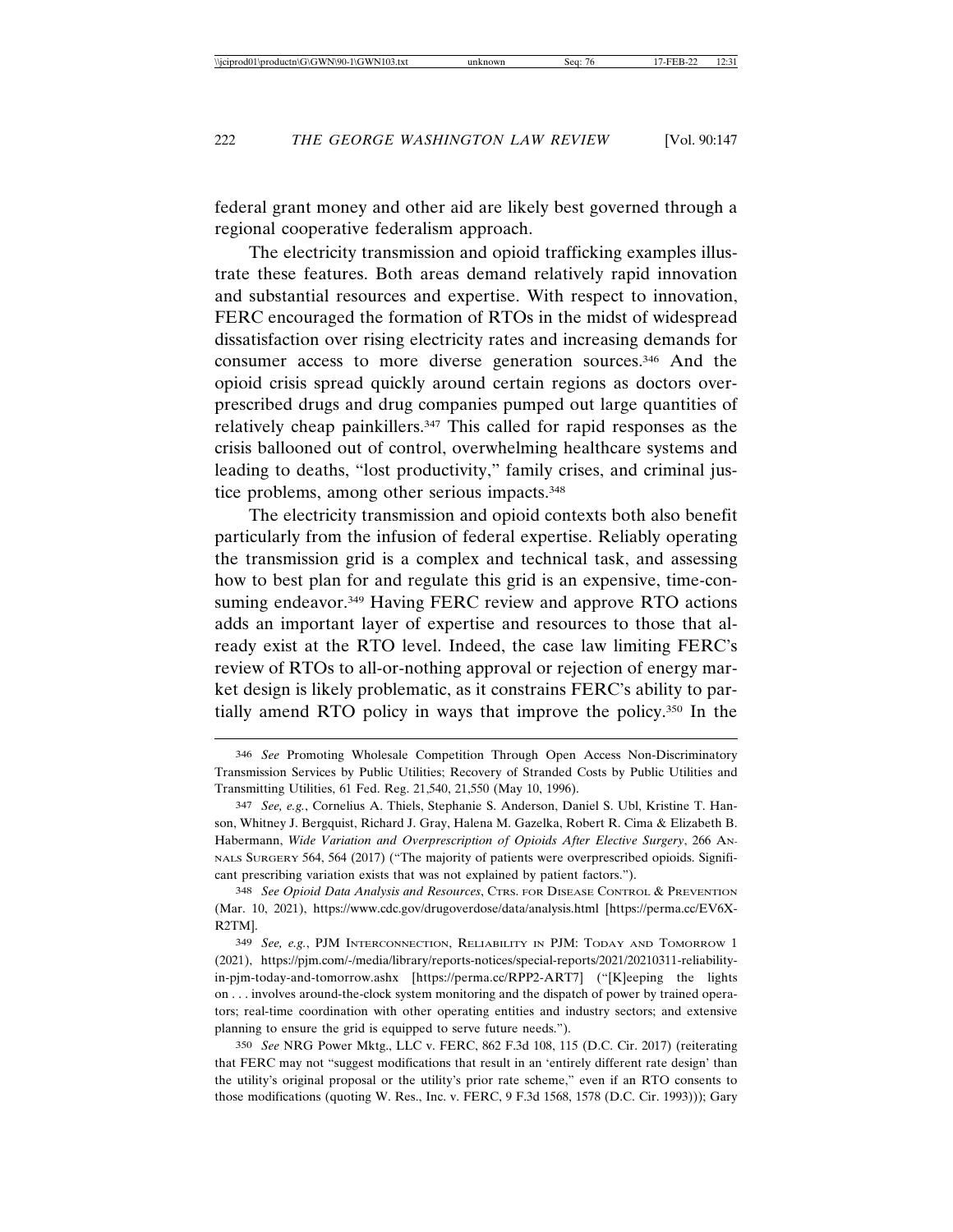federal grant money and other aid are likely best governed through a regional cooperative federalism approach.

The electricity transmission and opioid trafficking examples illustrate these features. Both areas demand relatively rapid innovation and substantial resources and expertise. With respect to innovation, FERC encouraged the formation of RTOs in the midst of widespread dissatisfaction over rising electricity rates and increasing demands for consumer access to more diverse generation sources.346 And the opioid crisis spread quickly around certain regions as doctors overprescribed drugs and drug companies pumped out large quantities of relatively cheap painkillers.347 This called for rapid responses as the crisis ballooned out of control, overwhelming healthcare systems and leading to deaths, "lost productivity," family crises, and criminal justice problems, among other serious impacts.348

The electricity transmission and opioid contexts both also benefit particularly from the infusion of federal expertise. Reliably operating the transmission grid is a complex and technical task, and assessing how to best plan for and regulate this grid is an expensive, time-consuming endeavor.<sup>349</sup> Having FERC review and approve RTO actions adds an important layer of expertise and resources to those that already exist at the RTO level. Indeed, the case law limiting FERC's review of RTOs to all-or-nothing approval or rejection of energy market design is likely problematic, as it constrains FERC's ability to partially amend RTO policy in ways that improve the policy.350 In the

<sup>346</sup> *See* Promoting Wholesale Competition Through Open Access Non-Discriminatory Transmission Services by Public Utilities; Recovery of Stranded Costs by Public Utilities and Transmitting Utilities, 61 Fed. Reg. 21,540, 21,550 (May 10, 1996).

<sup>347</sup> *See, e.g.*, Cornelius A. Thiels, Stephanie S. Anderson, Daniel S. Ubl, Kristine T. Hanson, Whitney J. Bergquist, Richard J. Gray, Halena M. Gazelka, Robert R. Cima & Elizabeth B. Habermann, *Wide Variation and Overprescription of Opioids After Elective Surgery*, 266 AN-NALS SURGERY 564, 564 (2017) ("The majority of patients were overprescribed opioids. Significant prescribing variation exists that was not explained by patient factors.").

<sup>348</sup> *See Opioid Data Analysis and Resources*, CTRS. FOR DISEASE CONTROL & PREVENTION (Mar. 10, 2021), https://www.cdc.gov/drugoverdose/data/analysis.html [https://perma.cc/EV6X-R2TM].

<sup>349</sup> *See, e.g.*, PJM INTERCONNECTION, RELIABILITY IN PJM: TODAY AND TOMORROW 1 (2021), https://pjm.com/-/media/library/reports-notices/special-reports/2021/20210311-reliabilityin-pjm-today-and-tomorrow.ashx [https://perma.cc/RPP2-ART7] ("[K]eeping the lights on . . . involves around-the-clock system monitoring and the dispatch of power by trained operators; real-time coordination with other operating entities and industry sectors; and extensive planning to ensure the grid is equipped to serve future needs.").

<sup>350</sup> *See* NRG Power Mktg., LLC v. FERC, 862 F.3d 108, 115 (D.C. Cir. 2017) (reiterating that FERC may not "suggest modifications that result in an 'entirely different rate design' than the utility's original proposal or the utility's prior rate scheme," even if an RTO consents to those modifications (quoting W. Res., Inc. v. FERC, 9 F.3d 1568, 1578 (D.C. Cir. 1993))); Gary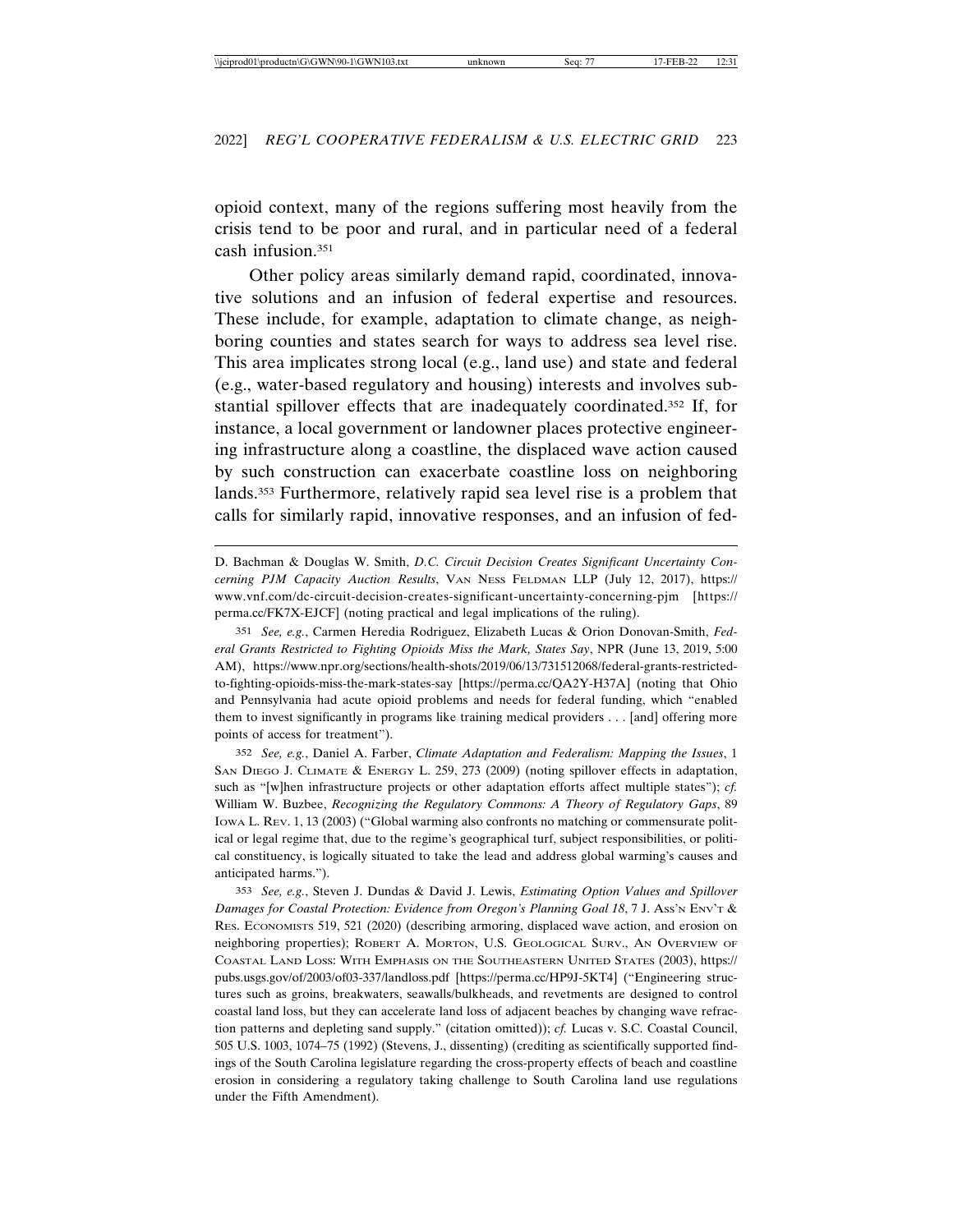opioid context, many of the regions suffering most heavily from the crisis tend to be poor and rural, and in particular need of a federal cash infusion.351

Other policy areas similarly demand rapid, coordinated, innovative solutions and an infusion of federal expertise and resources. These include, for example, adaptation to climate change, as neighboring counties and states search for ways to address sea level rise. This area implicates strong local (e.g., land use) and state and federal (e.g., water-based regulatory and housing) interests and involves substantial spillover effects that are inadequately coordinated.352 If, for instance, a local government or landowner places protective engineering infrastructure along a coastline, the displaced wave action caused by such construction can exacerbate coastline loss on neighboring lands.353 Furthermore, relatively rapid sea level rise is a problem that calls for similarly rapid, innovative responses, and an infusion of fed-

D. Bachman & Douglas W. Smith, *D.C. Circuit Decision Creates Significant Uncertainty Concerning PJM Capacity Auction Results*, VAN NESS FELDMAN LLP (July 12, 2017), https:// www.vnf.com/dc-circuit-decision-creates-significant-uncertainty-concerning-pjm [https:// perma.cc/FK7X-EJCF] (noting practical and legal implications of the ruling).

351 *See, e.g.*, Carmen Heredia Rodriguez, Elizabeth Lucas & Orion Donovan-Smith, *Federal Grants Restricted to Fighting Opioids Miss the Mark, States Say*, NPR (June 13, 2019, 5:00 AM), https://www.npr.org/sections/health-shots/2019/06/13/731512068/federal-grants-restrictedto-fighting-opioids-miss-the-mark-states-say [https://perma.cc/QA2Y-H37A] (noting that Ohio and Pennsylvania had acute opioid problems and needs for federal funding, which "enabled them to invest significantly in programs like training medical providers . . . [and] offering more points of access for treatment").

352 *See, e.g.*, Daniel A. Farber, *Climate Adaptation and Federalism: Mapping the Issues*, 1 SAN DIEGO J. CLIMATE & ENERGY L. 259, 273 (2009) (noting spillover effects in adaptation, such as "[w]hen infrastructure projects or other adaptation efforts affect multiple states"); *cf.* William W. Buzbee, *Recognizing the Regulatory Commons: A Theory of Regulatory Gaps*, 89 Iowa L. Rev. 1, 13 (2003) ("Global warming also confronts no matching or commensurate political or legal regime that, due to the regime's geographical turf, subject responsibilities, or political constituency, is logically situated to take the lead and address global warming's causes and anticipated harms.").

353 *See, e.g.*, Steven J. Dundas & David J. Lewis, *Estimating Option Values and Spillover Damages for Coastal Protection: Evidence from Oregon's Planning Goal 18, 7 J. Ass'n Env't &* RES. ECONOMISTS 519, 521 (2020) (describing armoring, displaced wave action, and erosion on neighboring properties); ROBERT A. MORTON, U.S. GEOLOGICAL SURV., AN OVERVIEW OF COASTAL LAND LOSS: WITH EMPHASIS ON THE SOUTHEASTERN UNITED STATES (2003), https:// pubs.usgs.gov/of/2003/of03-337/landloss.pdf [https://perma.cc/HP9J-5KT4] ("Engineering structures such as groins, breakwaters, seawalls/bulkheads, and revetments are designed to control coastal land loss, but they can accelerate land loss of adjacent beaches by changing wave refraction patterns and depleting sand supply." (citation omitted)); *cf.* Lucas v. S.C. Coastal Council, 505 U.S. 1003, 1074–75 (1992) (Stevens, J., dissenting) (crediting as scientifically supported findings of the South Carolina legislature regarding the cross-property effects of beach and coastline erosion in considering a regulatory taking challenge to South Carolina land use regulations under the Fifth Amendment).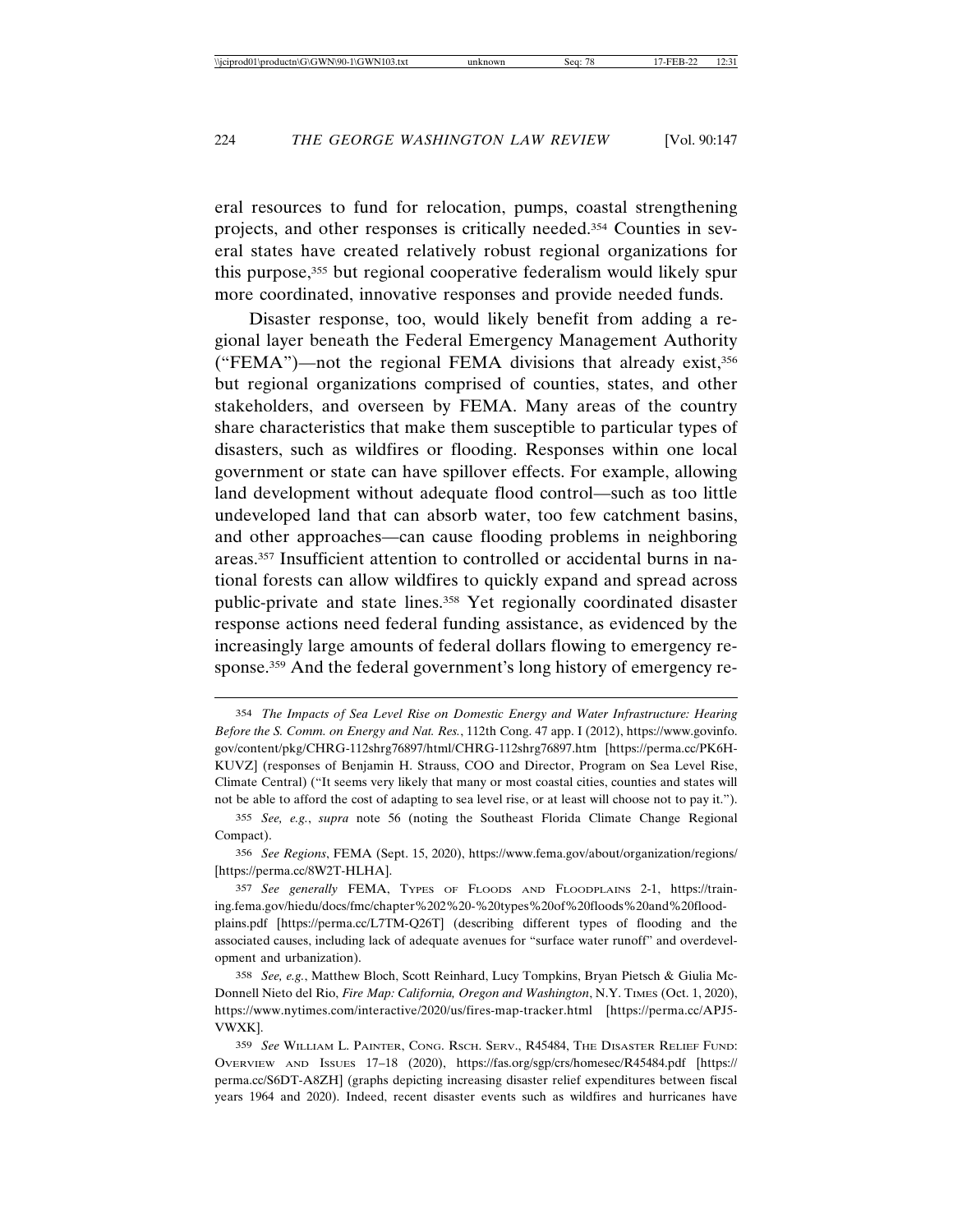eral resources to fund for relocation, pumps, coastal strengthening projects, and other responses is critically needed.354 Counties in several states have created relatively robust regional organizations for this purpose,355 but regional cooperative federalism would likely spur more coordinated, innovative responses and provide needed funds.

Disaster response, too, would likely benefit from adding a regional layer beneath the Federal Emergency Management Authority ("FEMA")—not the regional FEMA divisions that already exist,356 but regional organizations comprised of counties, states, and other stakeholders, and overseen by FEMA. Many areas of the country share characteristics that make them susceptible to particular types of disasters, such as wildfires or flooding. Responses within one local government or state can have spillover effects. For example, allowing land development without adequate flood control—such as too little undeveloped land that can absorb water, too few catchment basins, and other approaches—can cause flooding problems in neighboring areas.357 Insufficient attention to controlled or accidental burns in national forests can allow wildfires to quickly expand and spread across public-private and state lines.358 Yet regionally coordinated disaster response actions need federal funding assistance, as evidenced by the increasingly large amounts of federal dollars flowing to emergency response.359 And the federal government's long history of emergency re-

356 *See Regions*, FEMA (Sept. 15, 2020), https://www.fema.gov/about/organization/regions/ [https://perma.cc/8W2T-HLHA].

357 *See generally* FEMA, TYPES OF FLOODS AND FLOODPLAINS 2-1, https://training.fema.gov/hiedu/docs/fmc/chapter%202%20-%20types%20of%20floods%20and%20floodplains.pdf [https://perma.cc/L7TM-Q26T] (describing different types of flooding and the associated causes, including lack of adequate avenues for "surface water runoff" and overdevelopment and urbanization).

358 *See, e.g.*, Matthew Bloch, Scott Reinhard, Lucy Tompkins, Bryan Pietsch & Giulia Mc-Donnell Nieto del Rio, *Fire Map: California, Oregon and Washington*, N.Y. TIMES (Oct. 1, 2020), https://www.nytimes.com/interactive/2020/us/fires-map-tracker.html [https://perma.cc/APJ5- VWXK].

359 *See* WILLIAM L. PAINTER, CONG. RSCH. SERV., R45484, THE DISASTER RELIEF FUND: OVERVIEW AND ISSUES 17–18 (2020), https://fas.org/sgp/crs/homesec/R45484.pdf [https:// perma.cc/S6DT-A8ZH] (graphs depicting increasing disaster relief expenditures between fiscal years 1964 and 2020). Indeed, recent disaster events such as wildfires and hurricanes have

<sup>354</sup> *The Impacts of Sea Level Rise on Domestic Energy and Water Infrastructure: Hearing Before the S. Comm. on Energy and Nat. Res.*, 112th Cong. 47 app. I (2012), https://www.govinfo. gov/content/pkg/CHRG-112shrg76897/html/CHRG-112shrg76897.htm [https://perma.cc/PK6H-KUVZ] (responses of Benjamin H. Strauss, COO and Director, Program on Sea Level Rise, Climate Central) ("It seems very likely that many or most coastal cities, counties and states will not be able to afford the cost of adapting to sea level rise, or at least will choose not to pay it.").

<sup>355</sup> *See, e.g.*, *supra* note 56 (noting the Southeast Florida Climate Change Regional Compact).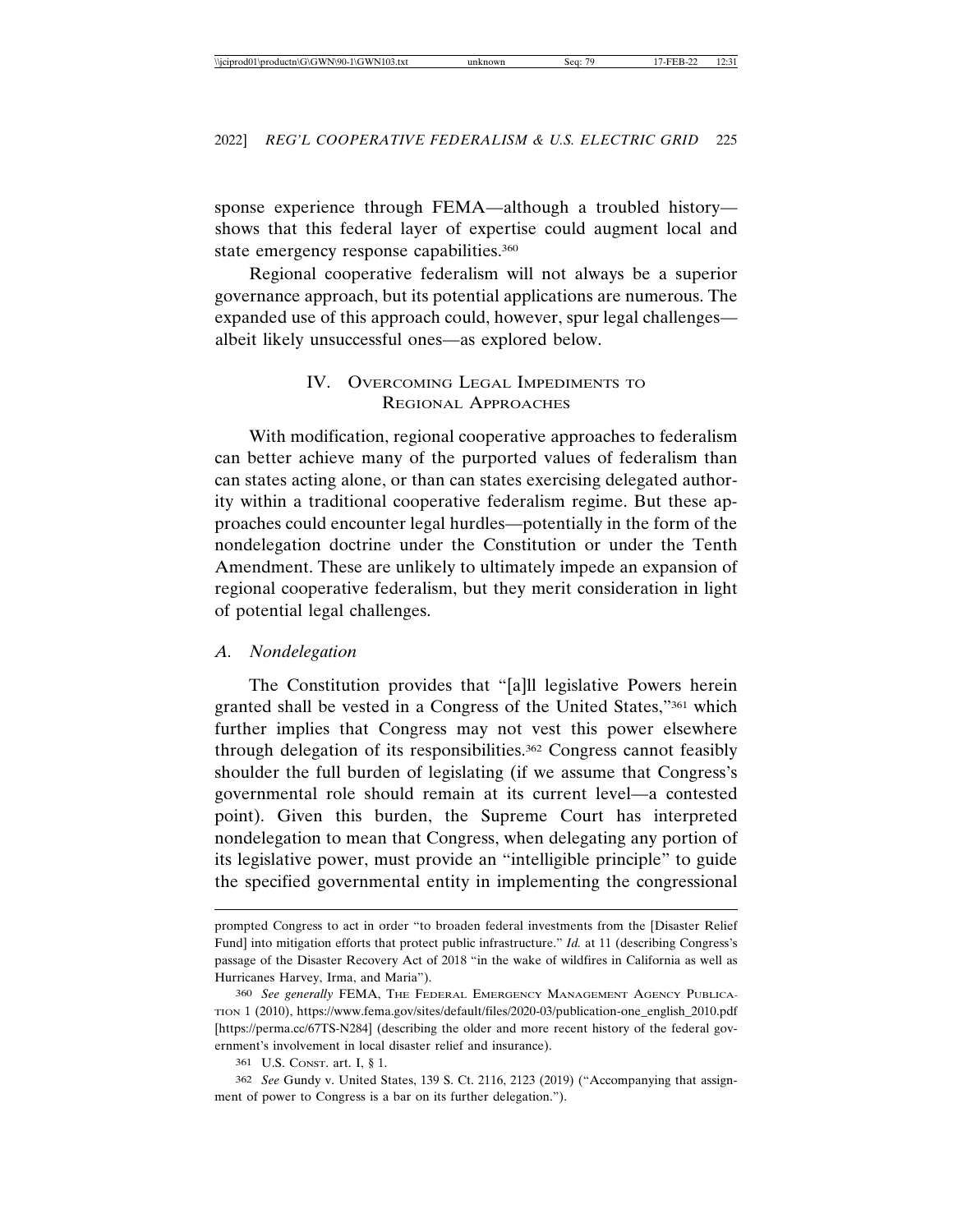sponse experience through FEMA—although a troubled history shows that this federal layer of expertise could augment local and state emergency response capabilities.360

Regional cooperative federalism will not always be a superior governance approach, but its potential applications are numerous. The expanded use of this approach could, however, spur legal challenges albeit likely unsuccessful ones—as explored below.

## IV. OVERCOMING LEGAL IMPEDIMENTS TO REGIONAL APPROACHES

With modification, regional cooperative approaches to federalism can better achieve many of the purported values of federalism than can states acting alone, or than can states exercising delegated authority within a traditional cooperative federalism regime. But these approaches could encounter legal hurdles—potentially in the form of the nondelegation doctrine under the Constitution or under the Tenth Amendment. These are unlikely to ultimately impede an expansion of regional cooperative federalism, but they merit consideration in light of potential legal challenges.

## *A. Nondelegation*

The Constitution provides that "[a]ll legislative Powers herein granted shall be vested in a Congress of the United States,"361 which further implies that Congress may not vest this power elsewhere through delegation of its responsibilities.362 Congress cannot feasibly shoulder the full burden of legislating (if we assume that Congress's governmental role should remain at its current level—a contested point). Given this burden, the Supreme Court has interpreted nondelegation to mean that Congress, when delegating any portion of its legislative power, must provide an "intelligible principle" to guide the specified governmental entity in implementing the congressional

prompted Congress to act in order "to broaden federal investments from the [Disaster Relief Fund] into mitigation efforts that protect public infrastructure." *Id.* at 11 (describing Congress's passage of the Disaster Recovery Act of 2018 "in the wake of wildfires in California as well as Hurricanes Harvey, Irma, and Maria").

<sup>360</sup> *See generally* FEMA, THE FEDERAL EMERGENCY MANAGEMENT AGENCY PUBLICA-TION 1 (2010), https://www.fema.gov/sites/default/files/2020-03/publication-one\_english\_2010.pdf [https://perma.cc/67TS-N284] (describing the older and more recent history of the federal government's involvement in local disaster relief and insurance).

<sup>361</sup> U.S. CONST. art. I, § 1.

<sup>362</sup> *See* Gundy v. United States, 139 S. Ct. 2116, 2123 (2019) ("Accompanying that assignment of power to Congress is a bar on its further delegation.").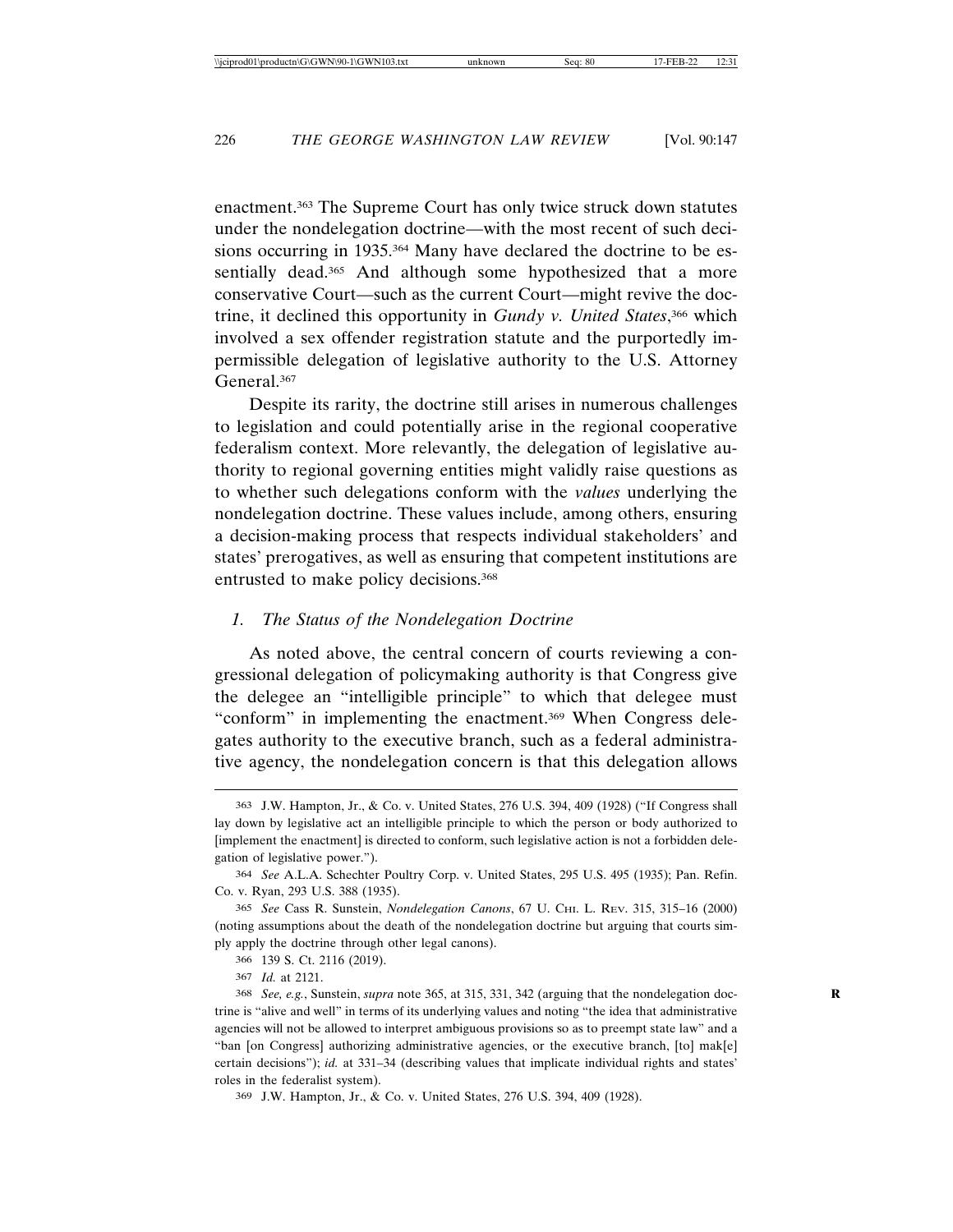enactment.363 The Supreme Court has only twice struck down statutes under the nondelegation doctrine—with the most recent of such decisions occurring in 1935.<sup>364</sup> Many have declared the doctrine to be essentially dead.<sup>365</sup> And although some hypothesized that a more conservative Court—such as the current Court—might revive the doctrine, it declined this opportunity in *Gundy v. United States*, 366 which involved a sex offender registration statute and the purportedly impermissible delegation of legislative authority to the U.S. Attorney General.<sup>367</sup>

Despite its rarity, the doctrine still arises in numerous challenges to legislation and could potentially arise in the regional cooperative federalism context. More relevantly, the delegation of legislative authority to regional governing entities might validly raise questions as to whether such delegations conform with the *values* underlying the nondelegation doctrine. These values include, among others, ensuring a decision-making process that respects individual stakeholders' and states' prerogatives, as well as ensuring that competent institutions are entrusted to make policy decisions.368

## *1. The Status of the Nondelegation Doctrine*

As noted above, the central concern of courts reviewing a congressional delegation of policymaking authority is that Congress give the delegee an "intelligible principle" to which that delegee must "conform" in implementing the enactment.369 When Congress delegates authority to the executive branch, such as a federal administrative agency, the nondelegation concern is that this delegation allows

<sup>363</sup> J.W. Hampton, Jr., & Co. v. United States, 276 U.S. 394, 409 (1928) ("If Congress shall lay down by legislative act an intelligible principle to which the person or body authorized to [implement the enactment] is directed to conform, such legislative action is not a forbidden delegation of legislative power.").

<sup>364</sup> *See* A.L.A. Schechter Poultry Corp. v. United States, 295 U.S. 495 (1935); Pan. Refin. Co. v. Ryan, 293 U.S. 388 (1935).

<sup>365</sup> *See* Cass R. Sunstein, *Nondelegation Canons*, 67 U. CHI. L. REV. 315, 315–16 (2000) (noting assumptions about the death of the nondelegation doctrine but arguing that courts simply apply the doctrine through other legal canons).

<sup>366</sup> 139 S. Ct. 2116 (2019).

<sup>367</sup> *Id.* at 2121.

<sup>368</sup> *See, e.g.*, Sunstein, *supra* note 365, at 315, 331, 342 (arguing that the nondelegation doc- **R** trine is "alive and well" in terms of its underlying values and noting "the idea that administrative agencies will not be allowed to interpret ambiguous provisions so as to preempt state law" and a "ban [on Congress] authorizing administrative agencies, or the executive branch, [to] mak[e] certain decisions"); *id.* at 331–34 (describing values that implicate individual rights and states' roles in the federalist system).

<sup>369</sup> J.W. Hampton, Jr., & Co. v. United States, 276 U.S. 394, 409 (1928).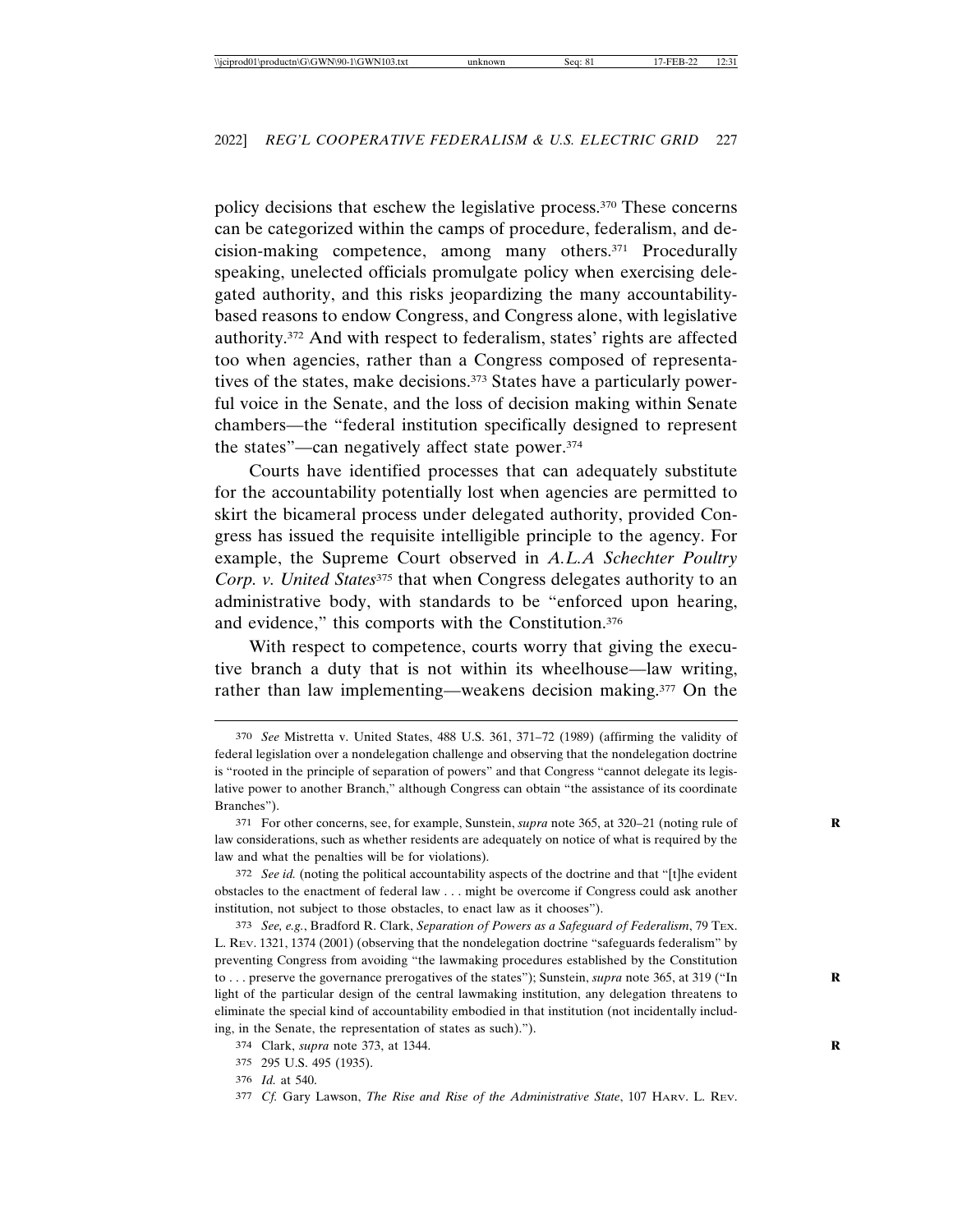policy decisions that eschew the legislative process.370 These concerns can be categorized within the camps of procedure, federalism, and decision-making competence, among many others.371 Procedurally speaking, unelected officials promulgate policy when exercising delegated authority, and this risks jeopardizing the many accountabilitybased reasons to endow Congress, and Congress alone, with legislative authority.372 And with respect to federalism, states' rights are affected too when agencies, rather than a Congress composed of representatives of the states, make decisions.<sup>373</sup> States have a particularly powerful voice in the Senate, and the loss of decision making within Senate chambers—the "federal institution specifically designed to represent the states"—can negatively affect state power.374

Courts have identified processes that can adequately substitute for the accountability potentially lost when agencies are permitted to skirt the bicameral process under delegated authority, provided Congress has issued the requisite intelligible principle to the agency. For example, the Supreme Court observed in *A.L.A Schechter Poultry Corp. v. United States*375 that when Congress delegates authority to an administrative body, with standards to be "enforced upon hearing, and evidence," this comports with the Constitution.<sup>376</sup>

With respect to competence, courts worry that giving the executive branch a duty that is not within its wheelhouse—law writing, rather than law implementing—weakens decision making.377 On the

371 For other concerns, see, for example, Sunstein, *supra* note 365, at 320–21 (noting rule of **R** law considerations, such as whether residents are adequately on notice of what is required by the law and what the penalties will be for violations).

372 *See id.* (noting the political accountability aspects of the doctrine and that "[t]he evident obstacles to the enactment of federal law . . . might be overcome if Congress could ask another institution, not subject to those obstacles, to enact law as it chooses").

373 *See, e.g.*, Bradford R. Clark, *Separation of Powers as a Safeguard of Federalism*, 79 TEX. L. REV. 1321, 1374 (2001) (observing that the nondelegation doctrine "safeguards federalism" by preventing Congress from avoiding "the lawmaking procedures established by the Constitution to . . . preserve the governance prerogatives of the states"); Sunstein, *supra* note 365, at 319 ("In **R** light of the particular design of the central lawmaking institution, any delegation threatens to eliminate the special kind of accountability embodied in that institution (not incidentally including, in the Senate, the representation of states as such).").

<sup>370</sup> *See* Mistretta v. United States, 488 U.S. 361, 371–72 (1989) (affirming the validity of federal legislation over a nondelegation challenge and observing that the nondelegation doctrine is "rooted in the principle of separation of powers" and that Congress "cannot delegate its legislative power to another Branch," although Congress can obtain "the assistance of its coordinate Branches").

<sup>374</sup> Clark, *supra* note 373, at 1344. **R**

<sup>375</sup> 295 U.S. 495 (1935).

<sup>376</sup> *Id.* at 540.

<sup>377</sup> *Cf.* Gary Lawson, *The Rise and Rise of the Administrative State*, 107 HARV. L. REV.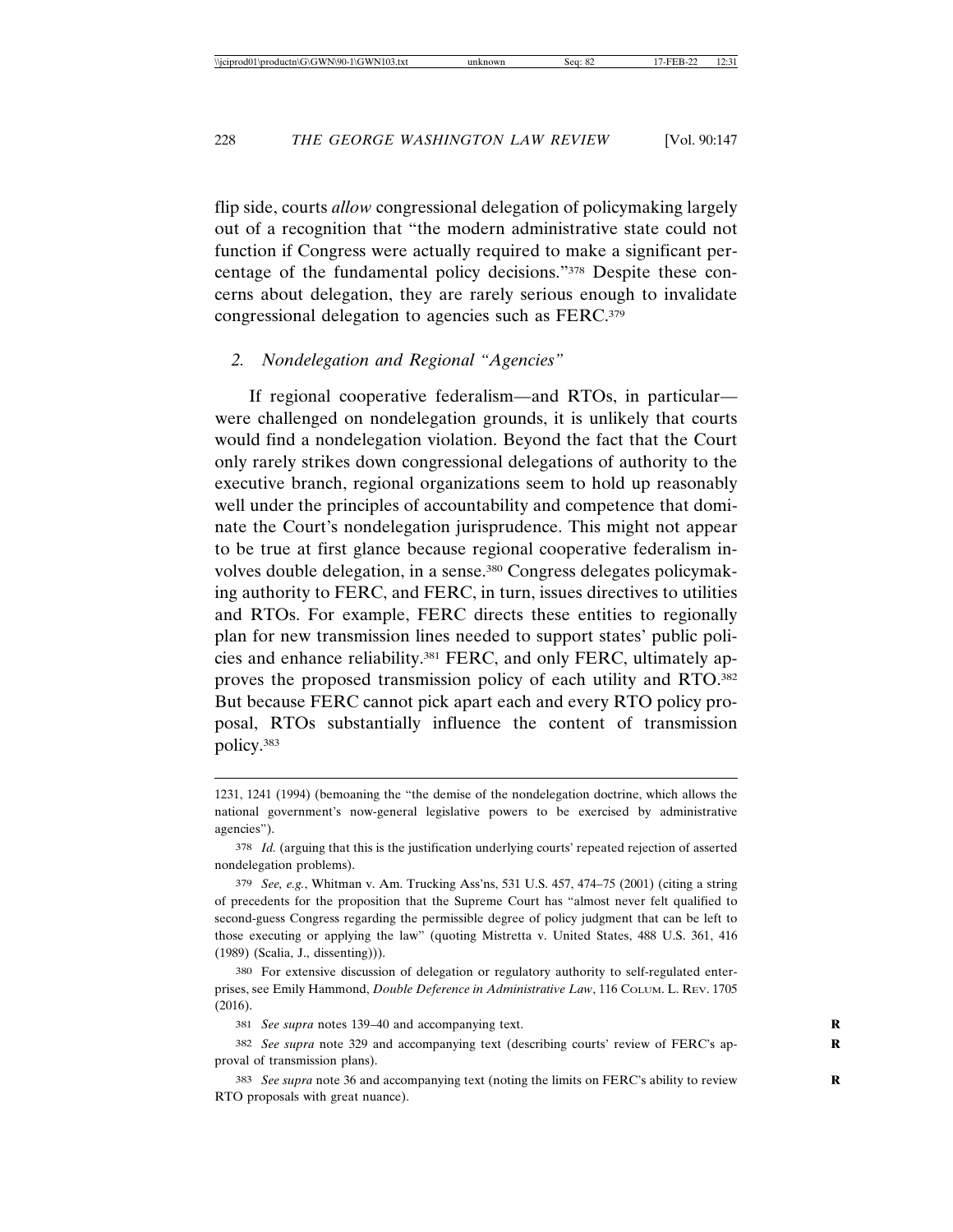flip side, courts *allow* congressional delegation of policymaking largely out of a recognition that "the modern administrative state could not function if Congress were actually required to make a significant percentage of the fundamental policy decisions."378 Despite these concerns about delegation, they are rarely serious enough to invalidate congressional delegation to agencies such as FERC.379

### *2. Nondelegation and Regional "Agencies"*

If regional cooperative federalism—and RTOs, in particular were challenged on nondelegation grounds, it is unlikely that courts would find a nondelegation violation. Beyond the fact that the Court only rarely strikes down congressional delegations of authority to the executive branch, regional organizations seem to hold up reasonably well under the principles of accountability and competence that dominate the Court's nondelegation jurisprudence. This might not appear to be true at first glance because regional cooperative federalism involves double delegation, in a sense.380 Congress delegates policymaking authority to FERC, and FERC, in turn, issues directives to utilities and RTOs. For example, FERC directs these entities to regionally plan for new transmission lines needed to support states' public policies and enhance reliability.381 FERC, and only FERC, ultimately approves the proposed transmission policy of each utility and RTO.382 But because FERC cannot pick apart each and every RTO policy proposal, RTOs substantially influence the content of transmission policy.383

<sup>1231, 1241 (1994) (</sup>bemoaning the "the demise of the nondelegation doctrine, which allows the national government's now-general legislative powers to be exercised by administrative agencies").

<sup>378</sup> *Id.* (arguing that this is the justification underlying courts' repeated rejection of asserted nondelegation problems).

<sup>379</sup> *See, e.g.*, Whitman v. Am. Trucking Ass'ns, 531 U.S. 457, 474–75 (2001) (citing a string of precedents for the proposition that the Supreme Court has "almost never felt qualified to second-guess Congress regarding the permissible degree of policy judgment that can be left to those executing or applying the law" (quoting Mistretta v. United States, 488 U.S. 361, 416 (1989) (Scalia, J., dissenting))).

<sup>380</sup> For extensive discussion of delegation or regulatory authority to self-regulated enterprises, see Emily Hammond, *Double Deference in Administrative Law*, 116 COLUM. L. REV. 1705 (2016).

<sup>381</sup> *See supra* notes 139–40 and accompanying text. **R**

<sup>382</sup> *See supra* note 329 and accompanying text (describing courts' review of FERC's ap- **R** proval of transmission plans).

<sup>383</sup> *See supra* note 36 and accompanying text (noting the limits on FERC's ability to review **R** RTO proposals with great nuance).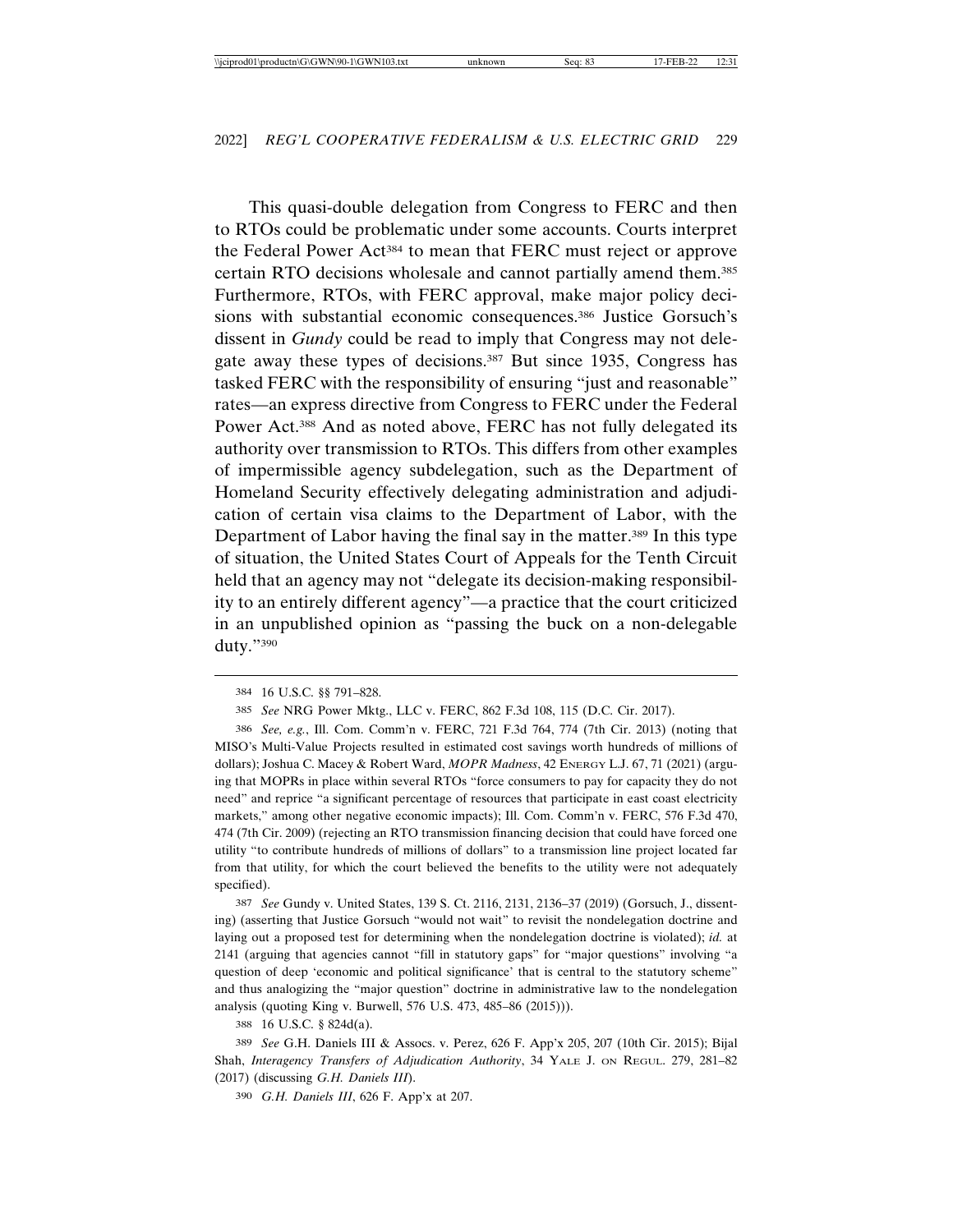This quasi-double delegation from Congress to FERC and then to RTOs could be problematic under some accounts. Courts interpret the Federal Power Act384 to mean that FERC must reject or approve certain RTO decisions wholesale and cannot partially amend them.385 Furthermore, RTOs, with FERC approval, make major policy decisions with substantial economic consequences.386 Justice Gorsuch's dissent in *Gundy* could be read to imply that Congress may not delegate away these types of decisions.387 But since 1935, Congress has tasked FERC with the responsibility of ensuring "just and reasonable" rates—an express directive from Congress to FERC under the Federal Power Act.388 And as noted above, FERC has not fully delegated its authority over transmission to RTOs. This differs from other examples of impermissible agency subdelegation, such as the Department of Homeland Security effectively delegating administration and adjudication of certain visa claims to the Department of Labor, with the Department of Labor having the final say in the matter.<sup>389</sup> In this type of situation, the United States Court of Appeals for the Tenth Circuit held that an agency may not "delegate its decision-making responsibility to an entirely different agency"—a practice that the court criticized in an unpublished opinion as "passing the buck on a non-delegable duty."390

387 *See* Gundy v. United States, 139 S. Ct. 2116, 2131, 2136–37 (2019) (Gorsuch, J., dissenting) (asserting that Justice Gorsuch "would not wait" to revisit the nondelegation doctrine and laying out a proposed test for determining when the nondelegation doctrine is violated); *id.* at 2141 (arguing that agencies cannot "fill in statutory gaps" for "major questions" involving "a question of deep 'economic and political significance' that is central to the statutory scheme" and thus analogizing the "major question" doctrine in administrative law to the nondelegation analysis (quoting King v. Burwell, 576 U.S. 473, 485–86 (2015))).

388 16 U.S.C. § 824d(a).

389 *See* G.H. Daniels III & Assocs. v. Perez, 626 F. App'x 205, 207 (10th Cir. 2015); Bijal Shah, *Interagency Transfers of Adjudication Authority*, 34 YALE J. ON REGUL. 279, 281–82 (2017) (discussing *G.H. Daniels III*).

390 *G.H. Daniels III*, 626 F. App'x at 207.

<sup>384</sup> 16 U.S.C. §§ 791–828.

<sup>385</sup> *See* NRG Power Mktg., LLC v. FERC, 862 F.3d 108, 115 (D.C. Cir. 2017).

<sup>386</sup> *See, e.g.*, Ill. Com. Comm'n v. FERC, 721 F.3d 764, 774 (7th Cir. 2013) (noting that MISO's Multi-Value Projects resulted in estimated cost savings worth hundreds of millions of dollars); Joshua C. Macey & Robert Ward, *MOPR Madness*, 42 ENERGY L.J. 67, 71 (2021) (arguing that MOPRs in place within several RTOs "force consumers to pay for capacity they do not need" and reprice "a significant percentage of resources that participate in east coast electricity markets," among other negative economic impacts); Ill. Com. Comm'n v. FERC, 576 F.3d 470, 474 (7th Cir. 2009) (rejecting an RTO transmission financing decision that could have forced one utility "to contribute hundreds of millions of dollars" to a transmission line project located far from that utility, for which the court believed the benefits to the utility were not adequately specified).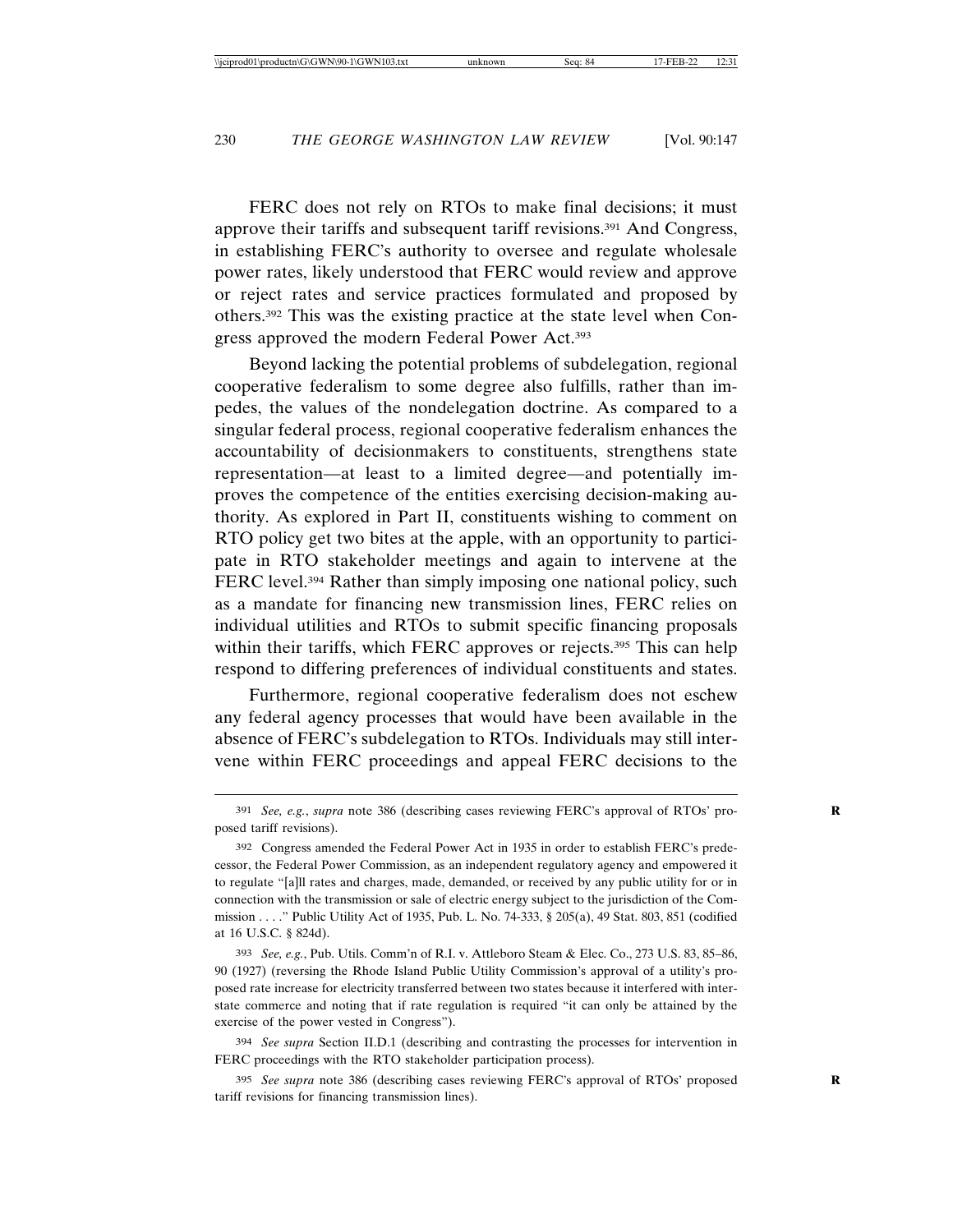FERC does not rely on RTOs to make final decisions; it must approve their tariffs and subsequent tariff revisions.391 And Congress, in establishing FERC's authority to oversee and regulate wholesale power rates, likely understood that FERC would review and approve or reject rates and service practices formulated and proposed by others.392 This was the existing practice at the state level when Congress approved the modern Federal Power Act.393

Beyond lacking the potential problems of subdelegation, regional cooperative federalism to some degree also fulfills, rather than impedes, the values of the nondelegation doctrine. As compared to a singular federal process, regional cooperative federalism enhances the accountability of decisionmakers to constituents, strengthens state representation—at least to a limited degree—and potentially improves the competence of the entities exercising decision-making authority. As explored in Part II, constituents wishing to comment on RTO policy get two bites at the apple, with an opportunity to participate in RTO stakeholder meetings and again to intervene at the FERC level.<sup>394</sup> Rather than simply imposing one national policy, such as a mandate for financing new transmission lines, FERC relies on individual utilities and RTOs to submit specific financing proposals within their tariffs, which FERC approves or rejects.<sup>395</sup> This can help respond to differing preferences of individual constituents and states.

Furthermore, regional cooperative federalism does not eschew any federal agency processes that would have been available in the absence of FERC's subdelegation to RTOs. Individuals may still intervene within FERC proceedings and appeal FERC decisions to the

391 See, e.g., supra note 386 (describing cases reviewing FERC's approval of RTOs' proposed tariff revisions).

392 Congress amended the Federal Power Act in 1935 in order to establish FERC's predecessor, the Federal Power Commission, as an independent regulatory agency and empowered it to regulate "[a]ll rates and charges, made, demanded, or received by any public utility for or in connection with the transmission or sale of electric energy subject to the jurisdiction of the Commission . . . ." Public Utility Act of 1935, Pub. L. No. 74-333, § 205(a), 49 Stat. 803, 851 (codified at 16 U.S.C. § 824d).

393 *See, e.g.*, Pub. Utils. Comm'n of R.I. v. Attleboro Steam & Elec. Co., 273 U.S. 83, 85–86, 90 (1927) (reversing the Rhode Island Public Utility Commission's approval of a utility's proposed rate increase for electricity transferred between two states because it interfered with interstate commerce and noting that if rate regulation is required "it can only be attained by the exercise of the power vested in Congress").

394 *See supra* Section II.D.1 (describing and contrasting the processes for intervention in FERC proceedings with the RTO stakeholder participation process).

395 *See supra* note 386 (describing cases reviewing FERC's approval of RTOs' proposed **R** tariff revisions for financing transmission lines).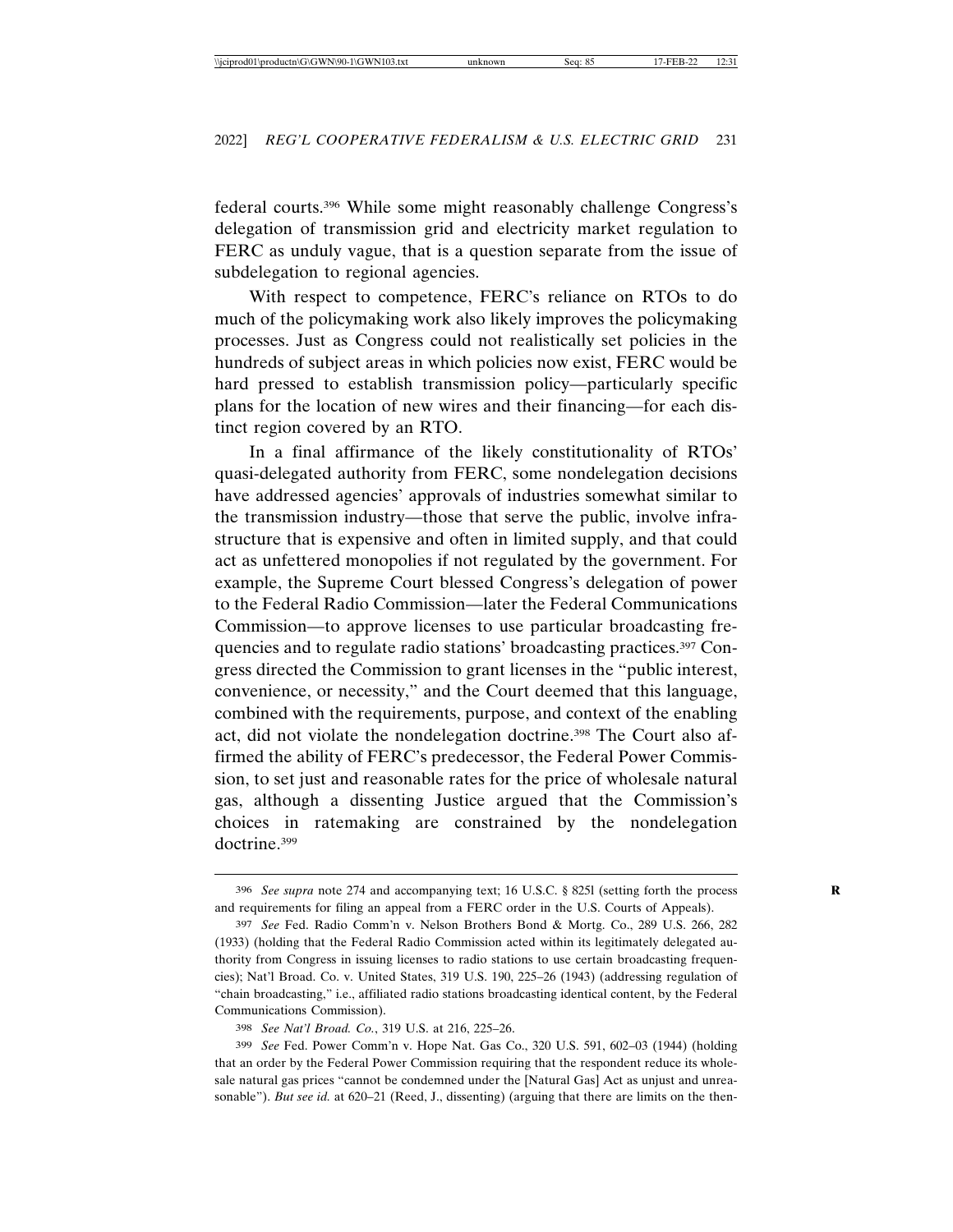federal courts.396 While some might reasonably challenge Congress's delegation of transmission grid and electricity market regulation to FERC as unduly vague, that is a question separate from the issue of subdelegation to regional agencies.

With respect to competence, FERC's reliance on RTOs to do much of the policymaking work also likely improves the policymaking processes. Just as Congress could not realistically set policies in the hundreds of subject areas in which policies now exist, FERC would be hard pressed to establish transmission policy—particularly specific plans for the location of new wires and their financing—for each distinct region covered by an RTO.

In a final affirmance of the likely constitutionality of RTOs' quasi-delegated authority from FERC, some nondelegation decisions have addressed agencies' approvals of industries somewhat similar to the transmission industry—those that serve the public, involve infrastructure that is expensive and often in limited supply, and that could act as unfettered monopolies if not regulated by the government. For example, the Supreme Court blessed Congress's delegation of power to the Federal Radio Commission—later the Federal Communications Commission—to approve licenses to use particular broadcasting frequencies and to regulate radio stations' broadcasting practices.397 Congress directed the Commission to grant licenses in the "public interest, convenience, or necessity," and the Court deemed that this language, combined with the requirements, purpose, and context of the enabling act, did not violate the nondelegation doctrine.<sup>398</sup> The Court also affirmed the ability of FERC's predecessor, the Federal Power Commission, to set just and reasonable rates for the price of wholesale natural gas, although a dissenting Justice argued that the Commission's choices in ratemaking are constrained by the nondelegation doctrine.399

<sup>396</sup> *See supra* note 274 and accompanying text; 16 U.S.C. § 825l (setting forth the process **R** and requirements for filing an appeal from a FERC order in the U.S. Courts of Appeals).

<sup>397</sup> *See* Fed. Radio Comm'n v. Nelson Brothers Bond & Mortg. Co., 289 U.S. 266, 282 (1933) (holding that the Federal Radio Commission acted within its legitimately delegated authority from Congress in issuing licenses to radio stations to use certain broadcasting frequencies); Nat'l Broad. Co. v. United States, 319 U.S. 190, 225–26 (1943) (addressing regulation of "chain broadcasting," i.e., affiliated radio stations broadcasting identical content, by the Federal Communications Commission).

<sup>398</sup> *See Nat'l Broad. Co.*, 319 U.S. at 216, 225–26.

<sup>399</sup> *See* Fed. Power Comm'n v. Hope Nat. Gas Co., 320 U.S. 591, 602–03 (1944) (holding that an order by the Federal Power Commission requiring that the respondent reduce its wholesale natural gas prices "cannot be condemned under the [Natural Gas] Act as unjust and unreasonable"). *But see id.* at 620–21 (Reed, J., dissenting) (arguing that there are limits on the then-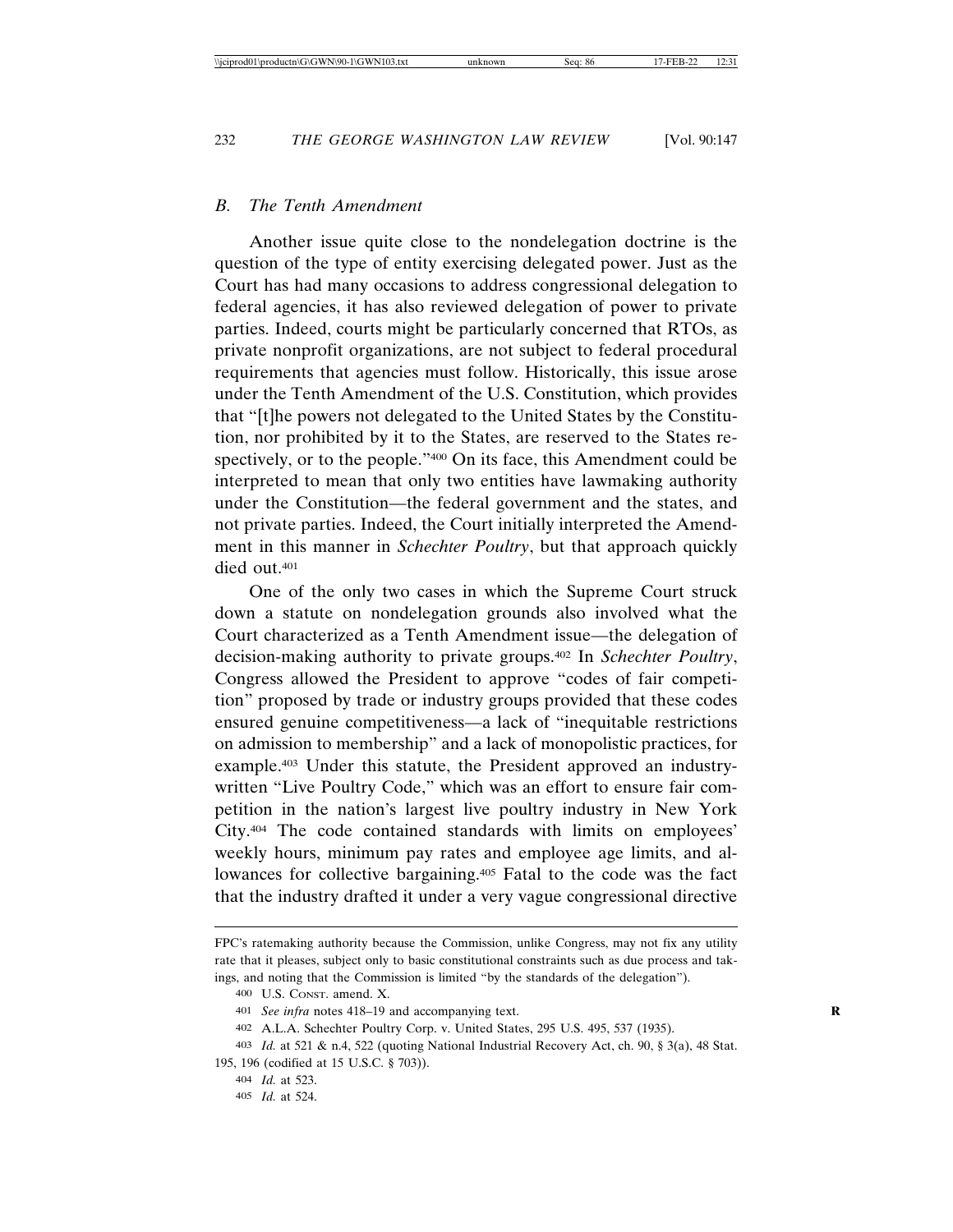### *B. The Tenth Amendment*

Another issue quite close to the nondelegation doctrine is the question of the type of entity exercising delegated power. Just as the Court has had many occasions to address congressional delegation to federal agencies, it has also reviewed delegation of power to private parties. Indeed, courts might be particularly concerned that RTOs, as private nonprofit organizations, are not subject to federal procedural requirements that agencies must follow. Historically, this issue arose under the Tenth Amendment of the U.S. Constitution, which provides that "[t]he powers not delegated to the United States by the Constitution, nor prohibited by it to the States, are reserved to the States respectively, or to the people."400 On its face, this Amendment could be interpreted to mean that only two entities have lawmaking authority under the Constitution—the federal government and the states, and not private parties. Indeed, the Court initially interpreted the Amendment in this manner in *Schechter Poultry*, but that approach quickly died out.401

One of the only two cases in which the Supreme Court struck down a statute on nondelegation grounds also involved what the Court characterized as a Tenth Amendment issue—the delegation of decision-making authority to private groups.402 In *Schechter Poultry*, Congress allowed the President to approve "codes of fair competition" proposed by trade or industry groups provided that these codes ensured genuine competitiveness—a lack of "inequitable restrictions on admission to membership" and a lack of monopolistic practices, for example.403 Under this statute, the President approved an industrywritten "Live Poultry Code," which was an effort to ensure fair competition in the nation's largest live poultry industry in New York City.404 The code contained standards with limits on employees' weekly hours, minimum pay rates and employee age limits, and allowances for collective bargaining.<sup>405</sup> Fatal to the code was the fact that the industry drafted it under a very vague congressional directive

FPC's ratemaking authority because the Commission, unlike Congress, may not fix any utility rate that it pleases, subject only to basic constitutional constraints such as due process and takings, and noting that the Commission is limited "by the standards of the delegation").

<sup>400</sup> U.S. CONST. amend. X.

<sup>401</sup> *See infra* notes 418–19 and accompanying text. **R**

<sup>402</sup> A.L.A. Schechter Poultry Corp. v. United States, 295 U.S. 495, 537 (1935).

<sup>403</sup> *Id.* at 521 & n.4, 522 (quoting National Industrial Recovery Act, ch. 90, § 3(a), 48 Stat. 195, 196 (codified at 15 U.S.C. § 703)).

<sup>404</sup> *Id.* at 523.

<sup>405</sup> *Id.* at 524.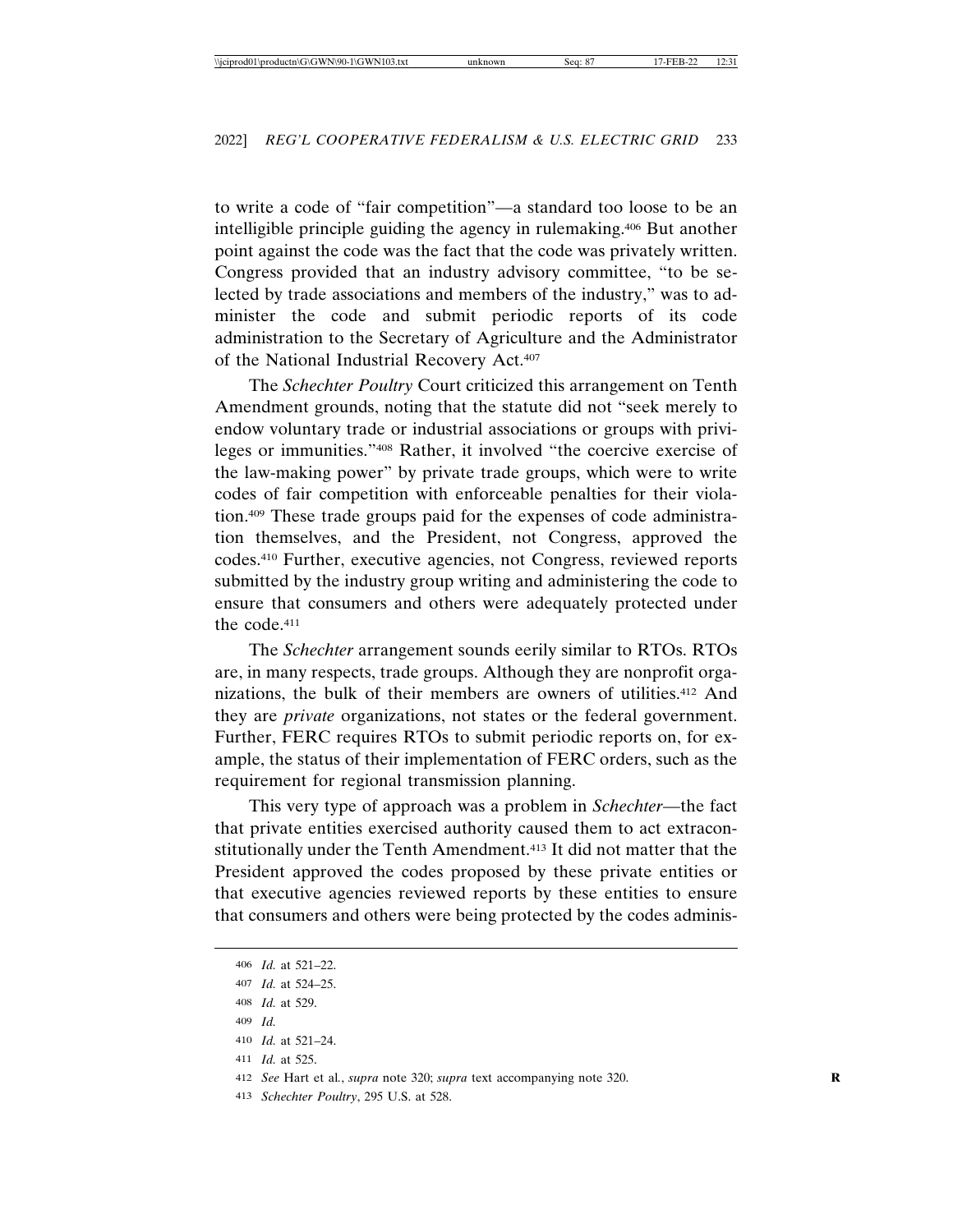to write a code of "fair competition"—a standard too loose to be an intelligible principle guiding the agency in rulemaking.406 But another point against the code was the fact that the code was privately written. Congress provided that an industry advisory committee, "to be selected by trade associations and members of the industry," was to administer the code and submit periodic reports of its code administration to the Secretary of Agriculture and the Administrator of the National Industrial Recovery Act.407

The *Schechter Poultry* Court criticized this arrangement on Tenth Amendment grounds, noting that the statute did not "seek merely to endow voluntary trade or industrial associations or groups with privileges or immunities."408 Rather, it involved "the coercive exercise of the law-making power" by private trade groups, which were to write codes of fair competition with enforceable penalties for their violation.409 These trade groups paid for the expenses of code administration themselves, and the President, not Congress, approved the codes.410 Further, executive agencies, not Congress, reviewed reports submitted by the industry group writing and administering the code to ensure that consumers and others were adequately protected under the code.411

The *Schechter* arrangement sounds eerily similar to RTOs. RTOs are, in many respects, trade groups. Although they are nonprofit organizations, the bulk of their members are owners of utilities.412 And they are *private* organizations, not states or the federal government. Further, FERC requires RTOs to submit periodic reports on, for example, the status of their implementation of FERC orders, such as the requirement for regional transmission planning.

This very type of approach was a problem in *Schechter*—the fact that private entities exercised authority caused them to act extraconstitutionally under the Tenth Amendment.413 It did not matter that the President approved the codes proposed by these private entities or that executive agencies reviewed reports by these entities to ensure that consumers and others were being protected by the codes adminis-

411 *Id.* at 525.

413 *Schechter Poultry*, 295 U.S. at 528.

<sup>406</sup> *Id.* at 521–22. 407 *Id.* at 524–25. 408 *Id.* at 529. 409 *Id.* 410 *Id.* at 521–24.

<sup>412</sup> *See* Hart et al*.*, *supra* note 320; *supra* text accompanying note 320. **R**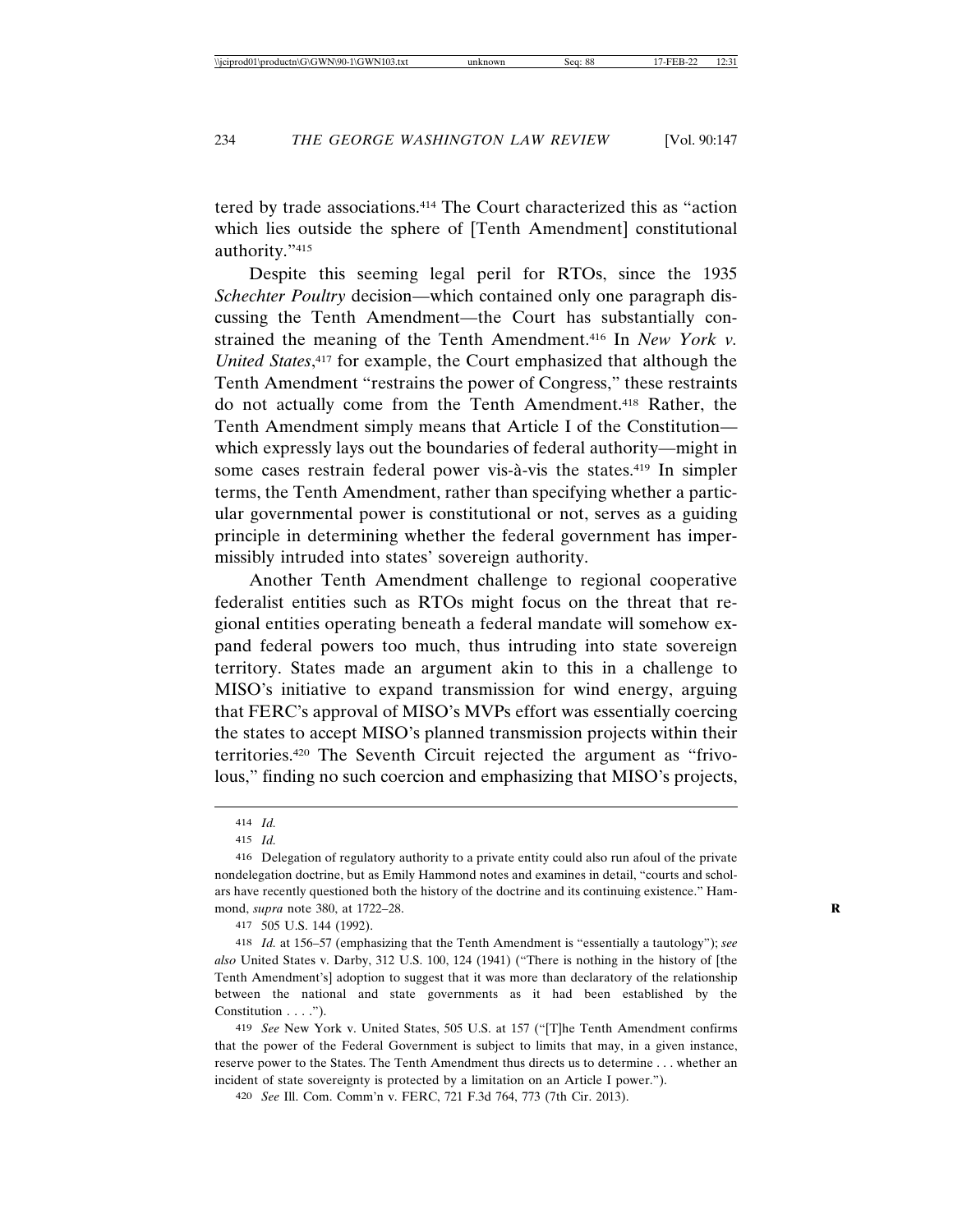tered by trade associations.414 The Court characterized this as "action which lies outside the sphere of [Tenth Amendment] constitutional authority."415

Despite this seeming legal peril for RTOs, since the 1935 *Schechter Poultry* decision—which contained only one paragraph discussing the Tenth Amendment—the Court has substantially constrained the meaning of the Tenth Amendment.416 In *New York v. United States*, 417 for example, the Court emphasized that although the Tenth Amendment "restrains the power of Congress," these restraints do not actually come from the Tenth Amendment.418 Rather, the Tenth Amendment simply means that Article I of the Constitution which expressly lays out the boundaries of federal authority—might in some cases restrain federal power vis-à-vis the states.<sup>419</sup> In simpler terms, the Tenth Amendment, rather than specifying whether a particular governmental power is constitutional or not, serves as a guiding principle in determining whether the federal government has impermissibly intruded into states' sovereign authority.

Another Tenth Amendment challenge to regional cooperative federalist entities such as RTOs might focus on the threat that regional entities operating beneath a federal mandate will somehow expand federal powers too much, thus intruding into state sovereign territory. States made an argument akin to this in a challenge to MISO's initiative to expand transmission for wind energy, arguing that FERC's approval of MISO's MVPs effort was essentially coercing the states to accept MISO's planned transmission projects within their territories.420 The Seventh Circuit rejected the argument as "frivolous," finding no such coercion and emphasizing that MISO's projects,

418 *Id.* at 156–57 (emphasizing that the Tenth Amendment is "essentially a tautology"); *see also* United States v. Darby, 312 U.S. 100, 124 (1941) ("There is nothing in the history of [the Tenth Amendment's] adoption to suggest that it was more than declaratory of the relationship between the national and state governments as it had been established by the Constitution . . . .").

419 *See* New York v. United States, 505 U.S. at 157 ("[T]he Tenth Amendment confirms that the power of the Federal Government is subject to limits that may, in a given instance, reserve power to the States. The Tenth Amendment thus directs us to determine . . . whether an incident of state sovereignty is protected by a limitation on an Article I power.").

420 *See* Ill. Com. Comm'n v. FERC, 721 F.3d 764, 773 (7th Cir. 2013).

<sup>414</sup> *Id.*

<sup>415</sup> *Id.*

<sup>416</sup> Delegation of regulatory authority to a private entity could also run afoul of the private nondelegation doctrine, but as Emily Hammond notes and examines in detail, "courts and scholars have recently questioned both the history of the doctrine and its continuing existence." Hammond, *supra* note 380, at 1722–28. **R**

<sup>417</sup> 505 U.S. 144 (1992).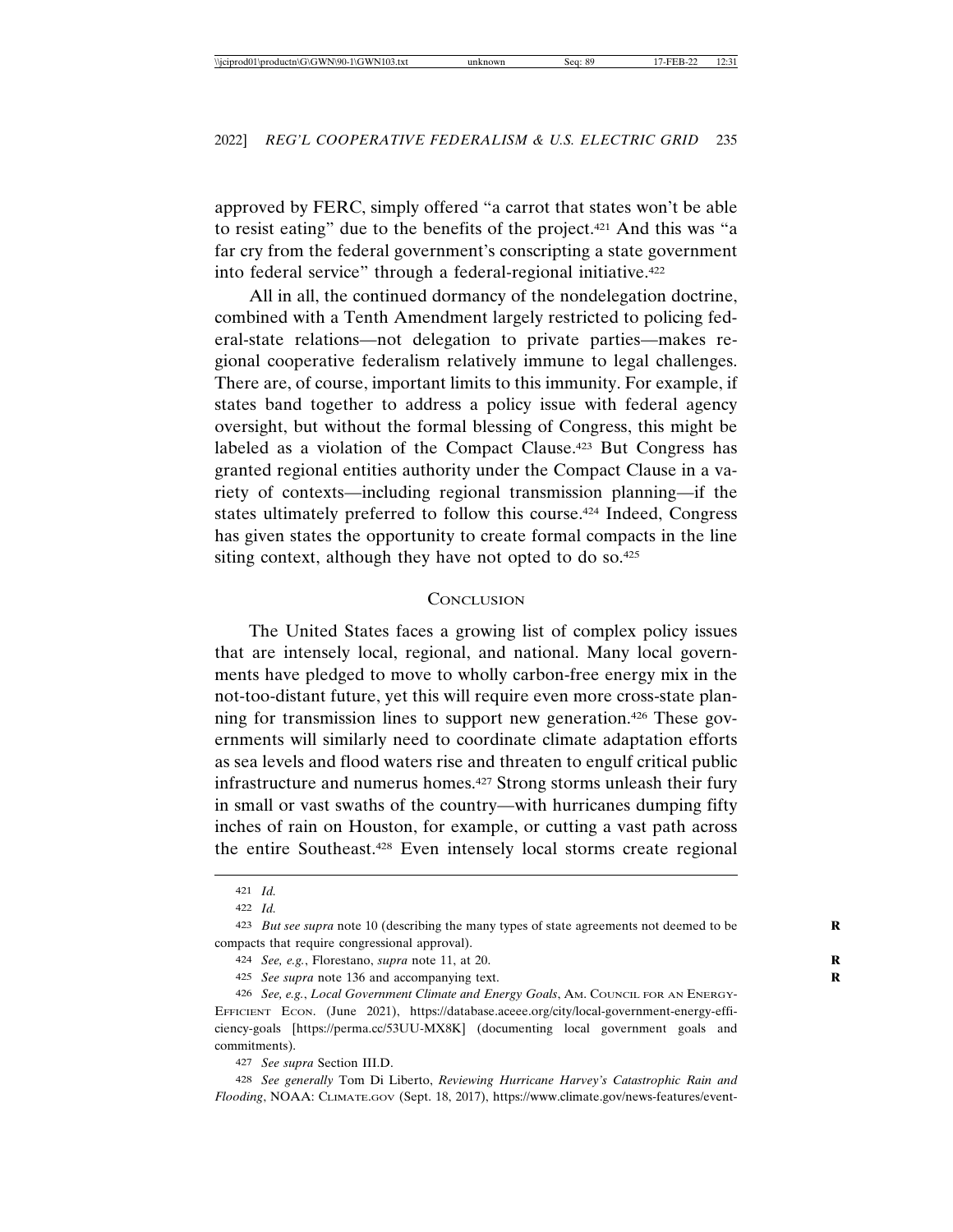approved by FERC, simply offered "a carrot that states won't be able to resist eating" due to the benefits of the project.421 And this was "a far cry from the federal government's conscripting a state government into federal service" through a federal-regional initiative.422

All in all, the continued dormancy of the nondelegation doctrine, combined with a Tenth Amendment largely restricted to policing federal-state relations—not delegation to private parties—makes regional cooperative federalism relatively immune to legal challenges. There are, of course, important limits to this immunity. For example, if states band together to address a policy issue with federal agency oversight, but without the formal blessing of Congress, this might be labeled as a violation of the Compact Clause.423 But Congress has granted regional entities authority under the Compact Clause in a variety of contexts—including regional transmission planning—if the states ultimately preferred to follow this course.424 Indeed, Congress has given states the opportunity to create formal compacts in the line siting context, although they have not opted to do so.<sup>425</sup>

#### **CONCLUSION**

The United States faces a growing list of complex policy issues that are intensely local, regional, and national. Many local governments have pledged to move to wholly carbon-free energy mix in the not-too-distant future, yet this will require even more cross-state planning for transmission lines to support new generation.426 These governments will similarly need to coordinate climate adaptation efforts as sea levels and flood waters rise and threaten to engulf critical public infrastructure and numerus homes.427 Strong storms unleash their fury in small or vast swaths of the country—with hurricanes dumping fifty inches of rain on Houston, for example, or cutting a vast path across the entire Southeast.428 Even intensely local storms create regional

427 *See supra* Section III.D.

428 *See generally* Tom Di Liberto, *Reviewing Hurricane Harvey's Catastrophic Rain and Flooding*, NOAA: CLIMATE.GOV (Sept. 18, 2017), https://www.climate.gov/news-features/event-

<sup>421</sup> *Id.*

<sup>422</sup> *Id.*

<sup>423</sup> *But see supra* note 10 (describing the many types of state agreements not deemed to be **R** compacts that require congressional approval).

<sup>424</sup> *See, e.g.*, Florestano, *supra* note 11, at 20. **R**

<sup>425</sup> *See supra* note 136 and accompanying text. **R**

<sup>426</sup> *See, e.g.*, *Local Government Climate and Energy Goals*, AM. COUNCIL FOR AN ENERGY-EFFICIENT ECON. (June 2021), https://database.aceee.org/city/local-government-energy-efficiency-goals [https://perma.cc/53UU-MX8K] (documenting local government goals and commitments).